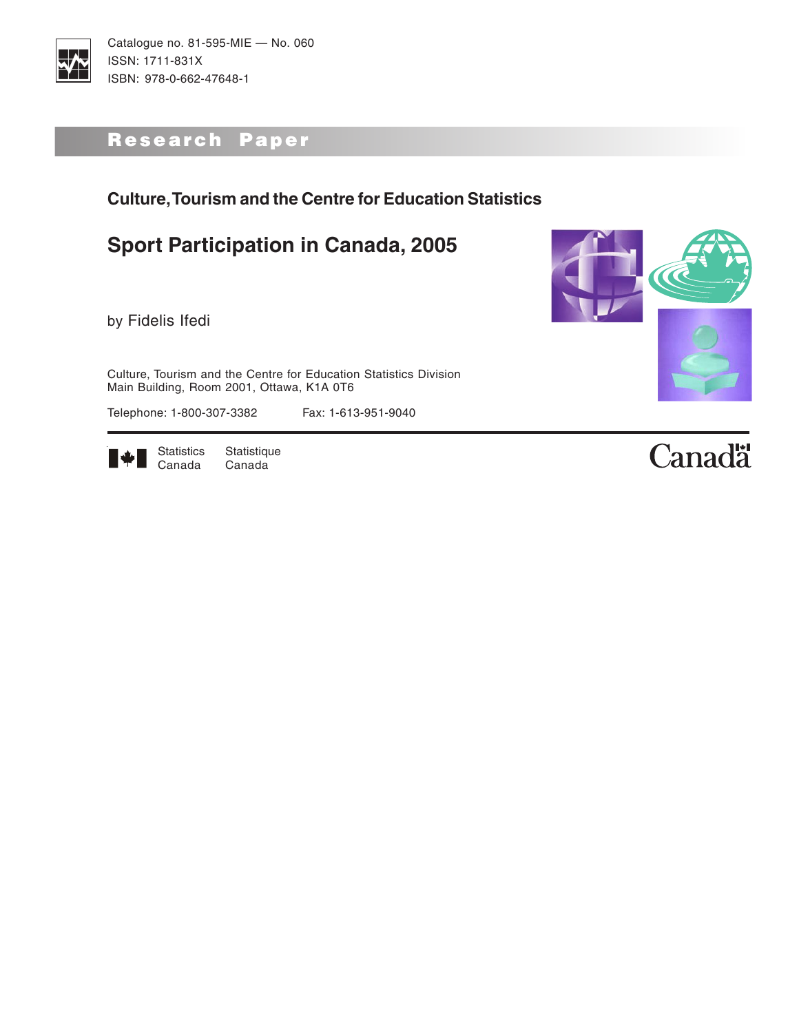

## Research Paper

## **Culture, Tourism and the Centre for Education Statistics**

## **Sport Participation in Canada, 2005**

by Fidelis Ifedi

Culture, Tourism and the Centre for Education Statistics Division Main Building, Room 2001, Ottawa, K1A 0T6

Telephone: 1-800-307-3382 Fax: 1-613-951-9040



Statistics Statistique<br>Canada Canada Canada



# Canadä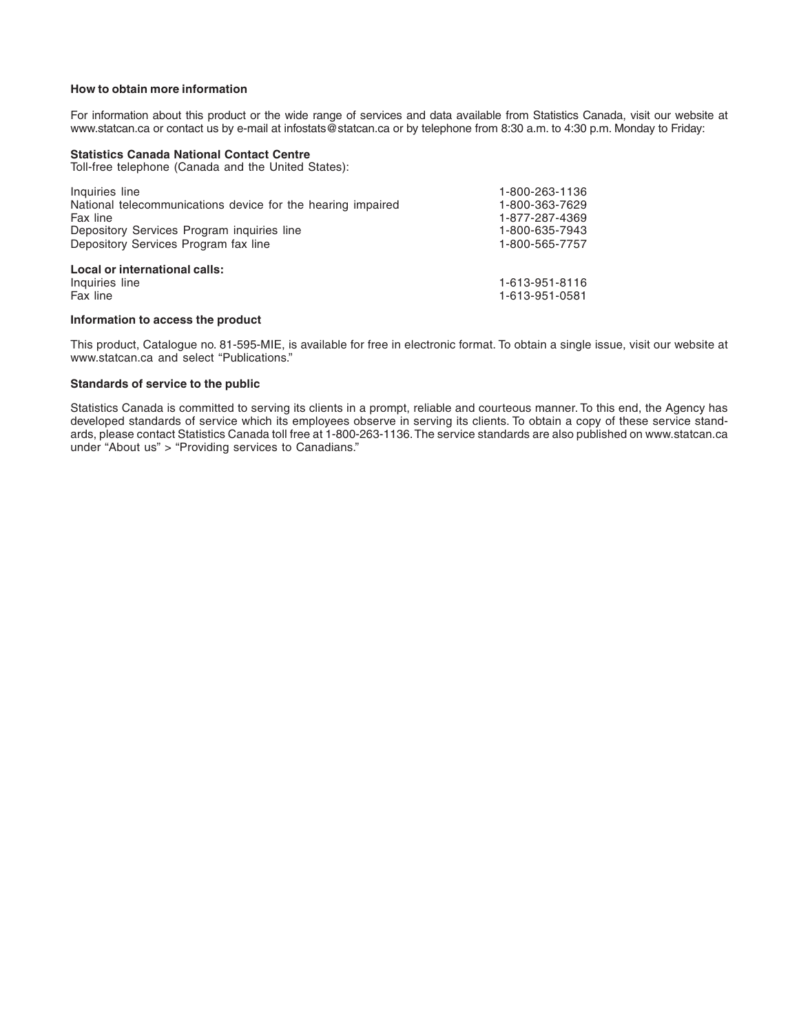#### **How to obtain more information**

For information about this product or the wide range of services and data available from Statistics Canada, visit our website at www.statcan.ca or contact us by e-mail at infostats@statcan.ca or by telephone from 8:30 a.m. to 4:30 p.m. Monday to Friday:

#### **Statistics Canada National Contact Centre**

Toll-free telephone (Canada and the United States):

| Inquiries line                                              | 1-800-263-1136 |
|-------------------------------------------------------------|----------------|
| National telecommunications device for the hearing impaired | 1-800-363-7629 |
| Fax line                                                    | 1-877-287-4369 |
| Depository Services Program inquiries line                  | 1-800-635-7943 |
| Depository Services Program fax line                        | 1-800-565-7757 |
| Local or international calls:                               |                |
| Inquiries line                                              | 1-613-951-8116 |
| Fax line                                                    | 1-613-951-0581 |

#### **Information to access the product**

This product, Catalogue no. 81-595-MIE, is available for free in electronic format. To obtain a single issue, visit our website at www.statcan.ca and select "Publications."

#### **Standards of service to the public**

Statistics Canada is committed to serving its clients in a prompt, reliable and courteous manner. To this end, the Agency has developed standards of service which its employees observe in serving its clients. To obtain a copy of these service standards, please contact Statistics Canada toll free at 1-800-263-1136. The service standards are also published on www.statcan.ca under "About us" > "Providing services to Canadians."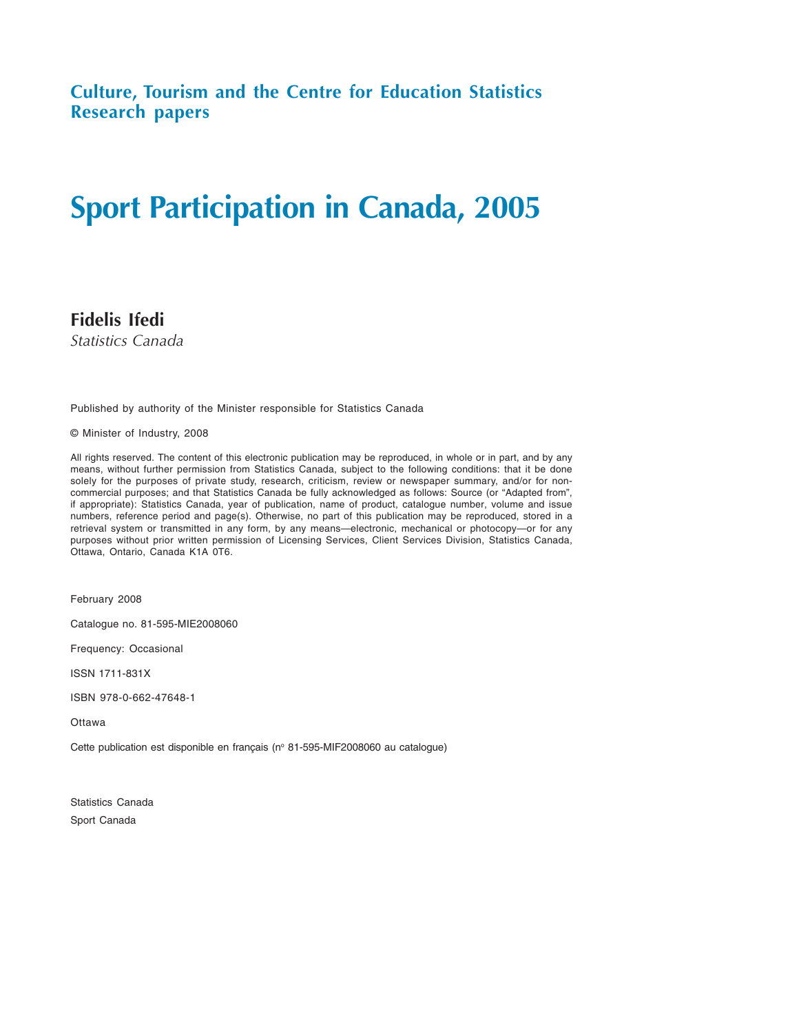**Culture, Tourism and the Centre for Education Statistics Research papers**

# **Sport Participation in Canada, 2005**

**Fidelis Ifedi** *Statistics Canada*

Published by authority of the Minister responsible for Statistics Canada

© Minister of Industry, 2008

All rights reserved. The content of this electronic publication may be reproduced, in whole or in part, and by any means, without further permission from Statistics Canada, subject to the following conditions: that it be done solely for the purposes of private study, research, criticism, review or newspaper summary, and/or for noncommercial purposes; and that Statistics Canada be fully acknowledged as follows: Source (or "Adapted from", if appropriate): Statistics Canada, year of publication, name of product, catalogue number, volume and issue numbers, reference period and page(s). Otherwise, no part of this publication may be reproduced, stored in a retrieval system or transmitted in any form, by any means—electronic, mechanical or photocopy—or for any purposes without prior written permission of Licensing Services, Client Services Division, Statistics Canada, Ottawa, Ontario, Canada K1A 0T6.

February 2008

Catalogue no. 81-595-MIE2008060

Frequency: Occasional

ISSN 1711-831X

ISBN 978-0-662-47648-1

**Ottawa** 

Cette publication est disponible en français (nº 81-595-MIF2008060 au catalogue)

Statistics Canada Sport Canada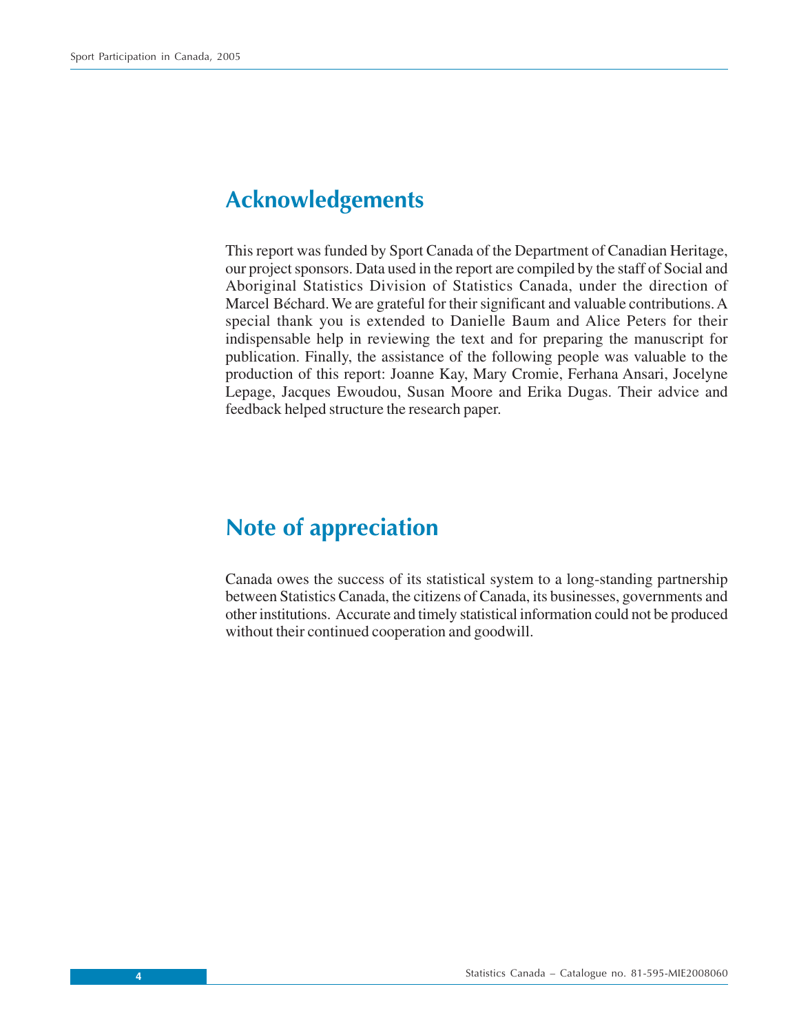## <span id="page-3-0"></span>**Acknowledgements**

This report was funded by Sport Canada of the Department of Canadian Heritage, our project sponsors. Data used in the report are compiled by the staff of Social and Aboriginal Statistics Division of Statistics Canada, under the direction of Marcel Béchard. We are grateful for their significant and valuable contributions. A special thank you is extended to Danielle Baum and Alice Peters for their indispensable help in reviewing the text and for preparing the manuscript for publication. Finally, the assistance of the following people was valuable to the production of this report: Joanne Kay, Mary Cromie, Ferhana Ansari, Jocelyne Lepage, Jacques Ewoudou, Susan Moore and Erika Dugas. Their advice and feedback helped structure the research paper.

## **Note of appreciation**

Canada owes the success of its statistical system to a long-standing partnership between Statistics Canada, the citizens of Canada, its businesses, governments and other institutions. Accurate and timely statistical information could not be produced without their continued cooperation and goodwill.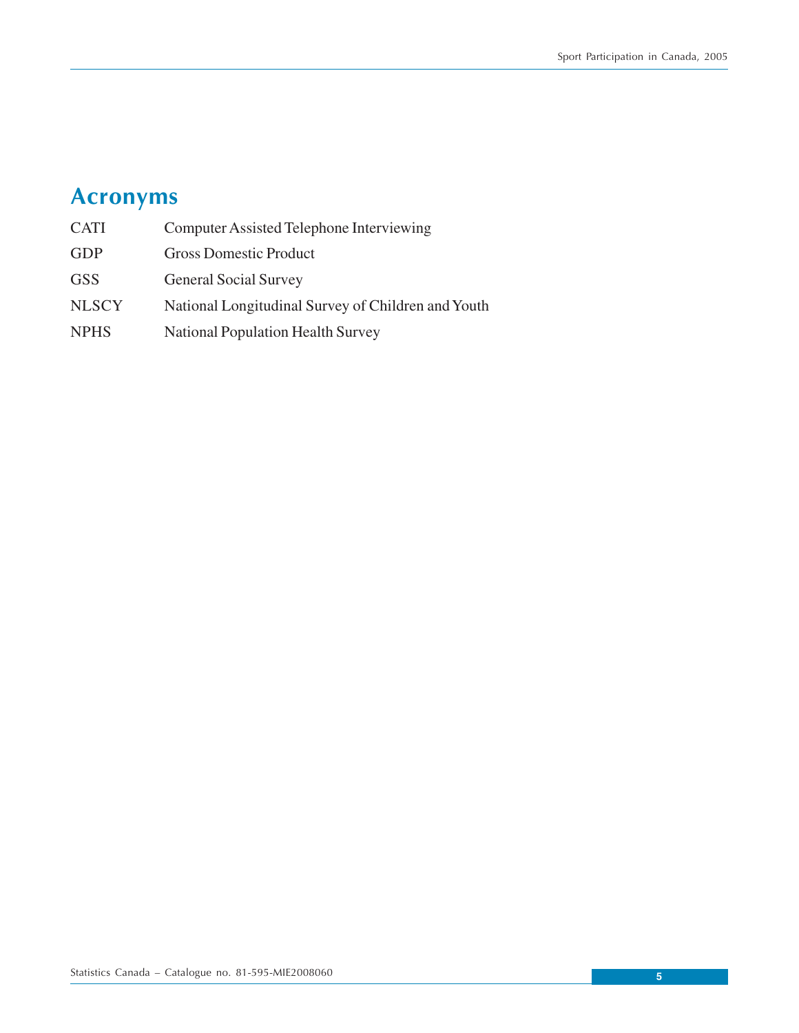# <span id="page-4-0"></span>**Acronyms**

| <b>CATI</b>  | <b>Computer Assisted Telephone Interviewing</b>    |
|--------------|----------------------------------------------------|
| <b>GDP</b>   | <b>Gross Domestic Product</b>                      |
| <b>GSS</b>   | <b>General Social Survey</b>                       |
| <b>NLSCY</b> | National Longitudinal Survey of Children and Youth |
| <b>NPHS</b>  | <b>National Population Health Survey</b>           |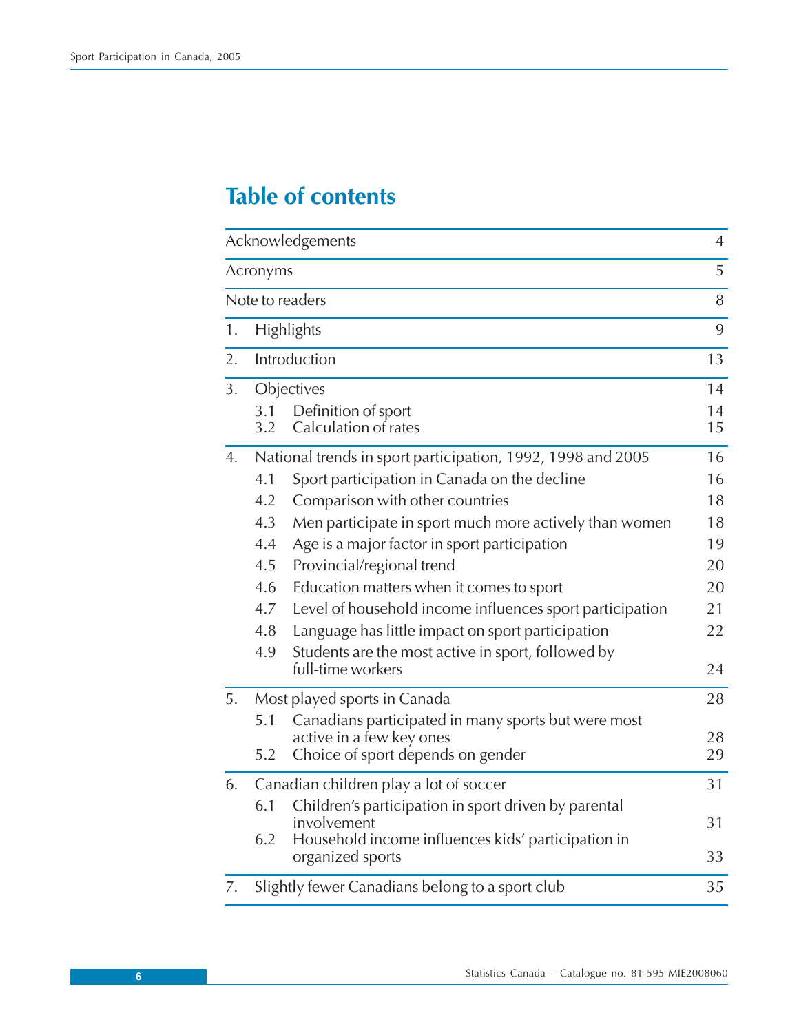## **Table of contents**

|    |            | Acknowledgements                                                                | $\overline{4}$ |
|----|------------|---------------------------------------------------------------------------------|----------------|
|    | Acronyms   |                                                                                 | 5              |
|    |            | Note to readers                                                                 | 8              |
| 1. |            | Highlights                                                                      | 9              |
| 2. |            | Introduction                                                                    | 13             |
| 3. |            | Objectives                                                                      | 14             |
|    | 3.1<br>3.2 | Definition of sport<br>Calculation of rates                                     | 14<br>15       |
| 4. |            | National trends in sport participation, 1992, 1998 and 2005                     | 16             |
|    | 4.1        | Sport participation in Canada on the decline                                    | 16             |
|    | 4.2        | Comparison with other countries                                                 | 18             |
|    | 4.3        | Men participate in sport much more actively than women                          | 18             |
|    | 4.4        | Age is a major factor in sport participation                                    | 19             |
|    | 4.5        | Provincial/regional trend                                                       | 20             |
|    | 4.6        | Education matters when it comes to sport                                        | 20             |
|    | 4.7        | Level of household income influences sport participation                        | 21             |
|    | 4.8        | Language has little impact on sport participation                               | 22             |
|    | 4.9        | Students are the most active in sport, followed by<br>full-time workers         | 24             |
| 5. |            | Most played sports in Canada                                                    | 28             |
|    | 5.1        | Canadians participated in many sports but were most<br>active in a few key ones | 28             |
|    | 5.2        | Choice of sport depends on gender                                               | 29             |
| 6. |            | Canadian children play a lot of soccer                                          | 31             |
|    | 6.1        | Children's participation in sport driven by parental<br>involvement             | 31             |
|    | 6.2        | Household income influences kids' participation in<br>organized sports          | 33             |
| 7. |            | Slightly fewer Canadians belong to a sport club                                 | 35             |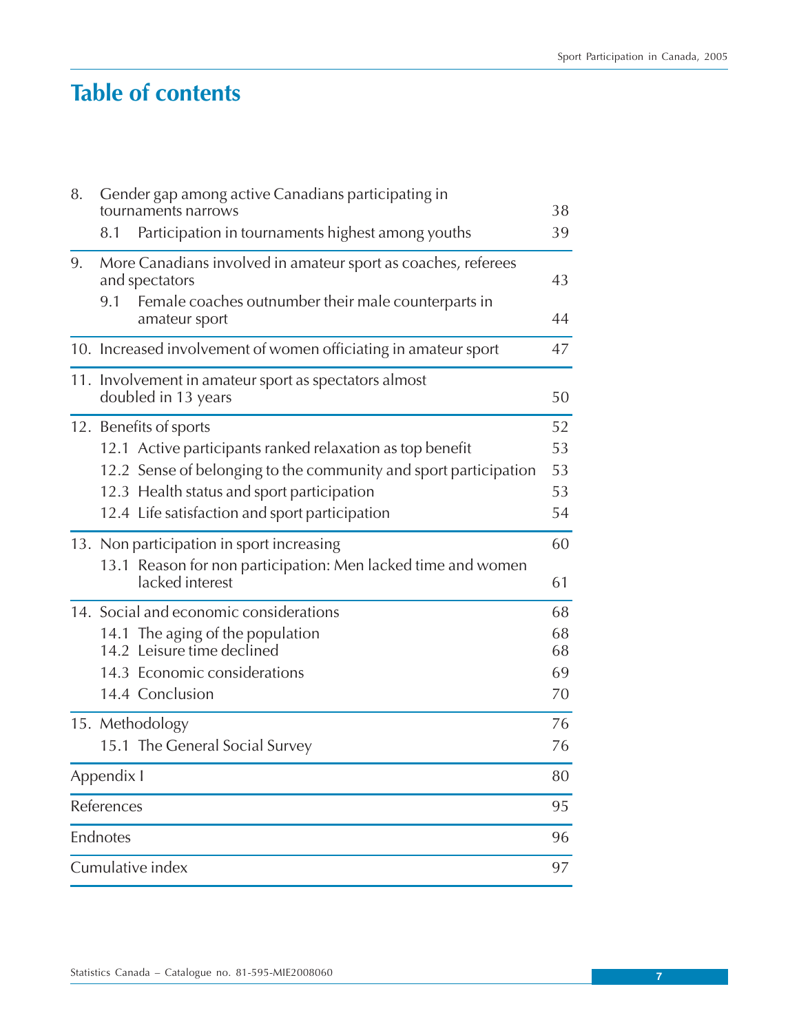## **Table of contents**

| 8. |            | Gender gap among active Canadians participating in<br>tournaments narrows       | 38       |
|----|------------|---------------------------------------------------------------------------------|----------|
|    | 8.1        | Participation in tournaments highest among youths                               | 39       |
| 9. |            | More Canadians involved in amateur sport as coaches, referees<br>and spectators | 43       |
|    | 9.1        | Female coaches outnumber their male counterparts in<br>amateur sport            | 44       |
|    |            | 10. Increased involvement of women officiating in amateur sport                 | 47       |
|    |            | 11. Involvement in amateur sport as spectators almost<br>doubled in 13 years    | 50       |
|    |            | 12. Benefits of sports                                                          | 52       |
|    |            | 12.1 Active participants ranked relaxation as top benefit                       | 53       |
|    |            | 12.2 Sense of belonging to the community and sport participation                | 53       |
|    |            | 12.3 Health status and sport participation                                      | 53       |
|    |            | 12.4 Life satisfaction and sport participation                                  | 54       |
|    |            | 13. Non participation in sport increasing                                       | 60       |
|    |            | 13.1 Reason for non participation: Men lacked time and women<br>lacked interest | 61       |
|    |            | 14. Social and economic considerations                                          | 68       |
|    |            | 14.1 The aging of the population<br>14.2 Leisure time declined                  | 68<br>68 |
|    |            | 14.3 Economic considerations                                                    | 69       |
|    |            | 14.4 Conclusion                                                                 | 70       |
|    |            | 15. Methodology                                                                 | 76       |
|    |            | 15.1 The General Social Survey                                                  | 76       |
|    | Appendix I |                                                                                 | 80       |
|    | References |                                                                                 | 95       |
|    | Endnotes   |                                                                                 | 96       |
|    |            | Cumulative index                                                                | 97       |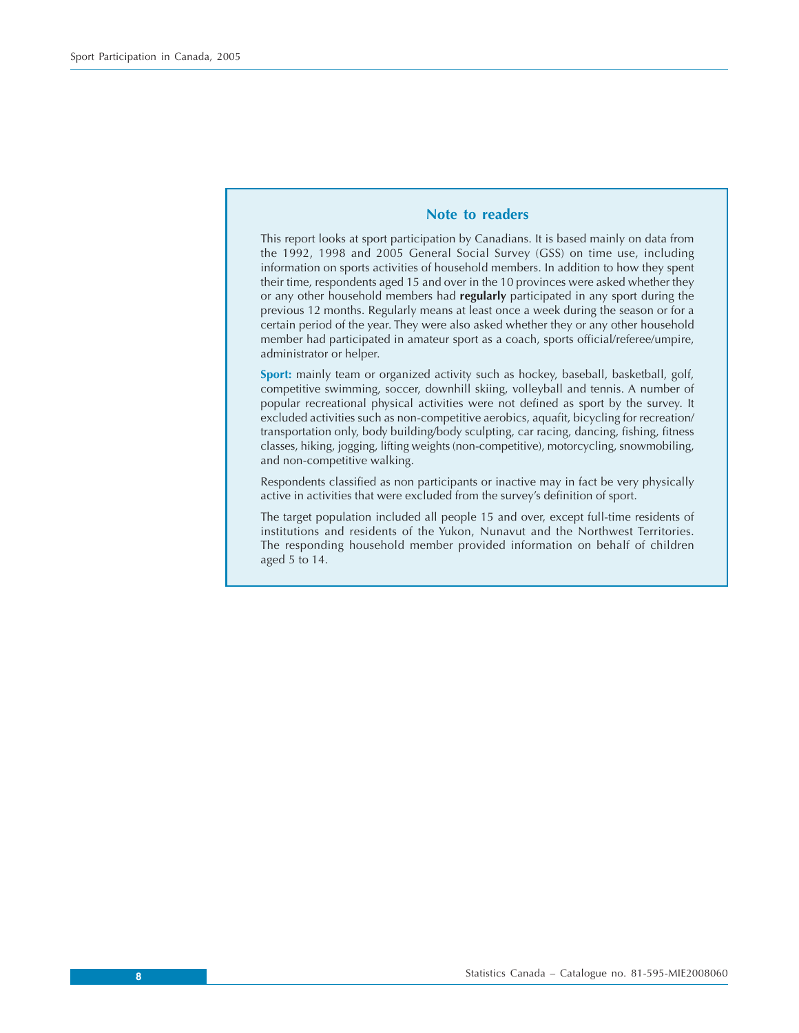## **Note to readers**

<span id="page-7-0"></span>This report looks at sport participation by Canadians. It is based mainly on data from the 1992, 1998 and 2005 General Social Survey (GSS) on time use, including information on sports activities of household members. In addition to how they spent their time, respondents aged 15 and over in the 10 provinces were asked whether they or any other household members had **regularly** participated in any sport during the previous 12 months. Regularly means at least once a week during the season or for a certain period of the year. They were also asked whether they or any other household member had participated in amateur sport as a coach, sports official/referee/umpire, administrator or helper.

**Sport:** mainly team or organized activity such as hockey, baseball, basketball, golf, competitive swimming, soccer, downhill skiing, volleyball and tennis. A number of popular recreational physical activities were not defined as sport by the survey. It excluded activities such as non-competitive aerobics, aquafit, bicycling for recreation/ transportation only, body building/body sculpting, car racing, dancing, fishing, fitness classes, hiking, jogging, lifting weights (non-competitive), motorcycling, snowmobiling, and non-competitive walking.

Respondents classified as non participants or inactive may in fact be very physically active in activities that were excluded from the survey's definition of sport.

The target population included all people 15 and over, except full-time residents of institutions and residents of the Yukon, Nunavut and the Northwest Territories. The responding household member provided information on behalf of children aged 5 to 14.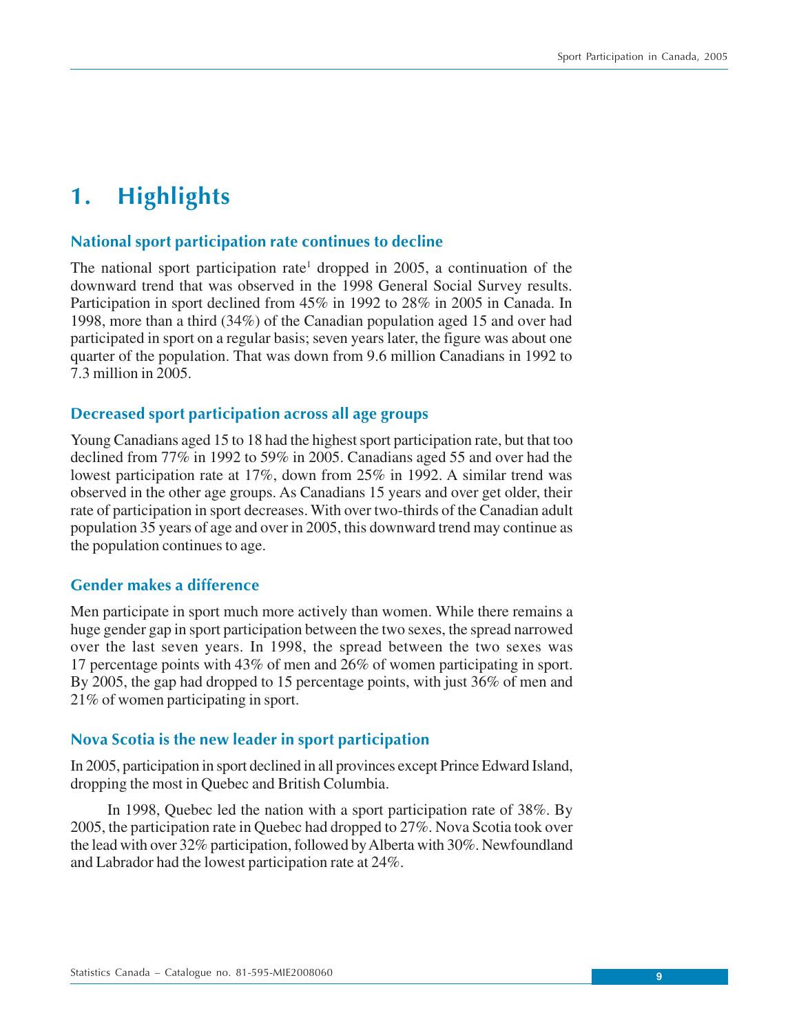## <span id="page-8-0"></span>**1. Highlights**

## **National sport participation rate continues to decline**

The national sport participation rate<sup>1</sup> dropped in 2005, a continuation of the downward trend that was observed in the 1998 General Social Survey results. Participation in sport declined from 45% in 1992 to 28% in 2005 in Canada. In 1998, more than a third (34%) of the Canadian population aged 15 and over had participated in sport on a regular basis; seven years later, the figure was about one quarter of the population. That was down from 9.6 million Canadians in 1992 to 7.3 million in 2005.

## **Decreased sport participation across all age groups**

Young Canadians aged 15 to 18 had the highest sport participation rate, but that too declined from 77% in 1992 to 59% in 2005. Canadians aged 55 and over had the lowest participation rate at 17%, down from 25% in 1992. A similar trend was observed in the other age groups. As Canadians 15 years and over get older, their rate of participation in sport decreases. With over two-thirds of the Canadian adult population 35 years of age and over in 2005, this downward trend may continue as the population continues to age.

## **Gender makes a difference**

Men participate in sport much more actively than women. While there remains a huge gender gap in sport participation between the two sexes, the spread narrowed over the last seven years. In 1998, the spread between the two sexes was 17 percentage points with 43% of men and 26% of women participating in sport. By 2005, the gap had dropped to 15 percentage points, with just 36% of men and 21% of women participating in sport.

## **Nova Scotia is the new leader in sport participation**

In 2005, participation in sport declined in all provinces except Prince Edward Island, dropping the most in Quebec and British Columbia.

In 1998, Quebec led the nation with a sport participation rate of 38%. By 2005, the participation rate in Quebec had dropped to 27%. Nova Scotia took over the lead with over 32% participation, followed by Alberta with 30%. Newfoundland and Labrador had the lowest participation rate at 24%.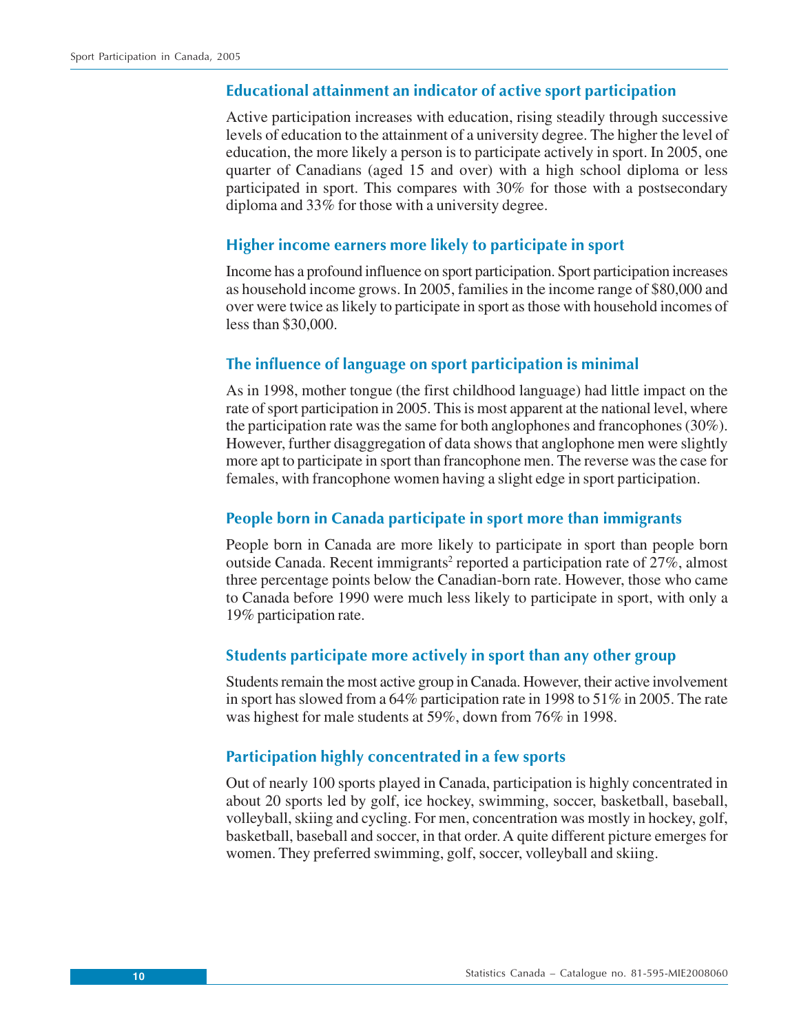## **Educational attainment an indicator of active sport participation**

Active participation increases with education, rising steadily through successive levels of education to the attainment of a university degree. The higher the level of education, the more likely a person is to participate actively in sport. In 2005, one quarter of Canadians (aged 15 and over) with a high school diploma or less participated in sport. This compares with 30% for those with a postsecondary diploma and 33% for those with a university degree.

## **Higher income earners more likely to participate in sport**

Income has a profound influence on sport participation. Sport participation increases as household income grows. In 2005, families in the income range of \$80,000 and over were twice as likely to participate in sport as those with household incomes of less than \$30,000.

## **The influence of language on sport participation is minimal**

As in 1998, mother tongue (the first childhood language) had little impact on the rate of sport participation in 2005. This is most apparent at the national level, where the participation rate was the same for both anglophones and francophones (30%). However, further disaggregation of data shows that anglophone men were slightly more apt to participate in sport than francophone men. The reverse was the case for females, with francophone women having a slight edge in sport participation.

## **People born in Canada participate in sport more than immigrants**

People born in Canada are more likely to participate in sport than people born outside Canada. Recent immigrants<sup>2</sup> reported a participation rate of 27%, almost three percentage points below the Canadian-born rate. However, those who came to Canada before 1990 were much less likely to participate in sport, with only a 19% participation rate.

## **Students participate more actively in sport than any other group**

Students remain the most active group in Canada. However, their active involvement in sport has slowed from a 64% participation rate in 1998 to 51% in 2005. The rate was highest for male students at 59%, down from 76% in 1998.

## **Participation highly concentrated in a few sports**

Out of nearly 100 sports played in Canada, participation is highly concentrated in about 20 sports led by golf, ice hockey, swimming, soccer, basketball, baseball, volleyball, skiing and cycling. For men, concentration was mostly in hockey, golf, basketball, baseball and soccer, in that order. A quite different picture emerges for women. They preferred swimming, golf, soccer, volleyball and skiing.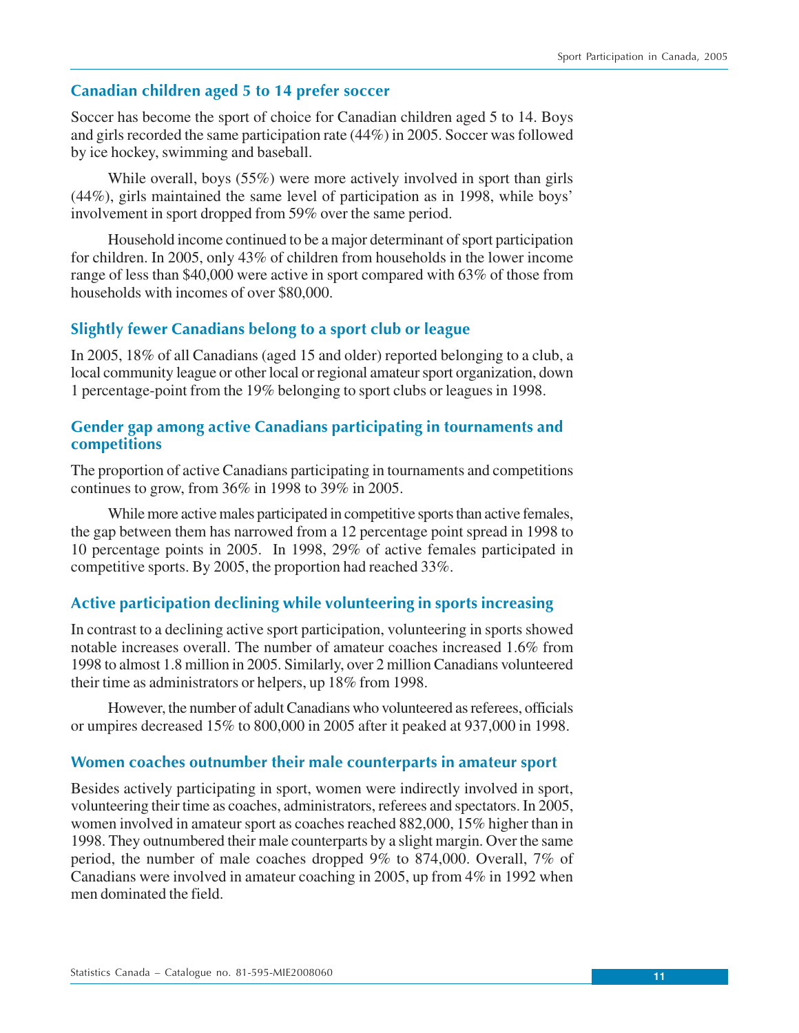## **Canadian children aged 5 to 14 prefer soccer**

Soccer has become the sport of choice for Canadian children aged 5 to 14. Boys and girls recorded the same participation rate (44%) in 2005. Soccer was followed by ice hockey, swimming and baseball.

While overall, boys (55%) were more actively involved in sport than girls (44%), girls maintained the same level of participation as in 1998, while boys' involvement in sport dropped from 59% over the same period.

Household income continued to be a major determinant of sport participation for children. In 2005, only 43% of children from households in the lower income range of less than \$40,000 were active in sport compared with 63% of those from households with incomes of over \$80,000.

## **Slightly fewer Canadians belong to a sport club or league**

In 2005, 18% of all Canadians (aged 15 and older) reported belonging to a club, a local community league or other local or regional amateur sport organization, down 1 percentage-point from the 19% belonging to sport clubs or leagues in 1998.

## **Gender gap among active Canadians participating in tournaments and competitions**

The proportion of active Canadians participating in tournaments and competitions continues to grow, from 36% in 1998 to 39% in 2005.

While more active males participated in competitive sports than active females, the gap between them has narrowed from a 12 percentage point spread in 1998 to 10 percentage points in 2005. In 1998, 29% of active females participated in competitive sports. By 2005, the proportion had reached 33%.

## **Active participation declining while volunteering in sports increasing**

In contrast to a declining active sport participation, volunteering in sports showed notable increases overall. The number of amateur coaches increased 1.6% from 1998 to almost 1.8 million in 2005. Similarly, over 2 million Canadians volunteered their time as administrators or helpers, up 18% from 1998.

However, the number of adult Canadians who volunteered as referees, officials or umpires decreased 15% to 800,000 in 2005 after it peaked at 937,000 in 1998.

## **Women coaches outnumber their male counterparts in amateur sport**

Besides actively participating in sport, women were indirectly involved in sport, volunteering their time as coaches, administrators, referees and spectators. In 2005, women involved in amateur sport as coaches reached 882,000, 15% higher than in 1998. They outnumbered their male counterparts by a slight margin. Over the same period, the number of male coaches dropped 9% to 874,000. Overall, 7% of Canadians were involved in amateur coaching in 2005, up from 4% in 1992 when men dominated the field.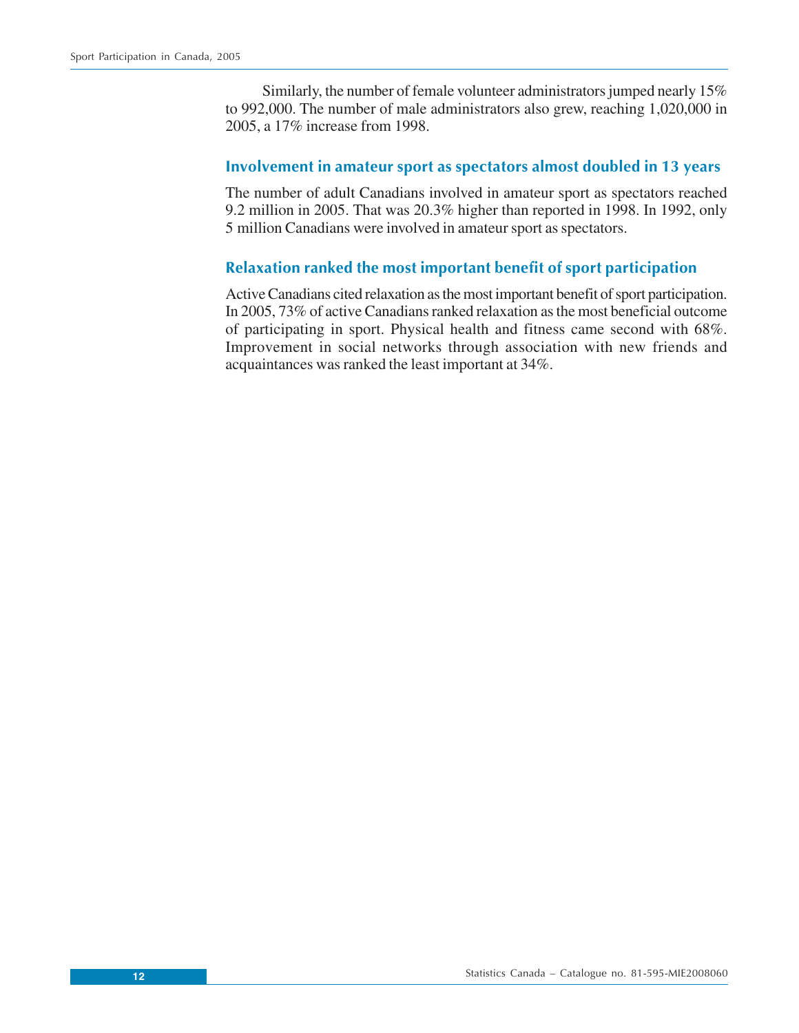Similarly, the number of female volunteer administrators jumped nearly 15% to 992,000. The number of male administrators also grew, reaching 1,020,000 in 2005, a 17% increase from 1998.

## **Involvement in amateur sport as spectators almost doubled in 13 years**

The number of adult Canadians involved in amateur sport as spectators reached 9.2 million in 2005. That was 20.3% higher than reported in 1998. In 1992, only 5 million Canadians were involved in amateur sport as spectators.

## **Relaxation ranked the most important benefit of sport participation**

Active Canadians cited relaxation as the most important benefit of sport participation. In 2005, 73% of active Canadians ranked relaxation as the most beneficial outcome of participating in sport. Physical health and fitness came second with 68%. Improvement in social networks through association with new friends and acquaintances was ranked the least important at 34%.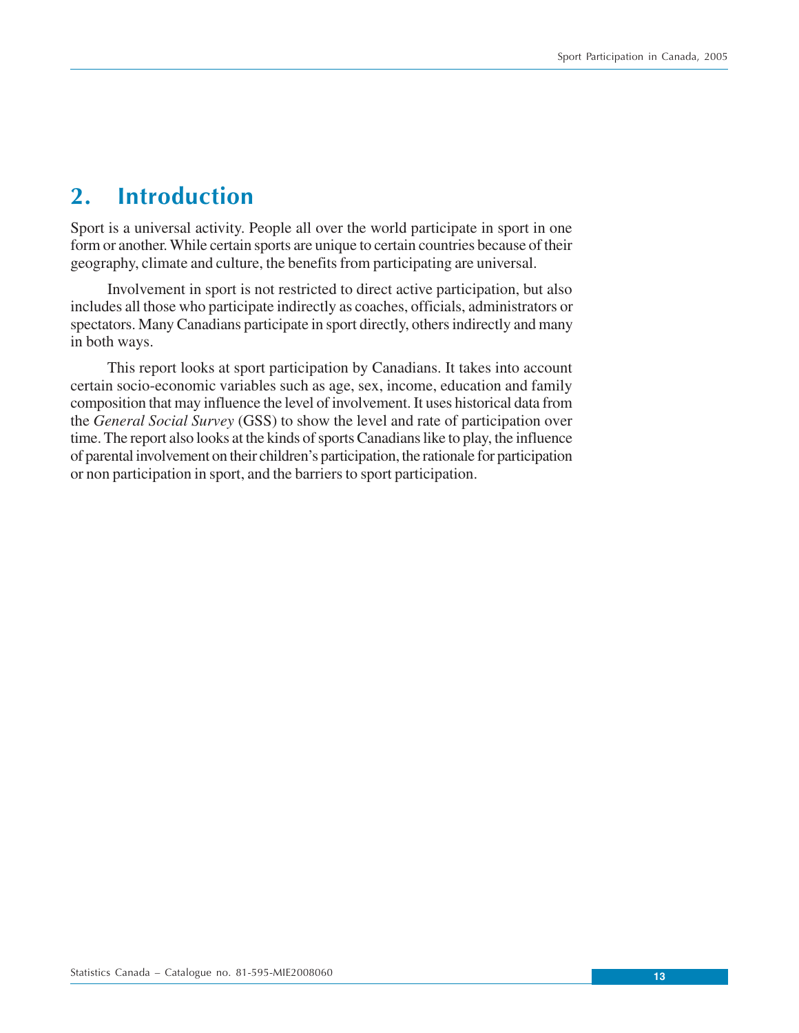## <span id="page-12-0"></span>**2. Introduction**

Sport is a universal activity. People all over the world participate in sport in one form or another. While certain sports are unique to certain countries because of their geography, climate and culture, the benefits from participating are universal.

Involvement in sport is not restricted to direct active participation, but also includes all those who participate indirectly as coaches, officials, administrators or spectators. Many Canadians participate in sport directly, others indirectly and many in both ways.

This report looks at sport participation by Canadians. It takes into account certain socio-economic variables such as age, sex, income, education and family composition that may influence the level of involvement. It uses historical data from the *General Social Survey* (GSS) to show the level and rate of participation over time. The report also looks at the kinds of sports Canadians like to play, the influence of parental involvement on their children's participation, the rationale for participation or non participation in sport, and the barriers to sport participation.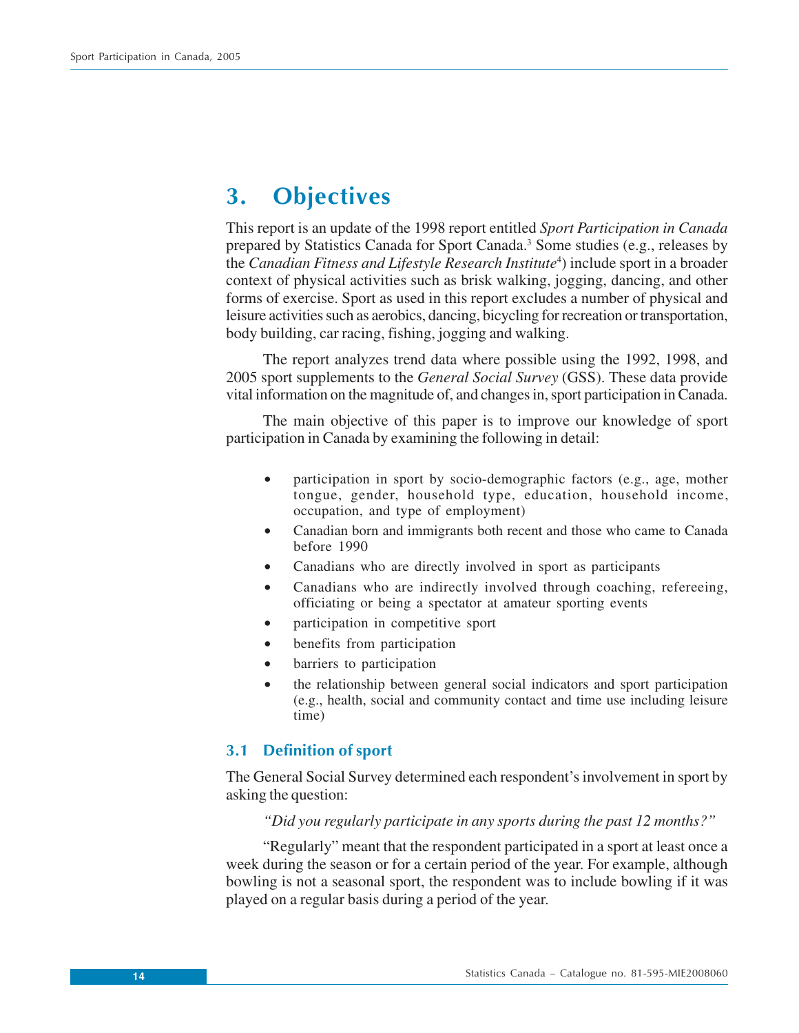## <span id="page-13-0"></span>**3. Objectives**

This report is an update of the 1998 report entitled *Sport Participation in Canada* prepared by Statistics Canada for Sport Canada.<sup>3</sup> Some studies (e.g., releases by the *Canadian Fitness and Lifestyle Research Institute*<sup>4</sup>) include sport in a broader context of physical activities such as brisk walking, jogging, dancing, and other forms of exercise. Sport as used in this report excludes a number of physical and leisure activities such as aerobics, dancing, bicycling for recreation or transportation, body building, car racing, fishing, jogging and walking.

The report analyzes trend data where possible using the 1992, 1998, and 2005 sport supplements to the *General Social Survey* (GSS). These data provide vital information on the magnitude of, and changes in, sport participation in Canada.

The main objective of this paper is to improve our knowledge of sport participation in Canada by examining the following in detail:

- participation in sport by socio-demographic factors (e.g., age, mother tongue, gender, household type, education, household income, occupation, and type of employment)
- Canadian born and immigrants both recent and those who came to Canada before 1990
- Canadians who are directly involved in sport as participants
- Canadians who are indirectly involved through coaching, refereeing, officiating or being a spectator at amateur sporting events
- participation in competitive sport
- benefits from participation
- barriers to participation
- the relationship between general social indicators and sport participation (e.g., health, social and community contact and time use including leisure time)

## **3.1 Definition of sport**

The General Social Survey determined each respondent's involvement in sport by asking the question:

### *"Did you regularly participate in any sports during the past 12 months?"*

"Regularly" meant that the respondent participated in a sport at least once a week during the season or for a certain period of the year. For example, although bowling is not a seasonal sport, the respondent was to include bowling if it was played on a regular basis during a period of the year.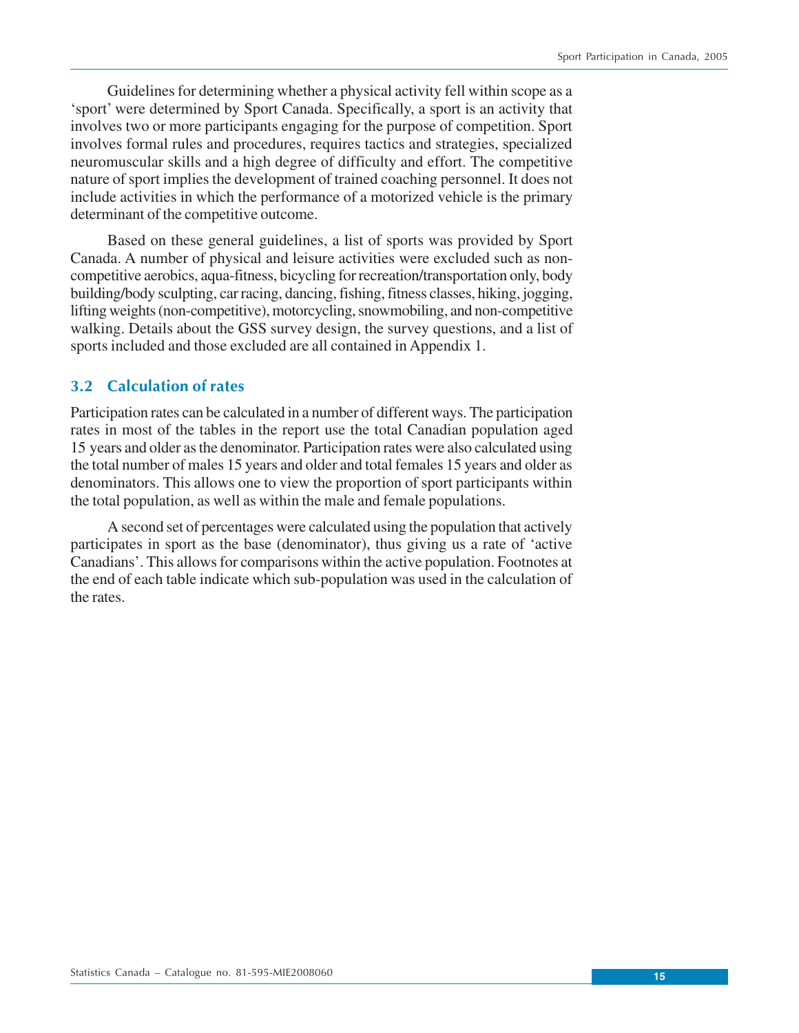<span id="page-14-0"></span>Guidelines for determining whether a physical activity fell within scope as a 'sport' were determined by Sport Canada. Specifically, a sport is an activity that involves two or more participants engaging for the purpose of competition. Sport involves formal rules and procedures, requires tactics and strategies, specialized neuromuscular skills and a high degree of difficulty and effort. The competitive nature of sport implies the development of trained coaching personnel. It does not include activities in which the performance of a motorized vehicle is the primary determinant of the competitive outcome.

Based on these general guidelines, a list of sports was provided by Sport Canada. A number of physical and leisure activities were excluded such as noncompetitive aerobics, aqua-fitness, bicycling for recreation/transportation only, body building/body sculpting, car racing, dancing, fishing, fitness classes, hiking, jogging, lifting weights (non-competitive), motorcycling, snowmobiling, and non-competitive walking. Details about the GSS survey design, the survey questions, and a list of sports included and those excluded are all contained in Appendix 1.

## **3.2 Calculation of rates**

Participation rates can be calculated in a number of different ways. The participation rates in most of the tables in the report use the total Canadian population aged 15 years and older as the denominator. Participation rates were also calculated using the total number of males 15 years and older and total females 15 years and older as denominators. This allows one to view the proportion of sport participants within the total population, as well as within the male and female populations.

A second set of percentages were calculated using the population that actively participates in sport as the base (denominator), thus giving us a rate of 'active Canadians'. This allows for comparisons within the active population. Footnotes at the end of each table indicate which sub-population was used in the calculation of the rates.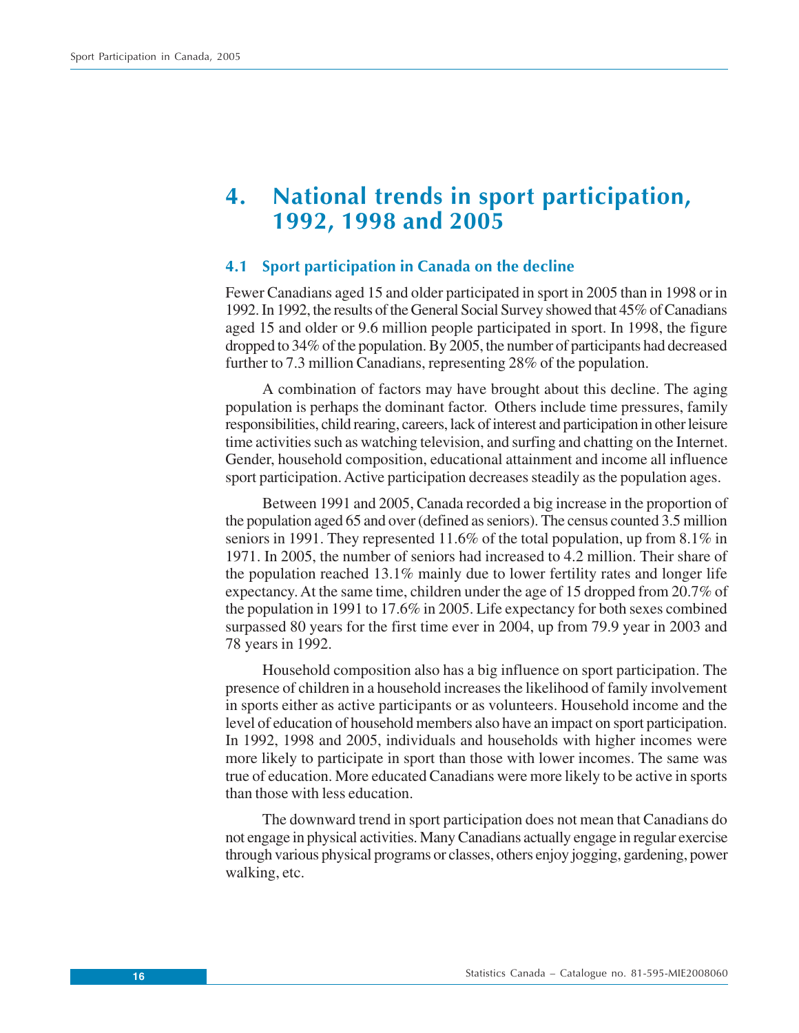## <span id="page-15-0"></span>**4. National trends in sport participation, 1992, 1998 and 2005**

## **4.1 Sport participation in Canada on the decline**

Fewer Canadians aged 15 and older participated in sport in 2005 than in 1998 or in 1992. In 1992, the results of the General Social Survey showed that 45% of Canadians aged 15 and older or 9.6 million people participated in sport. In 1998, the figure dropped to 34% of the population. By 2005, the number of participants had decreased further to 7.3 million Canadians, representing 28% of the population.

A combination of factors may have brought about this decline. The aging population is perhaps the dominant factor. Others include time pressures, family responsibilities, child rearing, careers, lack of interest and participation in other leisure time activities such as watching television, and surfing and chatting on the Internet. Gender, household composition, educational attainment and income all influence sport participation. Active participation decreases steadily as the population ages.

Between 1991 and 2005, Canada recorded a big increase in the proportion of the population aged 65 and over (defined as seniors). The census counted 3.5 million seniors in 1991. They represented 11.6% of the total population, up from 8.1% in 1971. In 2005, the number of seniors had increased to 4.2 million. Their share of the population reached 13.1% mainly due to lower fertility rates and longer life expectancy. At the same time, children under the age of 15 dropped from 20.7% of the population in 1991 to 17.6% in 2005. Life expectancy for both sexes combined surpassed 80 years for the first time ever in 2004, up from 79.9 year in 2003 and 78 years in 1992.

Household composition also has a big influence on sport participation. The presence of children in a household increases the likelihood of family involvement in sports either as active participants or as volunteers. Household income and the level of education of household members also have an impact on sport participation. In 1992, 1998 and 2005, individuals and households with higher incomes were more likely to participate in sport than those with lower incomes. The same was true of education. More educated Canadians were more likely to be active in sports than those with less education.

The downward trend in sport participation does not mean that Canadians do not engage in physical activities. Many Canadians actually engage in regular exercise through various physical programs or classes, others enjoy jogging, gardening, power walking, etc.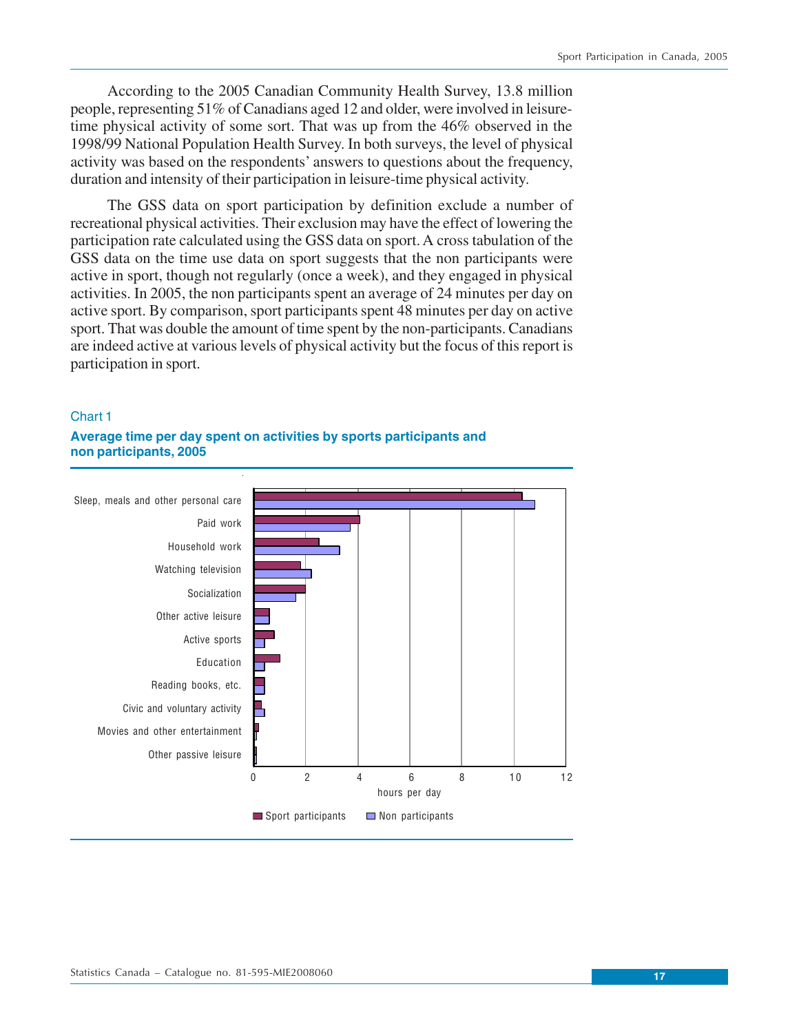According to the 2005 Canadian Community Health Survey, 13.8 million people, representing 51% of Canadians aged 12 and older, were involved in leisuretime physical activity of some sort. That was up from the 46% observed in the 1998/99 National Population Health Survey. In both surveys, the level of physical activity was based on the respondents' answers to questions about the frequency, duration and intensity of their participation in leisure-time physical activity.

The GSS data on sport participation by definition exclude a number of recreational physical activities. Their exclusion may have the effect of lowering the participation rate calculated using the GSS data on sport. A cross tabulation of the GSS data on the time use data on sport suggests that the non participants were active in sport, though not regularly (once a week), and they engaged in physical activities. In 2005, the non participants spent an average of 24 minutes per day on active sport. By comparison, sport participants spent 48 minutes per day on active sport. That was double the amount of time spent by the non-participants. Canadians are indeed active at various levels of physical activity but the focus of this report is participation in sport.

#### Chart 1

## **Average time per day spent on activities by sports participants and non participants, 2005**

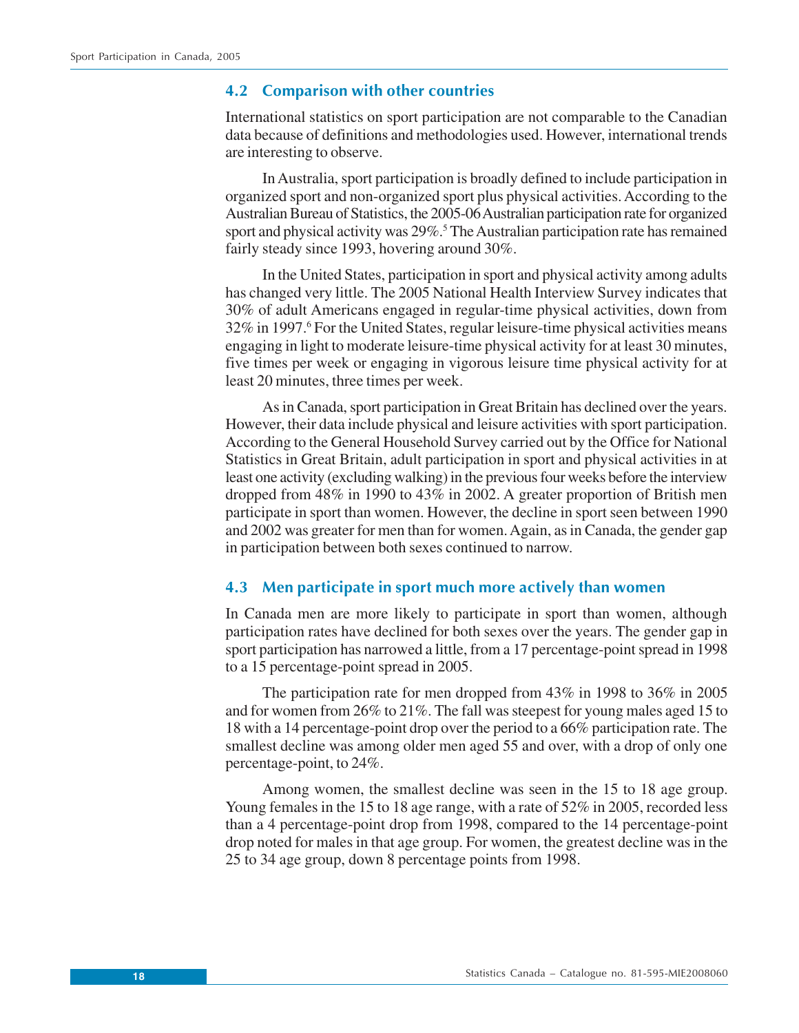### <span id="page-17-0"></span>**4.2 Comparison with other countries**

International statistics on sport participation are not comparable to the Canadian data because of definitions and methodologies used. However, international trends are interesting to observe.

In Australia, sport participation is broadly defined to include participation in organized sport and non-organized sport plus physical activities. According to the Australian Bureau of Statistics, the 2005-06 Australian participation rate for organized sport and physical activity was 29%.<sup>5</sup> The Australian participation rate has remained fairly steady since 1993, hovering around 30%.

In the United States, participation in sport and physical activity among adults has changed very little. The 2005 National Health Interview Survey indicates that 30% of adult Americans engaged in regular-time physical activities, down from 32% in 1997.<sup>6</sup> For the United States, regular leisure-time physical activities means engaging in light to moderate leisure-time physical activity for at least 30 minutes, five times per week or engaging in vigorous leisure time physical activity for at least 20 minutes, three times per week.

As in Canada, sport participation in Great Britain has declined over the years. However, their data include physical and leisure activities with sport participation. According to the General Household Survey carried out by the Office for National Statistics in Great Britain, adult participation in sport and physical activities in at least one activity (excluding walking) in the previous four weeks before the interview dropped from 48% in 1990 to 43% in 2002. A greater proportion of British men participate in sport than women. However, the decline in sport seen between 1990 and 2002 was greater for men than for women. Again, as in Canada, the gender gap in participation between both sexes continued to narrow.

## **4.3 Men participate in sport much more actively than women**

In Canada men are more likely to participate in sport than women, although participation rates have declined for both sexes over the years. The gender gap in sport participation has narrowed a little, from a 17 percentage-point spread in 1998 to a 15 percentage-point spread in 2005.

The participation rate for men dropped from 43% in 1998 to 36% in 2005 and for women from 26% to 21%. The fall was steepest for young males aged 15 to 18 with a 14 percentage-point drop over the period to a 66% participation rate. The smallest decline was among older men aged 55 and over, with a drop of only one percentage-point, to 24%.

Among women, the smallest decline was seen in the 15 to 18 age group. Young females in the 15 to 18 age range, with a rate of 52% in 2005, recorded less than a 4 percentage-point drop from 1998, compared to the 14 percentage-point drop noted for males in that age group. For women, the greatest decline was in the 25 to 34 age group, down 8 percentage points from 1998.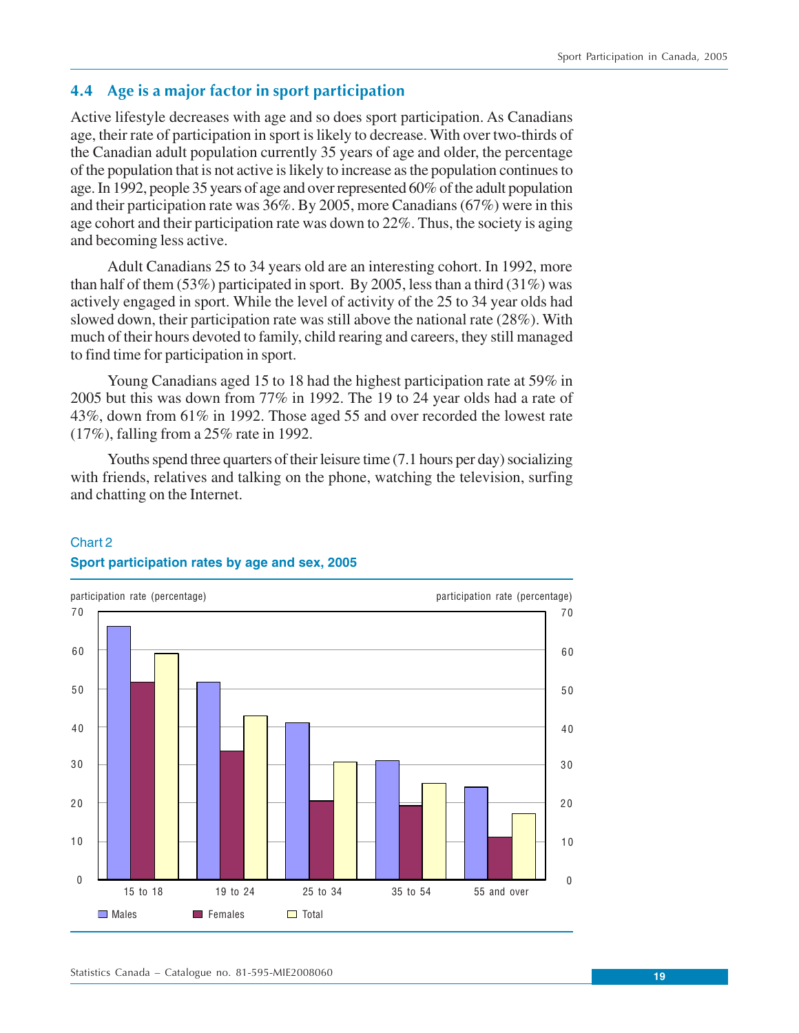## <span id="page-18-0"></span>**4.4 Age is a major factor in sport participation**

Active lifestyle decreases with age and so does sport participation. As Canadians age, their rate of participation in sport is likely to decrease. With over two-thirds of the Canadian adult population currently 35 years of age and older, the percentage of the population that is not active is likely to increase as the population continues to age. In 1992, people 35 years of age and over represented 60% of the adult population and their participation rate was 36%. By 2005, more Canadians (67%) were in this age cohort and their participation rate was down to 22%. Thus, the society is aging and becoming less active.

Adult Canadians 25 to 34 years old are an interesting cohort. In 1992, more than half of them (53%) participated in sport. By 2005, less than a third (31%) was actively engaged in sport. While the level of activity of the 25 to 34 year olds had slowed down, their participation rate was still above the national rate (28%). With much of their hours devoted to family, child rearing and careers, they still managed to find time for participation in sport.

Young Canadians aged 15 to 18 had the highest participation rate at 59% in 2005 but this was down from 77% in 1992. The 19 to 24 year olds had a rate of 43%, down from 61% in 1992. Those aged 55 and over recorded the lowest rate (17%), falling from a 25% rate in 1992.

Youths spend three quarters of their leisure time (7.1 hours per day) socializing with friends, relatives and talking on the phone, watching the television, surfing and chatting on the Internet.

## Chart 2 **Sport participation rates by age and sex, 2005**

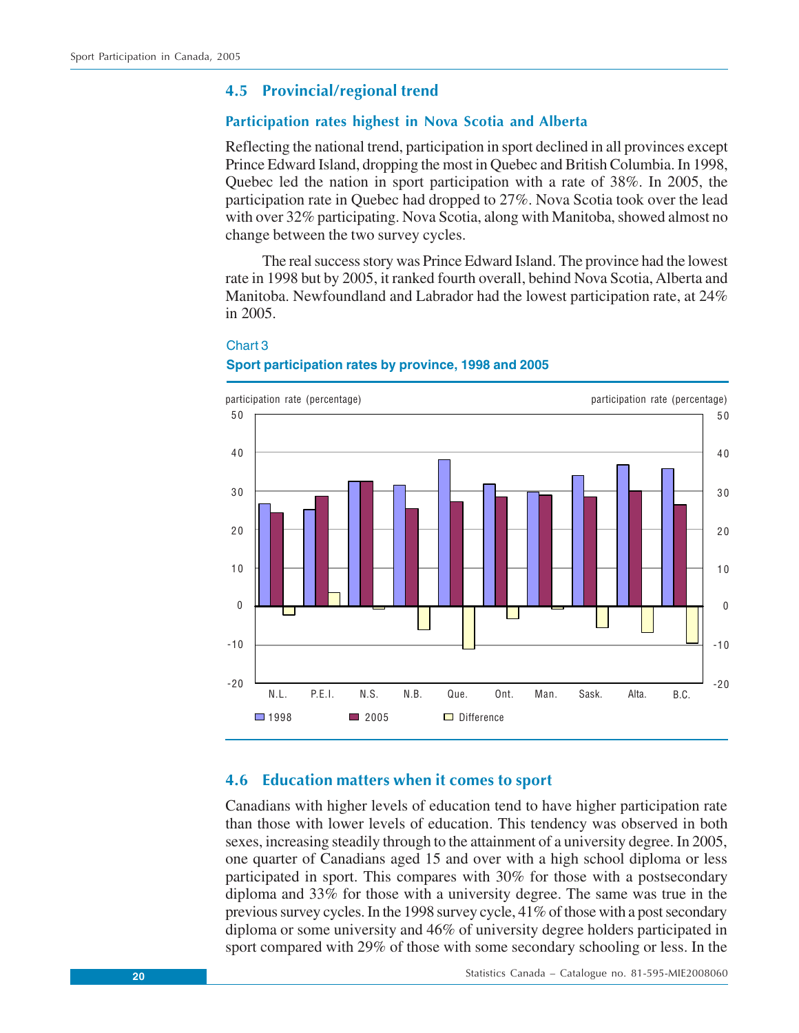## <span id="page-19-0"></span>**4.5 Provincial/regional trend**

### **Participation rates highest in Nova Scotia and Alberta**

Reflecting the national trend, participation in sport declined in all provinces except Prince Edward Island, dropping the most in Quebec and British Columbia. In 1998, Quebec led the nation in sport participation with a rate of 38%. In 2005, the participation rate in Quebec had dropped to 27%. Nova Scotia took over the lead with over 32% participating. Nova Scotia, along with Manitoba, showed almost no change between the two survey cycles.

The real success story was Prince Edward Island. The province had the lowest rate in 1998 but by 2005, it ranked fourth overall, behind Nova Scotia, Alberta and Manitoba. Newfoundland and Labrador had the lowest participation rate, at 24% in 2005.



## Chart 3 **Sport participation rates by province, 1998 and 2005**

## **4.6 Education matters when it comes to sport**

Canadians with higher levels of education tend to have higher participation rate than those with lower levels of education. This tendency was observed in both sexes, increasing steadily through to the attainment of a university degree. In 2005, one quarter of Canadians aged 15 and over with a high school diploma or less participated in sport. This compares with 30% for those with a postsecondary diploma and 33% for those with a university degree. The same was true in the previous survey cycles. In the 1998 survey cycle, 41% of those with a post secondary diploma or some university and 46% of university degree holders participated in sport compared with 29% of those with some secondary schooling or less. In the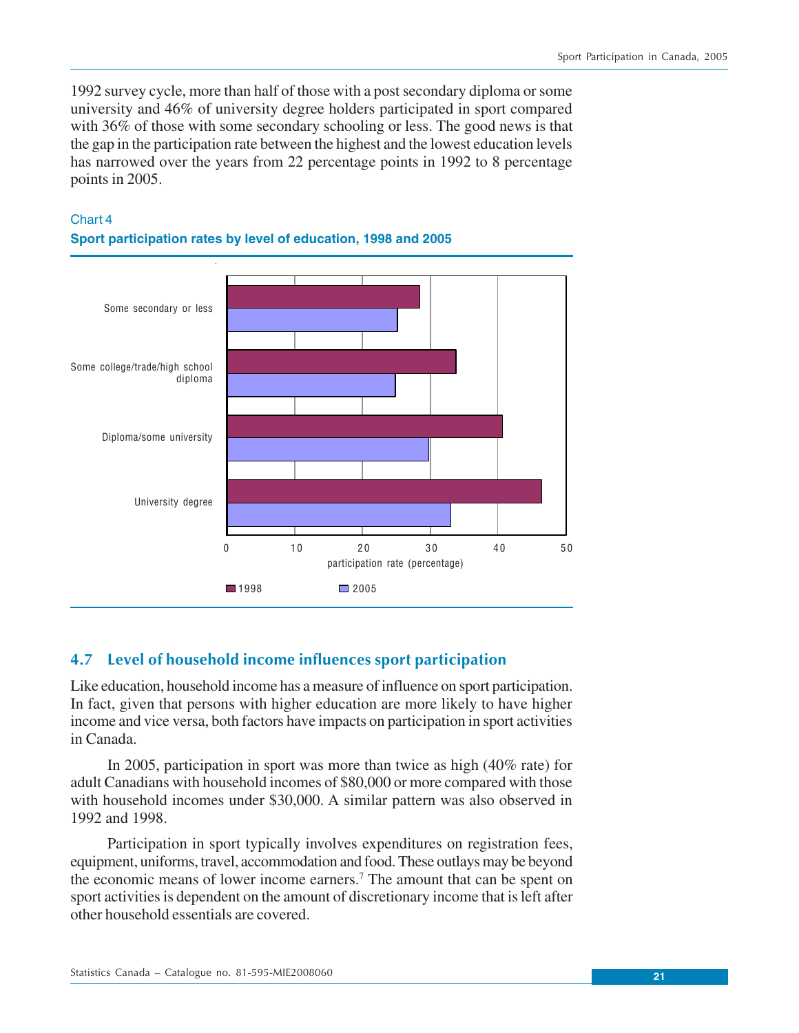<span id="page-20-0"></span>1992 survey cycle, more than half of those with a post secondary diploma or some university and 46% of university degree holders participated in sport compared with 36% of those with some secondary schooling or less. The good news is that the gap in the participation rate between the highest and the lowest education levels has narrowed over the years from 22 percentage points in 1992 to 8 percentage points in 2005.

### Chart 4





## **4.7 Level of household income influences sport participation**

Like education, household income has a measure of influence on sport participation. In fact, given that persons with higher education are more likely to have higher income and vice versa, both factors have impacts on participation in sport activities in Canada.

In 2005, participation in sport was more than twice as high (40% rate) for adult Canadians with household incomes of \$80,000 or more compared with those with household incomes under \$30,000. A similar pattern was also observed in 1992 and 1998.

Participation in sport typically involves expenditures on registration fees, equipment, uniforms, travel, accommodation and food. These outlays may be beyond the economic means of lower income earners.<sup>7</sup> The amount that can be spent on sport activities is dependent on the amount of discretionary income that is left after other household essentials are covered.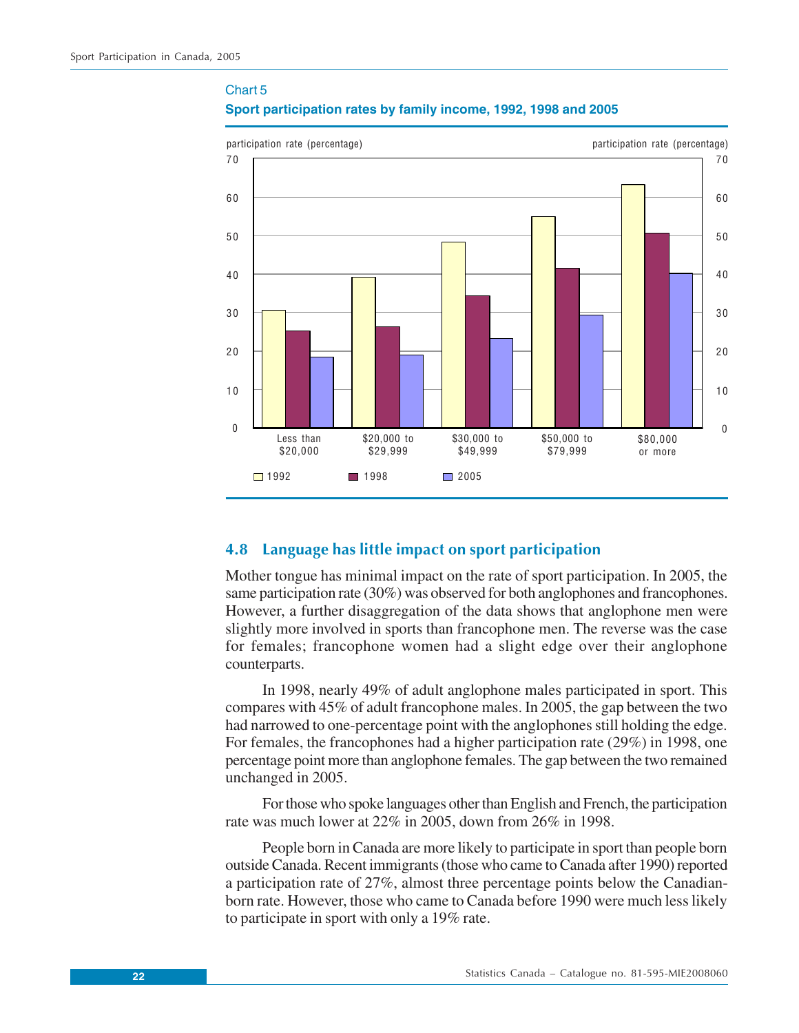## Chart 5

<span id="page-21-0"></span>

#### **Sport participation rates by family income, 1992, 1998 and 2005**

## **4.8 Language has little impact on sport participation**

Mother tongue has minimal impact on the rate of sport participation. In 2005, the same participation rate (30%) was observed for both anglophones and francophones. However, a further disaggregation of the data shows that anglophone men were slightly more involved in sports than francophone men. The reverse was the case for females; francophone women had a slight edge over their anglophone counterparts.

In 1998, nearly 49% of adult anglophone males participated in sport. This compares with 45% of adult francophone males. In 2005, the gap between the two had narrowed to one-percentage point with the anglophones still holding the edge. For females, the francophones had a higher participation rate (29%) in 1998, one percentage point more than anglophone females. The gap between the two remained unchanged in 2005.

For those who spoke languages other than English and French, the participation rate was much lower at 22% in 2005, down from 26% in 1998.

People born in Canada are more likely to participate in sport than people born outside Canada. Recent immigrants (those who came to Canada after 1990) reported a participation rate of 27%, almost three percentage points below the Canadianborn rate. However, those who came to Canada before 1990 were much less likely to participate in sport with only a 19% rate.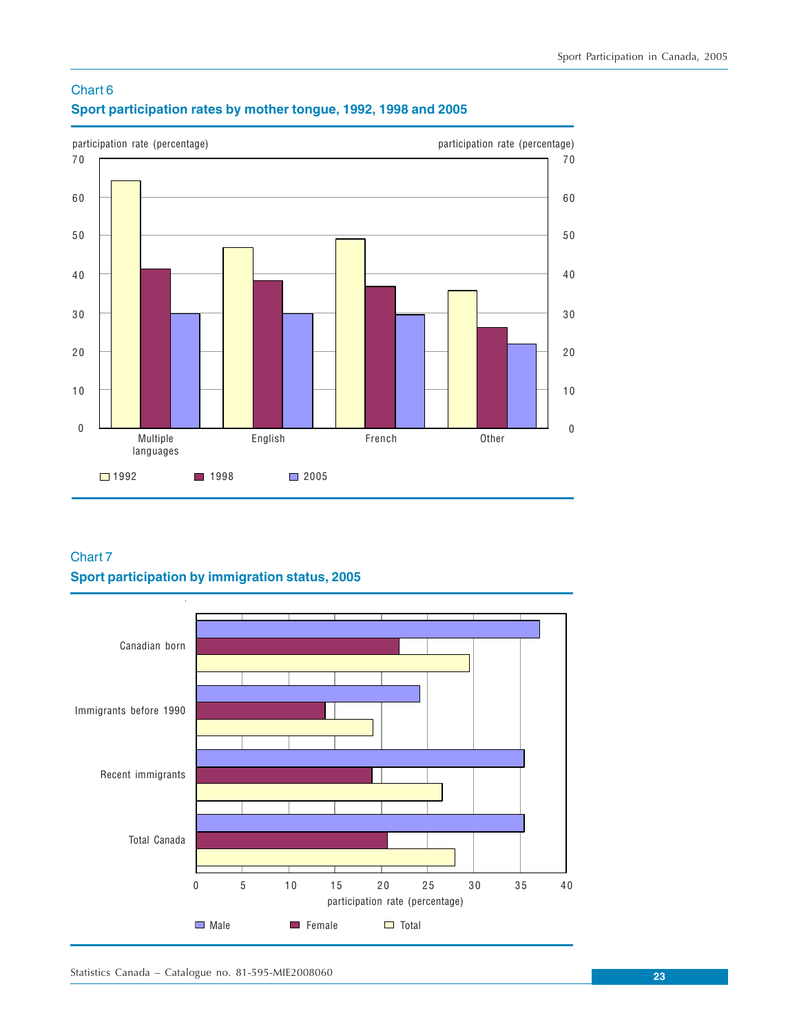



## Chart 7 **Sport participation by immigration status, 2005**

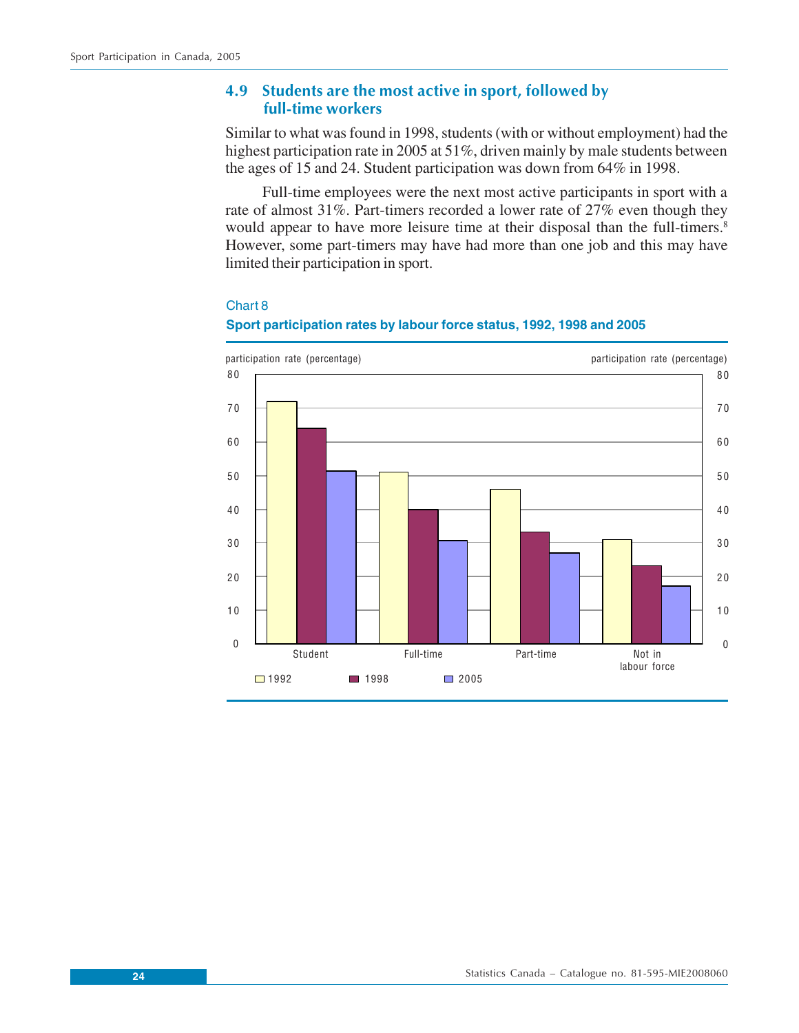## <span id="page-23-0"></span>**4.9 Students are the most active in sport, followed by full-time workers**

Similar to what was found in 1998, students (with or without employment) had the highest participation rate in 2005 at 51%, driven mainly by male students between the ages of 15 and 24. Student participation was down from 64% in 1998.

Full-time employees were the next most active participants in sport with a rate of almost 31%. Part-timers recorded a lower rate of 27% even though they would appear to have more leisure time at their disposal than the full-timers.<sup>8</sup> However, some part-timers may have had more than one job and this may have limited their participation in sport.



#### Chart 8



## **Sport participation rates by labour force status, 1992, 1998 and 2005**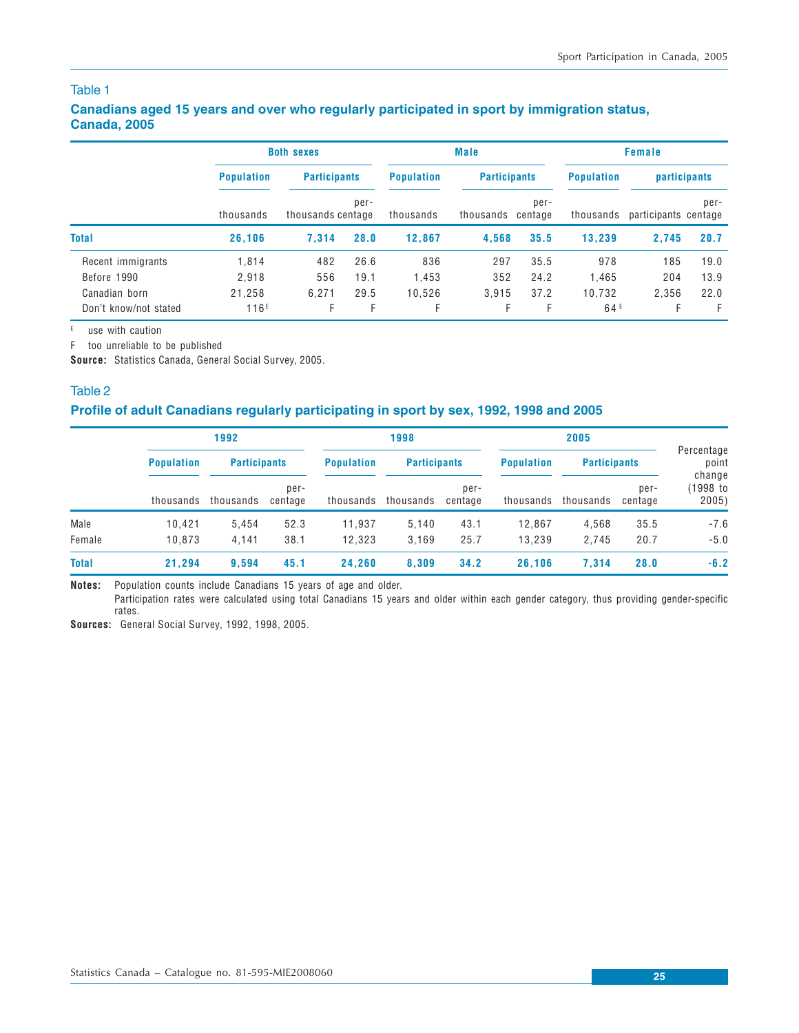### **Canadians aged 15 years and over who regularly participated in sport by immigration status, Canada, 2005**

|                       |                   | <b>Both sexes</b>                                |      |                   | <b>Male</b>                  |                     | Female          |                              |      |
|-----------------------|-------------------|--------------------------------------------------|------|-------------------|------------------------------|---------------------|-----------------|------------------------------|------|
|                       | <b>Population</b> | <b>Participants</b><br>per-<br>thousands centage |      | <b>Population</b> |                              | <b>Participants</b> |                 | <b>participants</b>          |      |
|                       | thousands         |                                                  |      | thousands         | per-<br>thousands<br>centage |                     | thousands       | per-<br>participants centage |      |
| <b>Total</b>          | 26.106            | 7.314                                            | 28.0 | 12.867            | 4.568                        | 35.5                | 13.239          | 2.745                        | 20.7 |
| Recent immigrants     | 1.814             | 482                                              | 26.6 | 836               | 297                          | 35.5                | 978             | 185                          | 19.0 |
| Before 1990           | 2.918             | 556                                              | 19.1 | 1.453             | 352                          | 24.2                | 1.465           | 204                          | 13.9 |
| Canadian born         | 21.258            | 6.271                                            | 29.5 | 10.526            | 3.915                        | 37.2                | 10.732          | 2.356                        | 22.0 |
| Don't know/not stated | 116 <sup>E</sup>  | F.                                               | F    | Е                 | F.                           | F                   | 64 <sup>E</sup> |                              | F    |

 $E$  use with caution

F too unreliable to be published

**Source:** Statistics Canada, General Social Survey, 2005.

#### Table 2

## **Profile of adult Canadians regularly participating in sport by sex, 1992, 1998 and 2005**

|              |                   | 1992                |                 |                   | 1998                |                 |                   | 2005                |                 |                             |  |
|--------------|-------------------|---------------------|-----------------|-------------------|---------------------|-----------------|-------------------|---------------------|-----------------|-----------------------------|--|
|              | <b>Population</b> | <b>Participants</b> |                 | <b>Population</b> | <b>Participants</b> |                 | <b>Population</b> | <b>Participants</b> |                 | Percentage<br>point         |  |
|              | thousands         | thousands           | per-<br>centage | thousands         | thousands           | per-<br>centage | thousands         | thousands           | per-<br>centage | change<br>(1998 to<br>2005) |  |
| Male         | 10.421            | 5.454               | 52.3            | 11.937            | 5,140               | 43.1            | 12.867            | 4.568               | 35.5            | $-7.6$                      |  |
| Female       | 10.873            | 4.141               | 38.1            | 12.323            | 3,169               | 25.7            | 13.239            | 2,745               | 20.7            | $-5.0$                      |  |
| <b>Total</b> | 21.294            | 9.594               | 45.1            | 24.260            | 8,309               | 34.2            | 26.106            | 7.314               | 28.0            | $-6.2$                      |  |

**Notes:** Population counts include Canadians 15 years of age and older.

Participation rates were calculated using total Canadians 15 years and older within each gender category, thus providing gender-specific rates.

**Sources:** General Social Survey, 1992, 1998, 2005.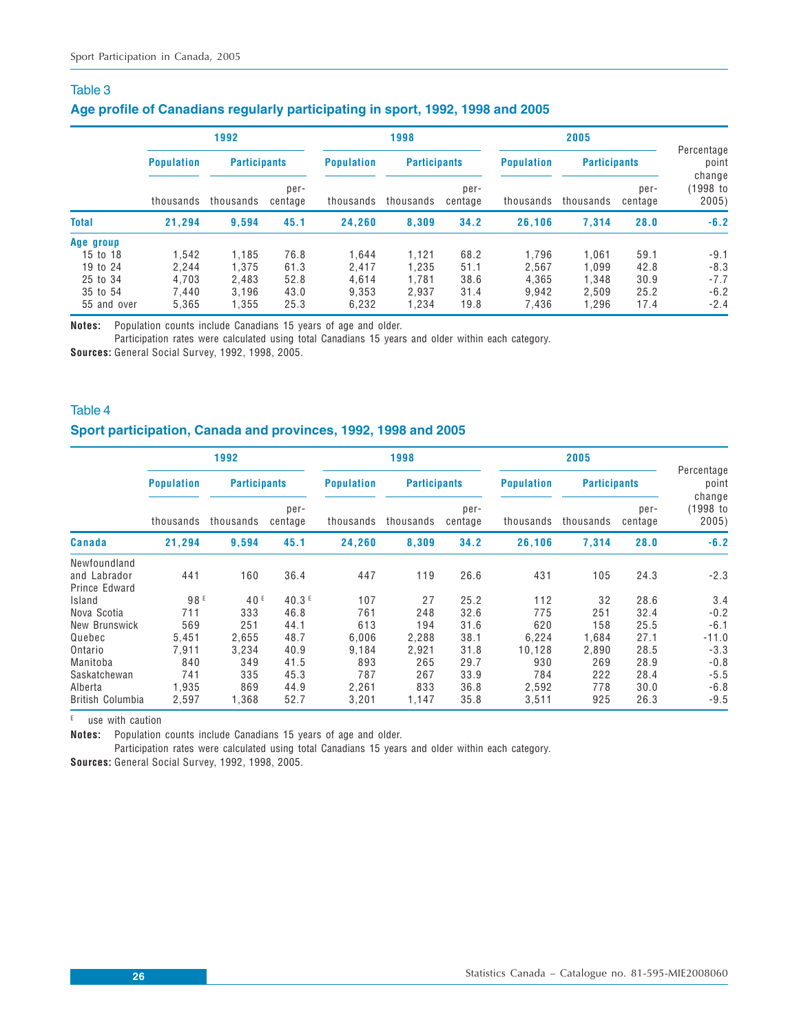### **Age profile of Canadians regularly participating in sport, 1992, 1998 and 2005**

|                                                                          | 1992                                      |                                           |                                      | 1998                                      |                                           |                                      | 2005                                      |                                         |                                      |                                                |
|--------------------------------------------------------------------------|-------------------------------------------|-------------------------------------------|--------------------------------------|-------------------------------------------|-------------------------------------------|--------------------------------------|-------------------------------------------|-----------------------------------------|--------------------------------------|------------------------------------------------|
|                                                                          | <b>Population</b>                         | <b>Participants</b>                       |                                      | <b>Population</b>                         | <b>Participants</b>                       |                                      | <b>Population</b>                         | <b>Participants</b>                     |                                      | Percentage<br>point                            |
|                                                                          | thousands                                 | thousands                                 | per-<br>centage                      | thousands                                 | thousands                                 | per-<br>centage                      | thousands                                 | thousands                               | per-<br>centage                      | change<br>(1998 to<br>2005)                    |
| <b>Total</b>                                                             | 21.294                                    | 9.594                                     | 45.1                                 | 24.260                                    | 8.309                                     | 34.2                                 | 26,106                                    | 7.314                                   | 28.0                                 | $-6.2$                                         |
| Age group<br>15 to 18<br>19 to 24<br>25 to 34<br>35 to 54<br>55 and over | 1.542<br>2.244<br>4.703<br>7.440<br>5.365 | 1.185<br>1.375<br>2.483<br>3.196<br>1,355 | 76.8<br>61.3<br>52.8<br>43.0<br>25.3 | 1.644<br>2.417<br>4.614<br>9.353<br>6.232 | 1.121<br>1.235<br>1.781<br>2.937<br>1.234 | 68.2<br>51.1<br>38.6<br>31.4<br>19.8 | 1.796<br>2.567<br>4.365<br>9.942<br>7,436 | 061. ا<br>.099<br>.348<br>2.509<br>.296 | 59.1<br>42.8<br>30.9<br>25.2<br>17.4 | $-9.1$<br>$-8.3$<br>$-7.7$<br>$-6.2$<br>$-2.4$ |

**Notes:** Population counts include Canadians 15 years of age and older.

Participation rates were calculated using total Canadians 15 years and older within each category.

**Sources:** General Social Survey, 1992, 1998, 2005.

### Table 4

### **Sport participation, Canada and provinces, 1992, 1998 and 2005**

|                  |                   | 1992                |                 |                   | 1998      |                     |           | 2005                |                 |                             |  |
|------------------|-------------------|---------------------|-----------------|-------------------|-----------|---------------------|-----------|---------------------|-----------------|-----------------------------|--|
|                  | <b>Population</b> | <b>Participants</b> |                 | <b>Population</b> |           | <b>Participants</b> |           | <b>Participants</b> |                 | Percentage<br>point         |  |
|                  | thousands         | thousands           | per-<br>centage | thousands         | thousands | per-<br>centage     | thousands | thousands           | per-<br>centage | change<br>(1998 to<br>2005) |  |
| Canada           | 21,294            | 9,594               | 45.1            | 24,260            | 8,309     | 34.2                | 26,106    | 7,314               | 28.0            | $-6.2$                      |  |
| Newfoundland     |                   |                     |                 |                   |           |                     |           |                     |                 |                             |  |
| and Labrador     | 441               | 160                 | 36.4            | 447               | 119       | 26.6                | 431       | 105                 | 24.3            | $-2.3$                      |  |
| Prince Edward    |                   |                     |                 |                   |           |                     |           |                     |                 |                             |  |
| Island           | 98 E              | 40 <sup>E</sup>     | 40.3E           | 107               | 27        | 25.2                | 112       | 32                  | 28.6            | 3.4                         |  |
| Nova Scotia      | 711               | 333                 | 46.8            | 761               | 248       | 32.6                | 775       | 251                 | 32.4            | $-0.2$                      |  |
| New Brunswick    | 569               | 251                 | 44.1            | 613               | 194       | 31.6                | 620       | 158                 | 25.5            | $-6.1$                      |  |
| Quebec           | 5,451             | 2,655               | 48.7            | 6,006             | 2,288     | 38.1                | 6,224     | 1,684               | 27.1            | $-11.0$                     |  |
| Ontario          | 7.911             | 3,234               | 40.9            | 9,184             | 2.921     | 31.8                | 10.128    | 2.890               | 28.5            | $-3.3$                      |  |
| Manitoba         | 840               | 349                 | 41.5            | 893               | 265       | 29.7                | 930       | 269                 | 28.9            | $-0.8$                      |  |
| Saskatchewan     | 741               | 335                 | 45.3            | 787               | 267       | 33.9                | 784       | 222                 | 28.4            | $-5.5$                      |  |
| Alberta          | 1,935             | 869                 | 44.9            | 2,261             | 833       | 36.8                | 2,592     | 778                 | 30.0            | $-6.8$                      |  |
| British Columbia | 2,597             | 1,368               | 52.7            | 3,201             | 1,147     | 35.8                | 3,511     | 925                 | 26.3            | $-9.5$                      |  |

 $E$  use with caution

**Notes:** Population counts include Canadians 15 years of age and older.

Participation rates were calculated using total Canadians 15 years and older within each category. **Sources:** General Social Survey, 1992, 1998, 2005.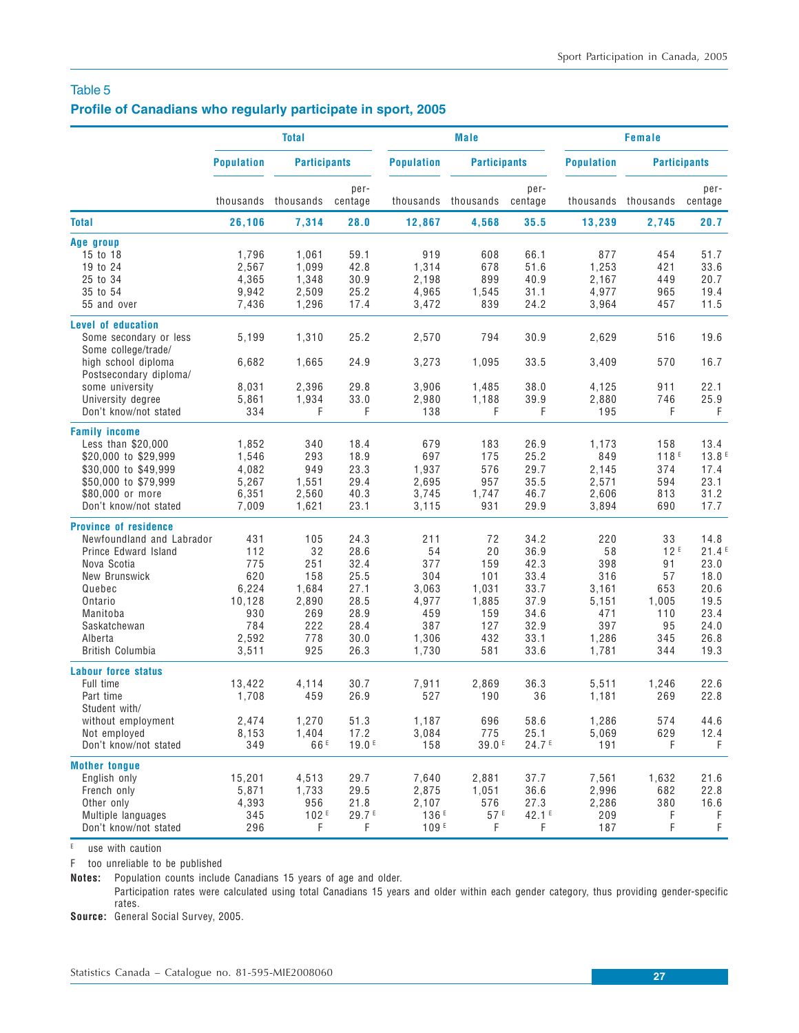### **Profile of Canadians who regularly participate in sport, 2005**

|                                                                                                                                                                                                          |                                                                             | <b>Total</b>                                                          |                                                                              |                                                                           | <b>Male</b>                                                          |                                                                              | <b>Female</b>                                                             |                                                                              |                                                                               |
|----------------------------------------------------------------------------------------------------------------------------------------------------------------------------------------------------------|-----------------------------------------------------------------------------|-----------------------------------------------------------------------|------------------------------------------------------------------------------|---------------------------------------------------------------------------|----------------------------------------------------------------------|------------------------------------------------------------------------------|---------------------------------------------------------------------------|------------------------------------------------------------------------------|-------------------------------------------------------------------------------|
|                                                                                                                                                                                                          | <b>Population</b>                                                           | <b>Participants</b>                                                   |                                                                              | <b>Population</b>                                                         | <b>Participants</b>                                                  |                                                                              | <b>Population</b>                                                         |                                                                              | <b>Participants</b>                                                           |
|                                                                                                                                                                                                          |                                                                             | thousands thousands                                                   | per-<br>centage                                                              | thousands                                                                 | thousands                                                            | per-<br>centage                                                              |                                                                           | thousands thousands                                                          | per-<br>centage                                                               |
| <b>Total</b>                                                                                                                                                                                             | 26,106                                                                      | 7,314                                                                 | 28.0                                                                         | 12,867                                                                    | 4,568                                                                | 35.5                                                                         | 13,239                                                                    | 2,745                                                                        | 20.7                                                                          |
| Age group<br>15 to 18<br>19 to 24<br>25 to 34<br>35 to 54<br>55 and over                                                                                                                                 | 1,796<br>2,567<br>4,365<br>9,942<br>7,436                                   | 1,061<br>1,099<br>1,348<br>2,509<br>1,296                             | 59.1<br>42.8<br>30.9<br>25.2<br>17.4                                         | 919<br>1,314<br>2,198<br>4,965<br>3,472                                   | 608<br>678<br>899<br>1,545<br>839                                    | 66.1<br>51.6<br>40.9<br>31.1<br>24.2                                         | 877<br>1,253<br>2.167<br>4,977<br>3,964                                   | 454<br>421<br>449<br>965<br>457                                              | 51.7<br>33.6<br>20.7<br>19.4<br>11.5                                          |
| Level of education<br>Some secondary or less<br>Some college/trade/<br>high school diploma<br>Postsecondary diploma/<br>some university<br>University degree                                             | 5,199<br>6,682<br>8,031<br>5,861                                            | 1,310<br>1,665<br>2,396<br>1,934                                      | 25.2<br>24.9<br>29.8<br>33.0                                                 | 2,570<br>3,273<br>3,906<br>2,980                                          | 794<br>1,095<br>1,485<br>1,188                                       | 30.9<br>33.5<br>38.0<br>39.9                                                 | 2,629<br>3,409<br>4,125<br>2,880                                          | 516<br>570<br>911<br>746                                                     | 19.6<br>16.7<br>22.1<br>25.9                                                  |
| Don't know/not stated<br><b>Family income</b><br>Less than \$20,000<br>\$20,000 to \$29,999<br>\$30,000 to \$49,999<br>\$50,000 to \$79,999<br>\$80,000 or more<br>Don't know/not stated                 | 334<br>1,852<br>1,546<br>4,082<br>5,267<br>6,351<br>7,009                   | F<br>340<br>293<br>949<br>1,551<br>2,560<br>1,621                     | F<br>18.4<br>18.9<br>23.3<br>29.4<br>40.3<br>23.1                            | 138<br>679<br>697<br>1,937<br>2.695<br>3,745<br>3,115                     | F<br>183<br>175<br>576<br>957<br>1,747<br>931                        | F<br>26.9<br>25.2<br>29.7<br>35.5<br>46.7<br>29.9                            | 195<br>1,173<br>849<br>2,145<br>2,571<br>2,606<br>3,894                   | F<br>158<br>118 <sup>E</sup><br>374<br>594<br>813<br>690                     | F<br>13.4<br>13.8E<br>17.4<br>23.1<br>31.2<br>17.7                            |
| <b>Province of residence</b><br>Newfoundland and Labrador<br>Prince Edward Island<br>Nova Scotia<br>New Brunswick<br>Quebec<br>Ontario<br>Manitoba<br>Saskatchewan<br>Alberta<br><b>British Columbia</b> | 431<br>112<br>775<br>620<br>6,224<br>10,128<br>930<br>784<br>2,592<br>3,511 | 105<br>32<br>251<br>158<br>1,684<br>2,890<br>269<br>222<br>778<br>925 | 24.3<br>28.6<br>32.4<br>25.5<br>27.1<br>28.5<br>28.9<br>28.4<br>30.0<br>26.3 | 211<br>54<br>377<br>304<br>3,063<br>4,977<br>459<br>387<br>1,306<br>1,730 | 72<br>20<br>159<br>101<br>1,031<br>1,885<br>159<br>127<br>432<br>581 | 34.2<br>36.9<br>42.3<br>33.4<br>33.7<br>37.9<br>34.6<br>32.9<br>33.1<br>33.6 | 220<br>58<br>398<br>316<br>3,161<br>5,151<br>471<br>397<br>1,286<br>1,781 | 33<br>12 <sup>E</sup><br>91<br>57<br>653<br>1,005<br>110<br>95<br>345<br>344 | 14.8<br>21.4E<br>23.0<br>18.0<br>20.6<br>19.5<br>23.4<br>24.0<br>26.8<br>19.3 |
| <b>Labour force status</b><br>Full time<br>Part time<br>Student with/<br>without employment<br>Not employed<br>Don't know/not stated                                                                     | 13,422<br>1,708<br>2,474<br>8,153<br>349                                    | 4,114<br>459<br>1,270<br>1,404<br>66 <sup>E</sup>                     | 30.7<br>26.9<br>51.3<br>17.2<br>19.0 <sup>E</sup>                            | 7,911<br>527<br>1,187<br>3,084<br>158                                     | 2,869<br>190<br>696<br>775<br>39.0 <sup>E</sup>                      | 36.3<br>36<br>58.6<br>25.1<br>24.7 <sup>E</sup>                              | 5,511<br>1,181<br>1,286<br>5,069<br>191                                   | 1,246<br>269<br>574<br>629<br>F                                              | 22.6<br>22.8<br>44.6<br>12.4<br>F                                             |
| <b>Mother tongue</b><br>English only<br>French only<br>Other only<br>Multiple languages<br>Don't know/not stated                                                                                         | 15,201<br>5,871<br>4,393<br>345<br>296                                      | 4,513<br>1,733<br>956<br>102E<br>F                                    | 29.7<br>29.5<br>21.8<br>29.7 <sup>E</sup><br>F                               | 7,640<br>2,875<br>2,107<br>136 <sup>E</sup><br>109F                       | 2,881<br>1,051<br>576<br>57E<br>F                                    | 37.7<br>36.6<br>27.3<br>42.1 <sup>E</sup><br>F                               | 7,561<br>2,996<br>2,286<br>209<br>187                                     | 1,632<br>682<br>380<br>F<br>F                                                | 21.6<br>22.8<br>16.6<br>F<br>F                                                |

 $E$  use with caution

F too unreliable to be published

**Notes:** Population counts include Canadians 15 years of age and older.

Participation rates were calculated using total Canadians 15 years and older within each gender category, thus providing gender-specific rates.

**Source:** General Social Survey, 2005.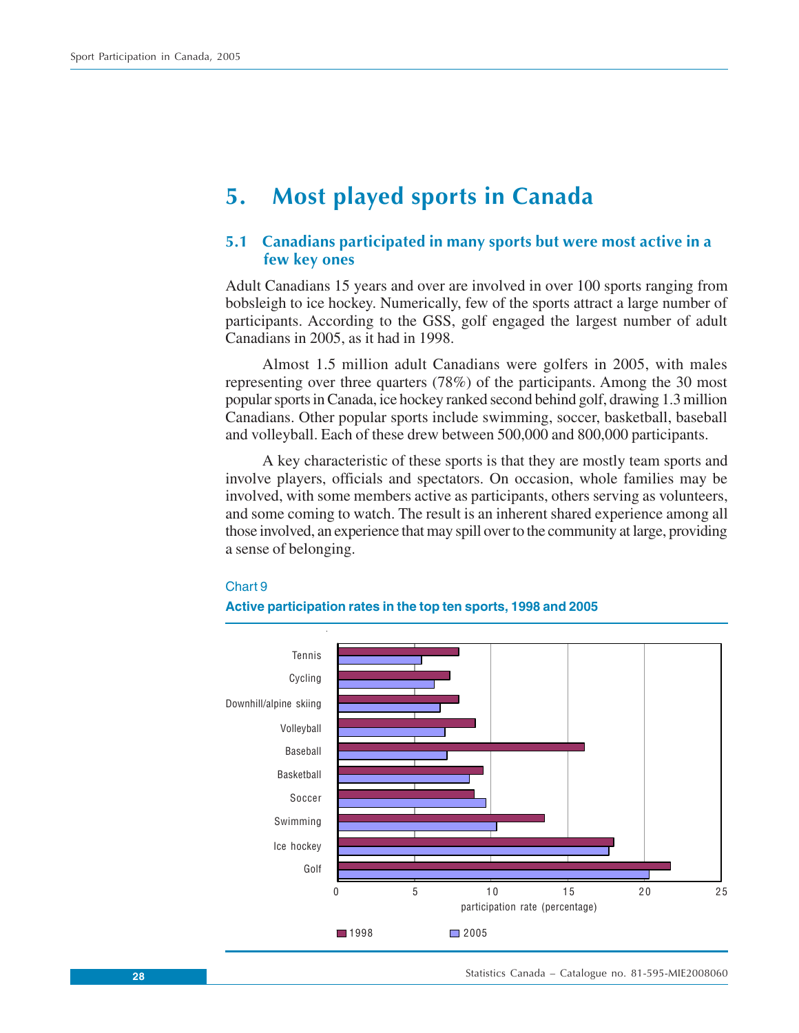## <span id="page-27-0"></span>**5. Most played sports in Canada**

## **5.1 Canadians participated in many sports but were most active in a few key ones**

Adult Canadians 15 years and over are involved in over 100 sports ranging from bobsleigh to ice hockey. Numerically, few of the sports attract a large number of participants. According to the GSS, golf engaged the largest number of adult Canadians in 2005, as it had in 1998.

Almost 1.5 million adult Canadians were golfers in 2005, with males representing over three quarters (78%) of the participants. Among the 30 most popular sports in Canada, ice hockey ranked second behind golf, drawing 1.3 million Canadians. Other popular sports include swimming, soccer, basketball, baseball and volleyball. Each of these drew between 500,000 and 800,000 participants.

A key characteristic of these sports is that they are mostly team sports and involve players, officials and spectators. On occasion, whole families may be involved, with some members active as participants, others serving as volunteers, and some coming to watch. The result is an inherent shared experience among all those involved, an experience that may spill over to the community at large, providing a sense of belonging.

#### Chart 9

#### **Active participation rates in the top ten sports, 1998 and 2005**

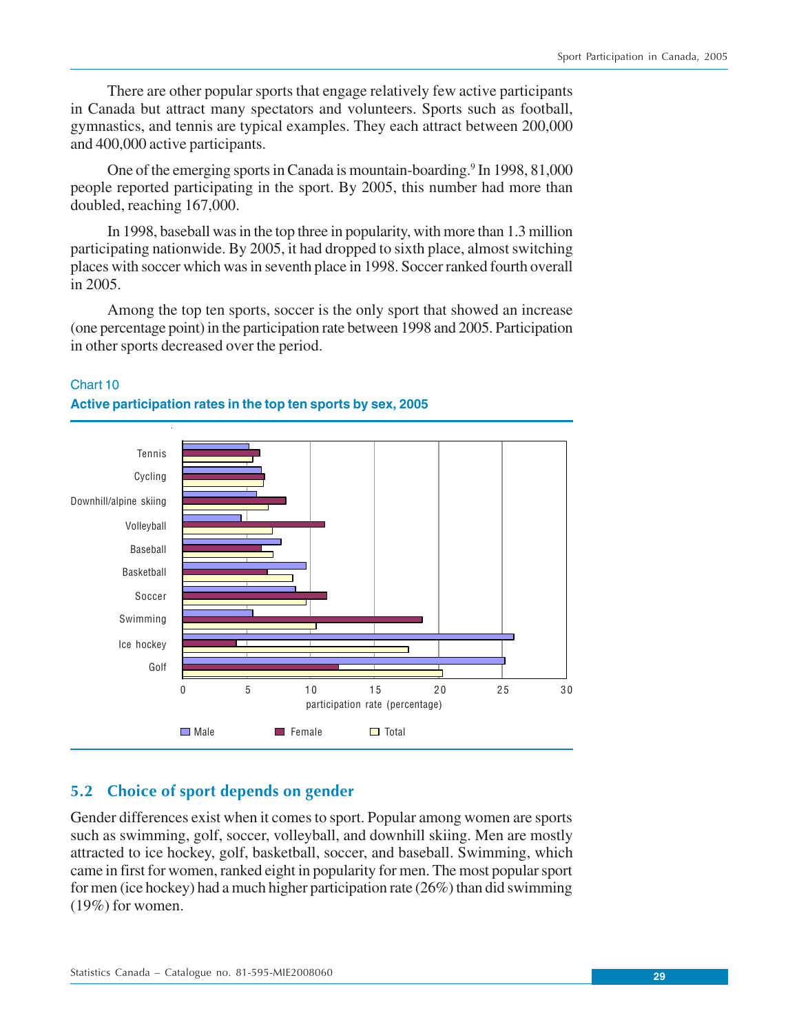<span id="page-28-0"></span>There are other popular sports that engage relatively few active participants in Canada but attract many spectators and volunteers. Sports such as football, gymnastics, and tennis are typical examples. They each attract between 200,000 and 400,000 active participants.

One of the emerging sports in Canada is mountain-boarding.<sup>9</sup> In 1998, 81,000 people reported participating in the sport. By 2005, this number had more than doubled, reaching 167,000.

In 1998, baseball was in the top three in popularity, with more than 1.3 million participating nationwide. By 2005, it had dropped to sixth place, almost switching places with soccer which was in seventh place in 1998. Soccer ranked fourth overall in 2005.

Among the top ten sports, soccer is the only sport that showed an increase (one percentage point) in the participation rate between 1998 and 2005. Participation in other sports decreased over the period.



## Chart 10 **Active participation rates in the top ten sports by sex, 2005**

## **5.2 Choice of sport depends on gender**

Gender differences exist when it comes to sport. Popular among women are sports such as swimming, golf, soccer, volleyball, and downhill skiing. Men are mostly attracted to ice hockey, golf, basketball, soccer, and baseball. Swimming, which came in first for women, ranked eight in popularity for men. The most popular sport for men (ice hockey) had a much higher participation rate (26%) than did swimming  $(19\%)$  for women.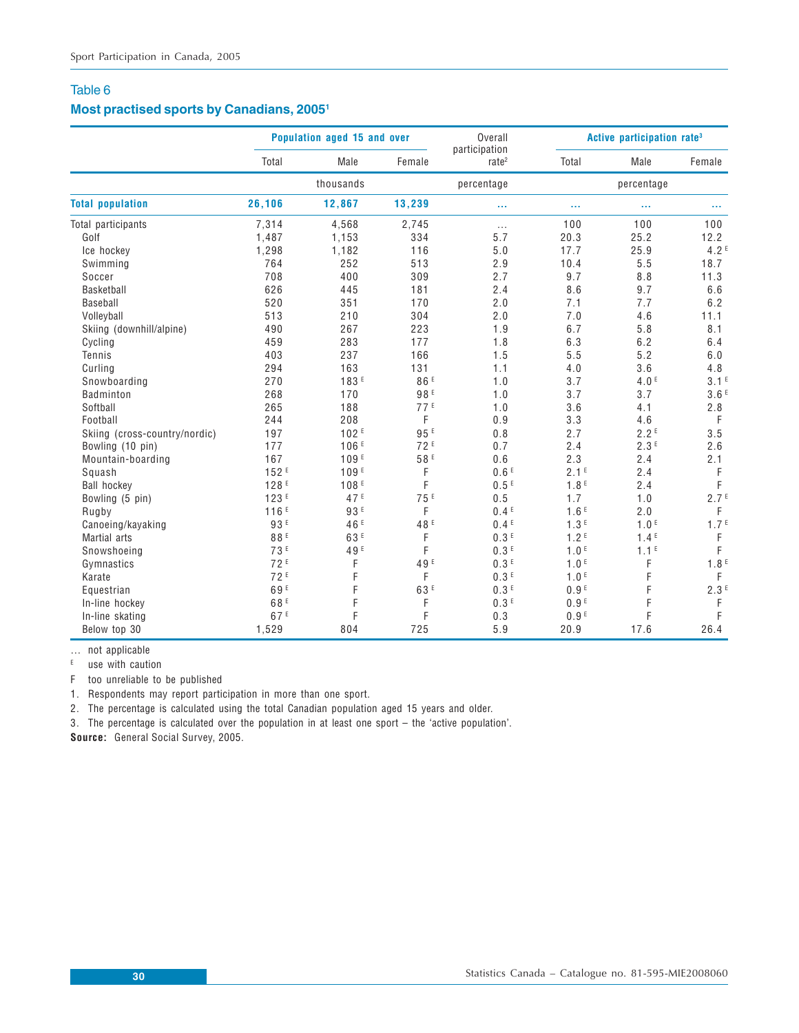## **Most practised sports by Canadians, 20051**

|                               |                  | Population aged 15 and over |                 | Overall                            |                  | Active participation rate <sup>3</sup> |                  |
|-------------------------------|------------------|-----------------------------|-----------------|------------------------------------|------------------|----------------------------------------|------------------|
|                               | Total            | Male                        | Female          | participation<br>rate <sup>2</sup> | Total            | Male                                   | Female           |
|                               |                  | thousands                   |                 | percentage                         |                  | percentage                             |                  |
| <b>Total population</b>       | 26,106           | 12,867                      | 13,239          | ш                                  |                  |                                        |                  |
| Total participants            | 7,314            | 4,568                       | 2,745           | $\cdots$                           | 100              | 100                                    | 100              |
| Golf                          | 1,487            | 1,153                       | 334             | 5.7                                | 20.3             | 25.2                                   | 12.2             |
| Ice hockey                    | 1,298            | 1,182                       | 116             | 5.0                                | 17.7             | 25.9                                   | 4.2 <sup>E</sup> |
| Swimming                      | 764              | 252                         | 513             | 2.9                                | 10.4             | 5.5                                    | 18.7             |
| Soccer                        | 708              | 400                         | 309             | 2.7                                | 9.7              | 8.8                                    | 11.3             |
| Basketball                    | 626              | 445                         | 181             | 2.4                                | 8.6              | 9.7                                    | 6.6              |
| Baseball                      | 520              | 351                         | 170             | 2.0                                | 7.1              | 7.7                                    | 6.2              |
| Volleyball                    | 513              | 210                         | 304             | 2.0                                | 7.0              | 4.6                                    | 11.1             |
| Skiing (downhill/alpine)      | 490              | 267                         | 223             | 1.9                                | 6.7              | 5.8                                    | 8.1              |
| Cycling                       | 459              | 283                         | 177             | 1.8                                | 6.3              | 6.2                                    | 6.4              |
| Tennis                        | 403              | 237                         | 166             | 1.5                                | 5.5              | 5.2                                    | 6.0              |
| Curling                       | 294              | 163                         | 131             | 1.1                                | 4.0              | 3.6                                    | 4.8              |
| Snowboarding                  | 270              | 183 <sup>E</sup>            | 86 <sup>E</sup> | 1.0                                | 3.7              | 4.0 <sup>E</sup>                       | 3.1 <sup>E</sup> |
| Badminton                     | 268              | 170                         | 98E             | 1.0                                | 3.7              | 3.7                                    | 3.6 <sup>E</sup> |
| Softball                      | 265              | 188                         | 77E             | 1.0                                | 3.6              | 4.1                                    | 2.8              |
| Football                      | 244              | 208                         | F               | 0.9                                | 3.3              | 4.6                                    | $\mathsf F$      |
| Skiing (cross-country/nordic) | 197              | 102E                        | 95E             | 0.8                                | 2.7              | 2.2 <sup>E</sup>                       | 3.5              |
| Bowling (10 pin)              | 177              | 106 <sup>E</sup>            | 72E             | 0.7                                | 2.4              | 2.3E                                   | 2.6              |
| Mountain-boarding             | 167              | 109 <sup>E</sup>            | 58 <sup>E</sup> | 0.6                                | 2.3              | 2.4                                    | 2.1              |
| Squash                        | 152F             | 109 <sup>E</sup>            | F               | 0.6E                               | 2.1 <sup>E</sup> | 2.4                                    | F                |
| <b>Ball hockey</b>            | 128 <sup>E</sup> | 108E                        | F               | 0.5E                               | 1.8 <sup>E</sup> | 2.4                                    | F                |
| Bowling (5 pin)               | 123 <sup>E</sup> | 47 <sup>E</sup>             | 75E             | 0.5                                | 1.7              | 1.0                                    | 2.7 <sup>E</sup> |
| Rugby                         | 116E             | 93E                         | F               | 0.4 <sup>E</sup>                   | 1.6 <sup>E</sup> | 2.0                                    | F                |
| Canoeing/kayaking             | 93E              | 46 <sup>E</sup>             | 48 <sup>E</sup> | 0.4E                               | 1.3E             | 1.0 <sup>E</sup>                       | 1.7 <sup>E</sup> |
| Martial arts                  | 88E              | 63 <sup>E</sup>             | F               | 0.3 <sup>E</sup>                   | 1.2 <sup>E</sup> | 1.4 <sup>E</sup>                       | F                |
| Snowshoeing                   | 73 <sup>E</sup>  | 49 <sup>E</sup>             | F               | 0.3E                               | 1.0 <sup>E</sup> | 1.1 <sup>E</sup>                       | F                |
| Gymnastics                    | 72 <sup>E</sup>  | F                           | 49 <sup>E</sup> | 0.3 <sup>E</sup>                   | 1.0 <sup>E</sup> | F                                      | 1.8 <sup>E</sup> |
| Karate                        | 72E              | F                           | F               | 0.3E                               | 1.0 <sup>E</sup> | F                                      | F                |
| Equestrian                    | 69 <sup>E</sup>  | F                           | 63 <sup>E</sup> | 0.3 <sup>E</sup>                   | 0.9 <sup>E</sup> | F                                      | 2.3E             |
| In-line hockey                | 68 <sup>E</sup>  | F                           | F               | 0.3E                               | 0.9 <sup>E</sup> | F                                      | F                |
| In-line skating               | 67 <sup>E</sup>  | F                           | F               | 0.3                                | 0.9 <sup>E</sup> | F                                      | F                |
| Below top 30                  | 1,529            | 804                         | 725             | 5.9                                | 20.9             | 17.6                                   | 26.4             |

… not applicable

 $E$  use with caution

F too unreliable to be published

1. Respondents may report participation in more than one sport.

2. The percentage is calculated using the total Canadian population aged 15 years and older.

3. The percentage is calculated over the population in at least one sport – the 'active population'.

**Source:** General Social Survey, 2005.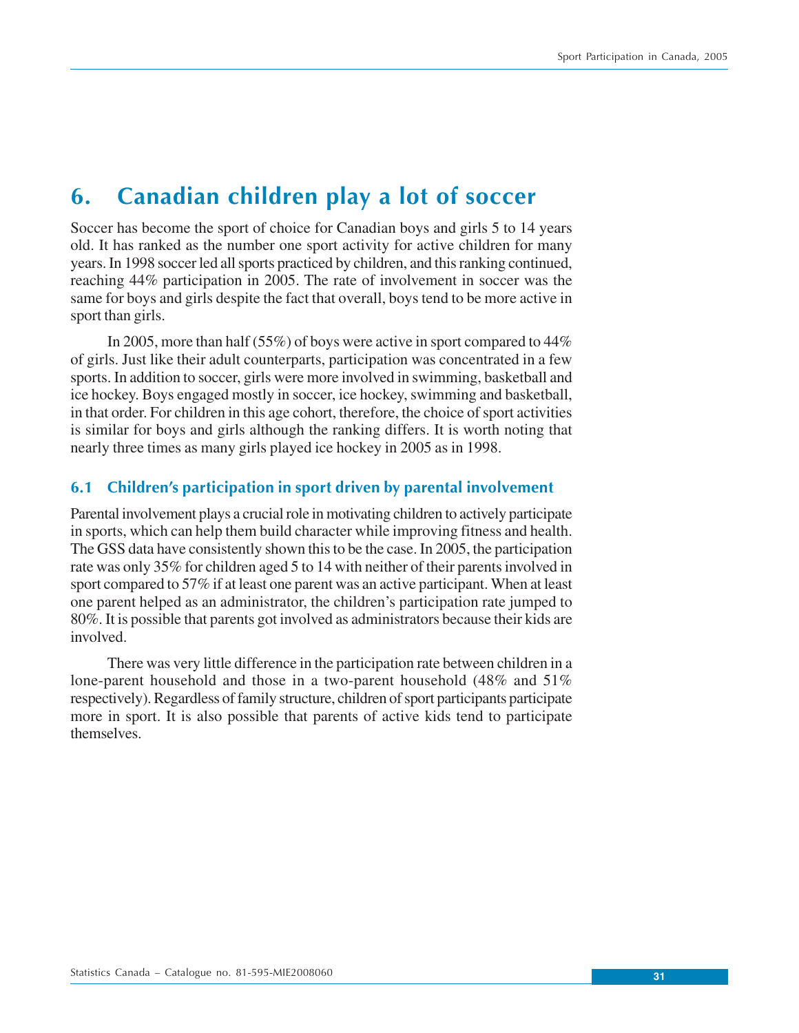## <span id="page-30-0"></span>**6. Canadian children play a lot of soccer**

Soccer has become the sport of choice for Canadian boys and girls 5 to 14 years old. It has ranked as the number one sport activity for active children for many years. In 1998 soccer led all sports practiced by children, and this ranking continued, reaching 44% participation in 2005. The rate of involvement in soccer was the same for boys and girls despite the fact that overall, boys tend to be more active in sport than girls.

In 2005, more than half (55%) of boys were active in sport compared to 44% of girls. Just like their adult counterparts, participation was concentrated in a few sports. In addition to soccer, girls were more involved in swimming, basketball and ice hockey. Boys engaged mostly in soccer, ice hockey, swimming and basketball, in that order. For children in this age cohort, therefore, the choice of sport activities is similar for boys and girls although the ranking differs. It is worth noting that nearly three times as many girls played ice hockey in 2005 as in 1998.

## **6.1 Children's participation in sport driven by parental involvement**

Parental involvement plays a crucial role in motivating children to actively participate in sports, which can help them build character while improving fitness and health. The GSS data have consistently shown this to be the case. In 2005, the participation rate was only 35% for children aged 5 to 14 with neither of their parents involved in sport compared to 57% if at least one parent was an active participant. When at least one parent helped as an administrator, the children's participation rate jumped to 80%. It is possible that parents got involved as administrators because their kids are involved.

There was very little difference in the participation rate between children in a lone-parent household and those in a two-parent household (48% and 51% respectively). Regardless of family structure, children of sport participants participate more in sport. It is also possible that parents of active kids tend to participate themselves.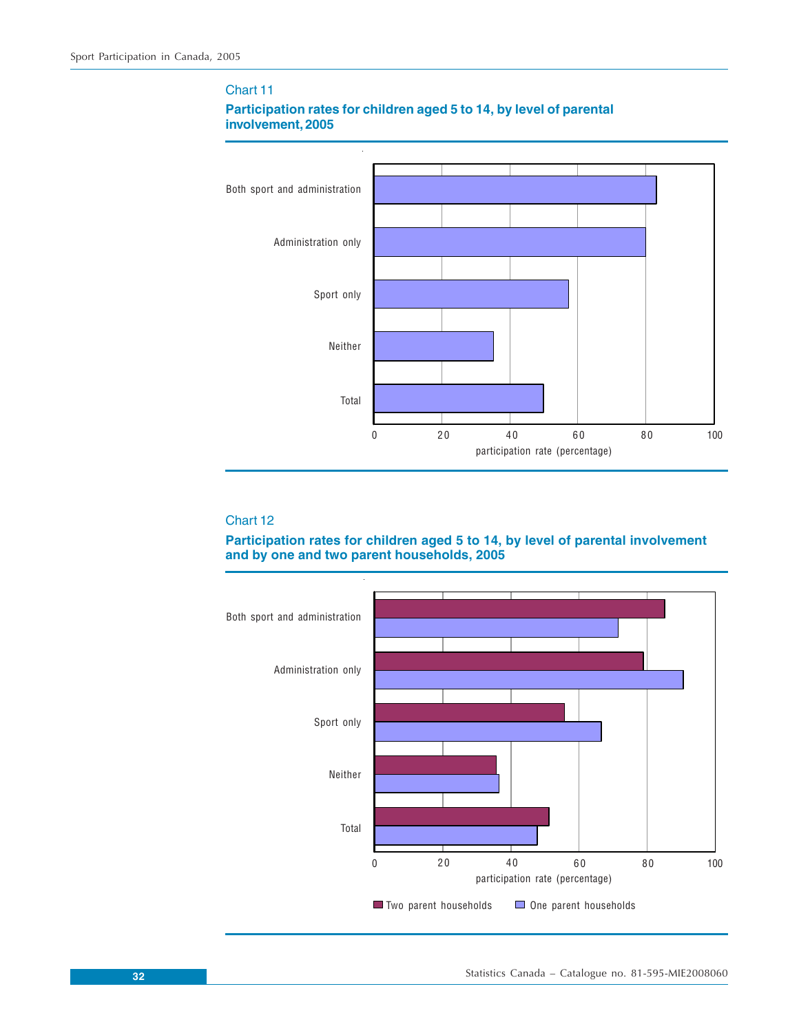

## **Participation rates for children aged 5 to 14, by level of parental involvement, 2005**

#### Chart 12

Chart 11

### **Participation rates for children aged 5 to 14, by level of parental involvement and by one and two parent households, 2005**

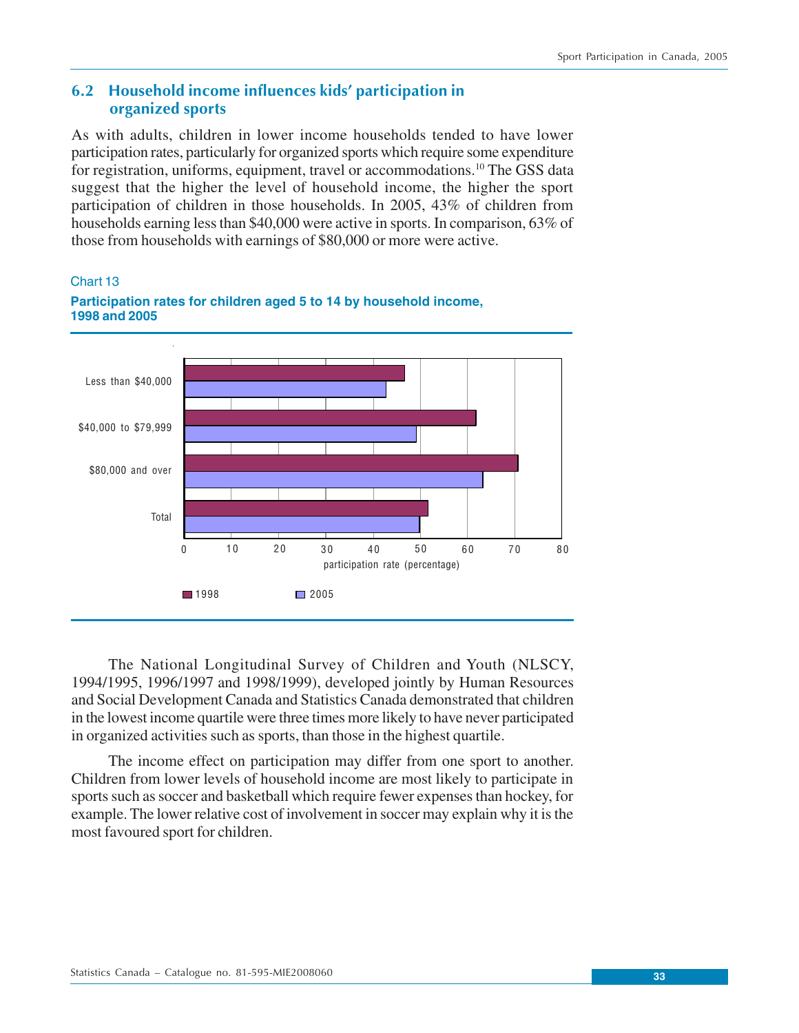## <span id="page-32-0"></span>**6.2 Household income influences kids' participation in organized sports**

As with adults, children in lower income households tended to have lower participation rates, particularly for organized sports which require some expenditure for registration, uniforms, equipment, travel or accommodations.<sup>10</sup> The GSS data suggest that the higher the level of household income, the higher the sport participation of children in those households. In 2005, 43% of children from households earning less than \$40,000 were active in sports. In comparison, 63% of those from households with earnings of \$80,000 or more were active.

Chart 13



**Participation rates for children aged 5 to 14 by household income, 1998 and 2005**

The National Longitudinal Survey of Children and Youth (NLSCY, 1994/1995, 1996/1997 and 1998/1999), developed jointly by Human Resources and Social Development Canada and Statistics Canada demonstrated that children in the lowest income quartile were three times more likely to have never participated in organized activities such as sports, than those in the highest quartile.

The income effect on participation may differ from one sport to another. Children from lower levels of household income are most likely to participate in sports such as soccer and basketball which require fewer expenses than hockey, for example. The lower relative cost of involvement in soccer may explain why it is the most favoured sport for children.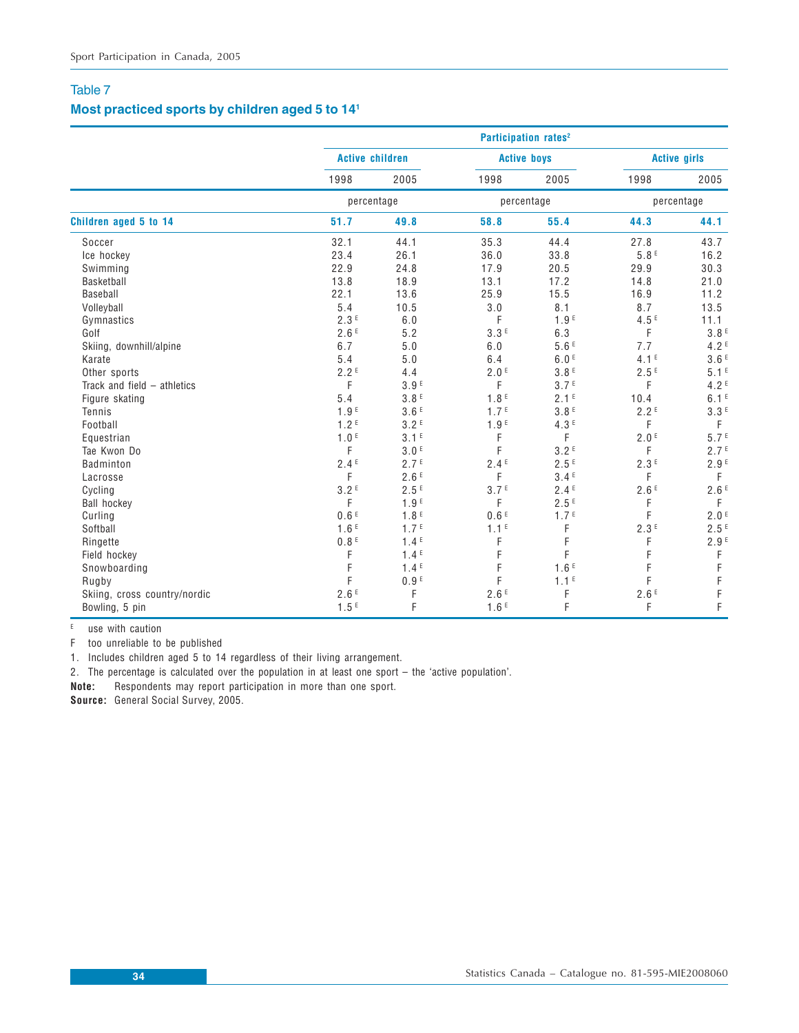## **Most practiced sports by children aged 5 to 141**

|                               |                        |                  | Participation rates <sup>2</sup> |                  |                  |                       |
|-------------------------------|------------------------|------------------|----------------------------------|------------------|------------------|-----------------------|
|                               | <b>Active children</b> |                  | <b>Active boys</b>               |                  |                  | <b>Active girls</b>   |
|                               | 1998                   | 2005             | 1998                             | 2005             | 1998             | 2005                  |
|                               | percentage             |                  | percentage                       |                  | percentage       |                       |
| Children aged 5 to 14         | 51.7                   | 49.8             | 58.8                             | 55.4             | 44.3             | 44.1                  |
| Soccer                        | 32.1                   | 44.1             | 35.3                             | 44.4             | 27.8             | 43.7                  |
| Ice hockey                    | 23.4                   | 26.1             | 36.0                             | 33.8             | $5.8 F$          | 16.2                  |
| Swimming                      | 22.9                   | 24.8             | 17.9                             | 20.5             | 29.9             | 30.3                  |
| Basketball                    | 13.8                   | 18.9             | 13.1                             | 17.2             | 14.8             | 21.0                  |
| Baseball                      | 22.1                   | 13.6             | 25.9                             | 15.5             | 16.9             | 11.2                  |
| Volleyball                    | 5.4                    | 10.5             | 3.0                              | 8.1              | 8.7              | 13.5                  |
| Gymnastics                    | 2.3E                   | 6.0              | F                                | 1.9 <sup>E</sup> | 4.5E             | 11.1                  |
| Golf                          | 2.6E                   | 5.2              | 3.3E                             | 6.3              | F                | 3.8 <sup>E</sup>      |
| Skiing, downhill/alpine       | 6.7                    | 5.0              | 6.0                              | 5.6E             | 7.7              | 4.2E                  |
| Karate                        | 5.4                    | 5.0              | 6.4                              | 6.0 <sup>E</sup> | 4.1 <sup>E</sup> | 3.6E                  |
| Other sports                  | 2.2E                   | 4.4              | 2.0 <sup>E</sup>                 | 3.8E             | 2.5E             | 5.1 <sup>E</sup>      |
| Track and field $-$ athletics | F                      | 3.9F             | F                                | 3.7 <sup>E</sup> | F                | 4.2 <sup>E</sup>      |
| Figure skating                | 5.4                    | 3.8 <sup>E</sup> | 1.8 <sup>E</sup>                 | 2.1 <sup>E</sup> | 10.4             | 6.1 <sup>E</sup>      |
| Tennis                        | 1.9 <sup>E</sup>       | 3.6E             | 1.7 <sup>E</sup>                 | 3.8 <sup>E</sup> | 2.2E             | 3.3E                  |
| Football                      | 1.2 <sup>E</sup>       | 3.2 <sup>E</sup> | 1.9 <sup>E</sup>                 | 4.3E             | F                | F                     |
| Equestrian                    | 1.0 <sup>E</sup>       | 3.1 <sup>E</sup> | F                                | F                | 2.0 <sup>E</sup> | 5.7 <sup>E</sup>      |
| Tae Kwon Do                   | F                      | 3.0 <sup>E</sup> | F                                | 3.2 <sup>E</sup> | F                | 2.7 <sup>E</sup>      |
| Badminton                     | 2.4E                   | 2.7 <sup>E</sup> | 2.4E                             | 2.5E             | 2.3E             | 2.9F                  |
| Lacrosse                      | F                      | 2.6E             | F                                | 3.4E             | F                | F                     |
| Cycling                       | 3.2E                   | 2.5 <sup>E</sup> | 3.7 <sup>E</sup>                 | 2.4E             | 2.6E             | 2.6E                  |
| <b>Ball hockey</b>            | F                      | 1.9 <sup>E</sup> | F                                | 2.5E             | F                | F                     |
| Curling                       | 0.6E                   | 1.8 <sup>E</sup> | 0.6E                             | 1.7 <sup>E</sup> | F                | 2.0 <sup>E</sup>      |
| Softball                      | 1.6E                   | 1.7 <sup>E</sup> | 1.1 <sup>E</sup>                 | F                | 2.3E             | 2.5E                  |
| Ringette                      | 0.8 <sup>E</sup>       | 1.4 <sup>E</sup> | F                                | F                | F                | 2.9F                  |
| Field hockey                  | F                      | 1.4 <sup>E</sup> | F                                | F                | F                | $\mathsf F$           |
| Snowboarding                  | F                      | 1.4E             | F                                | 1.6E             | F                |                       |
| Rugby                         | F                      | 0.9 <sup>E</sup> | F                                | 1.1 <sup>E</sup> | F                |                       |
| Skiing, cross country/nordic  | 2.6E                   | F                | 2.6E                             | F                | 2.6E             | F<br>F<br>F<br>F<br>F |
| Bowling, 5 pin                | 1.5E                   | F                | 1.6E                             | F                | F                |                       |

 $E$  use with caution

F too unreliable to be published

1. Includes children aged 5 to 14 regardless of their living arrangement.

2. The percentage is calculated over the population in at least one sport – the 'active population'.

**Note:** Respondents may report participation in more than one sport.

**Source:** General Social Survey, 2005.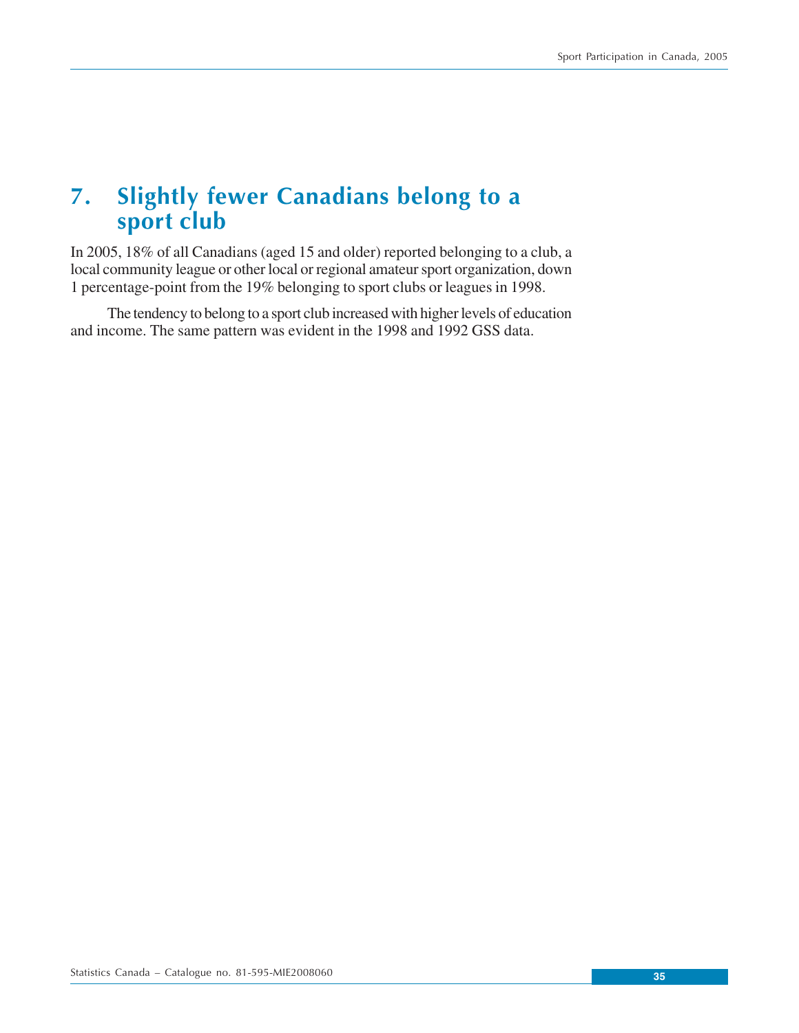## <span id="page-34-0"></span>**7. Slightly fewer Canadians belong to a sport club**

In 2005, 18% of all Canadians (aged 15 and older) reported belonging to a club, a local community league or other local or regional amateur sport organization, down 1 percentage-point from the 19% belonging to sport clubs or leagues in 1998.

The tendency to belong to a sport club increased with higher levels of education and income. The same pattern was evident in the 1998 and 1992 GSS data.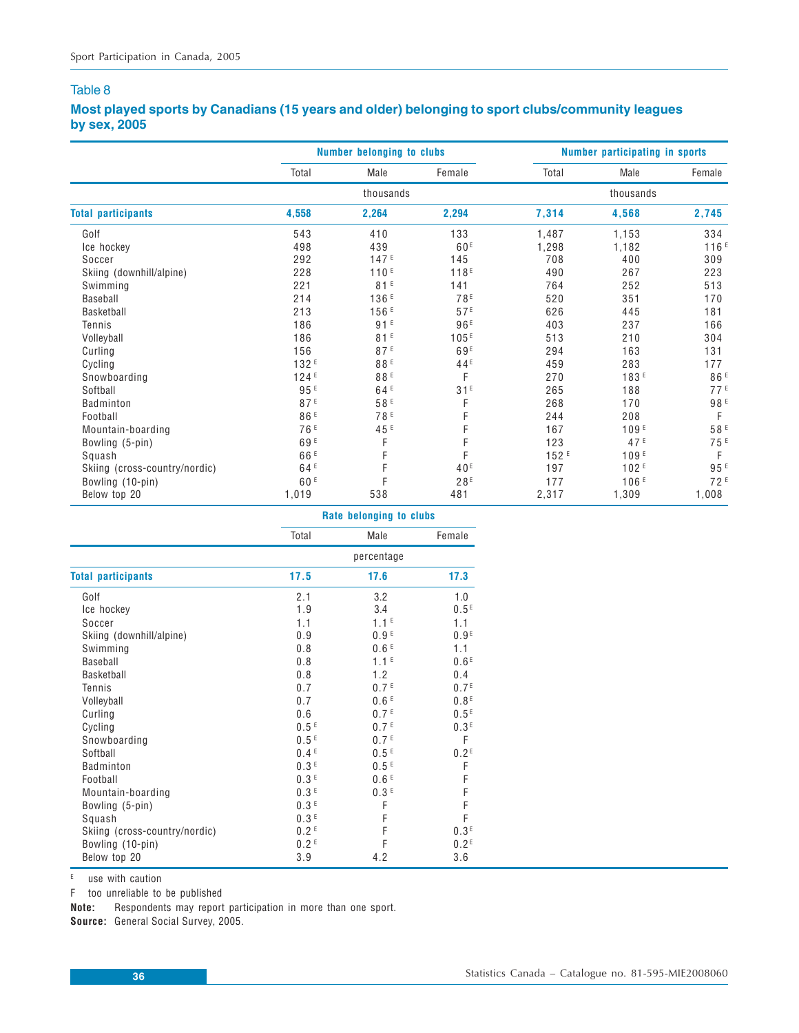## **Most played sports by Canadians (15 years and older) belonging to sport clubs/community leagues by sex, 2005**

|                               |                  | <b>Number belonging to clubs</b> |                  |                  | Number participating in sports |                 |
|-------------------------------|------------------|----------------------------------|------------------|------------------|--------------------------------|-----------------|
|                               | Total            | Male                             | Female           | Total            | Male                           | Female          |
|                               |                  | thousands                        |                  |                  | thousands                      |                 |
| <b>Total participants</b>     | 4,558            | 2,264                            | 2,294            | 7,314            | 4,568                          | 2,745           |
| Golf                          | 543              | 410                              | 133              | 1,487            | 1,153                          | 334             |
| Ice hockey                    | 498              | 439                              | 60 <sup>E</sup>  | 1,298            | 1,182                          | 116E            |
| Soccer                        | 292              | 147E                             | 145              | 708              | 400                            | 309             |
| Skiing (downhill/alpine)      | 228              | 110 <sup>E</sup>                 | 118 <sup>E</sup> | 490              | 267                            | 223             |
| Swimming                      | 221              | 81E                              | 141              | 764              | 252                            | 513             |
| Baseball                      | 214              | 136 <sup>E</sup>                 | 78 <sup>E</sup>  | 520              | 351                            | 170             |
| Basketball                    | 213              | 156E                             | 57E              | 626              | 445                            | 181             |
| Tennis                        | 186              | 91E                              | 96 <sup>E</sup>  | 403              | 237                            | 166             |
| Volleyball                    | 186              | 81E                              | 105 <sup>E</sup> | 513              | 210                            | 304             |
| Curling                       | 156              | 87E                              | 69 <sup>E</sup>  | 294              | 163                            | 131             |
| Cycling                       | 132 <sup>E</sup> | 88 <sup>E</sup>                  | 44 <sup>E</sup>  | 459              | 283                            | 177             |
| Snowboarding                  | 124E             | 88E                              | F                | 270              | 183 <sup>E</sup>               | 86 <sup>E</sup> |
| Softball                      | 95E              | 64 <sup>E</sup>                  | 31E              | 265              | 188                            | 77E             |
| Badminton                     | 87E              | 58E                              | F                | 268              | 170                            | 98 <sup>E</sup> |
| Football                      | 86 <sup>E</sup>  | 78 <sup>E</sup>                  |                  | 244              | 208                            | F               |
| Mountain-boarding             | 76 <sup>E</sup>  | 45 <sup>E</sup>                  |                  | 167              | 109F                           | 58 <sup>E</sup> |
| Bowling (5-pin)               | 69 <sup>E</sup>  | F                                |                  | 123              | 47 <sup>E</sup>                | 75 <sup>E</sup> |
| Squash                        | 66 <sup>E</sup>  | F                                | F                | 152 <sup>E</sup> | 109F                           | F               |
| Skiing (cross-country/nordic) | 64 <sup>E</sup>  | F                                | 40 <sup>E</sup>  | 197              | 102E                           | 95 <sup>E</sup> |
| Bowling (10-pin)              | 60F              | F                                | 28E              | 177              | 106 <sup>E</sup>               | 72F             |
| Below top 20                  | 1,019            | 538                              | 481              | 2,317            | 1,309                          | 1,008           |

|                               | Rate belonging to clubs |                  |                  |
|-------------------------------|-------------------------|------------------|------------------|
|                               | Total                   | Male             | Female           |
|                               | percentage              |                  |                  |
| <b>Total participants</b>     | 17.5                    | 17.6             | 17.3             |
| Golf                          | 2.1                     | 3.2              | 1.0              |
| Ice hockey                    | 1.9                     | 3.4              | 0.5 <sup>E</sup> |
| Soccer                        | 1.1                     | 1.1 <sup>E</sup> | 1.1              |
| Skiing (downhill/alpine)      | 0.9                     | 0.9 <sup>E</sup> | 0.9 <sup>E</sup> |
| Swimming                      | 0.8                     | 0.6 <sup>E</sup> | 1.1              |
| Baseball                      | 0.8                     | 1.1 <sup>E</sup> | 0.6 <sup>E</sup> |
| Basketball                    | 0.8                     | 1.2              | 0.4              |
| Tennis                        | 0.7                     | 0.7 <sup>E</sup> | 0.7 <sup>E</sup> |
| Volleyball                    | 0.7                     | 0.6 <sup>E</sup> | 0.8 <sup>E</sup> |
| Curling                       | 0.6                     | 0.7 <sup>E</sup> | 0.5 <sup>E</sup> |
| Cycling                       | 0.5 <sup>E</sup>        | 0.7 <sup>E</sup> | 0.3 <sup>E</sup> |
| Snowboarding                  | 0.5 <sup>E</sup>        | 0.7 <sup>E</sup> | F                |
| Softball                      | 0.4 <sup>E</sup>        | 0.5 <sup>E</sup> | 0.2 <sup>E</sup> |
| Badminton                     | 0.3 <sup>E</sup>        | 0.5 <sup>E</sup> | F                |
| Football                      | 0.3 <sup>E</sup>        | 0.6 <sup>E</sup> | F                |
| Mountain-boarding             | 0.3 <sup>E</sup>        | 0.3 <sup>E</sup> | F                |
| Bowling (5-pin)               | 0.3 <sup>E</sup>        | F                | F                |
| Squash                        | 0.3 <sup>E</sup>        | F                | F                |
| Skiing (cross-country/nordic) | 0.2 <sup>E</sup>        | F                | 0.3 <sup>E</sup> |
| Bowling (10-pin)              | 0.2 <sup>E</sup>        | F                | 0.2 <sup>E</sup> |
| Below top 20                  | 3.9                     | 4.2              | 3.6              |

 $E$  use with caution

F too unreliable to be published

**Note:** Respondents may report participation in more than one sport.

**Source:** General Social Survey, 2005.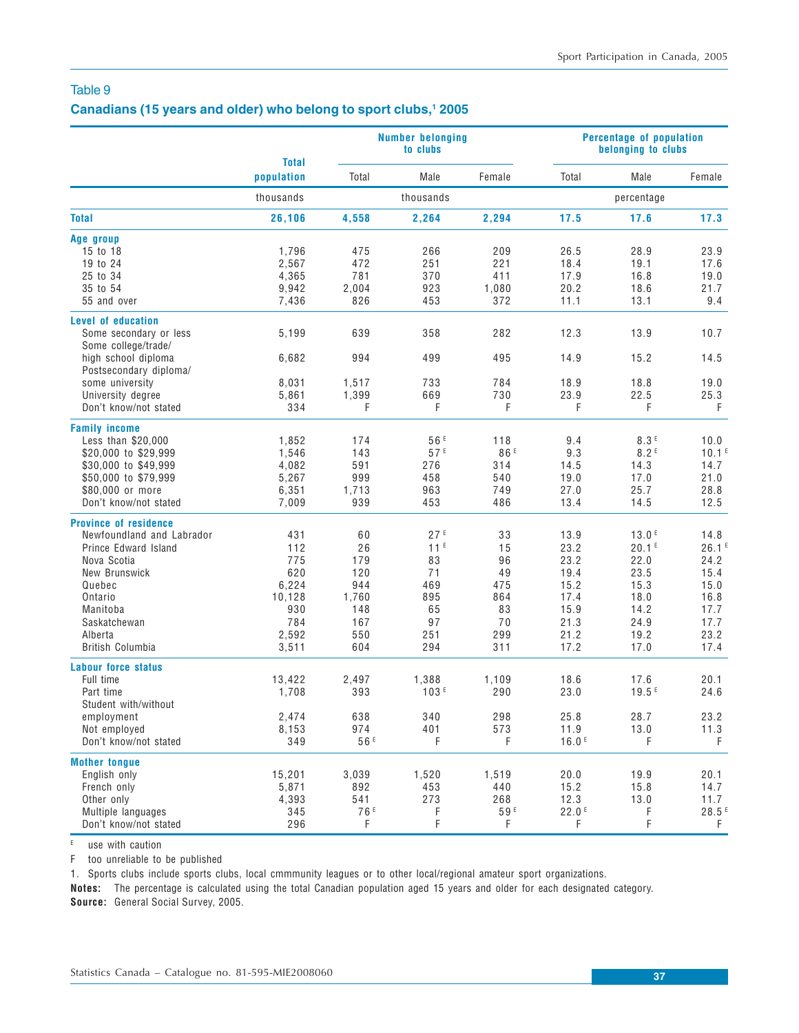#### Canadians (15 years and older) who belong to sport clubs,<sup>1</sup> 2005

|                              |                            |                 | <b>Number belonging</b><br>to clubs |                 | Percentage of population<br>belonging to clubs |                   |                     |  |
|------------------------------|----------------------------|-----------------|-------------------------------------|-----------------|------------------------------------------------|-------------------|---------------------|--|
|                              | <b>Total</b><br>population | Total           | Male                                | Female          | Total                                          | Male              | Female              |  |
|                              | thousands                  |                 | thousands                           |                 |                                                | percentage        |                     |  |
| <b>Total</b>                 | 26,106                     | 4,558           | 2,264                               | 2,294           | 17.5                                           | 17.6              | 17.3                |  |
| Age group                    |                            |                 |                                     |                 |                                                |                   |                     |  |
| 15 to 18                     | 1,796                      | 475             | 266                                 | 209             | 26.5                                           | 28.9              | 23.9                |  |
| 19 to 24                     | 2,567                      | 472             | 251                                 | 221             | 18.4                                           | 19.1              | 17.6                |  |
| 25 to 34                     | 4,365                      | 781             | 370                                 | 411             | 17.9                                           | 16.8              | 19.0                |  |
| 35 to 54                     | 9,942                      | 2,004           | 923                                 | 1,080           | 20.2                                           | 18.6              | 21.7                |  |
| 55 and over                  | 7,436                      | 826             | 453                                 | 372             | 11.1                                           | 13.1              | 9.4                 |  |
| <b>Level of education</b>    |                            |                 |                                     |                 |                                                |                   |                     |  |
| Some secondary or less       | 5,199                      | 639             | 358                                 | 282             | 12.3                                           | 13.9              | 10.7                |  |
| Some college/trade/          |                            |                 |                                     |                 |                                                |                   |                     |  |
| high school diploma          | 6,682                      | 994             | 499                                 | 495             | 14.9                                           | 15.2              | 14.5                |  |
| Postsecondary diploma/       |                            |                 |                                     |                 |                                                |                   |                     |  |
| some university              | 8,031                      | 1,517           | 733                                 | 784             | 18.9                                           | 18.8              | 19.0                |  |
| University degree            | 5,861                      | 1,399           | 669                                 | 730             | 23.9                                           | 22.5              | 25.3                |  |
| Don't know/not stated        | 334                        | F               | F                                   | F               | F                                              | F                 | F                   |  |
| <b>Family income</b>         |                            |                 |                                     |                 |                                                |                   |                     |  |
| Less than \$20,000           | 1,852                      | 174             | 56 <sup>E</sup>                     | 118             | 9.4                                            | 8.3E              | 10.0                |  |
| \$20,000 to \$29,999         | 1,546                      | 143             | 57E                                 | 86 <sup>E</sup> | 9.3                                            | 8.2 <sup>E</sup>  | 10.1 <sup>E</sup>   |  |
| \$30,000 to \$49,999         | 4,082                      | 591             | 276                                 | 314             | 14.5                                           | 14.3              | 14.7                |  |
| \$50,000 to \$79,999         | 5,267                      | 999             | 458                                 | 540             | 19.0                                           | 17.0              | 21.0                |  |
| \$80,000 or more             | 6,351                      | 1,713           | 963                                 | 749             | 27.0                                           | 25.7              | 28.8                |  |
| Don't know/not stated        | 7,009                      | 939             | 453                                 | 486             | 13.4                                           | 14.5              | 12.5                |  |
| <b>Province of residence</b> |                            |                 |                                     |                 |                                                |                   |                     |  |
| Newfoundland and Labrador    | 431                        | 60              | 27E                                 | 33              | 13.9                                           | 13.0E             | 14.8                |  |
| Prince Edward Island         | 112                        | 26              | 11 <sup>E</sup>                     | 15              | 23.2                                           | 20.1 <sup>E</sup> | 26.1E               |  |
| Nova Scotia                  | 775                        | 179             | 83                                  | 96              | 23.2                                           | 22.0              | 24.2                |  |
| New Brunswick                | 620                        | 120             | 71                                  | 49              | 19.4                                           | 23.5              | 15.4                |  |
| Quebec                       | 6,224                      | 944             | 469                                 | 475             | 15.2                                           | 15.3              | 15.0                |  |
| Ontario                      | 10,128                     | 1,760           | 895                                 | 864             | 17.4                                           | 18.0              | 16.8                |  |
| Manitoba                     | 930                        | 148             | 65                                  | 83              | 15.9                                           | 14.2              | 17.7                |  |
| Saskatchewan                 | 784                        | 167             | 97                                  | 70              | 21.3                                           | 24.9              | 17.7                |  |
| Alberta                      | 2,592                      | 550             | 251                                 | 299             | 21.2                                           | 19.2              | 23.2                |  |
| British Columbia             | 3,511                      | 604             | 294                                 | 311             | 17.2                                           | 17.0              | 17.4                |  |
| <b>Labour force status</b>   |                            |                 |                                     |                 |                                                |                   |                     |  |
| Full time                    | 13,422                     | 2,497           | 1,388                               | 1,109           | 18.6                                           | 17.6              | 20.1                |  |
| Part time                    | 1,708                      | 393             | 103E                                | 290             | 23.0                                           | 19.5E             | 24.6                |  |
| Student with/without         |                            |                 |                                     |                 |                                                |                   |                     |  |
| employment                   | 2,474                      | 638             | 340                                 | 298             | 25.8                                           | 28.7              | 23.2                |  |
| Not employed                 | 8,153                      | 974             | 401                                 | 573             | 11.9                                           | 13.0              | 11.3                |  |
| Don't know/not stated        | 349                        | 56 <sup>E</sup> | F                                   | F               | 16.0E                                          | F                 | F                   |  |
| <b>Mother tongue</b>         |                            |                 |                                     |                 |                                                |                   |                     |  |
| English only                 | 15,201                     | 3,039           | 1,520                               | 1,519           | 20.0                                           | 19.9              | 20.1                |  |
| French only                  | 5,871                      | 892             | 453                                 | 440             | 15.2                                           | 15.8              | 14.7                |  |
| Other only                   | 4,393                      | 541             | 273                                 | 268             | 12.3                                           | 13.0              | 11.7                |  |
| Multiple languages           | 345                        | 76 <sup>E</sup> | F                                   | 59E             | 22.0 <sup>E</sup>                              | F                 | $28.5$ <sup>E</sup> |  |
| Don't know/not stated        | 296                        |                 | F                                   | F               | F                                              | F                 | F                   |  |
|                              |                            | F               |                                     |                 |                                                |                   |                     |  |

 $E$  use with caution

F too unreliable to be published

1. Sports clubs include sports clubs, local cmmmunity leagues or to other local/regional amateur sport organizations.

**Notes:** The percentage is calculated using the total Canadian population aged 15 years and older for each designated category. **Source:** General Social Survey, 2005.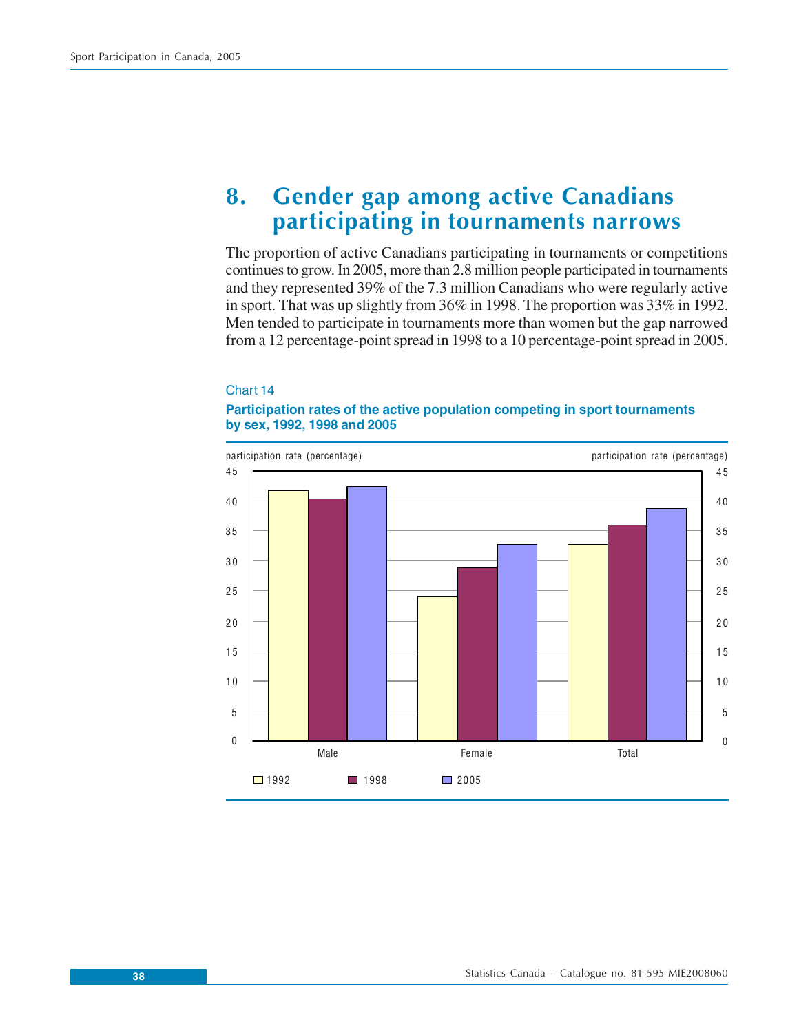# **8. Gender gap among active Canadians participating in tournaments narrows**

The proportion of active Canadians participating in tournaments or competitions continues to grow. In 2005, more than 2.8 million people participated in tournaments and they represented 39% of the 7.3 million Canadians who were regularly active in sport. That was up slightly from 36% in 1998. The proportion was 33% in 1992. Men tended to participate in tournaments more than women but the gap narrowed from a 12 percentage-point spread in 1998 to a 10 percentage-point spread in 2005.

#### Chart 14

### **Participation rates of the active population competing in sport tournaments by sex, 1992, 1998 and 2005**

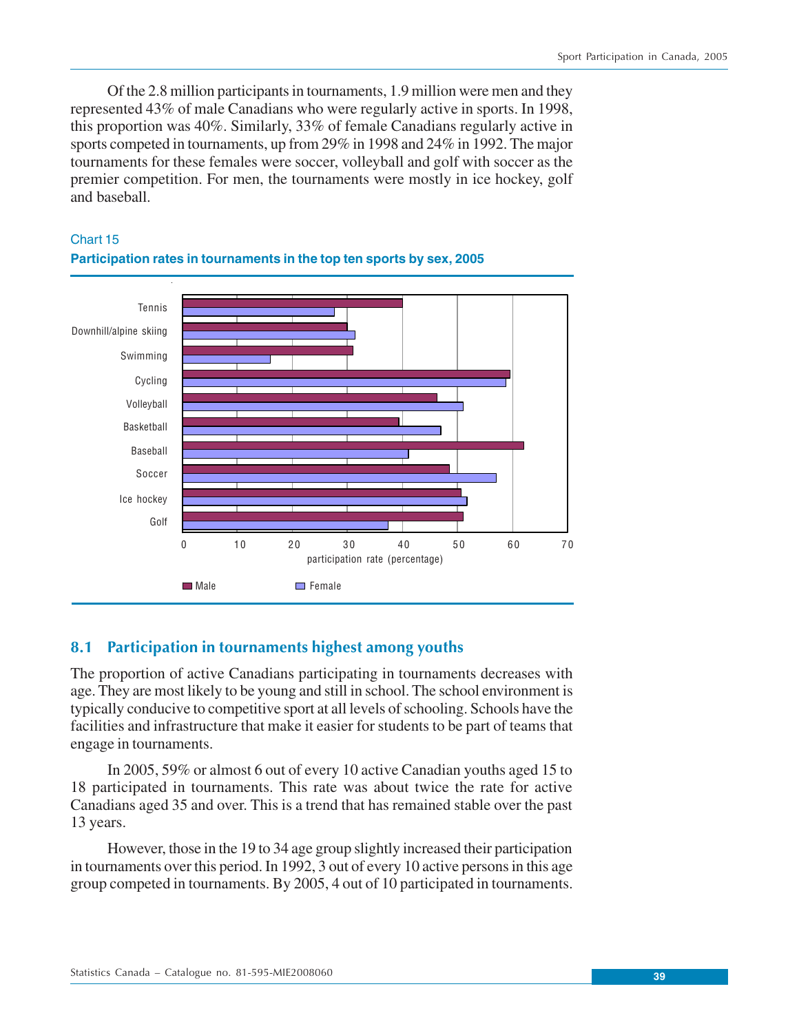Of the 2.8 million participants in tournaments, 1.9 million were men and they represented 43% of male Canadians who were regularly active in sports. In 1998, this proportion was 40%. Similarly, 33% of female Canadians regularly active in sports competed in tournaments, up from 29% in 1998 and 24% in 1992. The major tournaments for these females were soccer, volleyball and golf with soccer as the premier competition. For men, the tournaments were mostly in ice hockey, golf and baseball.



# Chart 15 **Participation rates in tournaments in the top ten sports by sex, 2005**

# **8.1 Participation in tournaments highest among youths**

The proportion of active Canadians participating in tournaments decreases with age. They are most likely to be young and still in school. The school environment is typically conducive to competitive sport at all levels of schooling. Schools have the facilities and infrastructure that make it easier for students to be part of teams that engage in tournaments.

In 2005, 59% or almost 6 out of every 10 active Canadian youths aged 15 to 18 participated in tournaments. This rate was about twice the rate for active Canadians aged 35 and over. This is a trend that has remained stable over the past 13 years.

However, those in the 19 to 34 age group slightly increased their participation in tournaments over this period. In 1992, 3 out of every 10 active persons in this age group competed in tournaments. By 2005, 4 out of 10 participated in tournaments.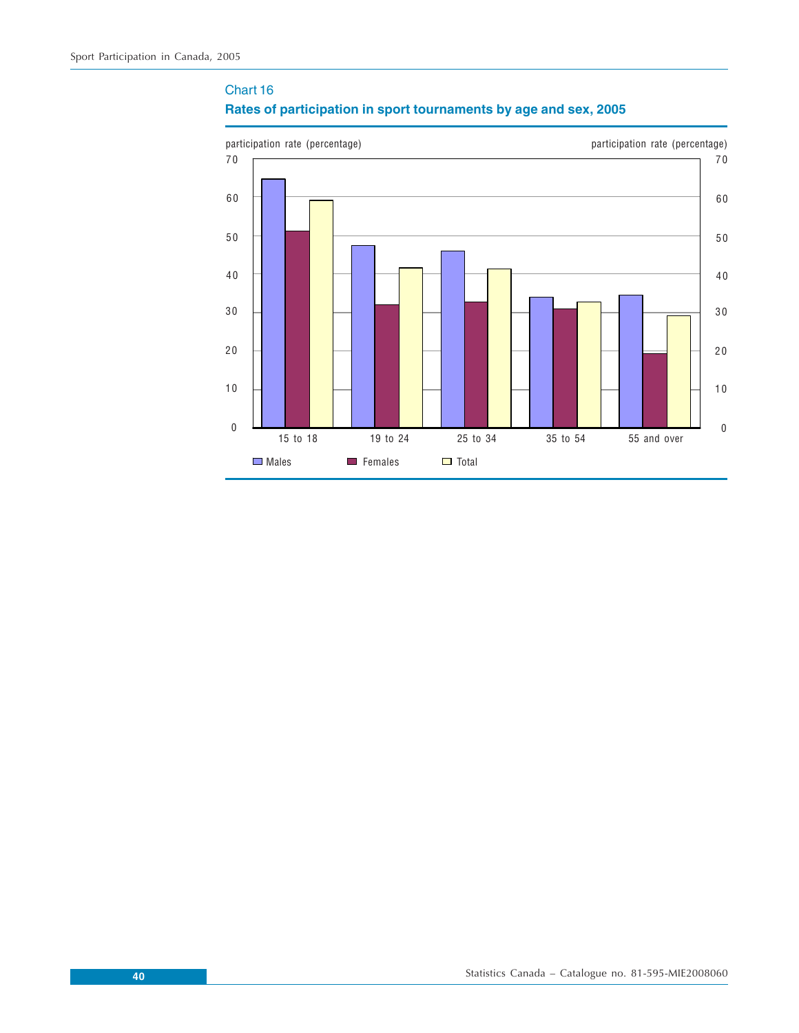# Chart 16 **Rates of participation in sport tournaments by age and sex, 2005**

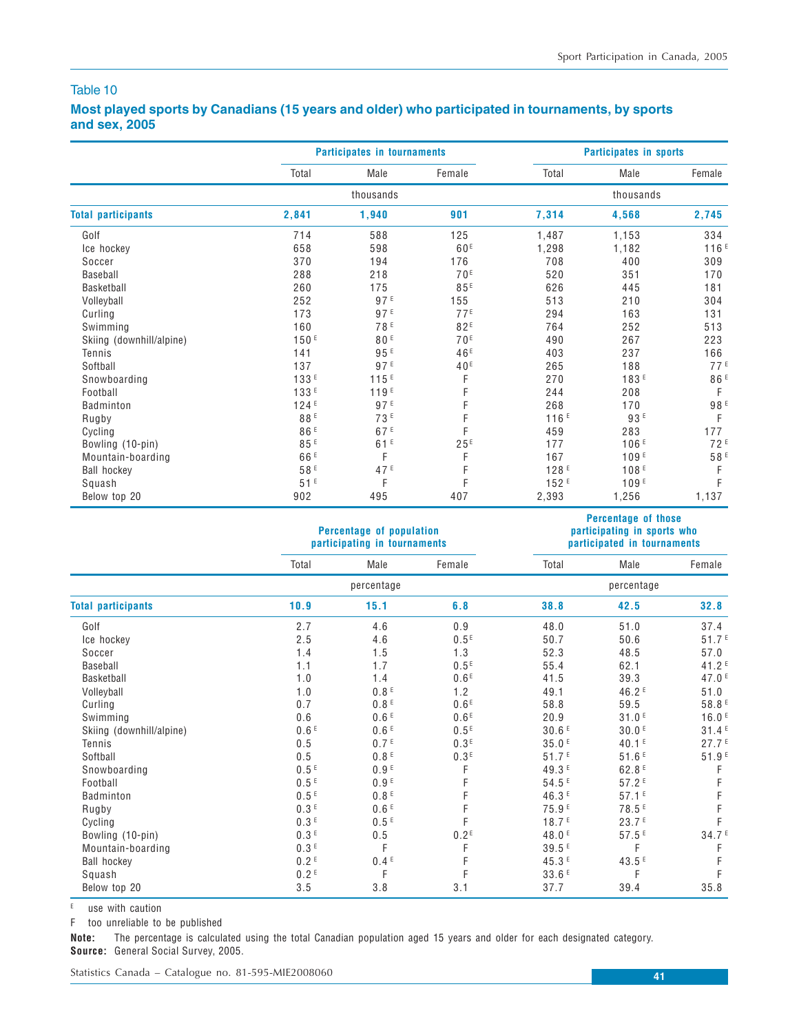**Percentage of those**

### Table 10

# **Most played sports by Canadians (15 years and older) who participated in tournaments, by sports and sex, 2005**

|                           |                 | <b>Participates in tournaments</b> |                 | <b>Participates in sports</b> |                  |                 |  |
|---------------------------|-----------------|------------------------------------|-----------------|-------------------------------|------------------|-----------------|--|
|                           | Total           | Male                               | Female          | Total                         | Male             | Female          |  |
|                           |                 | thousands                          |                 |                               | thousands        |                 |  |
| <b>Total participants</b> | 2,841           | 1,940                              | 901             | 7,314                         | 4,568            | 2,745           |  |
| Golf                      | 714             | 588                                | 125             | 1,487                         | 1,153            | 334             |  |
| Ice hockey                | 658             | 598                                | 60 <sup>E</sup> | 1,298                         | 1,182            | 116F            |  |
| Soccer                    | 370             | 194                                | 176             | 708                           | 400              | 309             |  |
| Baseball                  | 288             | 218                                | 70 <sup>E</sup> | 520                           | 351              | 170             |  |
| Basketball                | 260             | 175                                | 85E             | 626                           | 445              | 181             |  |
| Volleyball                | 252             | 97E                                | 155             | 513                           | 210              | 304             |  |
| Curling                   | 173             | 97 <sup>E</sup>                    | 77E             | 294                           | 163              | 131             |  |
| Swimming                  | 160             | 78 <sup>E</sup>                    | 82 <sup>E</sup> | 764                           | 252              | 513             |  |
| Skiing (downhill/alpine)  | 150F            | 80E                                | 70 <sup>E</sup> | 490                           | 267              | 223             |  |
| Tennis                    | 141             | 95 <sup>E</sup>                    | 46 <sup>E</sup> | 403                           | 237              | 166             |  |
| Softball                  | 137             | 97E                                | 40 <sup>E</sup> | 265                           | 188              | 77 <sup>E</sup> |  |
| Snowboarding              | 133E            | 115E                               | F               | 270                           | 183 <sup>E</sup> | 86 <sup>E</sup> |  |
| Football                  | 133E            | 119E                               |                 | 244                           | 208              | F               |  |
| Badminton                 | 124E            | 97E                                |                 | 268                           | 170              | 98 E            |  |
| Rugby                     | 88E             | 73E                                |                 | 116E                          | 93E              | F               |  |
| Cycling                   | 86 <sup>E</sup> | 67 <sup>E</sup>                    | F               | 459                           | 283              | 177             |  |
| Bowling (10-pin)          | 85E             | 61E                                | 25E             | 177                           | 106E             | 72F             |  |
| Mountain-boarding         | 66 <sup>E</sup> | F                                  | F               | 167                           | 109F             | 58 <sup>E</sup> |  |
| <b>Ball hockey</b>        | 58E             | 47 <sup>E</sup>                    | F               | 128 <sup>E</sup>              | 108E             | F               |  |
| Squash                    | 51E             | F                                  | F               | 152E                          | 109E             | F               |  |
| Below top 20              | 902             | 495                                | 407             | 2,393                         | 1,256            | 1,137           |  |

|                           |                  | Percentage of population<br>participating in tournaments |                  | participating in sports who<br>participated in tournaments |                   |                   |  |
|---------------------------|------------------|----------------------------------------------------------|------------------|------------------------------------------------------------|-------------------|-------------------|--|
|                           | Total            | Male                                                     | Female           | Total                                                      | Male              | Female            |  |
|                           |                  | percentage                                               |                  |                                                            | percentage        |                   |  |
| <b>Total participants</b> | 10.9             | 15.1                                                     | 6.8              | 38.8                                                       | 42.5              | 32.8              |  |
| Golf                      | 2.7              | 4.6                                                      | 0.9              | 48.0                                                       | 51.0              | 37.4              |  |
| Ice hockey                | 2.5              | 4.6                                                      | 0.5 <sup>E</sup> | 50.7                                                       | 50.6              | 51.7E             |  |
| Soccer                    | 1.4              | 1.5                                                      | 1.3              | 52.3                                                       | 48.5              | 57.0              |  |
| Baseball                  | 1.1              | 1.7                                                      | 0.5 <sup>E</sup> | 55.4                                                       | 62.1              | 41.2 <sup>E</sup> |  |
| Basketball                | 1.0              | 1.4                                                      | 0.6 <sup>E</sup> | 41.5                                                       | 39.3              | 47.0 <sup>E</sup> |  |
| Volleyball                | 1.0              | 0.8 <sup>E</sup>                                         | 1.2              | 49.1                                                       | 46.2 <sup>E</sup> | 51.0              |  |
| Curling                   | 0.7              | 0.8 <sup>E</sup>                                         | 0.6 <sup>E</sup> | 58.8                                                       | 59.5              | 58.8 <sup>E</sup> |  |
| Swimming                  | 0.6              | 0.6 <sup>E</sup>                                         | 0.6 <sup>E</sup> | 20.9                                                       | 31.0 <sup>E</sup> | 16.0 <sup>E</sup> |  |
| Skiing (downhill/alpine)  | 0.6 <sup>E</sup> | 0.6 <sup>E</sup>                                         | 0.5 <sup>E</sup> | 30.6E                                                      | 30.0 <sup>E</sup> | 31.4E             |  |
| Tennis                    | 0.5              | 0.7 <sup>E</sup>                                         | 0.3E             | 35.0E                                                      | 40.1 <sup>E</sup> | 27.7E             |  |
| Softball                  | 0.5              | 0.8 <sup>E</sup>                                         | 0.3 <sup>E</sup> | 51.7 <sup>E</sup>                                          | 51.6E             | 51.9 <sup>E</sup> |  |
| Snowboarding              | 0.5E             | 0.9 <sup>E</sup>                                         | F                | 49.3 <sup>E</sup>                                          | 62.8 <sup>E</sup> | F                 |  |
| Football                  | 0.5E             | 0.9 <sup>E</sup>                                         |                  | 54.5E                                                      | 57.2E             | F                 |  |
| <b>Badminton</b>          | 0.5E             | 0.8 <sup>E</sup>                                         |                  | 46.3 <sup>E</sup>                                          | 57.1E             | F                 |  |
| Rugby                     | 0.3 <sup>E</sup> | 0.6 <sup>E</sup>                                         |                  | 75.9 <sup>E</sup>                                          | 78.5 <sup>E</sup> | F                 |  |
| Cycling                   | 0.3 <sup>E</sup> | 0.5 <sup>E</sup>                                         | F                | 18.7 <sup>E</sup>                                          | 23.7 <sup>E</sup> | F                 |  |
| Bowling (10-pin)          | 0.3E             | $0.5\,$                                                  | 0.2 <sup>E</sup> | 48.0 <sup>E</sup>                                          | 57.5E             | 34.7 <sup>E</sup> |  |
| Mountain-boarding         | 0.3E             | F                                                        | F                | 39.5 <sup>E</sup>                                          | F                 | F                 |  |
| <b>Ball hockey</b>        | 0.2 <sup>E</sup> | 0.4 <sup>E</sup>                                         | F                | 45.3 <sup>E</sup>                                          | 43.5 <sup>E</sup> | F                 |  |
| Squash                    | 0.2 <sup>E</sup> | F                                                        | F                | 33.6E                                                      | F                 | F                 |  |
| Below top 20              | 3.5              | 3.8                                                      | 3.1              | 37.7                                                       | 39.4              | 35.8              |  |

 $E$  use with caution

F too unreliable to be published

**Note:** The percentage is calculated using the total Canadian population aged 15 years and older for each designated category. **Source:** General Social Survey, 2005.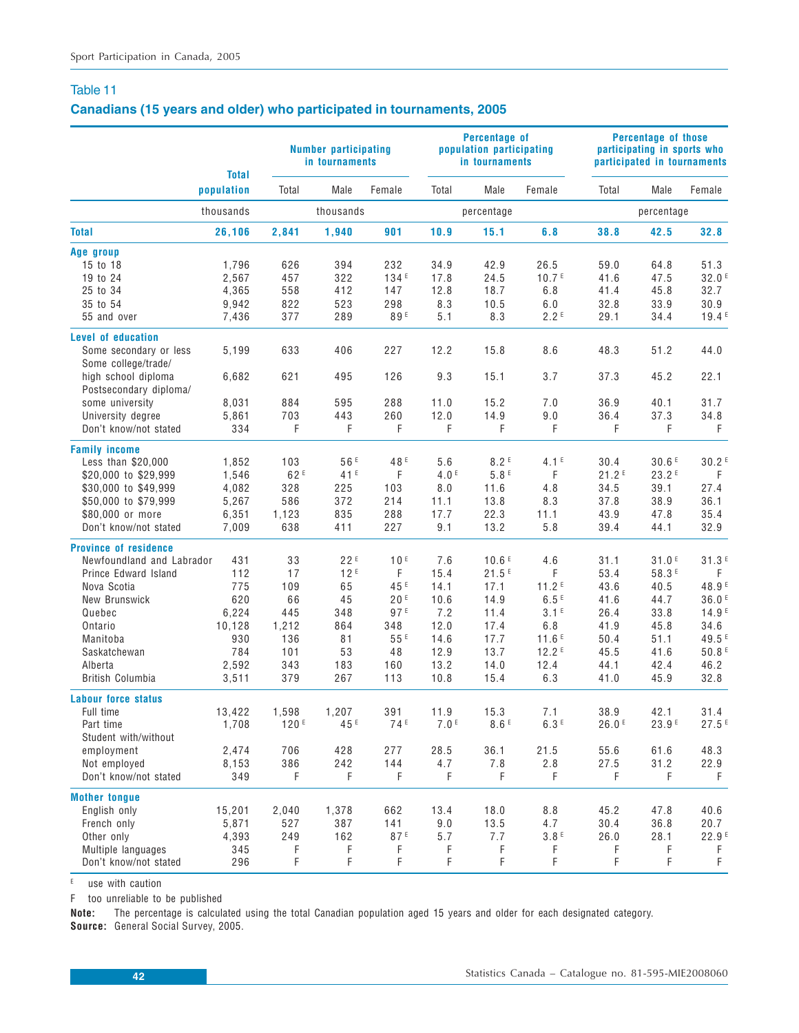## **Canadians (15 years and older) who participated in tournaments, 2005**

|                              | <b>Total</b> |                 | Number participating<br>in tournaments |                 |                  | <b>Percentage of</b><br>population participating<br>in tournaments |                   |       | <b>Percentage of those</b><br>participating in sports who<br>participated in tournaments |                   |
|------------------------------|--------------|-----------------|----------------------------------------|-----------------|------------------|--------------------------------------------------------------------|-------------------|-------|------------------------------------------------------------------------------------------|-------------------|
|                              | population   | Total           | Male                                   | Female          | Total            | Male                                                               | Female            | Total | Male                                                                                     | Female            |
|                              | thousands    |                 | thousands                              |                 |                  | percentage                                                         |                   |       | percentage                                                                               |                   |
| <b>Total</b>                 | 26,106       | 2,841           | 1,940                                  | 901             | 10.9             | 15.1                                                               | 6.8               | 38.8  | 42.5                                                                                     | 32.8              |
| Age group                    |              |                 |                                        |                 |                  |                                                                    |                   |       |                                                                                          |                   |
| 15 to 18                     | 1,796        | 626             | 394                                    | 232             | 34.9             | 42.9                                                               | 26.5              | 59.0  | 64.8                                                                                     | 51.3              |
| 19 to 24                     | 2,567        | 457             | 322                                    | 134E            | 17.8             | 24.5                                                               | 10.7 <sup>E</sup> | 41.6  | 47.5                                                                                     | 32.0 <sup>E</sup> |
| 25 to 34                     | 4,365        | 558             | 412                                    | 147             | 12.8             | 18.7                                                               | 6.8               | 41.4  | 45.8                                                                                     | 32.7              |
| 35 to 54                     | 9,942        | 822             | 523                                    | 298             | 8.3              | 10.5                                                               | 6.0               | 32.8  | 33.9                                                                                     | 30.9              |
| 55 and over                  | 7,436        | 377             | 289                                    | 89E             | 5.1              | 8.3                                                                | 2.2E              | 29.1  | 34.4                                                                                     | 19.4 <sup>E</sup> |
| Level of education           |              |                 |                                        |                 |                  |                                                                    |                   |       |                                                                                          |                   |
| Some secondary or less       | 5,199        | 633             | 406                                    | 227             | 12.2             | 15.8                                                               | 8.6               | 48.3  | 51.2                                                                                     | 44.0              |
| Some college/trade/          |              |                 |                                        |                 |                  |                                                                    |                   |       |                                                                                          |                   |
| high school diploma          | 6,682        | 621             | 495                                    | 126             | 9.3              | 15.1                                                               | 3.7               | 37.3  | 45.2                                                                                     | 22.1              |
| Postsecondary diploma/       |              |                 |                                        |                 |                  |                                                                    |                   |       |                                                                                          |                   |
| some university              | 8,031        | 884             | 595                                    | 288             | 11.0             | 15.2                                                               | 7.0               | 36.9  | 40.1                                                                                     | 31.7              |
| University degree            | 5,861        | 703             | 443                                    | 260             | 12.0             | 14.9                                                               | 9.0               | 36.4  | 37.3                                                                                     | 34.8              |
| Don't know/not stated        | 334          | F               | F                                      | F               | F                | F                                                                  | F                 | F     | F                                                                                        | F                 |
| <b>Family income</b>         |              |                 |                                        |                 |                  |                                                                    |                   |       |                                                                                          |                   |
| Less than \$20,000           | 1,852        | 103             | 56 <sup>E</sup>                        | 48 <sup>E</sup> | 5.6              | 8.2E                                                               | 4.1 <sup>E</sup>  | 30.4  | 30.6E                                                                                    | 30.2 <sup>E</sup> |
| \$20,000 to \$29,999         | 1,546        | 62 <sup>E</sup> | 41E                                    | F               | 4.0 <sup>E</sup> | 5.8E                                                               | F                 | 21.2E | 23.2E                                                                                    | $\mathsf F$       |
| \$30,000 to \$49,999         | 4,082        | 328             | 225                                    | 103             | 8.0              | 11.6                                                               | 4.8               | 34.5  | 39.1                                                                                     | 27.4              |
| \$50,000 to \$79,999         | 5,267        | 586             | 372                                    | 214             | 11.1             | 13.8                                                               | 8.3               | 37.8  | 38.9                                                                                     | 36.1              |
| \$80,000 or more             | 6,351        | 1,123           | 835                                    | 288             | 17.7             | 22.3                                                               | 11.1              | 43.9  | 47.8                                                                                     | 35.4              |
| Don't know/not stated        | 7,009        | 638             | 411                                    | 227             | 9.1              | 13.2                                                               | 5.8               | 39.4  | 44.1                                                                                     | 32.9              |
| <b>Province of residence</b> |              |                 |                                        |                 |                  |                                                                    |                   |       |                                                                                          |                   |
| Newfoundland and Labrador    | 431          | 33              | 22E                                    | 10 <sup>E</sup> | 7.6              | 10.6 <sup>E</sup>                                                  | 4.6               | 31.1  | 31.0E                                                                                    | 31.3E             |
| Prince Edward Island         | 112          | 17              | 12E                                    | F               | 15.4             | 21.5E                                                              | F                 | 53.4  | 58.3 <sup>E</sup>                                                                        | F                 |
|                              |              |                 |                                        | 45 <sup>E</sup> |                  |                                                                    |                   |       |                                                                                          |                   |
| Nova Scotia                  | 775          | 109             | 65                                     |                 | 14.1             | 17.1                                                               | 11.2 <sup>E</sup> | 43.6  | 40.5                                                                                     | 48.9 <sup>E</sup> |
| New Brunswick                | 620          | 66              | 45                                     | 20E             | 10.6             | 14.9                                                               | 6.5E              | 41.6  | 44.7                                                                                     | 36.0E             |
| Quebec                       | 6,224        | 445             | 348                                    | 97E             | 7.2              | 11.4                                                               | 3.1 <sup>E</sup>  | 26.4  | 33.8                                                                                     | 14.9 <sup>E</sup> |
| Ontario                      | 10,128       | 1,212           | 864                                    | 348             | 12.0             | 17.4                                                               | 6.8               | 41.9  | 45.8                                                                                     | 34.6              |
| Manitoba                     | 930          | 136             | 81                                     | $55E$           | 14.6             | 17.7                                                               | 11.6E             | 50.4  | 51.1                                                                                     | 49.5 <sup>E</sup> |
| Saskatchewan                 | 784          | 101             | 53                                     | 48              | 12.9             | 13.7                                                               | 12.2E             | 45.5  | 41.6                                                                                     | 50.8 <sup>E</sup> |
| Alberta                      | 2,592        | 343             | 183                                    | 160             | 13.2             | 14.0                                                               | 12.4              | 44.1  | 42.4                                                                                     | 46.2              |
| British Columbia             | 3,511        | 379             | 267                                    | 113             | 10.8             | 15.4                                                               | 6.3               | 41.0  | 45.9                                                                                     | 32.8              |
| Labour force status          |              |                 |                                        |                 |                  |                                                                    |                   |       |                                                                                          |                   |
| Full time                    | 13,422       | 1,598           | 1,207                                  | 391             | 11.9             | 15.3                                                               | 7.1               | 38.9  | 42.1                                                                                     | 31.4              |
| Part time                    | 1,708        | 120F            | 45 <sup>E</sup>                        | 74 <sup>E</sup> | 7.0 <sup>E</sup> | 8.6E                                                               | 6.3E              | 26.0E | 23.9 <sup>E</sup>                                                                        | 27.5E             |
| Student with/without         |              |                 |                                        |                 |                  |                                                                    |                   |       |                                                                                          |                   |
| employment                   | 2,474        | 706             | 428                                    | 277             | 28.5             | 36.1                                                               | 21.5              | 55.6  | 61.6                                                                                     | 48.3              |
| Not employed                 | 8,153        | 386             | 242                                    | 144             | 4.7              | 7.8                                                                | 2.8               | 27.5  | 31.2                                                                                     | 22.9              |
| Don't know/not stated        | 349          | F               | F                                      | F               | F                | F                                                                  | F                 | F     | F                                                                                        | F                 |
| <b>Mother tongue</b>         |              |                 |                                        |                 |                  |                                                                    |                   |       |                                                                                          |                   |
| English only                 | 15,201       | 2,040           | 1,378                                  | 662             | 13.4             | 18.0                                                               | 8.8               | 45.2  | 47.8                                                                                     | 40.6              |
| French only                  | 5,871        | 527             | 387                                    | 141             | 9.0              | 13.5                                                               | 4.7               | 30.4  | 36.8                                                                                     | 20.7              |
| Other only                   | 4,393        | 249             | 162                                    | 87E             | 5.7              | 7.7                                                                | 3.8E              | 26.0  | 28.1                                                                                     | 22.9 <sup>E</sup> |
| Multiple languages           | 345          | F               | F                                      | F               | F                | F                                                                  | F                 | F     | F                                                                                        | F                 |
| Don't know/not stated        | 296          | F               | F                                      | F               | F                | F                                                                  | F                 | F     | F                                                                                        | F                 |
|                              |              |                 |                                        |                 |                  |                                                                    |                   |       |                                                                                          |                   |

 $E$  use with caution

F too unreliable to be published

**Note:** The percentage is calculated using the total Canadian population aged 15 years and older for each designated category. **Source:** General Social Survey, 2005.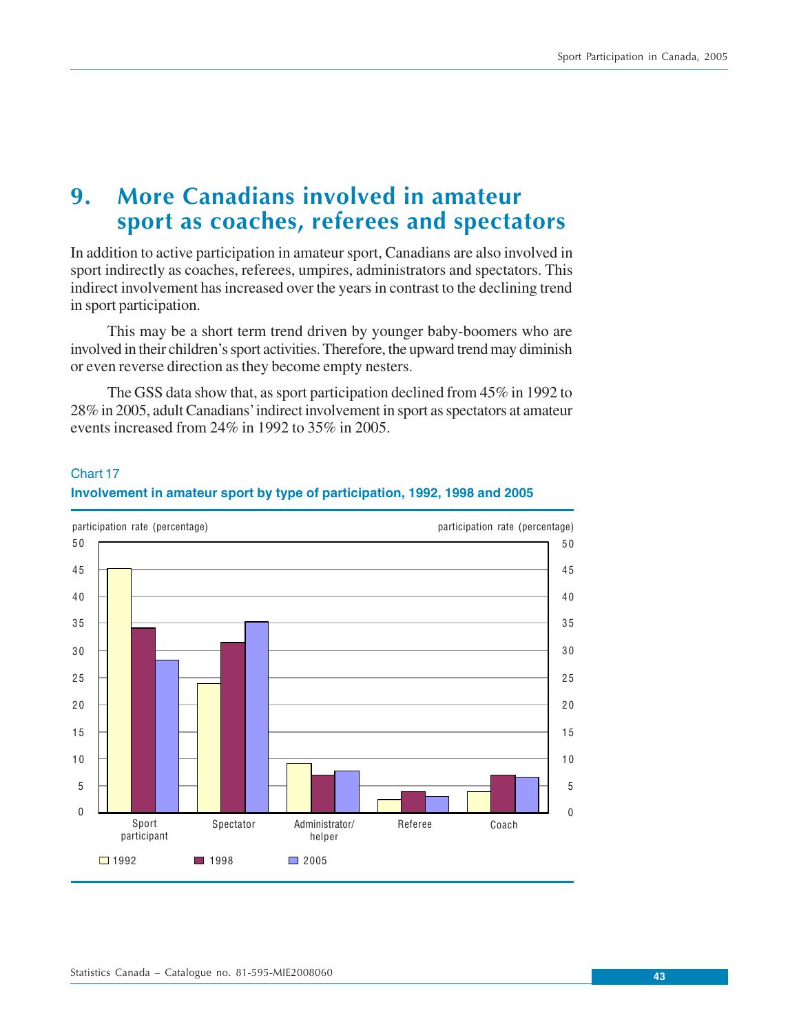# **9. More Canadians involved in amateur sport as coaches, referees and spectators**

In addition to active participation in amateur sport, Canadians are also involved in sport indirectly as coaches, referees, umpires, administrators and spectators. This indirect involvement has increased over the years in contrast to the declining trend in sport participation.

This may be a short term trend driven by younger baby-boomers who are involved in their children's sport activities. Therefore, the upward trend may diminish or even reverse direction as they become empty nesters.

The GSS data show that, as sport participation declined from 45% in 1992 to 28% in 2005, adult Canadians' indirect involvement in sport as spectators at amateur events increased from 24% in 1992 to 35% in 2005.

# 5 0  $\Box$  1992  $\Box$  1998  $\Box$  2005 participation rate (percentage) participation rate (percentage) 5 0 4 0 4 0 2 5 2 5 2 0 2 0 1 0 1 0 0 <u>LL Booth | Booth | Booth | Booth | Booth | Booth | Booth |</u> Sport participant Spectator Administrator/ helper Referee Coach 3 0 3 0 35 H <u>Louis and the second state of the second state of the second state of</u> 35  $\sim$ 5 5 4 5 4 5 1 5 1 5

# Chart 17 **Involvement in amateur sport by type of participation, 1992, 1998 and 2005**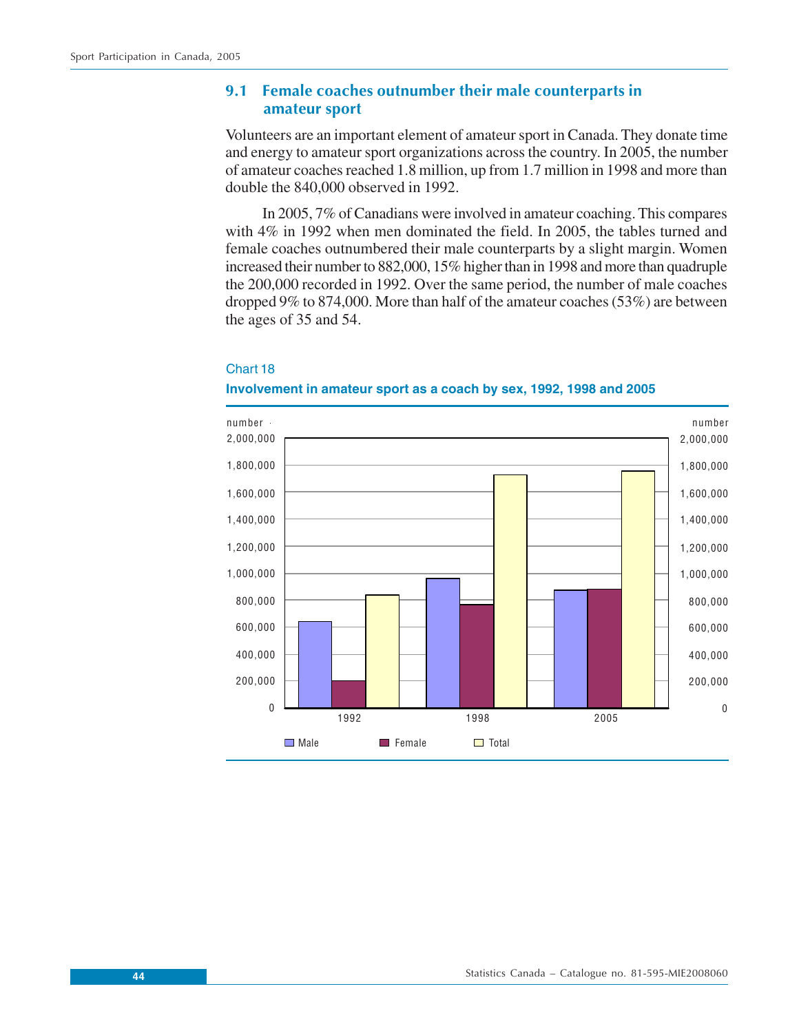# **9.1 Female coaches outnumber their male counterparts in amateur sport**

Volunteers are an important element of amateur sport in Canada. They donate time and energy to amateur sport organizations across the country. In 2005, the number of amateur coaches reached 1.8 million, up from 1.7 million in 1998 and more than double the 840,000 observed in 1992.

In 2005, 7% of Canadians were involved in amateur coaching. This compares with 4% in 1992 when men dominated the field. In 2005, the tables turned and female coaches outnumbered their male counterparts by a slight margin. Women increased their number to 882,000, 15% higher than in 1998 and more than quadruple the 200,000 recorded in 1992. Over the same period, the number of male coaches dropped 9% to 874,000. More than half of the amateur coaches (53%) are between the ages of 35 and 54.



## Chart 18

#### **Involvement in amateur sport as a coach by sex, 1992, 1998 and 2005**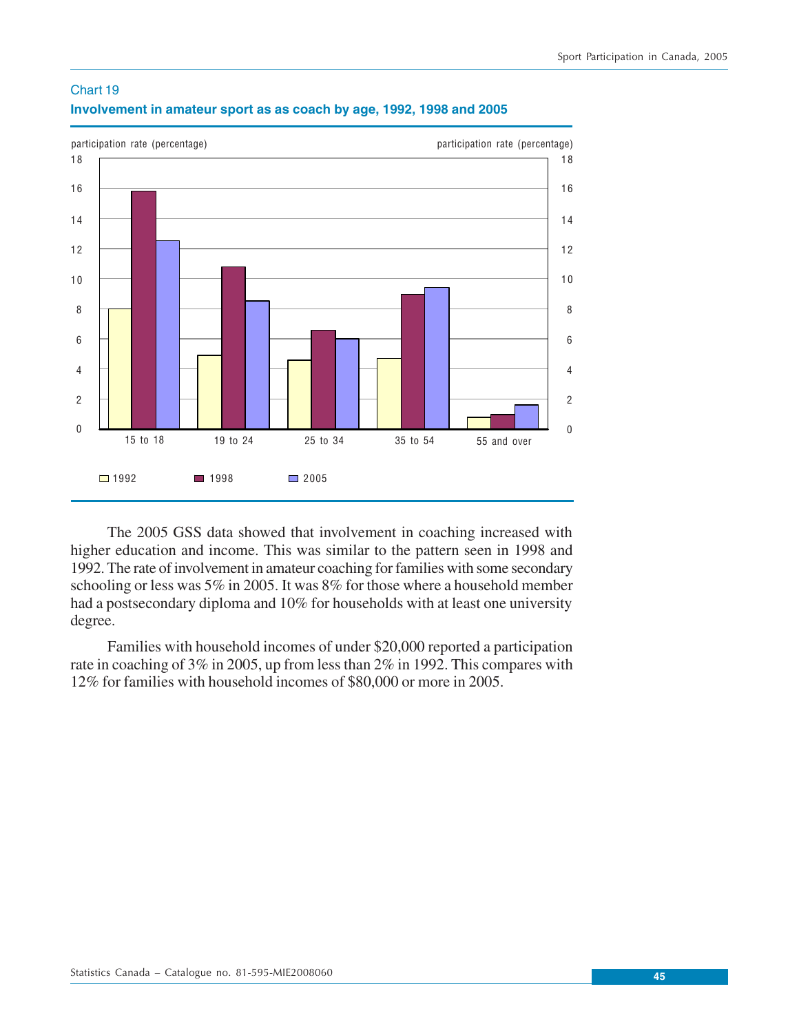

# Chart 19 **Involvement in amateur sport as as coach by age, 1992, 1998 and 2005**

The 2005 GSS data showed that involvement in coaching increased with higher education and income. This was similar to the pattern seen in 1998 and 1992. The rate of involvement in amateur coaching for families with some secondary schooling or less was 5% in 2005. It was 8% for those where a household member had a postsecondary diploma and 10% for households with at least one university degree.

Families with household incomes of under \$20,000 reported a participation rate in coaching of 3% in 2005, up from less than 2% in 1992. This compares with 12% for families with household incomes of \$80,000 or more in 2005.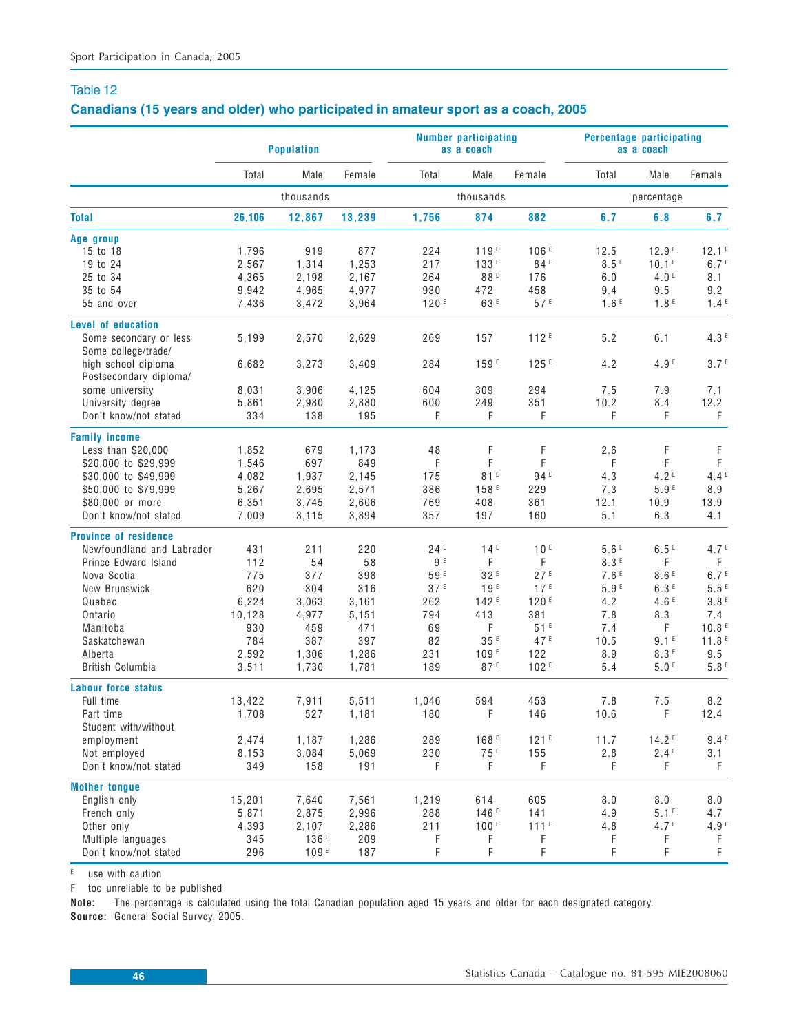## **Canadians (15 years and older) who participated in amateur sport as a coach, 2005**

|                                               | <b>Population</b> |           |        |       | <b>Number participating</b><br>as a coach |                  | Percentage participating<br>as a coach |                   |                   |
|-----------------------------------------------|-------------------|-----------|--------|-------|-------------------------------------------|------------------|----------------------------------------|-------------------|-------------------|
|                                               | Total             | Male      | Female | Total | Male                                      | Female           | Total                                  | Male              | Female            |
|                                               |                   | thousands |        |       | thousands                                 |                  |                                        | percentage        |                   |
| <b>Total</b>                                  | 26,106            | 12,867    | 13,239 | 1,756 | 874                                       | 882              | 6.7                                    | 6.8               | 6.7               |
| Age group                                     |                   |           |        |       |                                           |                  |                                        |                   |                   |
| 15 to 18                                      | 1,796             | 919       | 877    | 224   | 119E                                      | 106E             | 12.5                                   | 12.9E             | 12.1 <sup>E</sup> |
| 19 to 24                                      | 2,567             | 1,314     | 1,253  | 217   | 133 <sup>E</sup>                          | 84 <sup>E</sup>  | 8.5E                                   | 10.1 <sup>E</sup> | 6.7 <sup>E</sup>  |
| 25 to 34                                      | 4,365             | 2,198     | 2,167  | 264   | 88E                                       | 176              | 6.0                                    | 4.0 <sup>E</sup>  | 8.1               |
| 35 to 54                                      | 9,942             | 4,965     | 4,977  | 930   | 472                                       | 458              | 9.4                                    | 9.5               | 9.2               |
| 55 and over                                   | 7,436             | 3,472     | 3,964  | 120E  | 63 <sup>E</sup>                           | 57E              | 1.6E                                   | 1.8 <sup>E</sup>  | 1.4E              |
| <b>Level of education</b>                     |                   |           |        |       |                                           |                  |                                        |                   |                   |
| Some secondary or less                        | 5,199             | 2,570     | 2,629  | 269   | 157                                       | 112E             | 5.2                                    | 6.1               | 4.3E              |
| Some college/trade/                           |                   |           |        |       |                                           |                  |                                        |                   |                   |
| high school diploma<br>Postsecondary diploma/ | 6,682             | 3,273     | 3,409  | 284   | 159 <sup>E</sup>                          | 125F             | 4.2                                    | 4.9 <sup>E</sup>  | 3.7 <sup>E</sup>  |
| some university                               | 8,031             | 3,906     | 4,125  | 604   | 309                                       | 294              | 7.5                                    | 7.9               | 7.1               |
| University degree                             | 5,861             | 2,980     | 2,880  | 600   | 249                                       | 351              | 10.2                                   | 8.4               | 12.2              |
| Don't know/not stated                         | 334               | 138       | 195    | F     | F                                         | F                | F                                      | F.                | F                 |
| <b>Family income</b>                          |                   |           |        |       |                                           |                  |                                        |                   |                   |
| Less than \$20,000                            | 1,852             | 679       | 1,173  | 48    | F                                         | F                | 2.6                                    | F                 | F                 |
| \$20,000 to \$29,999                          | 1,546             | 697       | 849    | F     | F                                         | F                | F                                      | F                 | F                 |
| \$30,000 to \$49,999                          | 4,082             | 1,937     | 2,145  | 175   | 81E                                       | 94 <sup>E</sup>  | 4.3                                    | 4.2 <sup>E</sup>  | 4.4E              |
| \$50,000 to \$79,999                          | 5,267             | 2,695     | 2,571  | 386   | 158 <sup>E</sup>                          | 229              | 7.3                                    | 5.9E              | 8.9               |
| \$80,000 or more                              | 6,351             | 3,745     | 2,606  | 769   | 408                                       | 361              | 12.1                                   | 10.9              | 13.9              |
| Don't know/not stated                         | 7,009             | 3,115     | 3,894  | 357   | 197                                       | 160              | 5.1                                    | 6.3               | 4.1               |
| <b>Province of residence</b>                  |                   |           |        |       |                                           |                  |                                        |                   |                   |
| Newfoundland and Labrador                     | 431               | 211       | 220    | 24E   | 14 <sup>E</sup>                           | 10 <sup>E</sup>  | 5.6E                                   | 6.5E              | 4.7 <sup>E</sup>  |
| Prince Edward Island                          | 112               | 54        | 58     | 9 E   | F                                         | F                | 8.3E                                   | F                 | F                 |
| Nova Scotia                                   | 775               | 377       | 398    | 59E   | 32E                                       | 27E              | 7.6E                                   | 8.6E              | 6.7 <sup>E</sup>  |
| New Brunswick                                 | 620               | 304       | 316    | 37E   | 19E                                       | 17 <sup>E</sup>  | 5.9 <sup>E</sup>                       | 6.3E              | 5.5E              |
| Quebec                                        | 6,224             | 3,063     | 3,161  | 262   | 142E                                      | 120E             | 4.2                                    | 4.6E              | 3.8E              |
| Ontario                                       | 10,128            | 4,977     | 5,151  | 794   | 413                                       | 381              | 7.8                                    | 8.3               | 7.4               |
| Manitoba                                      | 930               | 459       | 471    | 69    | F                                         | 51E              | 7.4                                    | F                 | 10.8 <sup>E</sup> |
| Saskatchewan                                  | 784               | 387       | 397    | 82    | 35 <sup>E</sup>                           | 47 <sup>E</sup>  | 10.5                                   | 9.1 <sup>E</sup>  | 11.8 <sup>E</sup> |
| Alberta                                       | 2,592             | 1,306     | 1,286  | 231   | 109E                                      | 122              | 8.9                                    | 8.3E              | 9.5               |
| British Columbia                              | 3,511             | 1,730     | 1,781  | 189   | 87E                                       | 102 <sup>E</sup> | 5.4                                    | 5.0 <sup>E</sup>  | 5.8E              |
| <b>Labour force status</b>                    |                   |           |        |       |                                           |                  |                                        |                   |                   |
| Full time                                     | 13,422            | 7,911     | 5,511  | 1,046 | 594                                       | 453              | 7.8                                    | 7.5               | 8.2               |
| Part time                                     | 1,708             | 527       | 1,181  | 180   | F                                         | 146              | 10.6                                   | F                 | 12.4              |
| Student with/without                          |                   |           |        |       |                                           |                  |                                        |                   |                   |
| employment                                    | 2,474             | 1,187     | 1,286  | 289   | 168 <sup>E</sup>                          | 121E             | 11.7                                   | 14.2E             | 9.4E              |
| Not employed                                  | 8,153             | 3,084     | 5,069  | 230   | 75 <sup>E</sup>                           | 155              | 2.8                                    | 2.4F              | 3.1               |
| Don't know/not stated                         | 349               | 158       | 191    | F.    | F                                         | F                | F                                      | F.                | F                 |
|                                               |                   |           |        |       |                                           |                  |                                        |                   |                   |
| <b>Mother tongue</b><br>English only          | 15,201            | 7,640     | 7,561  | 1,219 | 614                                       | 605              | 8.0                                    | 8.0               | 8.0               |
| French only                                   | 5,871             | 2,875     | 2,996  | 288   | 146 <sup>E</sup>                          | 141              | 4.9                                    | 5.1 <sup>E</sup>  | 4.7               |
| Other only                                    | 4,393             | 2,107     | 2,286  | 211   | 100E                                      | $111^E$          | 4.8                                    | 4.7 <sup>E</sup>  | 4.9 <sup>E</sup>  |
| Multiple languages                            | 345               | 136E      | 209    | F     | F                                         | F                | F                                      | F                 | F                 |
| Don't know/not stated                         | 296               | 109E      | 187    | F     | F                                         | F                | F.                                     | F                 | $\mathsf F$       |
|                                               |                   |           |        |       |                                           |                  |                                        |                   |                   |

E use with caution

F too unreliable to be published

**Note:** The percentage is calculated using the total Canadian population aged 15 years and older for each designated category. **Source:** General Social Survey, 2005.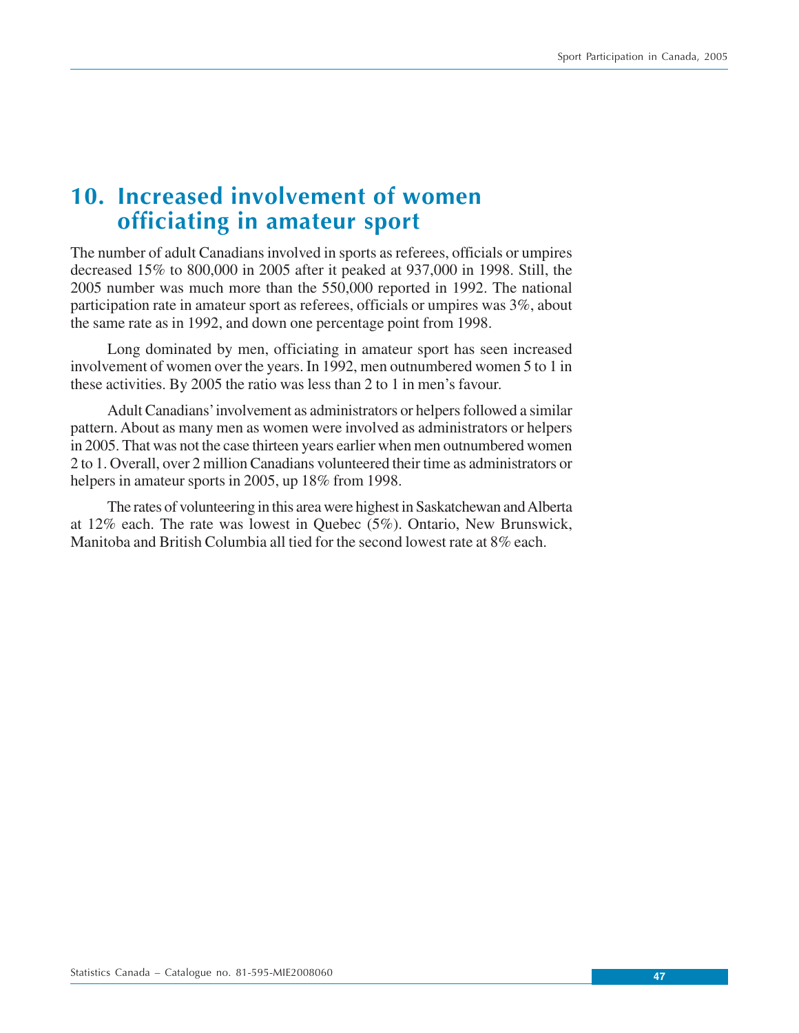# **10. Increased involvement of women officiating in amateur sport**

The number of adult Canadians involved in sports as referees, officials or umpires decreased 15% to 800,000 in 2005 after it peaked at 937,000 in 1998. Still, the 2005 number was much more than the 550,000 reported in 1992. The national participation rate in amateur sport as referees, officials or umpires was 3%, about the same rate as in 1992, and down one percentage point from 1998.

Long dominated by men, officiating in amateur sport has seen increased involvement of women over the years. In 1992, men outnumbered women 5 to 1 in these activities. By 2005 the ratio was less than 2 to 1 in men's favour.

Adult Canadians' involvement as administrators or helpers followed a similar pattern. About as many men as women were involved as administrators or helpers in 2005. That was not the case thirteen years earlier when men outnumbered women 2 to 1. Overall, over 2 million Canadians volunteered their time as administrators or helpers in amateur sports in 2005, up 18% from 1998.

The rates of volunteering in this area were highest in Saskatchewan and Alberta at 12% each. The rate was lowest in Quebec (5%). Ontario, New Brunswick, Manitoba and British Columbia all tied for the second lowest rate at 8% each.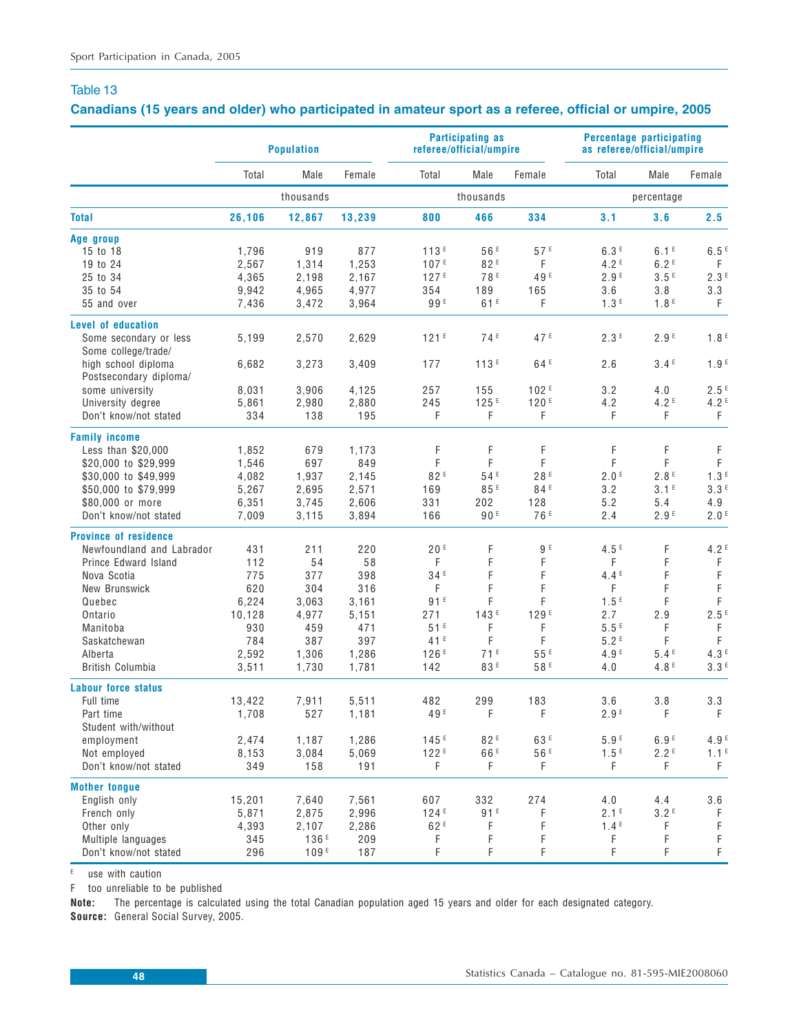## **Canadians (15 years and older) who participated in amateur sport as a referee, official or umpire, 2005**

|                                               | <b>Population</b> |                  |                | referee/official/umpire | <b>Participating as</b> |                  | <b>Percentage participating</b><br>as referee/official/umpire |                  |                         |
|-----------------------------------------------|-------------------|------------------|----------------|-------------------------|-------------------------|------------------|---------------------------------------------------------------|------------------|-------------------------|
|                                               | Total             | Male             | Female         | Total                   | Male                    | Female           | Total                                                         | Male             | Female                  |
|                                               |                   | thousands        |                |                         | thousands               |                  |                                                               | percentage       |                         |
| <b>Total</b>                                  | 26,106            | 12,867           | 13,239         | 800                     | 466                     | 334              | 3.1                                                           | 3.6              | 2.5                     |
| Age group                                     |                   |                  |                |                         |                         |                  |                                                               |                  |                         |
| 15 to 18                                      | 1,796             | 919              | 877            | 113F                    | 56F                     | 57E              | 6.3E                                                          | 6.1 <sup>E</sup> | 6.5E                    |
| 19 to 24                                      | 2,567             | 1,314            | 1,253          | 107E                    | 82F                     | F                | 4.2 <sup>E</sup>                                              | 6.2E             | F                       |
| 25 to 34                                      | 4,365             | 2,198            | 2.167          | 127 <sup>E</sup>        | 78 <sup>E</sup>         | 49 <sup>E</sup>  | 2.9F                                                          | 3.5E             | 2.3E                    |
| 35 to 54                                      | 9,942             | 4,965            | 4,977          | 354                     | 189                     | 165              | 3.6                                                           | 3.8              | 3.3                     |
| 55 and over                                   | 7,436             | 3,472            | 3,964          | 99 <sup>E</sup>         | 61E                     | F                | 1.3 <sup>E</sup>                                              | 1.8 <sup>E</sup> | F                       |
| Level of education                            |                   |                  |                |                         |                         |                  |                                                               |                  |                         |
| Some secondary or less                        | 5,199             | 2,570            | 2,629          | 121F                    | 74 <sup>E</sup>         | 47 <sup>E</sup>  | 2.3E                                                          | 2.9 <sup>E</sup> | 1.8 <sup>E</sup>        |
| Some college/trade/                           |                   |                  |                |                         |                         |                  |                                                               |                  |                         |
| high school diploma<br>Postsecondary diploma/ | 6,682             | 3,273            | 3,409          | 177                     | 113E                    | 64E              | 2.6                                                           | 3.4E             | 1.9 <sup>E</sup>        |
| some university                               | 8,031             | 3,906            | 4,125          | 257                     | 155                     | 102 <sup>E</sup> | 3.2                                                           | 4.0              | 2.5E                    |
| University degree                             | 5,861             | 2,980            | 2,880          | 245                     | 125E                    | 120E             | 4.2                                                           | 4.2 <sup>E</sup> | 4.2E                    |
| Don't know/not stated                         | 334               | 138              | 195            | F                       | F                       | F                | F                                                             | F                | F                       |
| <b>Family income</b>                          |                   |                  |                |                         |                         |                  |                                                               |                  |                         |
| Less than $$20,000$                           | 1,852             | 679              | 1,173          | F                       | F                       | F                | F                                                             | F                | F                       |
| \$20,000 to \$29,999                          | 1,546             | 697              | 849            | F                       | F                       | F                | F                                                             | F                | F                       |
| \$30,000 to \$49,999                          | 4,082             | 1,937            | 2,145          | 82E                     | 54 <sup>E</sup>         | 28E              | 2.0 <sup>E</sup>                                              | 2.8 <sup>E</sup> | 1.3 <sup>E</sup>        |
| \$50,000 to \$79,999                          | 5,267             | 2,695            | 2,571          | 169                     | 85E                     | 84 <sup>E</sup>  | 3.2                                                           | 3.1 <sup>E</sup> | 3.3E                    |
| \$80,000 or more                              |                   | 3,745            |                | 331                     | 202                     | 128              | 5.2                                                           |                  |                         |
| Don't know/not stated                         | 6,351<br>7,009    | 3,115            | 2,606<br>3,894 | 166                     | 90F                     | 76 <sup>E</sup>  | 2.4                                                           | 5.4<br>2.9F      | 4.9<br>2.0 <sup>E</sup> |
| <b>Province of residence</b>                  |                   |                  |                |                         |                         |                  |                                                               |                  |                         |
| Newfoundland and Labrador                     | 431               | 211              | 220            | 20E                     | F                       | 9 <sup>E</sup>   | 4.5 <sup>E</sup>                                              | F                | 4.2 <sup>E</sup>        |
| Prince Edward Island                          | 112               | 54               | 58             | F                       | F                       | F                | F                                                             | F                | $\mathsf F$             |
| Nova Scotia                                   | 775               | 377              | 398            | 34 <sup>E</sup>         | F                       | F                | 4.4E                                                          | F                | $\mathsf F$             |
| New Brunswick                                 | 620               | 304              | 316            | F                       | F                       | F                | F                                                             | F                | F                       |
| Quebec                                        | 6,224             | 3,063            | 3,161          | 91E                     | F                       | F                | 1.5 <sup>E</sup>                                              | F                | F                       |
| Ontario                                       | 10,128            | 4,977            | 5,151          | 271                     | 143E                    | 129 <sup>E</sup> | 2.7                                                           | 2.9              | 2.5E                    |
| Manitoba                                      | 930               | 459              | 471            | 51E                     | F                       | F                | 5.5E                                                          | F                | F                       |
| Saskatchewan                                  | 784               | 387              | 397            | 41 <sup>E</sup>         | F                       | F                | 5.2E                                                          | F                | F                       |
| Alberta                                       | 2,592             | 1,306            | 1,286          | 126E                    | 71E                     | 55 <sup>E</sup>  | 4.9 <sup>E</sup>                                              | 5.4E             | 4.3E                    |
| British Columbia                              | 3,511             | 1,730            | 1,781          | 142                     | 83 <sup>E</sup>         | 58 <sup>E</sup>  | 4.0                                                           | 4.8 <sup>E</sup> | 3.3 <sup>E</sup>        |
| <b>Labour force status</b>                    |                   |                  |                |                         |                         |                  |                                                               |                  |                         |
| Full time                                     | 13,422            | 7,911            | 5,511          | 482                     | 299                     | 183              | 3.6                                                           | 3.8              | 3.3                     |
| Part time                                     | 1,708             | 527              | 1,181          | 49 <sup>E</sup>         | F                       | F                | 2.9F                                                          | F                | F                       |
| Student with/without                          |                   |                  |                |                         |                         |                  |                                                               |                  |                         |
| employment                                    | 2,474             | 1,187            | 1,286          | 145F                    | 82E                     | 63 <sup>E</sup>  | 5.9F                                                          | 6.9F             | 4.9 <sup>E</sup>        |
| Not employed                                  | 8,153             | 3,084            | 5,069          | 122F                    | 66 <sup>E</sup>         | 56 <sup>E</sup>  | 1.5E                                                          | 2.2E             | 1.1 <sup>E</sup>        |
| Don't know/not stated                         | 349               | 158              | 191            | F.                      | F.                      | F                | F.                                                            | F.               | F.                      |
|                                               |                   |                  |                |                         |                         |                  |                                                               |                  |                         |
| <b>Mother tongue</b><br>English only          | 15,201            | 7,640            | 7,561          | 607                     | 332                     | 274              | 4.0                                                           | 4.4              | 3.6                     |
| French only                                   | 5,871             | 2,875            | 2,996          | 124E                    | 91 <sup>E</sup>         | F                | 2.1 <sup>E</sup>                                              | 3.2E             | F                       |
| Other only                                    | 4,393             | 2,107            | 2,286          | 62 <sup>E</sup>         | F                       | F                | 1.4E                                                          | F                | $\mathsf F$             |
| Multiple languages                            | 345               | 136 <sup>E</sup> | 209            | F                       | F                       | F                | F                                                             | F                | F                       |
| Don't know/not stated                         | 296               | 109E             | 187            | F                       | F                       | F                | F                                                             | F                | $\mathsf F$             |
|                                               |                   |                  |                |                         |                         |                  |                                                               |                  |                         |

E use with caution

F too unreliable to be published

**Note:** The percentage is calculated using the total Canadian population aged 15 years and older for each designated category. **Source:** General Social Survey, 2005.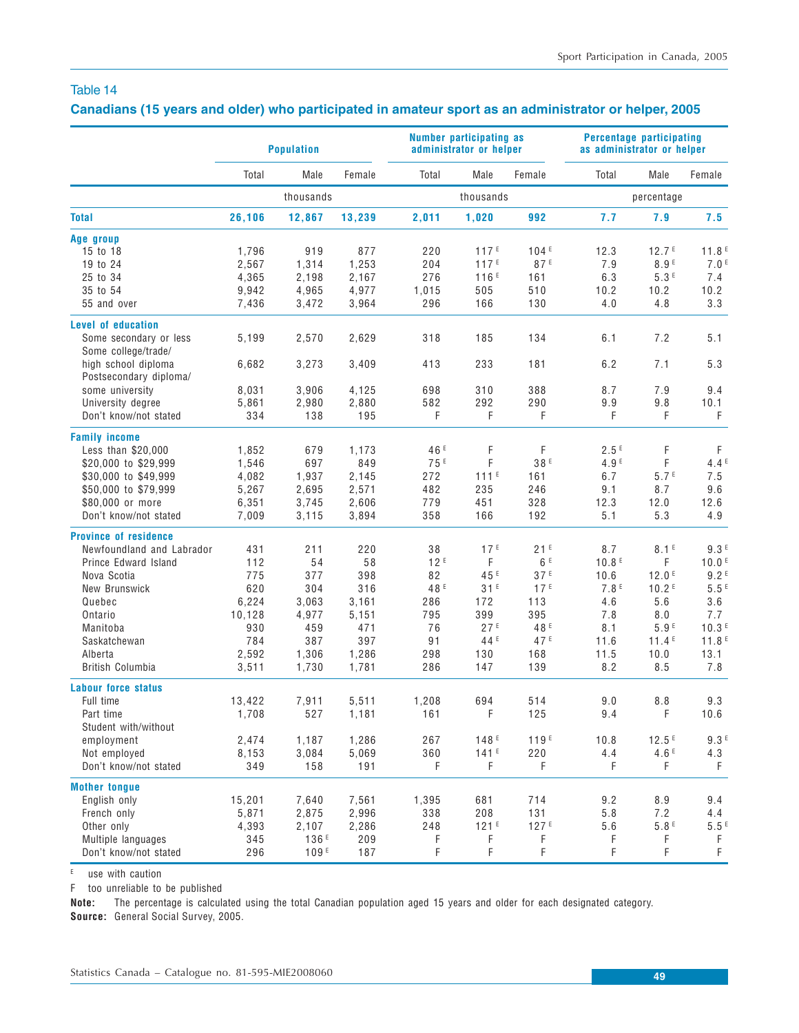## **Canadians (15 years and older) who participated in amateur sport as an administrator or helper, 2005**

| Male<br>Male<br>Female<br>Male<br>Total<br>Female<br>Total<br>Total<br>Female<br>thousands<br>thousands<br>percentage<br>1,020<br>26,106<br>12,867<br>13,239<br>2,011<br>992<br>7.7<br>7.9<br>7.5<br><b>Total</b><br>Age group<br>1,796<br>919<br>877<br>220<br>117 <sup>E</sup><br>104E<br>12.3<br>12.7 <sup>E</sup><br>15 to 18<br>11.8 <sup>E</sup><br>1,253<br>117E<br>87E<br>8.9E<br>7.0 <sup>E</sup><br>19 to 24<br>2,567<br>1,314<br>204<br>7.9<br>276<br>116E<br>5.3E<br>25 to 34<br>4,365<br>2,198<br>2,167<br>161<br>6.3<br>7.4<br>35 to 54<br>9,942<br>4,965<br>1,015<br>505<br>510<br>10.2<br>4,977<br>10.2<br>10.2<br>7,436<br>3,472<br>3,964<br>296<br>166<br>130<br>4.0<br>4.8<br>3.3<br>55 and over<br>Level of education<br>2,570<br>2,629<br>318<br>185<br>134<br>6.1<br>7.2<br>5.1<br>Some secondary or less<br>5,199<br>Some college/trade/<br>high school diploma<br>6,682<br>3,273<br>3,409<br>413<br>233<br>181<br>6.2<br>7.1<br>5.3<br>Postsecondary diploma/<br>388<br>8.7<br>7.9<br>some university<br>8,031<br>3,906<br>4,125<br>698<br>310<br>9.4<br>University degree<br>5,861<br>2,980<br>2,880<br>582<br>292<br>290<br>9.9<br>9.8<br>10.1<br>Don't know/not stated<br>334<br>138<br>195<br>F<br>F<br>F<br>F<br>F<br>F<br><b>Family income</b><br>F<br>F<br>2.5E<br>F<br>1,852<br>679<br>46 <sup>E</sup><br>F<br>Less than $$20,000$<br>1,173<br>75 <sup>E</sup><br>F<br>38E<br>4.9 <sup>E</sup><br>F<br>\$20,000 to \$29,999<br>1,546<br>697<br>849<br>4.4E<br>$111^E$<br>5.7 <sup>E</sup><br>7.5<br>\$30,000 to \$49,999<br>4.082<br>1,937<br>2,145<br>272<br>161<br>6.7<br>\$50,000 to \$79,999<br>5,267<br>2,695<br>2,571<br>482<br>235<br>246<br>9.1<br>9.6<br>8.7<br>\$80,000 or more<br>6,351<br>3,745<br>2,606<br>779<br>451<br>328<br>12.3<br>12.0<br>12.6<br>Don't know/not stated<br>358<br>166<br>192<br>5.1<br>5.3<br>7,009<br>3,115<br>3,894<br>4.9<br><b>Province of residence</b><br>17 <sup>E</sup><br>21 <sup>E</sup><br>8.1 <sup>E</sup><br>Newfoundland and Labrador<br>431<br>211<br>220<br>38<br>8.7<br>9.3 <sup>E</sup><br>58<br>12E<br>F<br>6 <sup>E</sup><br>Prince Edward Island<br>112<br>54<br>10.8E<br>F.<br>10.0 <sup>E</sup><br>398<br>45 <sup>E</sup><br>37E<br>12.0 <sup>E</sup><br>9.2E<br>Nova Scotia<br>775<br>377<br>82<br>10.6<br>620<br>48 <sup>E</sup><br>31E<br>17 <sup>E</sup><br>7.8 <sup>E</sup><br>10.2 <sup>E</sup><br>5.5E<br>New Brunswick<br>304<br>316<br>6,224<br>3,161<br>172<br>113<br>4.6<br>5.6<br>3.6<br>Quebec<br>3,063<br>286<br>10,128<br>4,977<br>5,151<br>795<br>399<br>395<br>7.8<br>8.0<br>7.7<br>Ontario<br>27E<br>48 <sup>E</sup><br>5.9E<br>10.3 <sup>E</sup><br>930<br>459<br>471<br>76<br>8.1<br>Manitoba<br>47 <sup>E</sup><br>784<br>387<br>397<br>91<br>44 <sup>E</sup><br>11.6<br>11.4E<br>11.8 <sup>E</sup><br>Saskatchewan<br>2,592<br>1,286<br>11.5<br>13.1<br>Alberta<br>1,306<br>298<br>130<br>168<br>10.0<br>British Columbia<br>3,511<br>1,730<br>1,781<br>286<br>147<br>139<br>8.2<br>8.5<br>7.8<br>Full time<br>13,422<br>7,911<br>5,511<br>1,208<br>694<br>514<br>9.0<br>8.8<br>9.3<br>Part time<br>1,708<br>527<br>1,181<br>161<br>F<br>125<br>9.4<br>F<br>10.6<br>Student with/without<br>267<br>148 <sup>E</sup><br>12.5E<br>employment<br>2,474<br>1,187<br>1,286<br>119 <sup>E</sup><br>10.8<br>360<br>220<br>4.6 F<br>Not employed<br>8,153<br>3,084<br>5,069<br>141E<br>4.4<br>4.3<br>F<br>F<br>F<br>Don't know/not stated<br>349<br>158<br>191<br>F<br>F<br>F.<br><b>Mother tongue</b><br>714<br>9.2<br>8.9<br>9.4<br>English only<br>15,201<br>7,640<br>7,561<br>1,395<br>681<br>208<br>131<br>5.8<br>7.2<br>French only<br>5,871<br>2,875<br>2,996<br>338<br>4.4<br>248<br>121E<br>127E<br>5.6<br>5.8E<br>Other only<br>4,393<br>2,107<br>2,286<br>136 <sup>E</sup><br>Multiple languages<br>345<br>209<br>F<br>F<br>F<br>F<br>F<br>F |                            | <b>Population</b> |      |     |   | Number participating as<br>administrator or helper |   | Percentage participating<br>as administrator or helper |   |   |
|-----------------------------------------------------------------------------------------------------------------------------------------------------------------------------------------------------------------------------------------------------------------------------------------------------------------------------------------------------------------------------------------------------------------------------------------------------------------------------------------------------------------------------------------------------------------------------------------------------------------------------------------------------------------------------------------------------------------------------------------------------------------------------------------------------------------------------------------------------------------------------------------------------------------------------------------------------------------------------------------------------------------------------------------------------------------------------------------------------------------------------------------------------------------------------------------------------------------------------------------------------------------------------------------------------------------------------------------------------------------------------------------------------------------------------------------------------------------------------------------------------------------------------------------------------------------------------------------------------------------------------------------------------------------------------------------------------------------------------------------------------------------------------------------------------------------------------------------------------------------------------------------------------------------------------------------------------------------------------------------------------------------------------------------------------------------------------------------------------------------------------------------------------------------------------------------------------------------------------------------------------------------------------------------------------------------------------------------------------------------------------------------------------------------------------------------------------------------------------------------------------------------------------------------------------------------------------------------------------------------------------------------------------------------------------------------------------------------------------------------------------------------------------------------------------------------------------------------------------------------------------------------------------------------------------------------------------------------------------------------------------------------------------------------------------------------------------------------------------------------------------------------------------------------------------------------------------------------------------------------------------------------------------------------------------------------------------------------------------------------------------------------------------------------------------------------------------------------------------------------------------------------------------------------------------------------------------------------------------------------------------------------------------------------------------------------------------------------------------------------------------------------------------------------------------------------------------------------------------------------|----------------------------|-------------------|------|-----|---|----------------------------------------------------|---|--------------------------------------------------------|---|---|
|                                                                                                                                                                                                                                                                                                                                                                                                                                                                                                                                                                                                                                                                                                                                                                                                                                                                                                                                                                                                                                                                                                                                                                                                                                                                                                                                                                                                                                                                                                                                                                                                                                                                                                                                                                                                                                                                                                                                                                                                                                                                                                                                                                                                                                                                                                                                                                                                                                                                                                                                                                                                                                                                                                                                                                                                                                                                                                                                                                                                                                                                                                                                                                                                                                                                                                                                                                                                                                                                                                                                                                                                                                                                                                                                                                                                                                                                 |                            |                   |      |     |   |                                                    |   |                                                        |   |   |
| 9.3E<br>$5.5E$                                                                                                                                                                                                                                                                                                                                                                                                                                                                                                                                                                                                                                                                                                                                                                                                                                                                                                                                                                                                                                                                                                                                                                                                                                                                                                                                                                                                                                                                                                                                                                                                                                                                                                                                                                                                                                                                                                                                                                                                                                                                                                                                                                                                                                                                                                                                                                                                                                                                                                                                                                                                                                                                                                                                                                                                                                                                                                                                                                                                                                                                                                                                                                                                                                                                                                                                                                                                                                                                                                                                                                                                                                                                                                                                                                                                                                                  |                            |                   |      |     |   |                                                    |   |                                                        |   |   |
|                                                                                                                                                                                                                                                                                                                                                                                                                                                                                                                                                                                                                                                                                                                                                                                                                                                                                                                                                                                                                                                                                                                                                                                                                                                                                                                                                                                                                                                                                                                                                                                                                                                                                                                                                                                                                                                                                                                                                                                                                                                                                                                                                                                                                                                                                                                                                                                                                                                                                                                                                                                                                                                                                                                                                                                                                                                                                                                                                                                                                                                                                                                                                                                                                                                                                                                                                                                                                                                                                                                                                                                                                                                                                                                                                                                                                                                                 |                            |                   |      |     |   |                                                    |   |                                                        |   |   |
|                                                                                                                                                                                                                                                                                                                                                                                                                                                                                                                                                                                                                                                                                                                                                                                                                                                                                                                                                                                                                                                                                                                                                                                                                                                                                                                                                                                                                                                                                                                                                                                                                                                                                                                                                                                                                                                                                                                                                                                                                                                                                                                                                                                                                                                                                                                                                                                                                                                                                                                                                                                                                                                                                                                                                                                                                                                                                                                                                                                                                                                                                                                                                                                                                                                                                                                                                                                                                                                                                                                                                                                                                                                                                                                                                                                                                                                                 |                            |                   |      |     |   |                                                    |   |                                                        |   |   |
|                                                                                                                                                                                                                                                                                                                                                                                                                                                                                                                                                                                                                                                                                                                                                                                                                                                                                                                                                                                                                                                                                                                                                                                                                                                                                                                                                                                                                                                                                                                                                                                                                                                                                                                                                                                                                                                                                                                                                                                                                                                                                                                                                                                                                                                                                                                                                                                                                                                                                                                                                                                                                                                                                                                                                                                                                                                                                                                                                                                                                                                                                                                                                                                                                                                                                                                                                                                                                                                                                                                                                                                                                                                                                                                                                                                                                                                                 |                            |                   |      |     |   |                                                    |   |                                                        |   |   |
|                                                                                                                                                                                                                                                                                                                                                                                                                                                                                                                                                                                                                                                                                                                                                                                                                                                                                                                                                                                                                                                                                                                                                                                                                                                                                                                                                                                                                                                                                                                                                                                                                                                                                                                                                                                                                                                                                                                                                                                                                                                                                                                                                                                                                                                                                                                                                                                                                                                                                                                                                                                                                                                                                                                                                                                                                                                                                                                                                                                                                                                                                                                                                                                                                                                                                                                                                                                                                                                                                                                                                                                                                                                                                                                                                                                                                                                                 |                            |                   |      |     |   |                                                    |   |                                                        |   |   |
|                                                                                                                                                                                                                                                                                                                                                                                                                                                                                                                                                                                                                                                                                                                                                                                                                                                                                                                                                                                                                                                                                                                                                                                                                                                                                                                                                                                                                                                                                                                                                                                                                                                                                                                                                                                                                                                                                                                                                                                                                                                                                                                                                                                                                                                                                                                                                                                                                                                                                                                                                                                                                                                                                                                                                                                                                                                                                                                                                                                                                                                                                                                                                                                                                                                                                                                                                                                                                                                                                                                                                                                                                                                                                                                                                                                                                                                                 |                            |                   |      |     |   |                                                    |   |                                                        |   |   |
|                                                                                                                                                                                                                                                                                                                                                                                                                                                                                                                                                                                                                                                                                                                                                                                                                                                                                                                                                                                                                                                                                                                                                                                                                                                                                                                                                                                                                                                                                                                                                                                                                                                                                                                                                                                                                                                                                                                                                                                                                                                                                                                                                                                                                                                                                                                                                                                                                                                                                                                                                                                                                                                                                                                                                                                                                                                                                                                                                                                                                                                                                                                                                                                                                                                                                                                                                                                                                                                                                                                                                                                                                                                                                                                                                                                                                                                                 |                            |                   |      |     |   |                                                    |   |                                                        |   |   |
|                                                                                                                                                                                                                                                                                                                                                                                                                                                                                                                                                                                                                                                                                                                                                                                                                                                                                                                                                                                                                                                                                                                                                                                                                                                                                                                                                                                                                                                                                                                                                                                                                                                                                                                                                                                                                                                                                                                                                                                                                                                                                                                                                                                                                                                                                                                                                                                                                                                                                                                                                                                                                                                                                                                                                                                                                                                                                                                                                                                                                                                                                                                                                                                                                                                                                                                                                                                                                                                                                                                                                                                                                                                                                                                                                                                                                                                                 |                            |                   |      |     |   |                                                    |   |                                                        |   |   |
|                                                                                                                                                                                                                                                                                                                                                                                                                                                                                                                                                                                                                                                                                                                                                                                                                                                                                                                                                                                                                                                                                                                                                                                                                                                                                                                                                                                                                                                                                                                                                                                                                                                                                                                                                                                                                                                                                                                                                                                                                                                                                                                                                                                                                                                                                                                                                                                                                                                                                                                                                                                                                                                                                                                                                                                                                                                                                                                                                                                                                                                                                                                                                                                                                                                                                                                                                                                                                                                                                                                                                                                                                                                                                                                                                                                                                                                                 |                            |                   |      |     |   |                                                    |   |                                                        |   |   |
|                                                                                                                                                                                                                                                                                                                                                                                                                                                                                                                                                                                                                                                                                                                                                                                                                                                                                                                                                                                                                                                                                                                                                                                                                                                                                                                                                                                                                                                                                                                                                                                                                                                                                                                                                                                                                                                                                                                                                                                                                                                                                                                                                                                                                                                                                                                                                                                                                                                                                                                                                                                                                                                                                                                                                                                                                                                                                                                                                                                                                                                                                                                                                                                                                                                                                                                                                                                                                                                                                                                                                                                                                                                                                                                                                                                                                                                                 |                            |                   |      |     |   |                                                    |   |                                                        |   |   |
|                                                                                                                                                                                                                                                                                                                                                                                                                                                                                                                                                                                                                                                                                                                                                                                                                                                                                                                                                                                                                                                                                                                                                                                                                                                                                                                                                                                                                                                                                                                                                                                                                                                                                                                                                                                                                                                                                                                                                                                                                                                                                                                                                                                                                                                                                                                                                                                                                                                                                                                                                                                                                                                                                                                                                                                                                                                                                                                                                                                                                                                                                                                                                                                                                                                                                                                                                                                                                                                                                                                                                                                                                                                                                                                                                                                                                                                                 |                            |                   |      |     |   |                                                    |   |                                                        |   |   |
|                                                                                                                                                                                                                                                                                                                                                                                                                                                                                                                                                                                                                                                                                                                                                                                                                                                                                                                                                                                                                                                                                                                                                                                                                                                                                                                                                                                                                                                                                                                                                                                                                                                                                                                                                                                                                                                                                                                                                                                                                                                                                                                                                                                                                                                                                                                                                                                                                                                                                                                                                                                                                                                                                                                                                                                                                                                                                                                                                                                                                                                                                                                                                                                                                                                                                                                                                                                                                                                                                                                                                                                                                                                                                                                                                                                                                                                                 |                            |                   |      |     |   |                                                    |   |                                                        |   |   |
|                                                                                                                                                                                                                                                                                                                                                                                                                                                                                                                                                                                                                                                                                                                                                                                                                                                                                                                                                                                                                                                                                                                                                                                                                                                                                                                                                                                                                                                                                                                                                                                                                                                                                                                                                                                                                                                                                                                                                                                                                                                                                                                                                                                                                                                                                                                                                                                                                                                                                                                                                                                                                                                                                                                                                                                                                                                                                                                                                                                                                                                                                                                                                                                                                                                                                                                                                                                                                                                                                                                                                                                                                                                                                                                                                                                                                                                                 |                            |                   |      |     |   |                                                    |   |                                                        |   |   |
|                                                                                                                                                                                                                                                                                                                                                                                                                                                                                                                                                                                                                                                                                                                                                                                                                                                                                                                                                                                                                                                                                                                                                                                                                                                                                                                                                                                                                                                                                                                                                                                                                                                                                                                                                                                                                                                                                                                                                                                                                                                                                                                                                                                                                                                                                                                                                                                                                                                                                                                                                                                                                                                                                                                                                                                                                                                                                                                                                                                                                                                                                                                                                                                                                                                                                                                                                                                                                                                                                                                                                                                                                                                                                                                                                                                                                                                                 |                            |                   |      |     |   |                                                    |   |                                                        |   |   |
|                                                                                                                                                                                                                                                                                                                                                                                                                                                                                                                                                                                                                                                                                                                                                                                                                                                                                                                                                                                                                                                                                                                                                                                                                                                                                                                                                                                                                                                                                                                                                                                                                                                                                                                                                                                                                                                                                                                                                                                                                                                                                                                                                                                                                                                                                                                                                                                                                                                                                                                                                                                                                                                                                                                                                                                                                                                                                                                                                                                                                                                                                                                                                                                                                                                                                                                                                                                                                                                                                                                                                                                                                                                                                                                                                                                                                                                                 |                            |                   |      |     |   |                                                    |   |                                                        |   |   |
|                                                                                                                                                                                                                                                                                                                                                                                                                                                                                                                                                                                                                                                                                                                                                                                                                                                                                                                                                                                                                                                                                                                                                                                                                                                                                                                                                                                                                                                                                                                                                                                                                                                                                                                                                                                                                                                                                                                                                                                                                                                                                                                                                                                                                                                                                                                                                                                                                                                                                                                                                                                                                                                                                                                                                                                                                                                                                                                                                                                                                                                                                                                                                                                                                                                                                                                                                                                                                                                                                                                                                                                                                                                                                                                                                                                                                                                                 |                            |                   |      |     |   |                                                    |   |                                                        |   |   |
|                                                                                                                                                                                                                                                                                                                                                                                                                                                                                                                                                                                                                                                                                                                                                                                                                                                                                                                                                                                                                                                                                                                                                                                                                                                                                                                                                                                                                                                                                                                                                                                                                                                                                                                                                                                                                                                                                                                                                                                                                                                                                                                                                                                                                                                                                                                                                                                                                                                                                                                                                                                                                                                                                                                                                                                                                                                                                                                                                                                                                                                                                                                                                                                                                                                                                                                                                                                                                                                                                                                                                                                                                                                                                                                                                                                                                                                                 |                            |                   |      |     |   |                                                    |   |                                                        |   |   |
|                                                                                                                                                                                                                                                                                                                                                                                                                                                                                                                                                                                                                                                                                                                                                                                                                                                                                                                                                                                                                                                                                                                                                                                                                                                                                                                                                                                                                                                                                                                                                                                                                                                                                                                                                                                                                                                                                                                                                                                                                                                                                                                                                                                                                                                                                                                                                                                                                                                                                                                                                                                                                                                                                                                                                                                                                                                                                                                                                                                                                                                                                                                                                                                                                                                                                                                                                                                                                                                                                                                                                                                                                                                                                                                                                                                                                                                                 |                            |                   |      |     |   |                                                    |   |                                                        |   |   |
|                                                                                                                                                                                                                                                                                                                                                                                                                                                                                                                                                                                                                                                                                                                                                                                                                                                                                                                                                                                                                                                                                                                                                                                                                                                                                                                                                                                                                                                                                                                                                                                                                                                                                                                                                                                                                                                                                                                                                                                                                                                                                                                                                                                                                                                                                                                                                                                                                                                                                                                                                                                                                                                                                                                                                                                                                                                                                                                                                                                                                                                                                                                                                                                                                                                                                                                                                                                                                                                                                                                                                                                                                                                                                                                                                                                                                                                                 |                            |                   |      |     |   |                                                    |   |                                                        |   |   |
|                                                                                                                                                                                                                                                                                                                                                                                                                                                                                                                                                                                                                                                                                                                                                                                                                                                                                                                                                                                                                                                                                                                                                                                                                                                                                                                                                                                                                                                                                                                                                                                                                                                                                                                                                                                                                                                                                                                                                                                                                                                                                                                                                                                                                                                                                                                                                                                                                                                                                                                                                                                                                                                                                                                                                                                                                                                                                                                                                                                                                                                                                                                                                                                                                                                                                                                                                                                                                                                                                                                                                                                                                                                                                                                                                                                                                                                                 |                            |                   |      |     |   |                                                    |   |                                                        |   |   |
|                                                                                                                                                                                                                                                                                                                                                                                                                                                                                                                                                                                                                                                                                                                                                                                                                                                                                                                                                                                                                                                                                                                                                                                                                                                                                                                                                                                                                                                                                                                                                                                                                                                                                                                                                                                                                                                                                                                                                                                                                                                                                                                                                                                                                                                                                                                                                                                                                                                                                                                                                                                                                                                                                                                                                                                                                                                                                                                                                                                                                                                                                                                                                                                                                                                                                                                                                                                                                                                                                                                                                                                                                                                                                                                                                                                                                                                                 |                            |                   |      |     |   |                                                    |   |                                                        |   |   |
|                                                                                                                                                                                                                                                                                                                                                                                                                                                                                                                                                                                                                                                                                                                                                                                                                                                                                                                                                                                                                                                                                                                                                                                                                                                                                                                                                                                                                                                                                                                                                                                                                                                                                                                                                                                                                                                                                                                                                                                                                                                                                                                                                                                                                                                                                                                                                                                                                                                                                                                                                                                                                                                                                                                                                                                                                                                                                                                                                                                                                                                                                                                                                                                                                                                                                                                                                                                                                                                                                                                                                                                                                                                                                                                                                                                                                                                                 |                            |                   |      |     |   |                                                    |   |                                                        |   |   |
|                                                                                                                                                                                                                                                                                                                                                                                                                                                                                                                                                                                                                                                                                                                                                                                                                                                                                                                                                                                                                                                                                                                                                                                                                                                                                                                                                                                                                                                                                                                                                                                                                                                                                                                                                                                                                                                                                                                                                                                                                                                                                                                                                                                                                                                                                                                                                                                                                                                                                                                                                                                                                                                                                                                                                                                                                                                                                                                                                                                                                                                                                                                                                                                                                                                                                                                                                                                                                                                                                                                                                                                                                                                                                                                                                                                                                                                                 |                            |                   |      |     |   |                                                    |   |                                                        |   |   |
|                                                                                                                                                                                                                                                                                                                                                                                                                                                                                                                                                                                                                                                                                                                                                                                                                                                                                                                                                                                                                                                                                                                                                                                                                                                                                                                                                                                                                                                                                                                                                                                                                                                                                                                                                                                                                                                                                                                                                                                                                                                                                                                                                                                                                                                                                                                                                                                                                                                                                                                                                                                                                                                                                                                                                                                                                                                                                                                                                                                                                                                                                                                                                                                                                                                                                                                                                                                                                                                                                                                                                                                                                                                                                                                                                                                                                                                                 |                            |                   |      |     |   |                                                    |   |                                                        |   |   |
|                                                                                                                                                                                                                                                                                                                                                                                                                                                                                                                                                                                                                                                                                                                                                                                                                                                                                                                                                                                                                                                                                                                                                                                                                                                                                                                                                                                                                                                                                                                                                                                                                                                                                                                                                                                                                                                                                                                                                                                                                                                                                                                                                                                                                                                                                                                                                                                                                                                                                                                                                                                                                                                                                                                                                                                                                                                                                                                                                                                                                                                                                                                                                                                                                                                                                                                                                                                                                                                                                                                                                                                                                                                                                                                                                                                                                                                                 |                            |                   |      |     |   |                                                    |   |                                                        |   |   |
|                                                                                                                                                                                                                                                                                                                                                                                                                                                                                                                                                                                                                                                                                                                                                                                                                                                                                                                                                                                                                                                                                                                                                                                                                                                                                                                                                                                                                                                                                                                                                                                                                                                                                                                                                                                                                                                                                                                                                                                                                                                                                                                                                                                                                                                                                                                                                                                                                                                                                                                                                                                                                                                                                                                                                                                                                                                                                                                                                                                                                                                                                                                                                                                                                                                                                                                                                                                                                                                                                                                                                                                                                                                                                                                                                                                                                                                                 |                            |                   |      |     |   |                                                    |   |                                                        |   |   |
|                                                                                                                                                                                                                                                                                                                                                                                                                                                                                                                                                                                                                                                                                                                                                                                                                                                                                                                                                                                                                                                                                                                                                                                                                                                                                                                                                                                                                                                                                                                                                                                                                                                                                                                                                                                                                                                                                                                                                                                                                                                                                                                                                                                                                                                                                                                                                                                                                                                                                                                                                                                                                                                                                                                                                                                                                                                                                                                                                                                                                                                                                                                                                                                                                                                                                                                                                                                                                                                                                                                                                                                                                                                                                                                                                                                                                                                                 |                            |                   |      |     |   |                                                    |   |                                                        |   |   |
|                                                                                                                                                                                                                                                                                                                                                                                                                                                                                                                                                                                                                                                                                                                                                                                                                                                                                                                                                                                                                                                                                                                                                                                                                                                                                                                                                                                                                                                                                                                                                                                                                                                                                                                                                                                                                                                                                                                                                                                                                                                                                                                                                                                                                                                                                                                                                                                                                                                                                                                                                                                                                                                                                                                                                                                                                                                                                                                                                                                                                                                                                                                                                                                                                                                                                                                                                                                                                                                                                                                                                                                                                                                                                                                                                                                                                                                                 |                            |                   |      |     |   |                                                    |   |                                                        |   |   |
|                                                                                                                                                                                                                                                                                                                                                                                                                                                                                                                                                                                                                                                                                                                                                                                                                                                                                                                                                                                                                                                                                                                                                                                                                                                                                                                                                                                                                                                                                                                                                                                                                                                                                                                                                                                                                                                                                                                                                                                                                                                                                                                                                                                                                                                                                                                                                                                                                                                                                                                                                                                                                                                                                                                                                                                                                                                                                                                                                                                                                                                                                                                                                                                                                                                                                                                                                                                                                                                                                                                                                                                                                                                                                                                                                                                                                                                                 |                            |                   |      |     |   |                                                    |   |                                                        |   |   |
|                                                                                                                                                                                                                                                                                                                                                                                                                                                                                                                                                                                                                                                                                                                                                                                                                                                                                                                                                                                                                                                                                                                                                                                                                                                                                                                                                                                                                                                                                                                                                                                                                                                                                                                                                                                                                                                                                                                                                                                                                                                                                                                                                                                                                                                                                                                                                                                                                                                                                                                                                                                                                                                                                                                                                                                                                                                                                                                                                                                                                                                                                                                                                                                                                                                                                                                                                                                                                                                                                                                                                                                                                                                                                                                                                                                                                                                                 |                            |                   |      |     |   |                                                    |   |                                                        |   |   |
|                                                                                                                                                                                                                                                                                                                                                                                                                                                                                                                                                                                                                                                                                                                                                                                                                                                                                                                                                                                                                                                                                                                                                                                                                                                                                                                                                                                                                                                                                                                                                                                                                                                                                                                                                                                                                                                                                                                                                                                                                                                                                                                                                                                                                                                                                                                                                                                                                                                                                                                                                                                                                                                                                                                                                                                                                                                                                                                                                                                                                                                                                                                                                                                                                                                                                                                                                                                                                                                                                                                                                                                                                                                                                                                                                                                                                                                                 |                            |                   |      |     |   |                                                    |   |                                                        |   |   |
|                                                                                                                                                                                                                                                                                                                                                                                                                                                                                                                                                                                                                                                                                                                                                                                                                                                                                                                                                                                                                                                                                                                                                                                                                                                                                                                                                                                                                                                                                                                                                                                                                                                                                                                                                                                                                                                                                                                                                                                                                                                                                                                                                                                                                                                                                                                                                                                                                                                                                                                                                                                                                                                                                                                                                                                                                                                                                                                                                                                                                                                                                                                                                                                                                                                                                                                                                                                                                                                                                                                                                                                                                                                                                                                                                                                                                                                                 |                            |                   |      |     |   |                                                    |   |                                                        |   |   |
|                                                                                                                                                                                                                                                                                                                                                                                                                                                                                                                                                                                                                                                                                                                                                                                                                                                                                                                                                                                                                                                                                                                                                                                                                                                                                                                                                                                                                                                                                                                                                                                                                                                                                                                                                                                                                                                                                                                                                                                                                                                                                                                                                                                                                                                                                                                                                                                                                                                                                                                                                                                                                                                                                                                                                                                                                                                                                                                                                                                                                                                                                                                                                                                                                                                                                                                                                                                                                                                                                                                                                                                                                                                                                                                                                                                                                                                                 |                            |                   |      |     |   |                                                    |   |                                                        |   |   |
|                                                                                                                                                                                                                                                                                                                                                                                                                                                                                                                                                                                                                                                                                                                                                                                                                                                                                                                                                                                                                                                                                                                                                                                                                                                                                                                                                                                                                                                                                                                                                                                                                                                                                                                                                                                                                                                                                                                                                                                                                                                                                                                                                                                                                                                                                                                                                                                                                                                                                                                                                                                                                                                                                                                                                                                                                                                                                                                                                                                                                                                                                                                                                                                                                                                                                                                                                                                                                                                                                                                                                                                                                                                                                                                                                                                                                                                                 |                            |                   |      |     |   |                                                    |   |                                                        |   |   |
|                                                                                                                                                                                                                                                                                                                                                                                                                                                                                                                                                                                                                                                                                                                                                                                                                                                                                                                                                                                                                                                                                                                                                                                                                                                                                                                                                                                                                                                                                                                                                                                                                                                                                                                                                                                                                                                                                                                                                                                                                                                                                                                                                                                                                                                                                                                                                                                                                                                                                                                                                                                                                                                                                                                                                                                                                                                                                                                                                                                                                                                                                                                                                                                                                                                                                                                                                                                                                                                                                                                                                                                                                                                                                                                                                                                                                                                                 |                            |                   |      |     |   |                                                    |   |                                                        |   |   |
|                                                                                                                                                                                                                                                                                                                                                                                                                                                                                                                                                                                                                                                                                                                                                                                                                                                                                                                                                                                                                                                                                                                                                                                                                                                                                                                                                                                                                                                                                                                                                                                                                                                                                                                                                                                                                                                                                                                                                                                                                                                                                                                                                                                                                                                                                                                                                                                                                                                                                                                                                                                                                                                                                                                                                                                                                                                                                                                                                                                                                                                                                                                                                                                                                                                                                                                                                                                                                                                                                                                                                                                                                                                                                                                                                                                                                                                                 | <b>Labour force status</b> |                   |      |     |   |                                                    |   |                                                        |   |   |
|                                                                                                                                                                                                                                                                                                                                                                                                                                                                                                                                                                                                                                                                                                                                                                                                                                                                                                                                                                                                                                                                                                                                                                                                                                                                                                                                                                                                                                                                                                                                                                                                                                                                                                                                                                                                                                                                                                                                                                                                                                                                                                                                                                                                                                                                                                                                                                                                                                                                                                                                                                                                                                                                                                                                                                                                                                                                                                                                                                                                                                                                                                                                                                                                                                                                                                                                                                                                                                                                                                                                                                                                                                                                                                                                                                                                                                                                 |                            |                   |      |     |   |                                                    |   |                                                        |   |   |
|                                                                                                                                                                                                                                                                                                                                                                                                                                                                                                                                                                                                                                                                                                                                                                                                                                                                                                                                                                                                                                                                                                                                                                                                                                                                                                                                                                                                                                                                                                                                                                                                                                                                                                                                                                                                                                                                                                                                                                                                                                                                                                                                                                                                                                                                                                                                                                                                                                                                                                                                                                                                                                                                                                                                                                                                                                                                                                                                                                                                                                                                                                                                                                                                                                                                                                                                                                                                                                                                                                                                                                                                                                                                                                                                                                                                                                                                 |                            |                   |      |     |   |                                                    |   |                                                        |   |   |
|                                                                                                                                                                                                                                                                                                                                                                                                                                                                                                                                                                                                                                                                                                                                                                                                                                                                                                                                                                                                                                                                                                                                                                                                                                                                                                                                                                                                                                                                                                                                                                                                                                                                                                                                                                                                                                                                                                                                                                                                                                                                                                                                                                                                                                                                                                                                                                                                                                                                                                                                                                                                                                                                                                                                                                                                                                                                                                                                                                                                                                                                                                                                                                                                                                                                                                                                                                                                                                                                                                                                                                                                                                                                                                                                                                                                                                                                 |                            |                   |      |     |   |                                                    |   |                                                        |   |   |
|                                                                                                                                                                                                                                                                                                                                                                                                                                                                                                                                                                                                                                                                                                                                                                                                                                                                                                                                                                                                                                                                                                                                                                                                                                                                                                                                                                                                                                                                                                                                                                                                                                                                                                                                                                                                                                                                                                                                                                                                                                                                                                                                                                                                                                                                                                                                                                                                                                                                                                                                                                                                                                                                                                                                                                                                                                                                                                                                                                                                                                                                                                                                                                                                                                                                                                                                                                                                                                                                                                                                                                                                                                                                                                                                                                                                                                                                 |                            |                   |      |     |   |                                                    |   |                                                        |   |   |
|                                                                                                                                                                                                                                                                                                                                                                                                                                                                                                                                                                                                                                                                                                                                                                                                                                                                                                                                                                                                                                                                                                                                                                                                                                                                                                                                                                                                                                                                                                                                                                                                                                                                                                                                                                                                                                                                                                                                                                                                                                                                                                                                                                                                                                                                                                                                                                                                                                                                                                                                                                                                                                                                                                                                                                                                                                                                                                                                                                                                                                                                                                                                                                                                                                                                                                                                                                                                                                                                                                                                                                                                                                                                                                                                                                                                                                                                 |                            |                   |      |     |   |                                                    |   |                                                        |   |   |
|                                                                                                                                                                                                                                                                                                                                                                                                                                                                                                                                                                                                                                                                                                                                                                                                                                                                                                                                                                                                                                                                                                                                                                                                                                                                                                                                                                                                                                                                                                                                                                                                                                                                                                                                                                                                                                                                                                                                                                                                                                                                                                                                                                                                                                                                                                                                                                                                                                                                                                                                                                                                                                                                                                                                                                                                                                                                                                                                                                                                                                                                                                                                                                                                                                                                                                                                                                                                                                                                                                                                                                                                                                                                                                                                                                                                                                                                 |                            |                   |      |     |   |                                                    |   |                                                        |   |   |
|                                                                                                                                                                                                                                                                                                                                                                                                                                                                                                                                                                                                                                                                                                                                                                                                                                                                                                                                                                                                                                                                                                                                                                                                                                                                                                                                                                                                                                                                                                                                                                                                                                                                                                                                                                                                                                                                                                                                                                                                                                                                                                                                                                                                                                                                                                                                                                                                                                                                                                                                                                                                                                                                                                                                                                                                                                                                                                                                                                                                                                                                                                                                                                                                                                                                                                                                                                                                                                                                                                                                                                                                                                                                                                                                                                                                                                                                 |                            |                   |      |     |   |                                                    |   |                                                        |   |   |
|                                                                                                                                                                                                                                                                                                                                                                                                                                                                                                                                                                                                                                                                                                                                                                                                                                                                                                                                                                                                                                                                                                                                                                                                                                                                                                                                                                                                                                                                                                                                                                                                                                                                                                                                                                                                                                                                                                                                                                                                                                                                                                                                                                                                                                                                                                                                                                                                                                                                                                                                                                                                                                                                                                                                                                                                                                                                                                                                                                                                                                                                                                                                                                                                                                                                                                                                                                                                                                                                                                                                                                                                                                                                                                                                                                                                                                                                 |                            |                   |      |     |   |                                                    |   |                                                        |   |   |
|                                                                                                                                                                                                                                                                                                                                                                                                                                                                                                                                                                                                                                                                                                                                                                                                                                                                                                                                                                                                                                                                                                                                                                                                                                                                                                                                                                                                                                                                                                                                                                                                                                                                                                                                                                                                                                                                                                                                                                                                                                                                                                                                                                                                                                                                                                                                                                                                                                                                                                                                                                                                                                                                                                                                                                                                                                                                                                                                                                                                                                                                                                                                                                                                                                                                                                                                                                                                                                                                                                                                                                                                                                                                                                                                                                                                                                                                 |                            |                   |      |     |   |                                                    |   |                                                        |   |   |
|                                                                                                                                                                                                                                                                                                                                                                                                                                                                                                                                                                                                                                                                                                                                                                                                                                                                                                                                                                                                                                                                                                                                                                                                                                                                                                                                                                                                                                                                                                                                                                                                                                                                                                                                                                                                                                                                                                                                                                                                                                                                                                                                                                                                                                                                                                                                                                                                                                                                                                                                                                                                                                                                                                                                                                                                                                                                                                                                                                                                                                                                                                                                                                                                                                                                                                                                                                                                                                                                                                                                                                                                                                                                                                                                                                                                                                                                 |                            |                   |      |     |   |                                                    |   |                                                        |   |   |
|                                                                                                                                                                                                                                                                                                                                                                                                                                                                                                                                                                                                                                                                                                                                                                                                                                                                                                                                                                                                                                                                                                                                                                                                                                                                                                                                                                                                                                                                                                                                                                                                                                                                                                                                                                                                                                                                                                                                                                                                                                                                                                                                                                                                                                                                                                                                                                                                                                                                                                                                                                                                                                                                                                                                                                                                                                                                                                                                                                                                                                                                                                                                                                                                                                                                                                                                                                                                                                                                                                                                                                                                                                                                                                                                                                                                                                                                 |                            |                   |      |     |   |                                                    |   |                                                        |   |   |
|                                                                                                                                                                                                                                                                                                                                                                                                                                                                                                                                                                                                                                                                                                                                                                                                                                                                                                                                                                                                                                                                                                                                                                                                                                                                                                                                                                                                                                                                                                                                                                                                                                                                                                                                                                                                                                                                                                                                                                                                                                                                                                                                                                                                                                                                                                                                                                                                                                                                                                                                                                                                                                                                                                                                                                                                                                                                                                                                                                                                                                                                                                                                                                                                                                                                                                                                                                                                                                                                                                                                                                                                                                                                                                                                                                                                                                                                 | Don't know/not stated      | 296               | 109E | 187 | F | F                                                  | F | F                                                      | F | F |

E use with caution

F too unreliable to be published

**Note:** The percentage is calculated using the total Canadian population aged 15 years and older for each designated category. **Source:** General Social Survey, 2005.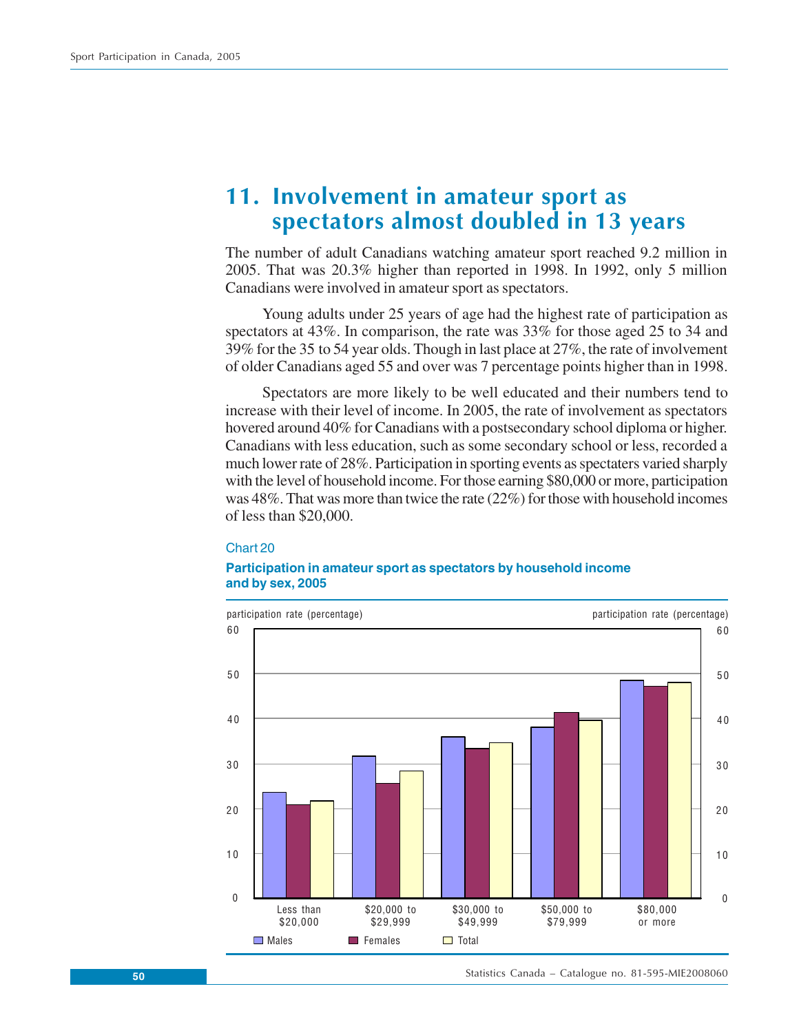# **11. Involvement in amateur sport as spectators almost doubled in 13 years**

The number of adult Canadians watching amateur sport reached 9.2 million in 2005. That was 20.3% higher than reported in 1998. In 1992, only 5 million Canadians were involved in amateur sport as spectators.

Young adults under 25 years of age had the highest rate of participation as spectators at 43%. In comparison, the rate was 33% for those aged 25 to 34 and 39% for the 35 to 54 year olds. Though in last place at 27%, the rate of involvement of older Canadians aged 55 and over was 7 percentage points higher than in 1998.

Spectators are more likely to be well educated and their numbers tend to increase with their level of income. In 2005, the rate of involvement as spectators hovered around 40% for Canadians with a postsecondary school diploma or higher. Canadians with less education, such as some secondary school or less, recorded a much lower rate of 28%. Participation in sporting events as spectaters varied sharply with the level of household income. For those earning \$80,000 or more, participation was 48%. That was more than twice the rate (22%) for those with household incomes of less than \$20,000.

#### Chart 20

#### **Participation in amateur sport as spectators by household income and by sex, 2005**



Statistics Canada – Catalogue no. 81-595-MIE2008060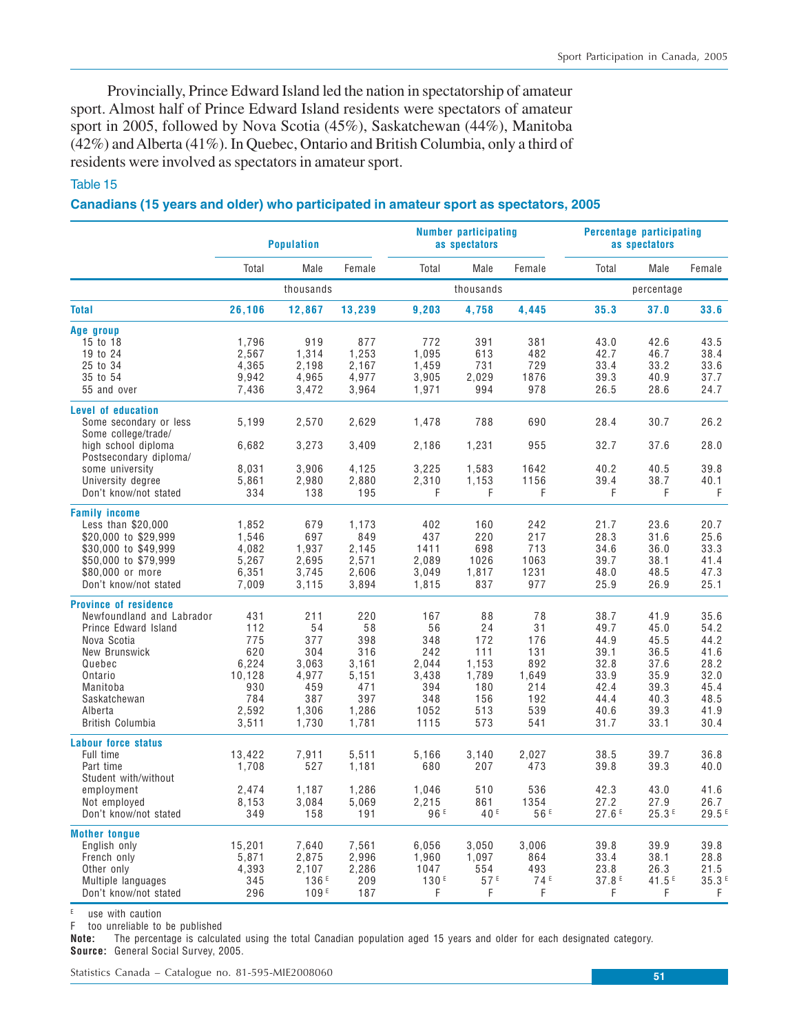Provincially, Prince Edward Island led the nation in spectatorship of amateur sport. Almost half of Prince Edward Island residents were spectators of amateur sport in 2005, followed by Nova Scotia (45%), Saskatchewan (44%), Manitoba (42%) and Alberta (41%). In Quebec, Ontario and British Columbia, only a third of residents were involved as spectators in amateur sport.

### Table 15

#### **Canadians (15 years and older) who participated in amateur sport as spectators, 2005**

|                                                                                                                                                                                                          | <b>Population</b>                                                           |                                                                           |                                                                           | <b>Number participating</b><br>as spectators                            |                                                                      |                                                                    | <b>Percentage participating</b><br>as spectators                             |                                                                              |                                                                              |
|----------------------------------------------------------------------------------------------------------------------------------------------------------------------------------------------------------|-----------------------------------------------------------------------------|---------------------------------------------------------------------------|---------------------------------------------------------------------------|-------------------------------------------------------------------------|----------------------------------------------------------------------|--------------------------------------------------------------------|------------------------------------------------------------------------------|------------------------------------------------------------------------------|------------------------------------------------------------------------------|
|                                                                                                                                                                                                          | Total                                                                       | Male                                                                      | Female                                                                    | Total                                                                   | Male                                                                 | Female                                                             | Total                                                                        | Male                                                                         | Female                                                                       |
|                                                                                                                                                                                                          |                                                                             | thousands                                                                 |                                                                           |                                                                         | thousands                                                            |                                                                    |                                                                              | percentage                                                                   |                                                                              |
| <b>Total</b>                                                                                                                                                                                             | 26,106                                                                      | 12,867                                                                    | 13,239                                                                    | 9,203                                                                   | 4,758                                                                | 4,445                                                              | 35.3                                                                         | 37.0                                                                         | 33.6                                                                         |
| Age group<br>15 to 18<br>19 to 24<br>25 to 34<br>35 to 54<br>55 and over                                                                                                                                 | 1,796<br>2,567<br>4,365<br>9,942<br>7,436                                   | 919<br>1,314<br>2,198<br>4,965<br>3,472                                   | 877<br>1,253<br>2,167<br>4,977<br>3,964                                   | 772<br>1,095<br>1,459<br>3,905<br>1,971                                 | 391<br>613<br>731<br>2,029<br>994                                    | 381<br>482<br>729<br>1876<br>978                                   | 43.0<br>42.7<br>33.4<br>39.3<br>26.5                                         | 42.6<br>46.7<br>33.2<br>40.9<br>28.6                                         | 43.5<br>38.4<br>33.6<br>37.7<br>24.7                                         |
| <b>Level of education</b><br>Some secondary or less<br>Some college/trade/<br>high school diploma<br>Postsecondary diploma/                                                                              | 5,199<br>6,682                                                              | 2,570<br>3,273                                                            | 2,629<br>3,409                                                            | 1,478<br>2,186                                                          | 788<br>1,231                                                         | 690<br>955                                                         | 28.4<br>32.7                                                                 | 30.7<br>37.6                                                                 | 26.2<br>28.0                                                                 |
| some university<br>University degree<br>Don't know/not stated                                                                                                                                            | 8,031<br>5,861<br>334                                                       | 3,906<br>2,980<br>138                                                     | 4,125<br>2,880<br>195                                                     | 3,225<br>2,310<br>F                                                     | 1,583<br>1,153<br>F                                                  | 1642<br>1156<br>F                                                  | 40.2<br>39.4<br>F                                                            | 40.5<br>38.7<br>F                                                            | 39.8<br>40.1<br>$\mathsf F$                                                  |
| <b>Family income</b><br>Less than \$20,000<br>\$20,000 to \$29,999<br>\$30,000 to \$49,999<br>\$50,000 to \$79,999<br>\$80,000 or more<br>Don't know/not stated                                          | 1,852<br>1,546<br>4,082<br>5,267<br>6,351<br>7,009                          | 679<br>697<br>1.937<br>2,695<br>3,745<br>3,115                            | 1,173<br>849<br>2.145<br>2,571<br>2,606<br>3,894                          | 402<br>437<br>1411<br>2,089<br>3,049<br>1,815                           | 160<br>220<br>698<br>1026<br>1,817<br>837                            | 242<br>217<br>713<br>1063<br>1231<br>977                           | 21.7<br>28.3<br>34.6<br>39.7<br>48.0<br>25.9                                 | 23.6<br>31.6<br>36.0<br>38.1<br>48.5<br>26.9                                 | 20.7<br>25.6<br>33.3<br>41.4<br>47.3<br>25.1                                 |
| <b>Province of residence</b><br>Newfoundland and Labrador<br>Prince Edward Island<br>Nova Scotia<br>New Brunswick<br>Quebec<br>Ontario<br>Manitoba<br>Saskatchewan<br>Alberta<br><b>British Columbia</b> | 431<br>112<br>775<br>620<br>6,224<br>10,128<br>930<br>784<br>2,592<br>3,511 | 211<br>54<br>377<br>304<br>3,063<br>4,977<br>459<br>387<br>1,306<br>1,730 | 220<br>58<br>398<br>316<br>3,161<br>5,151<br>471<br>397<br>1,286<br>1,781 | 167<br>56<br>348<br>242<br>2,044<br>3,438<br>394<br>348<br>1052<br>1115 | 88<br>24<br>172<br>111<br>1,153<br>1,789<br>180<br>156<br>513<br>573 | 78<br>31<br>176<br>131<br>892<br>1,649<br>214<br>192<br>539<br>541 | 38.7<br>49.7<br>44.9<br>39.1<br>32.8<br>33.9<br>42.4<br>44.4<br>40.6<br>31.7 | 41.9<br>45.0<br>45.5<br>36.5<br>37.6<br>35.9<br>39.3<br>40.3<br>39.3<br>33.1 | 35.6<br>54.2<br>44.2<br>41.6<br>28.2<br>32.0<br>45.4<br>48.5<br>41.9<br>30.4 |
| <b>Labour force status</b><br>Full time<br>Part time<br>Student with/without<br>employment<br>Not employed<br>Don't know/not stated                                                                      | 13,422<br>1,708<br>2,474<br>8,153<br>349                                    | 7,911<br>527<br>1,187<br>3,084<br>158                                     | 5,511<br>1,181<br>1,286<br>5,069<br>191                                   | 5,166<br>680<br>1,046<br>2,215<br>96 <sup>E</sup>                       | 3,140<br>207<br>510<br>861<br>40 <sup>E</sup>                        | 2,027<br>473<br>536<br>1354<br>56 <sup>E</sup>                     | 38.5<br>39.8<br>42.3<br>27.2<br>27.6F                                        | 39.7<br>39.3<br>43.0<br>27.9<br>25.3E                                        | 36.8<br>40.0<br>41.6<br>26.7<br>29.5 <sup>E</sup>                            |
| <b>Mother tonque</b><br>English only<br>French only<br>Other only<br>Multiple languages<br>Don't know/not stated                                                                                         | 15.201<br>5,871<br>4,393<br>345<br>296                                      | 7,640<br>2,875<br>2,107<br>136 <sup>E</sup><br>109E                       | 7,561<br>2,996<br>2,286<br>209<br>187                                     | 6,056<br>1,960<br>1047<br>130 <sup>E</sup><br>F                         | 3,050<br>1,097<br>554<br>57E<br>F                                    | 3,006<br>864<br>493<br>74 <sup>E</sup><br>F                        | 39.8<br>33.4<br>23.8<br>37.8 <sup>E</sup><br>F                               | 39.9<br>38.1<br>26.3<br>41.5E<br>F                                           | 39.8<br>28.8<br>21.5<br>35.3 <sup>E</sup><br>F.                              |

 $E$  use with caution

F too unreliable to be published

**Note:** The percentage is calculated using the total Canadian population aged 15 years and older for each designated category. **Source:** General Social Survey, 2005.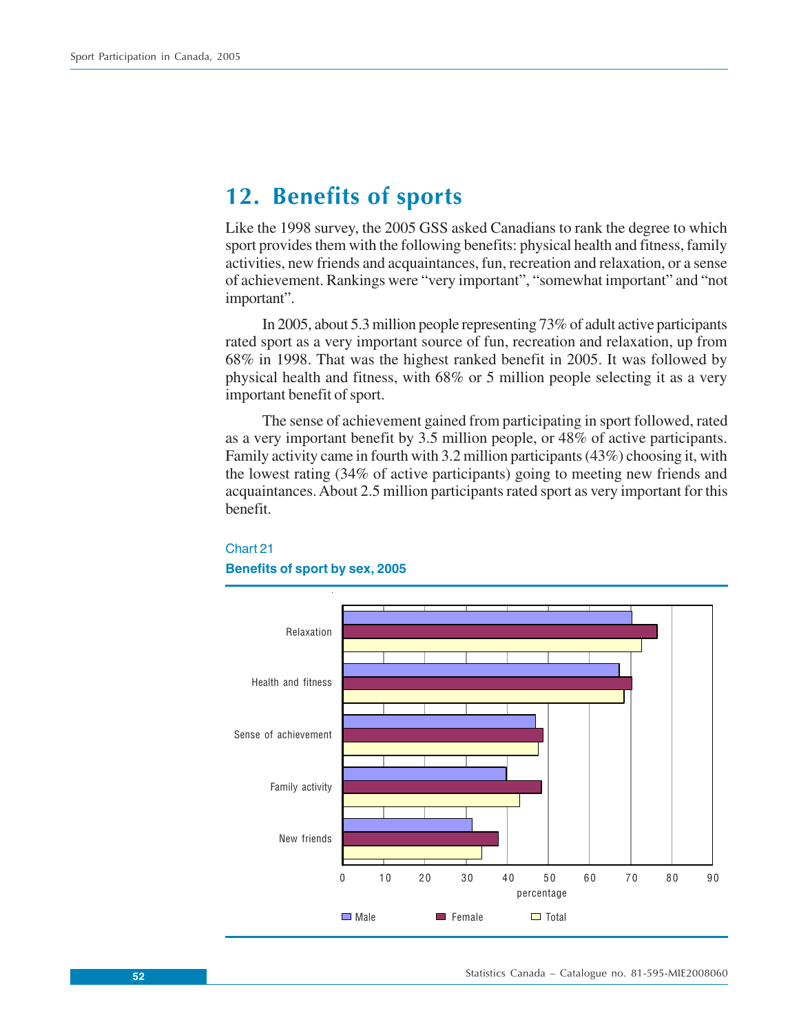# **12. Benefits of sports**

Like the 1998 survey, the 2005 GSS asked Canadians to rank the degree to which sport provides them with the following benefits: physical health and fitness, family activities, new friends and acquaintances, fun, recreation and relaxation, or a sense of achievement. Rankings were "very important", "somewhat important" and "not important".

In 2005, about 5.3 million people representing 73% of adult active participants rated sport as a very important source of fun, recreation and relaxation, up from 68% in 1998. That was the highest ranked benefit in 2005. It was followed by physical health and fitness, with 68% or 5 million people selecting it as a very important benefit of sport.

The sense of achievement gained from participating in sport followed, rated as a very important benefit by 3.5 million people, or 48% of active participants. Family activity came in fourth with 3.2 million participants (43%) choosing it, with the lowest rating (34% of active participants) going to meeting new friends and acquaintances. About 2.5 million participants rated sport as very important for this benefit.



# Chart 21 **Benefits of sport by sex, 2005**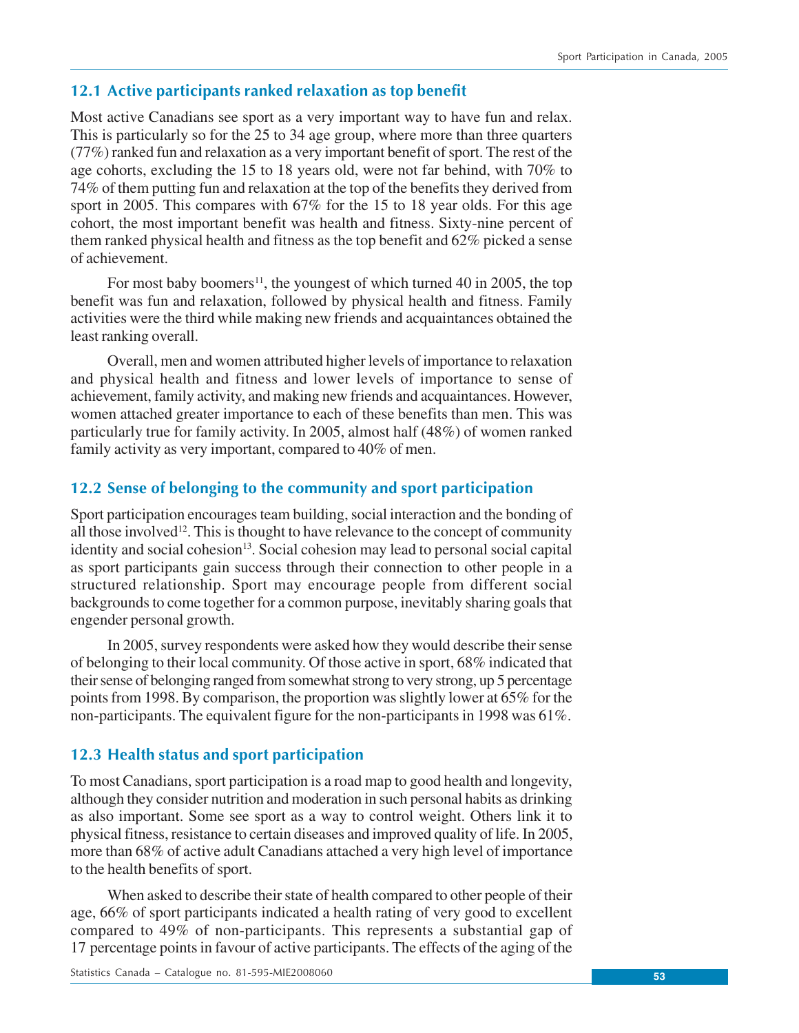# **12.1 Active participants ranked relaxation as top benefit**

Most active Canadians see sport as a very important way to have fun and relax. This is particularly so for the 25 to 34 age group, where more than three quarters (77%) ranked fun and relaxation as a very important benefit of sport. The rest of the age cohorts, excluding the 15 to 18 years old, were not far behind, with 70% to 74% of them putting fun and relaxation at the top of the benefits they derived from sport in 2005. This compares with 67% for the 15 to 18 year olds. For this age cohort, the most important benefit was health and fitness. Sixty-nine percent of them ranked physical health and fitness as the top benefit and 62% picked a sense of achievement.

For most baby boomers<sup>11</sup>, the youngest of which turned 40 in 2005, the top benefit was fun and relaxation, followed by physical health and fitness. Family activities were the third while making new friends and acquaintances obtained the least ranking overall.

Overall, men and women attributed higher levels of importance to relaxation and physical health and fitness and lower levels of importance to sense of achievement, family activity, and making new friends and acquaintances. However, women attached greater importance to each of these benefits than men. This was particularly true for family activity. In 2005, almost half (48%) of women ranked family activity as very important, compared to 40% of men.

# **12.2 Sense of belonging to the community and sport participation**

Sport participation encourages team building, social interaction and the bonding of all those involved<sup>12</sup>. This is thought to have relevance to the concept of community identity and social cohesion<sup>13</sup>. Social cohesion may lead to personal social capital as sport participants gain success through their connection to other people in a structured relationship. Sport may encourage people from different social backgrounds to come together for a common purpose, inevitably sharing goals that engender personal growth.

In 2005, survey respondents were asked how they would describe their sense of belonging to their local community. Of those active in sport, 68% indicated that their sense of belonging ranged from somewhat strong to very strong, up 5 percentage points from 1998. By comparison, the proportion was slightly lower at 65% for the non-participants. The equivalent figure for the non-participants in 1998 was 61%.

## **12.3 Health status and sport participation**

To most Canadians, sport participation is a road map to good health and longevity, although they consider nutrition and moderation in such personal habits as drinking as also important. Some see sport as a way to control weight. Others link it to physical fitness, resistance to certain diseases and improved quality of life. In 2005, more than 68% of active adult Canadians attached a very high level of importance to the health benefits of sport.

When asked to describe their state of health compared to other people of their age, 66% of sport participants indicated a health rating of very good to excellent compared to 49% of non-participants. This represents a substantial gap of 17 percentage points in favour of active participants. The effects of the aging of the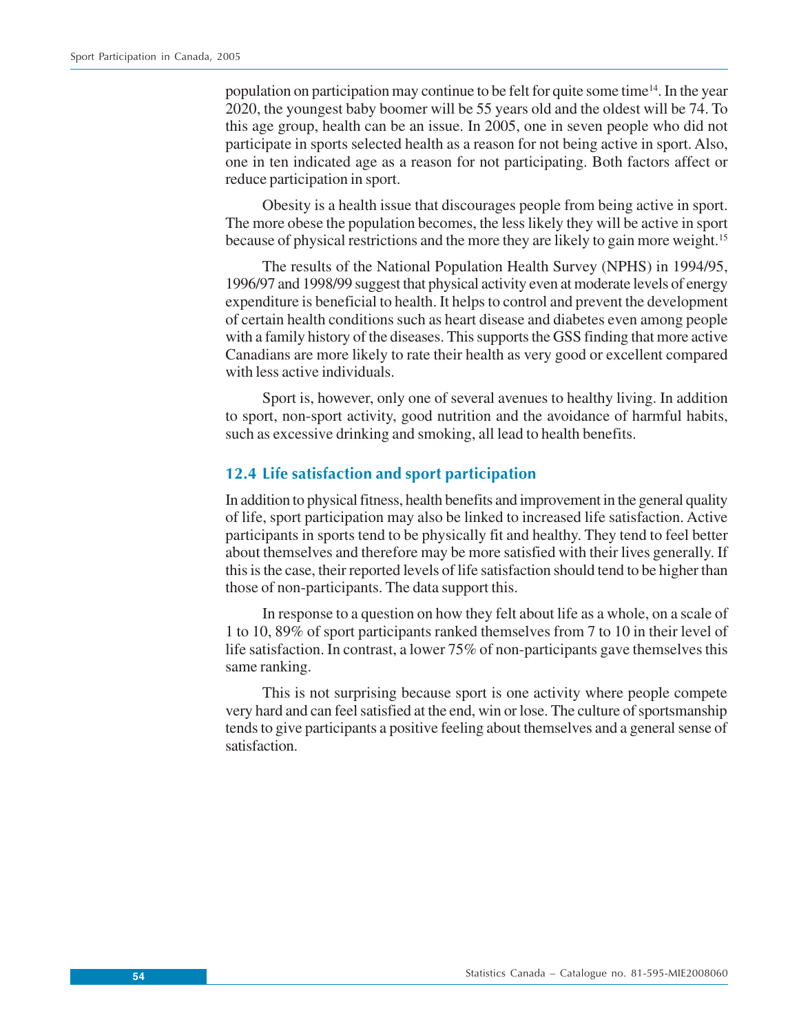population on participation may continue to be felt for quite some time<sup>14</sup>. In the year 2020, the youngest baby boomer will be 55 years old and the oldest will be 74. To this age group, health can be an issue. In 2005, one in seven people who did not participate in sports selected health as a reason for not being active in sport. Also, one in ten indicated age as a reason for not participating. Both factors affect or reduce participation in sport.

Obesity is a health issue that discourages people from being active in sport. The more obese the population becomes, the less likely they will be active in sport because of physical restrictions and the more they are likely to gain more weight.15

The results of the National Population Health Survey (NPHS) in 1994/95, 1996/97 and 1998/99 suggest that physical activity even at moderate levels of energy expenditure is beneficial to health. It helps to control and prevent the development of certain health conditions such as heart disease and diabetes even among people with a family history of the diseases. This supports the GSS finding that more active Canadians are more likely to rate their health as very good or excellent compared with less active individuals.

Sport is, however, only one of several avenues to healthy living. In addition to sport, non-sport activity, good nutrition and the avoidance of harmful habits, such as excessive drinking and smoking, all lead to health benefits.

# **12.4 Life satisfaction and sport participation**

In addition to physical fitness, health benefits and improvement in the general quality of life, sport participation may also be linked to increased life satisfaction. Active participants in sports tend to be physically fit and healthy. They tend to feel better about themselves and therefore may be more satisfied with their lives generally. If this is the case, their reported levels of life satisfaction should tend to be higher than those of non-participants. The data support this.

In response to a question on how they felt about life as a whole, on a scale of 1 to 10, 89% of sport participants ranked themselves from 7 to 10 in their level of life satisfaction. In contrast, a lower 75% of non-participants gave themselves this same ranking.

This is not surprising because sport is one activity where people compete very hard and can feel satisfied at the end, win or lose. The culture of sportsmanship tends to give participants a positive feeling about themselves and a general sense of satisfaction.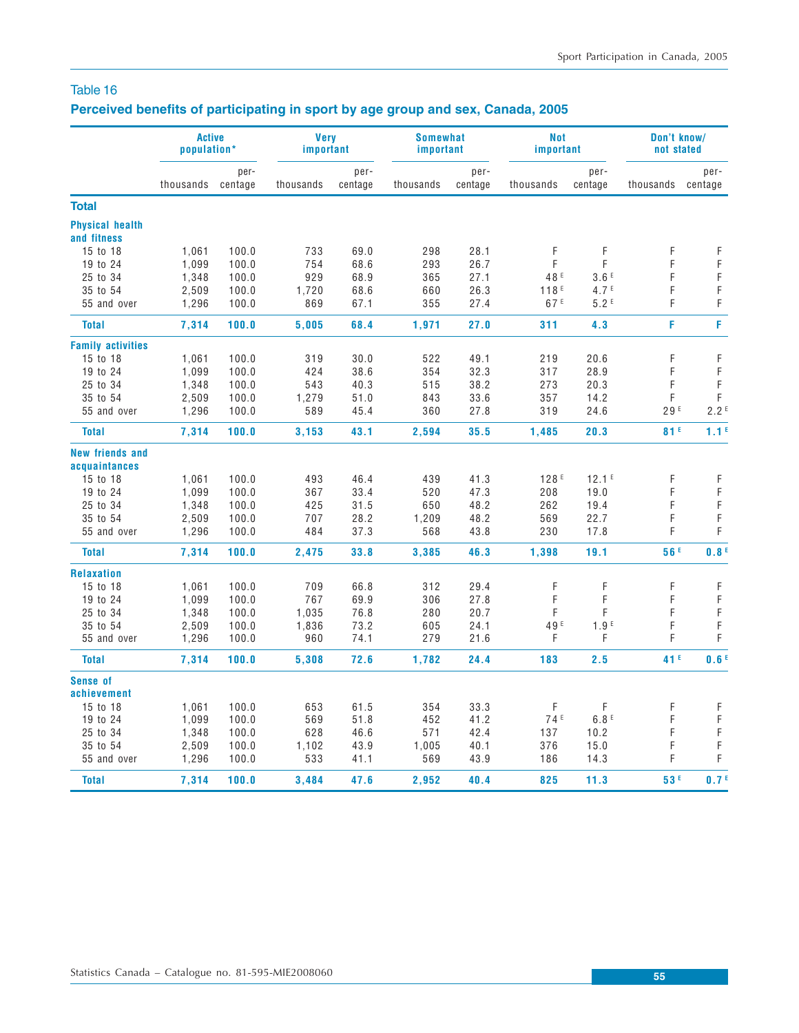# **Perceived benefits of participating in sport by age group and sex, Canada, 2005**

|                                       | <b>Active</b><br>population* |                 | <b>Very</b><br>important |                 | <b>Somewhat</b><br>important |                 | <b>Not</b><br>important |                   | Don't know/<br>not stated |                  |
|---------------------------------------|------------------------------|-----------------|--------------------------|-----------------|------------------------------|-----------------|-------------------------|-------------------|---------------------------|------------------|
|                                       | thousands                    | per-<br>centage | thousands                | per-<br>centage | thousands                    | per-<br>centage | thousands               | per-<br>centage   | thousands                 | per-<br>centage  |
| <b>Total</b>                          |                              |                 |                          |                 |                              |                 |                         |                   |                           |                  |
| <b>Physical health</b><br>and fitness |                              |                 |                          |                 |                              |                 |                         |                   |                           |                  |
| 15 to 18                              | 1,061                        | 100.0           | 733                      | 69.0            | 298                          | 28.1            | F                       | F                 | F                         | F                |
| 19 to 24                              | 1,099                        | 100.0           | 754                      | 68.6            | 293                          | 26.7            | F                       | F                 | F                         | $\mathsf F$      |
| 25 to 34                              | 1,348                        | 100.0           | 929                      | 68.9            | 365                          | 27.1            | 48 <sup>E</sup>         | 3.6E              | F                         | F                |
| 35 to 54                              | 2,509                        | 100.0           | 1,720                    | 68.6            | 660                          | 26.3            | 118 <sup>E</sup>        | 4.7 <sup>E</sup>  | F                         | $\mathsf F$      |
| 55 and over                           | 1,296                        | 100.0           | 869                      | 67.1            | 355                          | 27.4            | 67 <sup>E</sup>         | 5.2E              | F                         | $\mathsf F$      |
| <b>Total</b>                          | 7,314                        | 100.0           | 5,005                    | 68.4            | 1,971                        | 27.0            | 311                     | 4.3               | F                         | F                |
| <b>Family activities</b>              |                              |                 |                          |                 |                              |                 |                         |                   |                           |                  |
| 15 to 18                              | 1,061                        | 100.0           | 319                      | 30.0            | 522                          | 49.1            | 219                     | 20.6              | F                         | F                |
| 19 to 24                              | 1,099                        | 100.0           | 424                      | 38.6            | 354                          | 32.3            | 317                     | 28.9              | F                         | $\mathsf F$      |
| 25 to 34                              | 1,348                        | 100.0           | 543                      | 40.3            | 515                          | 38.2            | 273                     | 20.3              | F                         | $\mathsf F$      |
| 35 to 54                              | 2,509                        | 100.0           | 1,279                    | 51.0            | 843                          | 33.6            | 357                     | 14.2              | F                         | F                |
| 55 and over                           | 1,296                        | 100.0           | 589                      | 45.4            | 360                          | 27.8            | 319                     | 24.6              | 29E                       | 2.2 <sup>E</sup> |
| <b>Total</b>                          | 7,314                        | 100.0           | 3,153                    | 43.1            | 2,594                        | 35.5            | 1,485                   | 20.3              | 81F                       | 1.1 <sup>E</sup> |
| <b>New friends and</b>                |                              |                 |                          |                 |                              |                 |                         |                   |                           |                  |
| acquaintances                         |                              |                 |                          |                 |                              |                 |                         |                   |                           |                  |
| 15 to 18                              | 1,061                        | 100.0           | 493                      | 46.4            | 439                          | 41.3            | 128 <sup>E</sup>        | 12.1 <sup>E</sup> | F                         | F                |
| 19 to 24                              | 1,099                        | 100.0           | 367                      | 33.4            | 520                          | 47.3            | 208                     | 19.0              | F                         | $\mathsf F$      |
| 25 to 34                              | 1,348                        | 100.0           | 425                      | 31.5            | 650                          | 48.2            | 262                     | 19.4              | F                         | $\mathsf F$      |
| 35 to 54                              | 2,509                        | 100.0           | 707                      | 28.2            | 1,209                        | 48.2            | 569                     | 22.7              | F                         | $\mathsf F$      |
| 55 and over                           | 1,296                        | 100.0           | 484                      | 37.3            | 568                          | 43.8            | 230                     | 17.8              | F                         | F                |
| <b>Total</b>                          | 7,314                        | 100.0           | 2,475                    | 33.8            | 3,385                        | 46.3            | 1,398                   | 19.1              | 56F                       | 0.8 <sup>E</sup> |
| <b>Relaxation</b>                     |                              |                 |                          |                 |                              |                 |                         |                   |                           |                  |
| 15 to 18                              | 1,061                        | 100.0           | 709                      | 66.8            | 312                          | 29.4            | F                       | F                 | F                         | F                |
| 19 to 24                              | 1,099                        | 100.0           | 767                      | 69.9            | 306                          | 27.8            | F                       | F                 | F                         | $\mathsf F$      |
| 25 to 34                              | 1,348                        | 100.0           | 1,035                    | 76.8            | 280                          | 20.7            | F                       | F                 | F                         | $\mathsf F$      |
| 35 to 54                              | 2,509                        | 100.0           | 1,836                    | 73.2            | 605                          | 24.1            | 49 <sup>E</sup>         | 1.9 <sup>E</sup>  | F                         | $\mathsf F$      |
| 55 and over                           | 1,296                        | 100.0           | 960                      | 74.1            | 279                          | 21.6            | F                       | F                 | F                         | F                |
| <b>Total</b>                          | 7,314                        | 100.0           | 5,308                    | 72.6            | 1,782                        | 24.4            | 183                     | 2.5               | 41 <sup>E</sup>           | 0.6 <sup>E</sup> |
| <b>Sense of</b>                       |                              |                 |                          |                 |                              |                 |                         |                   |                           |                  |
| achievement<br>15 to 18               |                              |                 |                          |                 |                              |                 | F                       | F                 | F                         |                  |
|                                       | 1,061                        | 100.0           | 653                      | 61.5            | 354                          | 33.3            |                         |                   |                           | $\mathsf F$      |
| 19 to 24                              | 1,099                        | 100.0           | 569                      | 51.8            | 452                          | 41.2            | 74 <sup>E</sup>         | 6.8E              | F<br>F                    | $\mathsf F$      |
| 25 to 34                              | 1,348                        | 100.0           | 628                      | 46.6            | 571                          | 42.4            | 137                     | 10.2              |                           | F                |
| 35 to 54                              | 2,509                        | 100.0           | 1,102                    | 43.9            | 1,005                        | 40.1            | 376                     | 15.0              | F                         | F<br>F           |
| 55 and over                           | 1,296                        | 100.0           | 533                      | 41.1            | 569                          | 43.9            | 186                     | 14.3              | F                         |                  |
| <b>Total</b>                          | 7,314                        | 100.0           | 3,484                    | 47.6            | 2.952                        | 40.4            | 825                     | 11.3              | 53F                       | 0.7 <sup>E</sup> |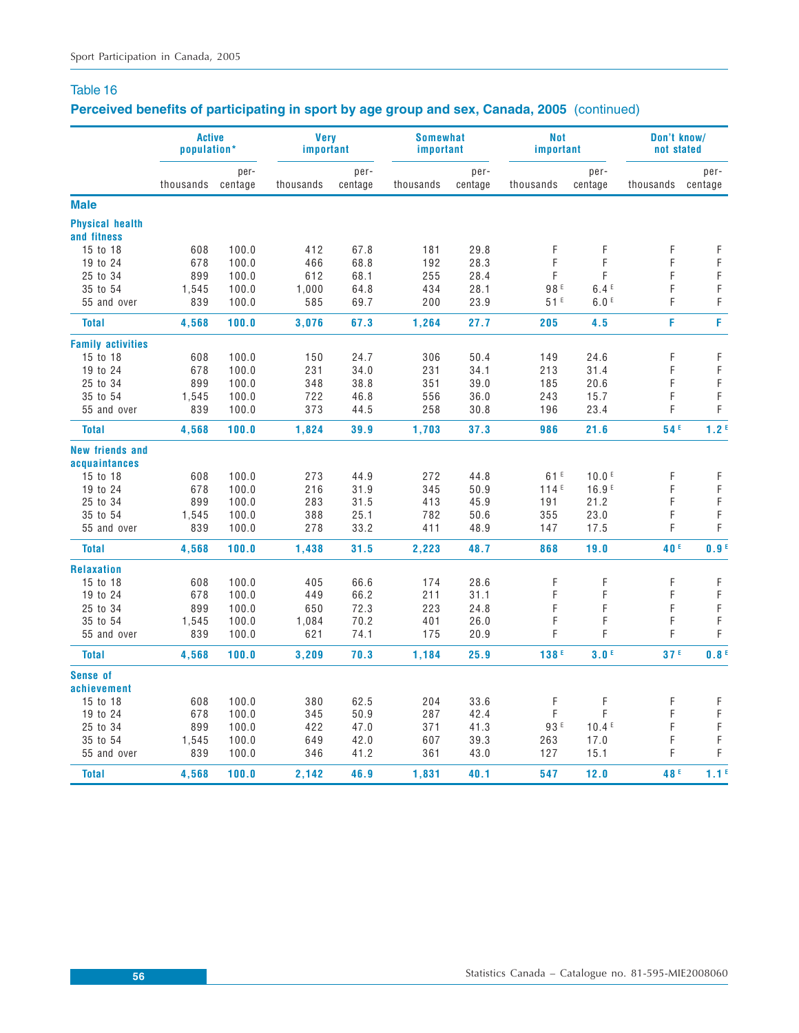# **Perceived benefits of participating in sport by age group and sex, Canada, 2005** (continued)

|                                       | <b>Active</b><br>population* |                 | <b>Very</b><br>important |                 | <b>Somewhat</b><br>important |                 | <b>Not</b><br>important |                   | Don't know/<br>not stated |                            |
|---------------------------------------|------------------------------|-----------------|--------------------------|-----------------|------------------------------|-----------------|-------------------------|-------------------|---------------------------|----------------------------|
|                                       | thousands                    | per-<br>centage | thousands                | per-<br>centage | thousands                    | per-<br>centage | thousands               | per-<br>centage   | thousands                 | per-<br>centage            |
| <b>Male</b>                           |                              |                 |                          |                 |                              |                 |                         |                   |                           |                            |
| <b>Physical health</b><br>and fitness |                              |                 |                          |                 |                              |                 |                         |                   |                           |                            |
| 15 to 18                              | 608                          | 100.0           | 412                      | 67.8            | 181                          | 29.8            | F                       | F                 | F                         | F                          |
| 19 to 24                              | 678                          | 100.0           | 466                      | 68.8            | 192                          | 28.3            | F                       | F                 | F                         | $\mathsf F$                |
| 25 to 34                              | 899                          | 100.0           | 612                      | 68.1            | 255                          | 28.4            | F                       | F                 | F                         | $\mathsf F$                |
| 35 to 54                              | 1,545                        | 100.0           | 1,000                    | 64.8            | 434                          | 28.1            | 98 <sup>E</sup>         | 6.4E              | F                         | $\mathsf F$                |
| 55 and over                           | 839                          | 100.0           | 585                      | 69.7            | 200                          | 23.9            | 51E                     | 6.0 <sup>E</sup>  | F                         | F                          |
| <b>Total</b>                          | 4,568                        | 100.0           | 3,076                    | 67.3            | 1,264                        | 27.7            | 205                     | 4.5               | F                         | F                          |
| <b>Family activities</b>              |                              |                 |                          |                 |                              |                 |                         |                   |                           |                            |
| 15 to 18                              | 608                          | 100.0           | 150                      | 24.7            | 306                          | 50.4            | 149                     | 24.6              | F                         | F                          |
| 19 to 24                              | 678                          | 100.0           | 231                      | 34.0            | 231                          | 34.1            | 213                     | 31.4              | F                         | $\mathsf F$                |
| 25 to 34                              | 899                          | 100.0           | 348                      | 38.8            | 351                          | 39.0            | 185                     | 20.6              | F                         | F                          |
| 35 to 54                              | 1,545                        | 100.0           | 722                      | 46.8            | 556                          | 36.0            | 243                     | 15.7              | F                         | $\mathsf F$                |
| 55 and over                           | 839                          | 100.0           | 373                      | 44.5            | 258                          | 30.8            | 196                     | 23.4              | F                         | F                          |
| <b>Total</b>                          | 4,568                        | 100.0           | 1,824                    | 39.9            | 1,703                        | 37.3            | 986                     | 21.6              | 54 <sup>E</sup>           | 1.2 <sup>E</sup>           |
| <b>New friends and</b>                |                              |                 |                          |                 |                              |                 |                         |                   |                           |                            |
| acquaintances                         |                              |                 |                          |                 |                              |                 |                         |                   |                           |                            |
| 15 to 18                              | 608                          | 100.0           | 273                      | 44.9            | 272                          | 44.8            | 61E                     | 10.0 <sup>E</sup> | F                         | F                          |
| 19 to 24                              | 678                          | 100.0           | 216                      | 31.9            | 345                          | 50.9            | 114E                    | 16.9 <sup>E</sup> | F                         | F                          |
| 25 to 34<br>35 to 54                  | 899                          | 100.0           | 283                      | 31.5<br>25.1    | 413<br>782                   | 45.9            | 191                     | 21.2              | F<br>F                    | $\mathsf F$<br>$\mathsf F$ |
|                                       | 1,545<br>839                 | 100.0<br>100.0  | 388<br>278               |                 | 411                          | 50.6<br>48.9    | 355                     | 23.0              | F                         | $\mathsf F$                |
| 55 and over                           |                              |                 |                          | 33.2            |                              |                 | 147                     | 17.5              |                           |                            |
| <b>Total</b>                          | 4,568                        | 100.0           | 1,438                    | 31.5            | 2,223                        | 48.7            | 868                     | 19.0              | 40 <sup>E</sup>           | 0.9 <sup>E</sup>           |
| <b>Relaxation</b>                     |                              |                 |                          |                 |                              |                 |                         |                   |                           |                            |
| 15 to 18                              | 608                          | 100.0           | 405                      | 66.6            | 174                          | 28.6            | F                       | F                 | F                         | F                          |
| 19 to 24                              | 678                          | 100.0           | 449                      | 66.2            | 211                          | 31.1            | F                       | F                 | F                         | $\mathsf F$                |
| 25 to 34                              | 899                          | 100.0           | 650                      | 72.3            | 223                          | 24.8            | F                       | F                 | F                         | $\mathsf F$                |
| 35 to 54                              | 1,545                        | 100.0           | 1,084                    | 70.2            | 401                          | 26.0            | F                       | F                 | F                         | $\mathsf F$                |
| 55 and over                           | 839                          | 100.0           | 621                      | 74.1            | 175                          | 20.9            | F                       | F                 | F                         | $\mathsf F$                |
| <b>Total</b>                          | 4,568                        | 100.0           | 3,209                    | 70.3            | 1,184                        | 25.9            | 138F                    | 3.0 <sup>E</sup>  | 37 <sup>E</sup>           | 0.8 <sup>E</sup>           |
| Sense of                              |                              |                 |                          |                 |                              |                 |                         |                   |                           |                            |
| achievement                           |                              |                 |                          |                 |                              |                 |                         |                   |                           |                            |
| 15 to 18                              | 608                          | 100.0           | 380                      | 62.5            | 204                          | 33.6            | F                       | F<br>F            | F                         | F<br>$\mathsf F$           |
| 19 to 24<br>25 to 34                  | 678                          | 100.0           | 345                      | 50.9            | 287                          | 42.4            | F<br>93 E               | 10.4E             | F<br>F                    | $\mathsf F$                |
|                                       | 899                          | 100.0           | 422                      | 47.0            | 371                          | 41.3            |                         |                   |                           | $\mathsf F$                |
| 35 to 54<br>55 and over               | 1,545<br>839                 | 100.0<br>100.0  | 649<br>346               | 42.0<br>41.2    | 607<br>361                   | 39.3<br>43.0    | 263<br>127              | 17.0<br>15.1      | F<br>F                    | $\mathsf F$                |
| <b>Total</b>                          | 4,568                        | 100.0           | 2,142                    | 46.9            | 1,831                        | 40.1            | 547                     | 12.0              | 48 <sup>E</sup>           | 1.1 <sup>E</sup>           |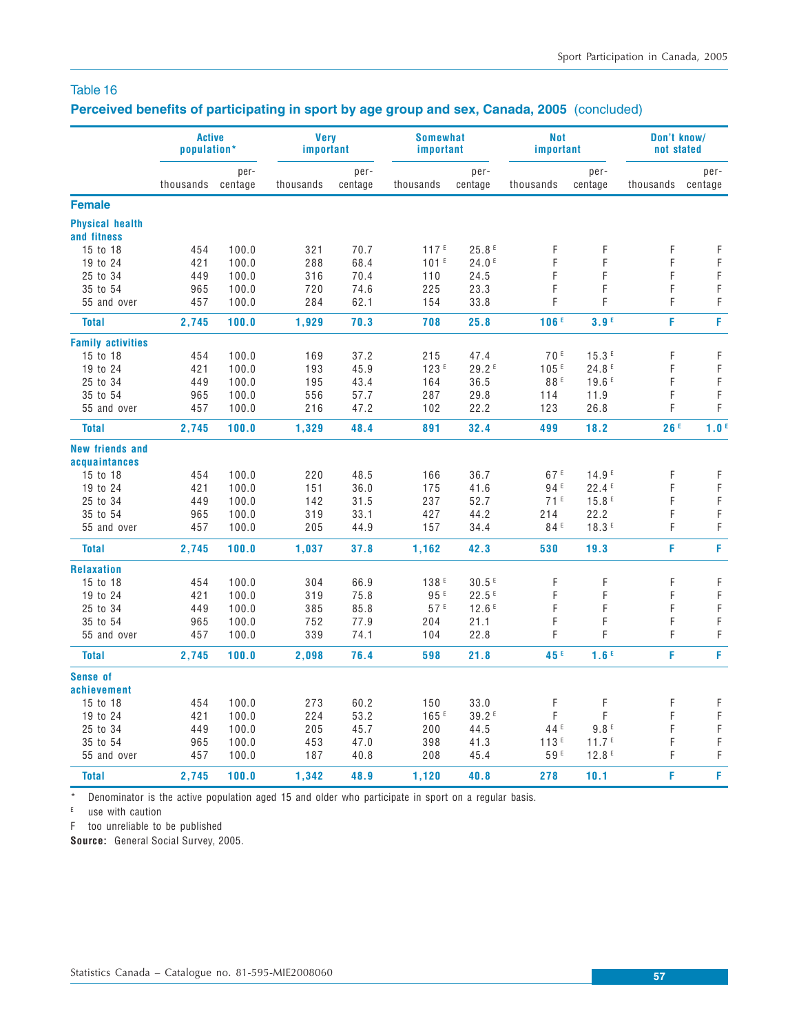# **Perceived benefits of participating in sport by age group and sex, Canada, 2005** (concluded)

|                                       | <b>Active</b><br>population* |         | <b>Very</b><br>important |         | <b>Somewhat</b><br>important |         | Not<br>important |                   | Don't know/<br>not stated |                  |
|---------------------------------------|------------------------------|---------|--------------------------|---------|------------------------------|---------|------------------|-------------------|---------------------------|------------------|
|                                       |                              | per-    |                          | per-    |                              | per-    |                  | per-              |                           | per-             |
|                                       | thousands                    | centage | thousands                | centage | thousands                    | centage | thousands        | centage           | thousands centage         |                  |
| <b>Female</b>                         |                              |         |                          |         |                              |         |                  |                   |                           |                  |
| <b>Physical health</b><br>and fitness |                              |         |                          |         |                              |         |                  |                   |                           |                  |
| 15 to 18                              | 454                          | 100.0   | 321                      | 70.7    | 117 <sup>E</sup>             | 25.8E   | F                | F                 | F                         | F                |
| 19 to 24                              | 421                          | 100.0   | 288                      | 68.4    | 101 <sup>E</sup>             | 24.0E   | F                | F                 | F                         | F                |
| 25 to 34                              | 449                          | 100.0   | 316                      | 70.4    | 110                          | 24.5    | F                | F                 | F                         | F                |
| 35 to 54                              | 965                          | 100.0   | 720                      | 74.6    | 225                          | 23.3    | F                | F                 | F                         | $\mathsf F$      |
| 55 and over                           | 457                          | 100.0   | 284                      | 62.1    | 154                          | 33.8    | F                | F                 | F                         | F                |
|                                       |                              |         |                          |         |                              |         |                  |                   |                           |                  |
| <b>Total</b>                          | 2,745                        | 100.0   | 1,929                    | 70.3    | 708                          | 25.8    | 106E             | 3.9F              | F                         | F                |
| <b>Family activities</b>              |                              |         |                          |         |                              |         |                  |                   |                           |                  |
| 15 to 18                              | 454                          | 100.0   | 169                      | 37.2    | 215                          | 47.4    | 70F              | 15.3E             | F                         | $\mathsf F$      |
| 19 to 24                              | 421                          | 100.0   | 193                      | 45.9    | 123F                         | 29.2E   | 105E             | 24.8E             | F                         | $\mathsf F$      |
| 25 to 34                              | 449                          | 100.0   | 195                      | 43.4    | 164                          | 36.5    | 88 <sup>E</sup>  | 19.6E             | F                         | $\mathsf F$      |
| 35 to 54                              | 965                          | 100.0   | 556                      | 57.7    | 287                          | 29.8    | 114              | 11.9              | F                         | F                |
| 55 and over                           | 457                          | 100.0   | 216                      | 47.2    | 102                          | 22.2    | 123              | 26.8              | F                         | F                |
| <b>Total</b>                          | 2,745                        | 100.0   | 1,329                    | 48.4    | 891                          | 32.4    | 499              | 18.2              | 26F                       | 1.0 <sup>E</sup> |
| <b>New friends and</b>                |                              |         |                          |         |                              |         |                  |                   |                           |                  |
| acquaintances                         |                              |         |                          |         |                              |         |                  |                   |                           |                  |
| 15 to 18                              | 454                          | 100.0   | 220                      | 48.5    | 166                          | 36.7    | 67E              | 14.9 <sup>E</sup> | F                         | F                |
| 19 to 24                              | 421                          | 100.0   | 151                      | 36.0    | 175                          | 41.6    | 94 E             | 22.4E             | F                         | $\mathsf F$      |
| 25 to 34                              | 449                          | 100.0   | 142                      | 31.5    | 237                          | 52.7    | 71E              | 15.8E             | F                         | F                |
| 35 to 54                              | 965                          | 100.0   | 319                      | 33.1    | 427                          | 44.2    | 214              | 22.2              | F                         | $\mathsf F$      |
| 55 and over                           | 457                          | 100.0   | 205                      | 44.9    | 157                          | 34.4    | 84 <sup>E</sup>  | 18.3E             | F                         | $\mathsf F$      |
| <b>Total</b>                          | 2,745                        | 100.0   | 1,037                    | 37.8    | 1,162                        | 42.3    | 530              | 19.3              | F                         | F                |
| <b>Relaxation</b>                     |                              |         |                          |         |                              |         |                  |                   |                           |                  |
| 15 to 18                              | 454                          | 100.0   | 304                      | 66.9    | 138 <sup>E</sup>             | 30.5E   | F                | F                 | F                         | F                |
| 19 to 24                              | 421                          | 100.0   | 319                      | 75.8    | 95 <sup>E</sup>              | 22.5E   | F                | F                 | F                         | $\mathsf F$      |
| 25 to 34                              | 449                          | 100.0   | 385                      | 85.8    | 57E                          | 12.6E   | F                | F                 | F                         | $\mathsf F$      |
| 35 to 54                              | 965                          | 100.0   | 752                      | 77.9    | 204                          | 21.1    | F                | F                 | F                         | $\mathsf F$      |
| 55 and over                           | 457                          | 100.0   | 339                      | 74.1    | 104                          | 22.8    | F                | F                 | F                         | F                |
| <b>Total</b>                          | 2,745                        | 100.0   | 2,098                    | 76.4    | 598                          | 21.8    | 45 <sup>E</sup>  | 1.6 <sup>E</sup>  | F                         | F                |
| <b>Sense of</b>                       |                              |         |                          |         |                              |         |                  |                   |                           |                  |
| achievement                           |                              |         |                          |         |                              |         |                  |                   |                           |                  |
| 15 to 18                              | 454                          | 100.0   | 273                      | 60.2    | 150                          | 33.0    | F                | F                 | F                         | $\mathsf F$      |
| 19 to 24                              | 421                          | 100.0   | 224                      | 53.2    | 165E                         | 39.2E   | F                | F                 | F                         | F                |
| 25 to 34                              | 449                          | 100.0   | 205                      | 45.7    | 200                          | 44.5    | 44 <sup>E</sup>  | 9.8E              | F                         | $\mathsf F$      |
| 35 to 54                              | 965                          | 100.0   | 453                      | 47.0    | 398                          | 41.3    | 113F             | 11.7 <sup>E</sup> | F                         | F                |
| 55 and over                           | 457                          | 100.0   | 187                      | 40.8    | 208                          | 45.4    | 59E              | 12.8E             | F                         | $\mathsf F$      |
| <b>Total</b>                          | 2,745                        | 100.0   | 1,342                    | 48.9    | 1,120                        | 40.8    | 278              | 10.1              | F                         | F                |
|                                       |                              |         |                          |         |                              |         |                  |                   |                           |                  |

\* Denominator is the active population aged 15 and older who participate in sport on a regular basis.

 $E$  use with caution

F too unreliable to be published

**Source:** General Social Survey, 2005.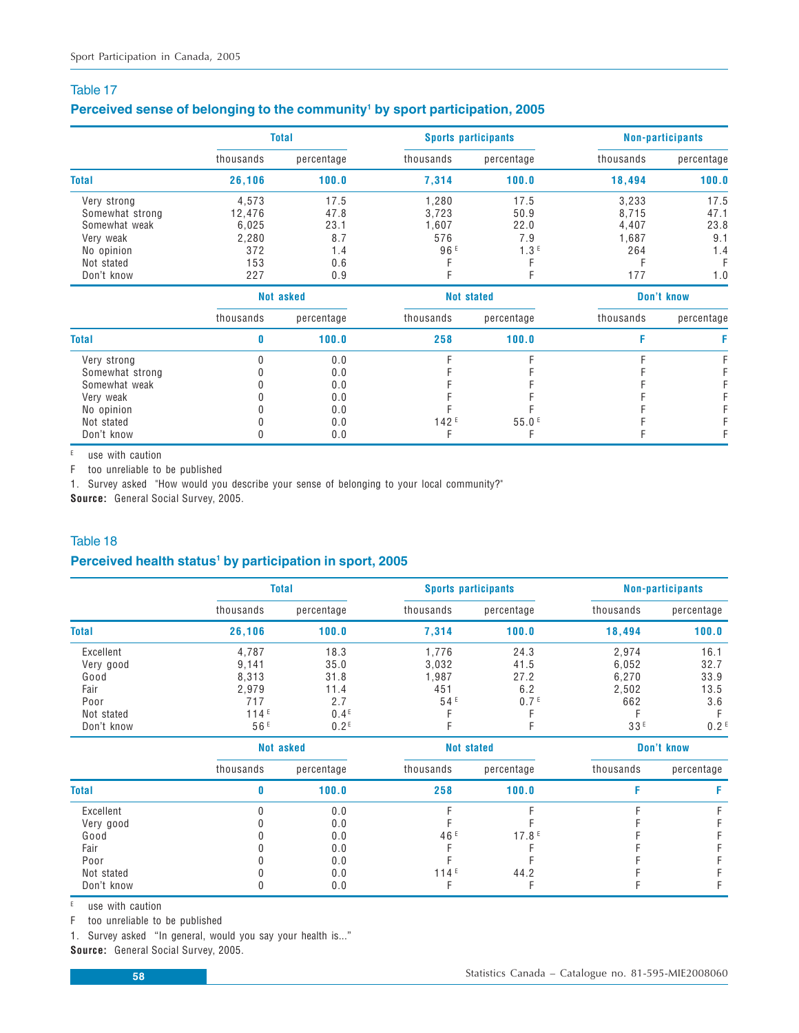#### Perceived sense of belonging to the community<sup>1</sup> by sport participation, 2005

|                 |           | <b>Total</b>     |                 | <b>Sports participants</b> | <b>Non-participants</b> |            |  |
|-----------------|-----------|------------------|-----------------|----------------------------|-------------------------|------------|--|
|                 | thousands | percentage       | thousands       | percentage                 | thousands               | percentage |  |
| <b>Total</b>    | 26,106    | 100.0            | 7,314           | 100.0                      | 18,494                  | 100.0      |  |
| Very strong     | 4,573     | 17.5             | 1,280           | 17.5                       | 3,233                   | 17.5       |  |
| Somewhat strong | 12,476    | 47.8             | 3,723           | 50.9                       | 8,715                   | 47.1       |  |
| Somewhat weak   | 6,025     | 23.1             | 1,607           | 22.0                       | 4,407                   | 23.8       |  |
| Very weak       | 2,280     | 8.7              | 576             | 7.9                        | 1,687                   | 9.1        |  |
| No opinion      | 372       | 1.4              | 96 <sup>E</sup> | 1.3E                       | 264                     | 1.4        |  |
| Not stated      | 153       | 0.6              |                 |                            |                         |            |  |
| Don't know      | 227       | 0.9              |                 |                            | 177                     | 1.0        |  |
|                 |           | <b>Not asked</b> |                 | <b>Not stated</b>          |                         | Don't know |  |
|                 | thousands | percentage       | thousands       | percentage                 | thousands               | percentage |  |
| <b>Total</b>    | 0         | 100.0            | 258             | 100.0                      | F                       | F          |  |
| Very strong     |           | 0.0              |                 |                            |                         |            |  |
| Somewhat strong |           | 0.0              |                 |                            |                         |            |  |
| Somewhat weak   |           | 0.0              |                 |                            |                         |            |  |
| Very weak       |           | 0.0              |                 |                            |                         |            |  |
| No opinion      |           | 0.0              |                 |                            |                         |            |  |
| Not stated      |           | 0.0              | 142E            | 55.0 <sup>E</sup>          |                         |            |  |
| Don't know      |           | 0.0              |                 |                            |                         |            |  |

 $E$  use with caution

F too unreliable to be published

1. Survey asked "How would you describe your sense of belonging to your local community?"

**Source:** General Social Survey, 2005.

#### Table 18

#### Perceived health status<sup>1</sup> by participation in sport, 2005

|              |           | <b>Total</b>     |                 | <b>Sports participants</b> | <b>Non-participants</b> |                  |  |
|--------------|-----------|------------------|-----------------|----------------------------|-------------------------|------------------|--|
|              | thousands | percentage       | thousands       | percentage                 | thousands               | percentage       |  |
| <b>Total</b> | 26,106    | 100.0            | 7,314           | 100.0                      | 18,494                  | 100.0            |  |
| Excellent    | 4.787     | 18.3             | 1.776           | 24.3                       | 2.974                   | 16.1             |  |
| Very good    | 9.141     | 35.0             | 3,032           | 41.5                       | 6,052                   | 32.7             |  |
| Good         | 8.313     | 31.8             | 1.987           | 27.2                       | 6.270                   | 33.9             |  |
| Fair         | 2,979     | 11.4             | 451             | 6.2                        | 2,502                   | 13.5             |  |
| Poor         | 717       | 2.7              | 54 <sup>E</sup> | 0.7 <sup>E</sup>           | 662                     | 3.6              |  |
| Not stated   | 114E      | 0.4 <sup>E</sup> |                 |                            |                         | F                |  |
| Don't know   | 56F       | 0.2 <sup>E</sup> |                 |                            | 33E                     | 0.2 <sup>E</sup> |  |

|              |           | Not asked  |                 | <b>Not stated</b> | Don't know |            |  |
|--------------|-----------|------------|-----------------|-------------------|------------|------------|--|
|              | thousands | percentage | thousands       | percentage        | thousands  | percentage |  |
| <b>Total</b> |           | 100.0      | 258             | 100.0             |            |            |  |
| Excellent    |           | 0.0        |                 |                   |            |            |  |
| Very good    |           | 0.0        |                 |                   |            |            |  |
| Good         |           | 0.0        | 46 <sup>E</sup> | 17.8E             |            |            |  |
| Fair         |           | 0.0        |                 |                   |            |            |  |
| Poor         |           | 0.0        |                 |                   |            |            |  |
| Not stated   |           | 0.0        | 114E            | 44.2              |            |            |  |
| Don't know   |           | 0.0        |                 |                   |            |            |  |

 $E$  use with caution

F too unreliable to be published

1. Survey asked "In general, would you say your health is..."

**Source:** General Social Survey, 2005.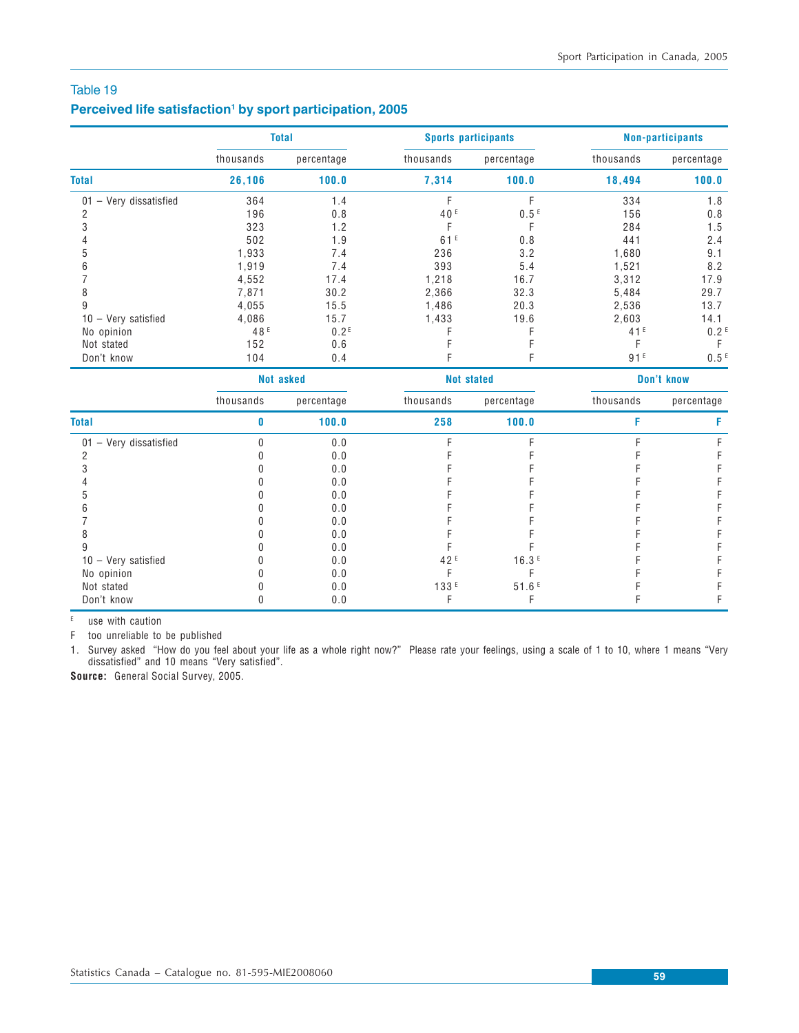#### Perceived life satisfaction<sup>1</sup> by sport participation, 2005

|                                 |                 | <b>Total</b>     |                 | <b>Sports participants</b> | <b>Non-participants</b> |                  |  |
|---------------------------------|-----------------|------------------|-----------------|----------------------------|-------------------------|------------------|--|
|                                 | thousands       | percentage       | thousands       | percentage                 | thousands               | percentage       |  |
| <b>Total</b>                    | 26,106          | 100.0            | 7,314           | 100.0                      | 18,494                  | 100.0            |  |
| $01 - \text{Very dissatisfied}$ | 364             | 1.4              |                 | F                          | 334                     | 1.8              |  |
| 2                               | 196             | 0.8              | 40 <sup>E</sup> | 0.5E                       | 156                     | 0.8              |  |
| 3                               | 323             | 1.2              |                 |                            | 284                     | 1.5              |  |
|                                 | 502             | 1.9              | 61E             | 0.8                        | 441                     | 2.4              |  |
| 5                               | 1,933           | 7.4              | 236             | 3.2                        | 1,680                   | 9.1              |  |
| 6                               | 1,919           | 7.4              | 393             | 5.4                        | 1,521                   | 8.2              |  |
|                                 | 4,552           | 17.4             | 1,218           | 16.7                       | 3,312                   | 17.9             |  |
| 8                               | 7,871           | 30.2             | 2,366           | 32.3                       | 5,484                   | 29.7             |  |
| 9                               | 4,055           | 15.5             | 1,486           | 20.3                       | 2,536                   | 13.7             |  |
| $10 - \text{Very satisfied}$    | 4,086           | 15.7             | 1,433           | 19.6                       | 2,603                   | 14.1             |  |
| No opinion                      | 48 <sup>E</sup> | 0.2 <sup>E</sup> |                 |                            | 41 <sup>E</sup>         | 0.2 <sup>E</sup> |  |
| Not stated                      | 152             | 0.6              |                 |                            |                         |                  |  |
| Don't know                      | 104             | 0.4              |                 | F                          | 91E                     | 0.5 <sup>E</sup> |  |

|                              |           | Not asked  |                  | <b>Not stated</b> |           | Don't know |
|------------------------------|-----------|------------|------------------|-------------------|-----------|------------|
|                              | thousands | percentage | thousands        | percentage        | thousands | percentage |
| <b>Total</b>                 |           | 100.0      | 258              | 100.0             |           |            |
| - Very dissatisfied<br>01    |           | 0.0        |                  |                   |           |            |
|                              |           | 0.0        |                  |                   |           |            |
|                              |           | 0.0        |                  |                   |           |            |
|                              |           | 0.0        |                  |                   |           |            |
|                              |           | 0.0        |                  |                   |           |            |
|                              |           | 0.0        |                  |                   |           |            |
|                              |           | 0.0        |                  |                   |           |            |
|                              |           | 0.0        |                  |                   |           |            |
|                              |           | 0.0        |                  |                   |           |            |
| $10 - \text{Very satisfied}$ |           | 0.0        | 42 <sup>E</sup>  | 16.3E             |           |            |
| No opinion                   |           | 0.0        |                  |                   |           |            |
| Not stated                   |           | 0.0        | 133 <sup>E</sup> | 51.6E             |           |            |
| Don't know                   |           | 0.0        |                  |                   |           |            |

E use with caution

F too unreliable to be published

1. Survey asked "How do you feel about your life as a whole right now?" Please rate your feelings, using a scale of 1 to 10, where 1 means "Very dissatisfied" and 10 means "Very satisfied".

**Source:** General Social Survey, 2005.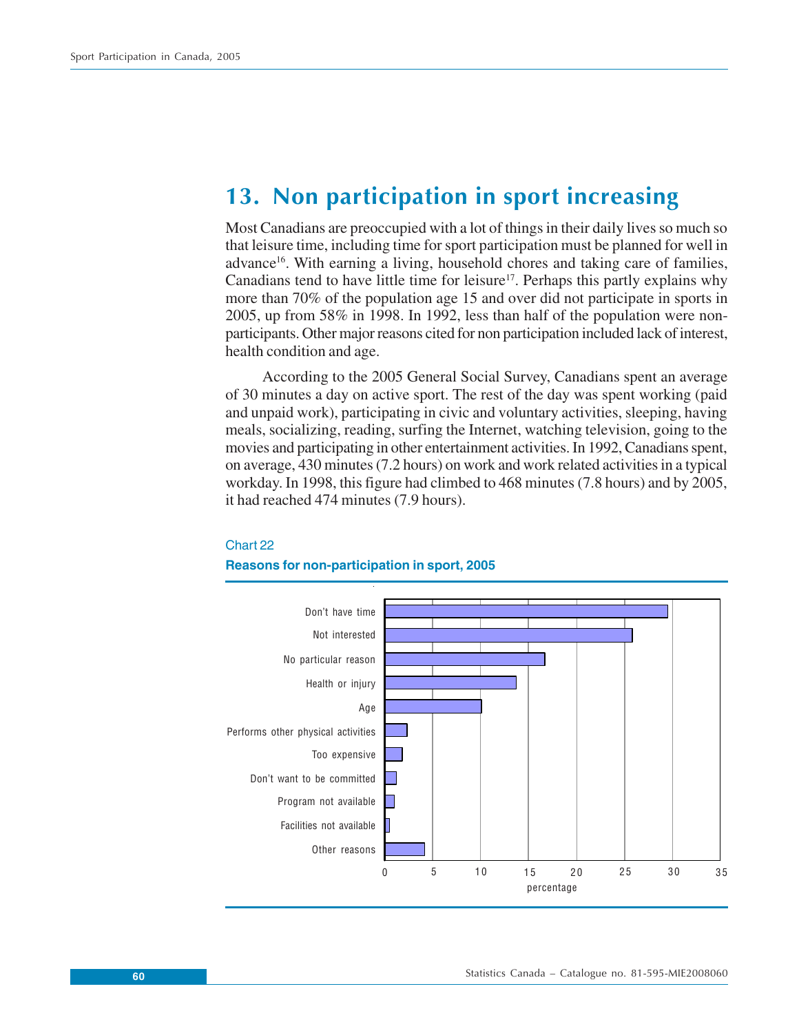# **13. Non participation in sport increasing**

Most Canadians are preoccupied with a lot of things in their daily lives so much so that leisure time, including time for sport participation must be planned for well in advance<sup>16</sup>. With earning a living, household chores and taking care of families, Canadians tend to have little time for leisure<sup>17</sup>. Perhaps this partly explains why more than 70% of the population age 15 and over did not participate in sports in 2005, up from 58% in 1998. In 1992, less than half of the population were nonparticipants. Other major reasons cited for non participation included lack of interest, health condition and age.

According to the 2005 General Social Survey, Canadians spent an average of 30 minutes a day on active sport. The rest of the day was spent working (paid and unpaid work), participating in civic and voluntary activities, sleeping, having meals, socializing, reading, surfing the Internet, watching television, going to the movies and participating in other entertainment activities. In 1992, Canadians spent, on average, 430 minutes (7.2 hours) on work and work related activities in a typical workday. In 1998, this figure had climbed to 468 minutes (7.8 hours) and by 2005, it had reached 474 minutes (7.9 hours).



### Chart 22

#### **Reasons for non-participation in sport, 2005**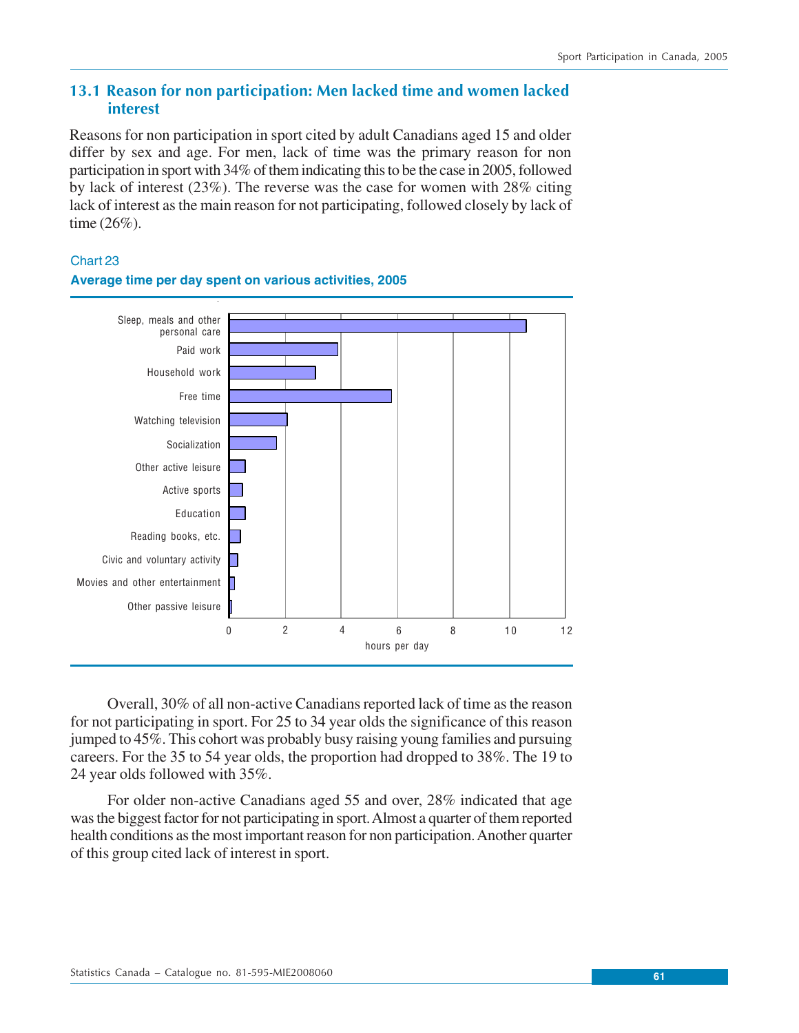# **13.1 Reason for non participation: Men lacked time and women lacked interest**

Reasons for non participation in sport cited by adult Canadians aged 15 and older differ by sex and age. For men, lack of time was the primary reason for non participation in sport with 34% of them indicating this to be the case in 2005, followed by lack of interest (23%). The reverse was the case for women with 28% citing lack of interest as the main reason for not participating, followed closely by lack of time (26%).

Chart 23



# **Average time per day spent on various activities, 2005**

Overall, 30% of all non-active Canadians reported lack of time as the reason for not participating in sport. For 25 to 34 year olds the significance of this reason jumped to 45%. This cohort was probably busy raising young families and pursuing careers. For the 35 to 54 year olds, the proportion had dropped to 38%. The 19 to 24 year olds followed with 35%.

For older non-active Canadians aged 55 and over, 28% indicated that age was the biggest factor for not participating in sport. Almost a quarter of them reported health conditions as the most important reason for non participation. Another quarter of this group cited lack of interest in sport.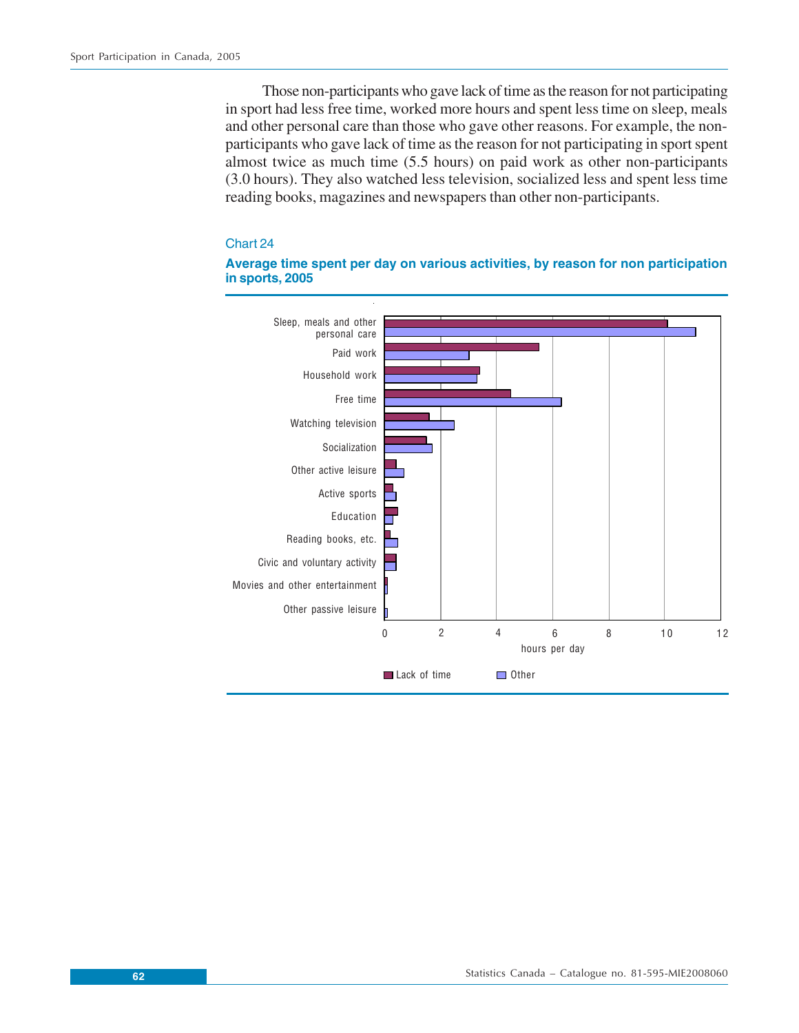Those non-participants who gave lack of time as the reason for not participating in sport had less free time, worked more hours and spent less time on sleep, meals and other personal care than those who gave other reasons. For example, the nonparticipants who gave lack of time as the reason for not participating in sport spent almost twice as much time (5.5 hours) on paid work as other non-participants (3.0 hours). They also watched less television, socialized less and spent less time reading books, magazines and newspapers than other non-participants.

#### Chart 24



#### **Average time spent per day on various activities, by reason for non participation in sports, 2005**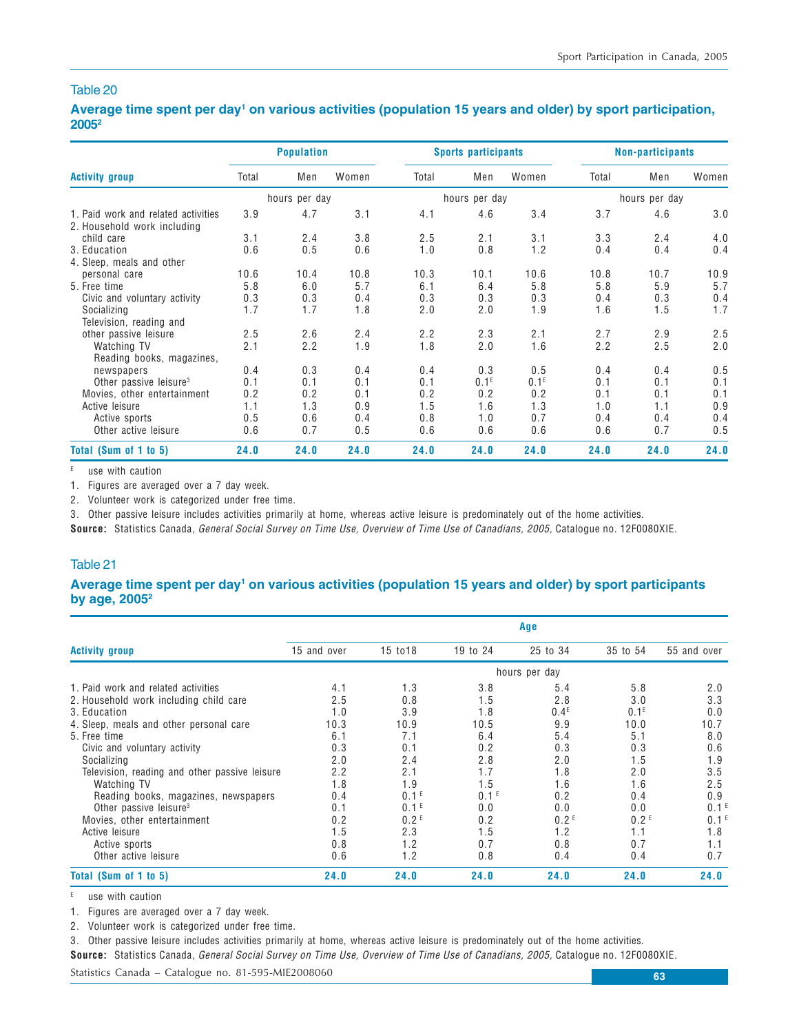#### Average time spent per day<sup>1</sup> on various activities (population 15 years and older) by sport participation, **20052**

|                                                                    |       | <b>Population</b> |       |       | <b>Sports participants</b> |                  | <b>Non-participants</b> |               |       |
|--------------------------------------------------------------------|-------|-------------------|-------|-------|----------------------------|------------------|-------------------------|---------------|-------|
| <b>Activity group</b>                                              | Total | Men               | Women | Total | Men                        | Women            | Total                   | Men           | Women |
|                                                                    |       | hours per day     |       |       | hours per day              |                  |                         | hours per day |       |
| 1. Paid work and related activities<br>2. Household work including | 3.9   | 4.7               | 3.1   | 4.1   | 4.6                        | 3.4              | 3.7                     | 4.6           | 3.0   |
| child care                                                         | 3.1   | 2.4               | 3.8   | 2.5   | 2.1                        | 3.1              | 3.3                     | 2.4           | 4.0   |
| 3. Education                                                       | 0.6   | 0.5               | 0.6   | 1.0   | 0.8                        | 1.2              | 0.4                     | 0.4           | 0.4   |
| 4. Sleep, meals and other                                          |       |                   |       |       |                            |                  |                         |               |       |
| personal care                                                      | 10.6  | 10.4              | 10.8  | 10.3  | 10.1                       | 10.6             | 10.8                    | 10.7          | 10.9  |
| 5. Free time                                                       | 5.8   | 6.0               | 5.7   | 6.1   | 6.4                        | 5.8              | 5.8                     | 5.9           | 5.7   |
| Civic and voluntary activity                                       | 0.3   | 0.3               | 0.4   | 0.3   | 0.3                        | 0.3              | 0.4                     | 0.3           | 0.4   |
| Socializing                                                        | 1.7   | 1.7               | 1.8   | 2.0   | 2.0                        | 1.9              | 1.6                     | 1.5           | 1.7   |
| Television, reading and                                            |       |                   |       |       |                            |                  |                         |               |       |
| other passive leisure                                              | 2.5   | 2.6               | 2.4   | 2.2   | 2.3                        | 2.1              | 2.7                     | 2.9           | 2.5   |
| Watching TV                                                        | 2.1   | 2.2               | 1.9   | 1.8   | 2.0                        | 1.6              | 2.2                     | 2.5           | 2.0   |
| Reading books, magazines,                                          |       |                   |       |       |                            |                  |                         |               |       |
| newspapers                                                         | 0.4   | 0.3               | 0.4   | 0.4   | 0.3                        | 0.5              | 0.4                     | 0.4           | 0.5   |
| Other passive leisure <sup>3</sup>                                 | 0.1   | 0.1               | 0.1   | 0.1   | 0.1 <sup>E</sup>           | 0.1 <sup>E</sup> | 0.1                     | 0.1           | 0.1   |
| Movies, other entertainment                                        | 0.2   | 0.2               | 0.1   | 0.2   | 0.2                        | 0.2              | 0.1                     | 0.1           | 0.1   |
| Active leisure                                                     | 1.1   | 1.3               | 0.9   | 1.5   | 1.6                        | 1.3              | 1.0                     | 1.1           | 0.9   |
| Active sports                                                      | 0.5   | 0.6               | 0.4   | 0.8   | 1.0                        | 0.7              | 0.4                     | 0.4           | 0.4   |
| Other active leisure                                               | 0.6   | 0.7               | 0.5   | 0.6   | 0.6                        | 0.6              | 0.6                     | 0.7           | 0.5   |
| Total (Sum of 1 to 5)                                              | 24.0  | 24.0              | 24.0  | 24.0  | 24.0                       | 24.0             | 24.0                    | 24.0          | 24.0  |

 $E$  use with caution

1. Figures are averaged over a 7 day week.

2. Volunteer work is categorized under free time.

3. Other passive leisure includes activities primarily at home, whereas active leisure is predominately out of the home activities.

**Source:** Statistics Canada, General Social Survey on Time Use, Overview of Time Use of Canadians, 2005, Catalogue no. 12F0080XIE.

#### Table 21

#### **Average time spent per day1 on various activities (population 15 years and older) by sport participants by age, 20052**

|                                               | Age         |                  |                  |                  |                  |                  |  |  |  |  |
|-----------------------------------------------|-------------|------------------|------------------|------------------|------------------|------------------|--|--|--|--|
| <b>Activity group</b>                         | 15 and over | 15 to 18         | 19 to 24         | 25 to 34         | 35 to 54         | 55 and over      |  |  |  |  |
|                                               |             |                  |                  | hours per day    |                  |                  |  |  |  |  |
| 1. Paid work and related activities           | 4.1         | 1.3              | 3.8              | 5.4              | 5.8              | 2.0              |  |  |  |  |
| 2. Household work including child care        | 2.5         | 0.8              | 1.5              | 2.8              | 3.0              | 3.3              |  |  |  |  |
| 3. Education                                  | 1.0         | 3.9              | 1.8              | 0.4 <sup>E</sup> | $0.1^E$          | 0.0              |  |  |  |  |
| 4. Sleep, meals and other personal care       | 10.3        | 10.9             | 10.5             | 9.9              | 10.0             | 10.7             |  |  |  |  |
| 5. Free time                                  | 6.1         | 7.1              | 6.4              | 5.4              | 5.1              | 8.0              |  |  |  |  |
| Civic and voluntary activity                  | 0.3         | 0.1              | 0.2              | 0.3              | 0.3              | 0.6              |  |  |  |  |
| Socializing                                   | 2.0         | 2.4              | 2.8              | 2.0              | 1.5              | 1.9              |  |  |  |  |
| Television, reading and other passive leisure | 2.2         | 2.1              | 1.7              | 1.8              | 2.0              | 3.5              |  |  |  |  |
| Watching TV                                   | 1.8         | 1.9              | 1.5              | 1.6              | 1.6              | 2.5              |  |  |  |  |
| Reading books, magazines, newspapers          | 0.4         | 0.1 <sup>E</sup> | 0.1 <sup>E</sup> | 0.2              | 0.4              | 0.9              |  |  |  |  |
| Other passive leisure <sup>3</sup>            | 0.1         | 0.1 <sup>E</sup> | 0.0              | 0.0              | 0.0              | 0.1 <sup>E</sup> |  |  |  |  |
| Movies, other entertainment                   | 0.2         | 0.2 <sup>E</sup> | 0.2              | 0.2 <sup>E</sup> | 0.2 <sup>E</sup> | 0.1 <sup>E</sup> |  |  |  |  |
| Active leisure                                | 1.5         | 2.3              | 1.5              | 1.2              | 1.1              | 1.8              |  |  |  |  |
| Active sports                                 | 0.8         | 1.2              | 0.7              | 0.8              | 0.7              | 1.1              |  |  |  |  |
| Other active leisure                          | 0.6         | 1.2              | 0.8              | 0.4              | 0.4              | 0.7              |  |  |  |  |
| Total (Sum of 1 to 5)                         | 24.0        | 24.0             | 24.0             | 24.0             | 24.0             | 24.0             |  |  |  |  |

E use with caution

1. Figures are averaged over a 7 day week.

2. Volunteer work is categorized under free time.

3. Other passive leisure includes activities primarily at home, whereas active leisure is predominately out of the home activities.

**Source:** Statistics Canada, General Social Survey on Time Use, Overview of Time Use of Canadians, 2005, Catalogue no. 12F0080XIE.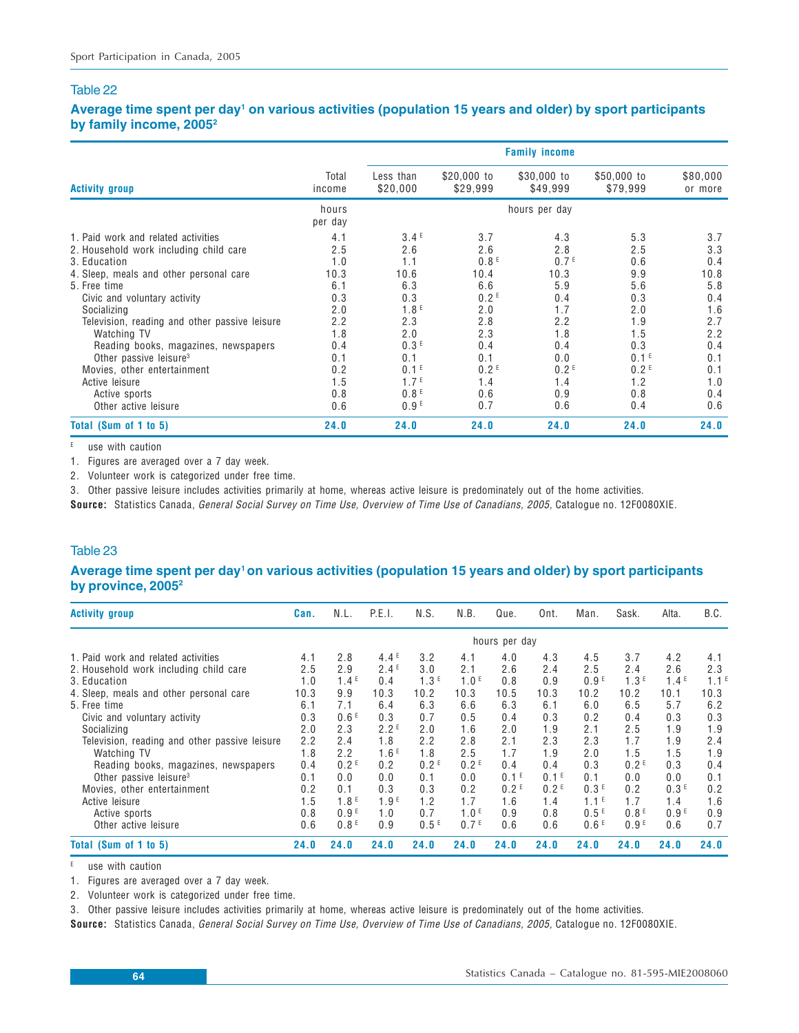#### **Average time spent per day1 on various activities (population 15 years and older) by sport participants by family income, 20052**

|                                                                   |                  |                                      |                         | <b>Family income</b>    |                                      |                     |
|-------------------------------------------------------------------|------------------|--------------------------------------|-------------------------|-------------------------|--------------------------------------|---------------------|
| <b>Activity group</b>                                             | Total<br>income  | Less than<br>\$20,000                | \$20,000 to<br>\$29,999 | \$30,000 to<br>\$49,999 | \$50,000 to<br>\$79,999              | \$80,000<br>or more |
|                                                                   | hours<br>per day |                                      |                         | hours per day           |                                      |                     |
| 1. Paid work and related activities                               | 4.1              | 3.4 <sup>E</sup>                     | 3.7                     | 4.3                     | 5.3                                  | 3.7                 |
| 2. Household work including child care<br>3. Education            | 2.5<br>1.0       | 2.6<br>1.1                           | 2.6<br>0.8 <sup>E</sup> | 2.8<br>0.7 <sup>E</sup> | 2.5<br>0.6                           | 3.3<br>0.4          |
| 4. Sleep, meals and other personal care<br>5. Free time           | 10.3<br>6.1      | 10.6<br>6.3                          | 10.4<br>6.6             | 10.3<br>5.9             | 9.9<br>5.6                           | 10.8<br>5.8         |
| Civic and voluntary activity                                      | 0.3              | 0.3<br>1.8 <sup>E</sup>              | 0.2 <sup>E</sup>        | 0.4<br>1.7              | 0.3                                  | 0.4                 |
| Socializing<br>Television, reading and other passive leisure      | 2.0<br>2.2       | 2.3                                  | 2.0<br>2.8              | 2.2                     | 2.0<br>1.9                           | 1.6<br>2.7          |
| Watching TV<br>Reading books, magazines, newspapers               | 1.8<br>0.4       | 2.0<br>0.3 <sup>E</sup>              | 2.3<br>0.4              | 1.8<br>0.4              | 1.5<br>0.3                           | 2.2<br>0.4          |
| Other passive leisure <sup>3</sup><br>Movies, other entertainment | 0.1<br>0.2       | 0.1<br>0.1 <sup>E</sup>              | 0.1<br>0.2 <sup>E</sup> | 0.0<br>0.2 <sup>E</sup> | 0.1 <sup>E</sup><br>0.2 <sup>E</sup> | 0.1<br>0.1          |
| Active leisure                                                    | 1.5<br>0.8       | 1.7 <sup>E</sup><br>0.8 <sup>E</sup> | 1.4<br>0.6              | 1.4<br>0.9              | 1.2<br>0.8                           | 1.0<br>0.4          |
| Active sports<br>Other active leisure                             | 0.6              | 0.9 <sup>E</sup>                     | 0.7                     | 0.6                     | 0.4                                  | 0.6                 |
| Total (Sum of 1 to 5)                                             | 24.0             | 24.0                                 | 24.0                    | 24.0                    | 24.0                                 | 24.0                |

 $E$  use with caution

1. Figures are averaged over a 7 day week.

2. Volunteer work is categorized under free time.

3. Other passive leisure includes activities primarily at home, whereas active leisure is predominately out of the home activities.

**Source:** Statistics Canada, General Social Survey on Time Use, Overview of Time Use of Canadians, 2005, Catalogue no. 12F0080XIE.

#### Table 23

#### **Average time spent per day1 on various activities (population 15 years and older) by sport participants by province, 20052**

| <b>Activity group</b>                         | Can. | N.L.             | P.E.I.           | N.S.             | N.B.             | Que.             | Ont.             | Man.             | Sask.            | Alta.            | B.C.             |
|-----------------------------------------------|------|------------------|------------------|------------------|------------------|------------------|------------------|------------------|------------------|------------------|------------------|
|                                               |      |                  |                  |                  |                  | hours per day    |                  |                  |                  |                  |                  |
| 1. Paid work and related activities           | 4.1  | 2.8              | 4.4 <sup>E</sup> | 3.2              | 4.1              | 4.0              | 4.3              | 4.5              | 3.7              | 4.2              | 4.1              |
| 2. Household work including child care        | 2.5  | 2.9              | 2.4E             | 3.0              | 2.1              | 2.6              | 2.4              | 2.5              | 2.4              | 2.6              | 2.3              |
| 3. Education                                  | 1.0  | 1.4 <sup>E</sup> | 0.4              | 1.3 <sup>E</sup> | 1.0 <sup>E</sup> | 0.8              | 0.9              | 0.9 <sup>E</sup> | 1.3 <sup>E</sup> | 1.4 <sup>E</sup> | 1.1 <sup>E</sup> |
| 4. Sleep, meals and other personal care       | 10.3 | 9.9              | 10.3             | 10.2             | 10.3             | 10.5             | 10.3             | 10.2             | 10.2             | 10.1             | 10.3             |
| 5. Free time                                  | 6.1  | 7.1              | 6.4              | 6.3              | 6.6              | 6.3              | 6.1              | 6.0              | 6.5              | 5.7              | 6.2              |
| Civic and voluntary activity                  | 0.3  | 0.6 <sup>E</sup> | 0.3              | 0.7              | 0.5              | 0.4              | 0.3              | 0.2              | 0.4              | 0.3              | 0.3              |
| Socializing                                   | 2.0  | 2.3              | 2.2 <sup>E</sup> | 2.0              | 1.6              | 2.0              | 1.9              | 2.1              | 2.5              | 1.9              | 1.9              |
| Television, reading and other passive leisure | 2.2  | 2.4              | 1.8              | 2.2              | 2.8              | 2.1              | 2.3              | 2.3              | 1.7              | 1.9              | 2.4              |
| Watching TV                                   | 1.8  | 2.2              | 1.6E             | 1.8              | 2.5              | 1.7              | 1.9              | 2.0              | 1.5              | 1.5              | 1.9              |
| Reading books, magazines, newspapers          | 0.4  | 0.2 <sup>E</sup> | 0.2              | 0.2 <sup>E</sup> | 0.2 <sup>E</sup> | 0.4              | 0.4              | 0.3              | 0.2 <sup>E</sup> | 0.3              | 0.4              |
| Other passive leisure <sup>3</sup>            | 0.1  | 0.0              | 0.0              | 0.1              | 0.0              | 0.1 <sup>E</sup> | 0.1 <sup>E</sup> | 0.1              | 0.0              | 0.0              | 0.1              |
| Movies, other entertainment                   | 0.2  | 0.1              | 0.3              | 0.3              | 0.2              | 0.2 <sup>E</sup> | 0.2 <sup>E</sup> | 0.3 <sup>E</sup> | 0.2              | 0.3 <sup>E</sup> | 0.2              |
| Active leisure                                | 1.5  | 1.8 <sup>E</sup> | 1.9 <sup>E</sup> | 1.2              | 1.7              | 1.6              | 1.4              | 1.1 <sup>E</sup> | 1.7              | 1.4              | 1.6              |
| Active sports                                 | 0.8  | 0.9 <sup>E</sup> | 1.0              | 0.7              | 1.0 <sup>E</sup> | 0.9              | 0.8              | 0.5E             | 0.8 <sup>E</sup> | 0.9 <sup>E</sup> | 0.9              |
| Other active leisure                          | 0.6  | 0.8 <sup>E</sup> | 0.9              | 0.5E             | 0.7 <sup>E</sup> | 0.6              | 0.6              | 0.6 <sup>E</sup> | 0.9 <sup>E</sup> | 0.6              | 0.7              |
| Total (Sum of 1 to 5)                         | 24.0 | 24.0             | 24.0             | 24.0             | 24.0             | 24.0             | 24.0             | 24.0             | 24.0             | 24.0             | 24.0             |

 $E$  use with caution

1. Figures are averaged over a 7 day week.

2. Volunteer work is categorized under free time.

3. Other passive leisure includes activities primarily at home, whereas active leisure is predominately out of the home activities.

**Source:** Statistics Canada, General Social Survey on Time Use, Overview of Time Use of Canadians, 2005, Catalogue no. 12F0080XIE.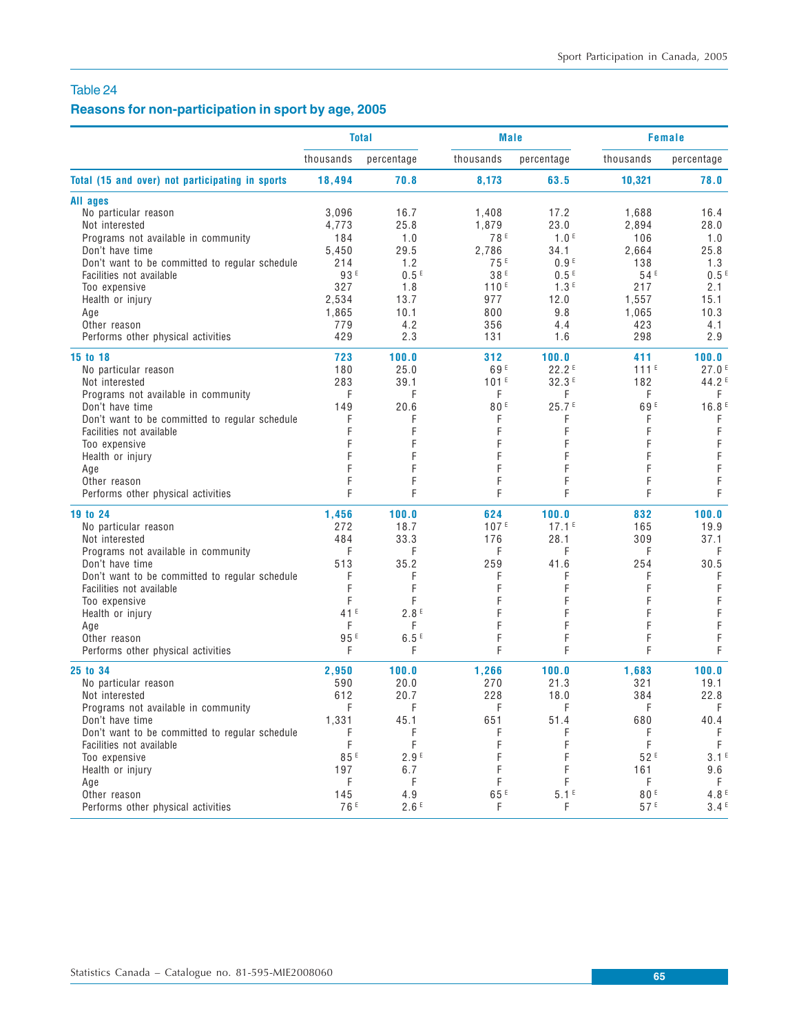# **Reasons for non-participation in sport by age, 2005**

|                                                 |                 | <b>Total</b>     | <b>Male</b>      |                   |                 | <b>Female</b>     |
|-------------------------------------------------|-----------------|------------------|------------------|-------------------|-----------------|-------------------|
|                                                 | thousands       | percentage       | thousands        | percentage        | thousands       | percentage        |
| Total (15 and over) not participating in sports | 18,494          | 70.8             | 8,173            | 63.5              | 10,321          | 78.0              |
| All ages                                        |                 |                  |                  |                   |                 |                   |
| No particular reason                            | 3,096           | 16.7             | 1,408            | 17.2              | 1,688           | 16.4              |
| Not interested                                  | 4,773           | 25.8             | 1,879            | 23.0              | 2,894           | 28.0              |
| Programs not available in community             | 184             | 1.0              | 78 <sup>E</sup>  | 1.0 <sup>E</sup>  | 106             | 1.0               |
| Don't have time                                 | 5,450           | 29.5             | 2,786            | 34.1              | 2,664           | 25.8              |
| Don't want to be committed to regular schedule  | 214             | 1.2              | 75 <sup>E</sup>  | 0.9 <sup>E</sup>  | 138             | 1.3               |
| Facilities not available                        | 93 E            | 0.5 <sup>E</sup> | 38 E             | 0.5 <sup>E</sup>  | 54 <sup>E</sup> | 0.5 <sup>E</sup>  |
| Too expensive                                   | 327             | 1.8              | 110 <sup>E</sup> | 1.3 <sup>E</sup>  | 217             | 2.1               |
| Health or injury                                | 2,534           | 13.7             | 977              | 12.0              | 1,557           | 15.1              |
| Age                                             | 1,865           | 10.1             | 800              | 9.8               | 1,065           | 10.3              |
| Other reason                                    | 779             | 4.2              | 356              | 4.4               | 423             | 4.1               |
| Performs other physical activities              | 429             | 2.3              | 131              | 1.6               | 298             | 2.9               |
| 15 to 18                                        | 723             | 100.0            | 312              | 100.0             | 411             | 100.0             |
| No particular reason                            | 180             | 25.0             | 69 <sup>E</sup>  | 22.2E             | $111^E$         | 27.0 <sup>E</sup> |
| Not interested                                  | 283             | 39.1             | 101 <sup>E</sup> | 32.3E             | 182             | 44.2 <sup>E</sup> |
| Programs not available in community             | F               | F                | F                | F                 | F               | F                 |
| Don't have time                                 | 149             | 20.6             | 80F              | 25.7E             | 69 <sup>E</sup> | 16.8 <sup>E</sup> |
| Don't want to be committed to regular schedule  | F               | F                | F                | F                 | F               | F                 |
| Facilities not available                        |                 | F                | F                | F                 | F               | F                 |
| Too expensive                                   | F               | F                | F                | F                 | F               | F                 |
| Health or injury                                | F               | F                |                  |                   | F               | F                 |
| Age                                             | F               | F                | F                | F                 | F               | $\mathsf F$       |
| Other reason                                    | F               | F                | F                | F                 | F               | F                 |
| Performs other physical activities              | F               | F                | F                | F                 | F               | F                 |
| 19 to 24                                        | 1,456           | 100.0            | 624              | 100.0             | 832             | 100.0             |
| No particular reason                            | 272             | 18.7             | 107E             | 17.1 <sup>E</sup> | 165             | 19.9              |
| Not interested                                  | 484             | 33.3             | 176              | 28.1              | 309             | 37.1              |
| Programs not available in community             | F               | F                | F                | F                 | F               | F                 |
| Don't have time                                 | 513             | 35.2             | 259              | 41.6              | 254             | 30.5              |
| Don't want to be committed to regular schedule  | F               | F                | F                | F                 | F               | F                 |
| Facilities not available                        | F               | F                |                  |                   | F               | F                 |
| Too expensive                                   | F               | F                |                  |                   |                 | $\mathsf F$       |
|                                                 | 41E             |                  |                  |                   | F               | $\mathsf F$       |
| Health or injury                                | F               | 2.8E<br>F        | F                | F                 | F               | $\mathsf F$       |
| Age                                             |                 |                  | F                |                   |                 |                   |
| Other reason                                    | 95 <sup>E</sup> | 6.5E             |                  | F                 | F               | F                 |
| Performs other physical activities              | F               | F                | F                | F                 | F               | F                 |
| 25 to 34                                        | 2,950           | 100.0            | 1,266            | 100.0             | 1,683           | 100.0             |
| No particular reason                            | 590             | 20.0             | 270              | 21.3              | 321             | 19.1              |
| Not interested                                  | 612             | 20.7             | 228              | 18.0              | 384             | 22.8              |
| Programs not available in community             | F               | F                | F                | F                 | F               | F                 |
| Don't have time                                 | 1,331           | 45.1             | 651              | 51.4              | 680             | 40.4              |
| Don't want to be committed to regular schedule  | F               | F                |                  | F                 | F               | F                 |
| Facilities not available                        | F               | F                |                  |                   | F               | F                 |
| Too expensive                                   | 85E             | 2.9 <sup>E</sup> |                  |                   | 52F             | 3.1 <sup>E</sup>  |
| Health or injury                                | 197             | 6.7              |                  |                   | 161             | 9.6               |
| Age                                             | F               | F                | F                | F                 | F               | F.                |
| Other reason                                    | 145             | 4.9              | 65 E             | 5.1 <sup>E</sup>  | 80 <sup>E</sup> | 4.8 <sup>E</sup>  |
| Performs other physical activities              | 76 <sup>E</sup> | 2.6E             | F                | F                 | 57 <sup>E</sup> | 3.4 <sup>E</sup>  |
|                                                 |                 |                  |                  |                   |                 |                   |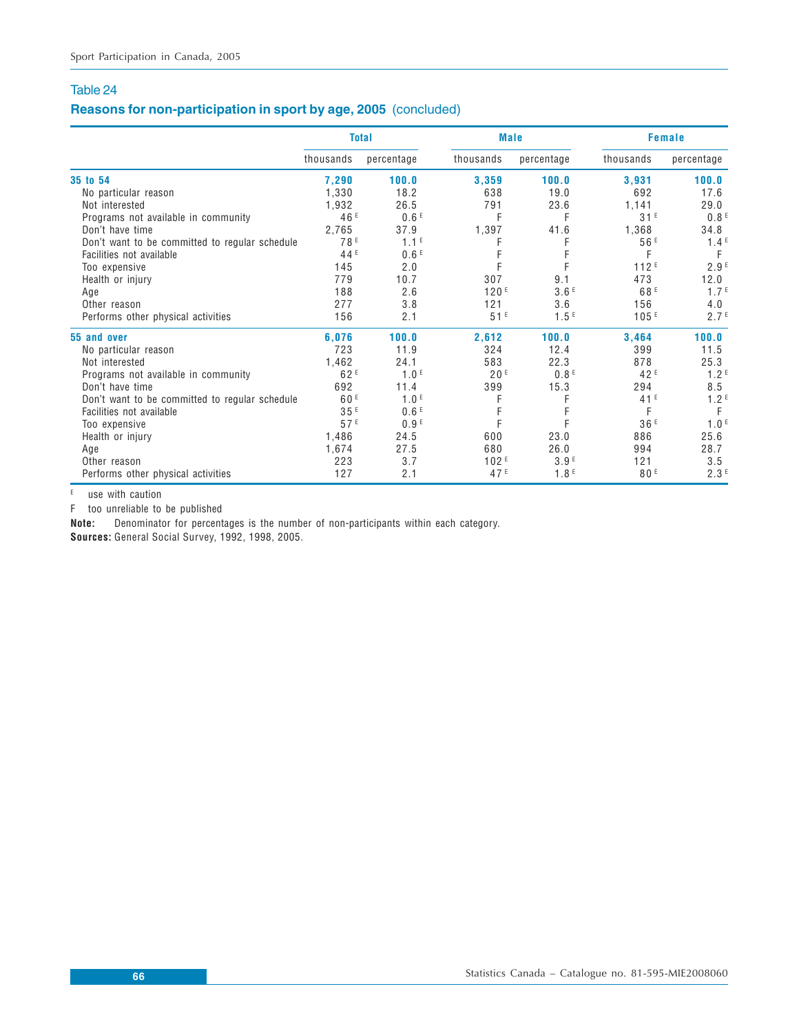# **Reasons for non-participation in sport by age, 2005** (concluded)

|                                                | <b>Total</b>    |                  | <b>Male</b>     |                  |                 | <b>Female</b>    |
|------------------------------------------------|-----------------|------------------|-----------------|------------------|-----------------|------------------|
|                                                | thousands       | percentage       | thousands       | percentage       | thousands       | percentage       |
| 35 to 54                                       | 7,290           | 100.0            | 3,359           | 100.0            | 3,931           | 100.0            |
| No particular reason                           | 1,330           | 18.2             | 638             | 19.0             | 692             | 17.6             |
| Not interested                                 | 1,932           | 26.5             | 791             | 23.6             | 1,141           | 29.0             |
| Programs not available in community            | 46 <sup>E</sup> | 0.6 <sup>E</sup> | F               | F                | 31E             | 0.8 <sup>E</sup> |
| Don't have time                                | 2,765           | 37.9             | 1,397           | 41.6             | 1,368           | 34.8             |
| Don't want to be committed to regular schedule | 78 <sup>E</sup> | 1.1 <sup>E</sup> | F               | F                | 56 <sup>E</sup> | 1.4 <sup>E</sup> |
| Facilities not available                       | 44 <sup>E</sup> | 0.6 <sup>E</sup> |                 |                  | F               | F                |
| Too expensive                                  | 145             | 2.0              | F               |                  | 112E            | 2.9 <sup>E</sup> |
| Health or injury                               | 779             | 10.7             | 307             | 9.1              | 473             | 12.0             |
| Age                                            | 188             | 2.6              | 120E            | 3.6F             | 68 <sup>E</sup> | 1.7 <sup>E</sup> |
| Other reason                                   | 277             | 3.8              | 121             | 3.6              | 156             | 4.0              |
| Performs other physical activities             | 156             | 2.1              | 51E             | 1.5 <sup>E</sup> | 105E            | 2.7 <sup>E</sup> |
| 55 and over                                    | 6,076           | 100.0            | 2,612           | 100.0            | 3,464           | 100.0            |
| No particular reason                           | 723             | 11.9             | 324             | 12.4             | 399             | 11.5             |
| Not interested                                 | 1,462           | 24.1             | 583             | 22.3             | 878             | 25.3             |
| Programs not available in community            | 62F             | 1.0 <sup>E</sup> | 20E             | 0.8 <sup>E</sup> | 42 <sup>E</sup> | 1.2 <sup>E</sup> |
| Don't have time                                | 692             | 11.4             | 399             | 15.3             | 294             | 8.5              |
| Don't want to be committed to regular schedule | 60 <sup>E</sup> | 1.0 <sup>E</sup> |                 |                  | 41 <sup>E</sup> | 1.2 <sup>E</sup> |
| Facilities not available                       | 35E             | 0.6 <sup>E</sup> |                 |                  | F               | F                |
| Too expensive                                  | 57E             | 0.9 <sup>E</sup> |                 |                  | 36 <sup>E</sup> | 1.0 <sup>E</sup> |
| Health or injury                               | 1,486           | 24.5             | 600             | 23.0             | 886             | 25.6             |
| Age                                            | 1,674           | 27.5             | 680             | 26.0             | 994             | 28.7             |
| Other reason                                   | 223             | 3.7              | 102E            | 3.9 <sup>E</sup> | 121             | 3.5              |
| Performs other physical activities             | 127             | 2.1              | 47 <sup>E</sup> | 1.8 <sup>E</sup> | 80F             | 2.3 <sup>E</sup> |

 $E$  use with caution

F too unreliable to be published

**Note:** Denominator for percentages is the number of non-participants within each category.

**Sources:** General Social Survey, 1992, 1998, 2005.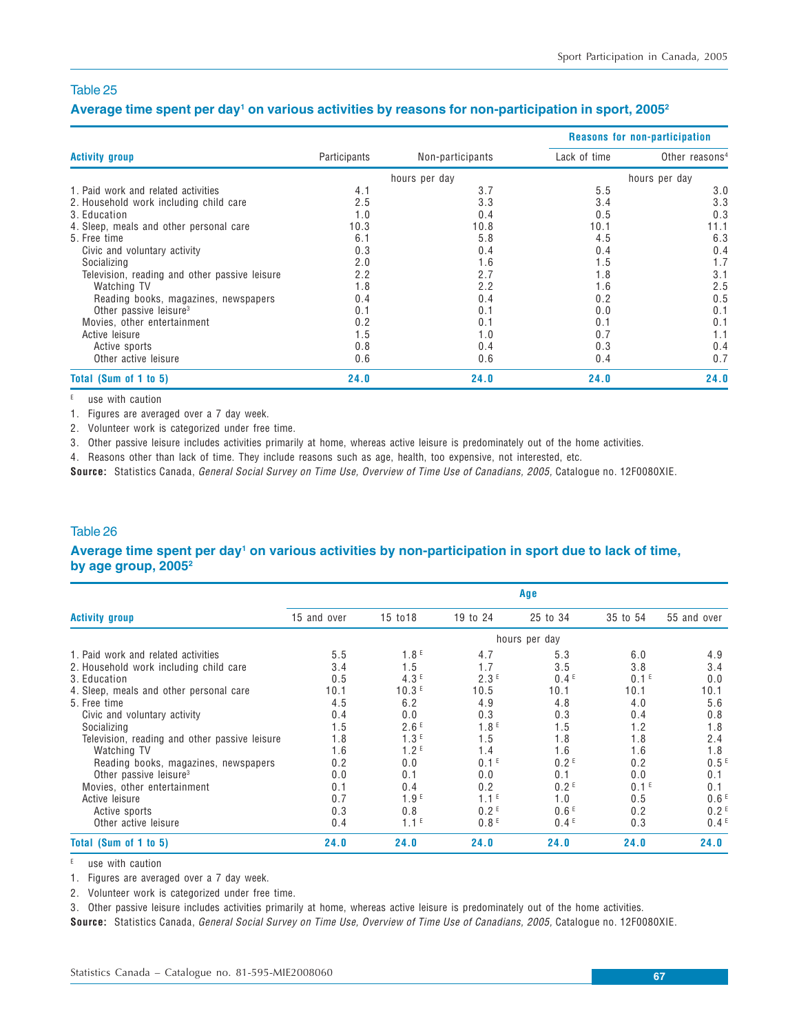#### **Average time spent per day1 on various activities by reasons for non-participation in sport, 20052**

|                                               |              |                  | Reasons for non-participation |                            |  |  |
|-----------------------------------------------|--------------|------------------|-------------------------------|----------------------------|--|--|
| <b>Activity group</b>                         | Participants | Non-participants | Lack of time                  | Other reasons <sup>4</sup> |  |  |
|                                               |              | hours per day    |                               | hours per day              |  |  |
| 1. Paid work and related activities           | 4.1          | 3.7              | 5.5                           | 3.0                        |  |  |
| 2. Household work including child care        | 2.5          | 3.3              | 3.4                           | 3.3                        |  |  |
| 3. Education                                  | 1.0          | 0.4              | 0.5                           | 0.3                        |  |  |
| 4. Sleep, meals and other personal care       | 10.3         | 10.8             | 10.1                          | 11.1                       |  |  |
| 5. Free time                                  | 6.1          | 5.8              | 4.5                           | 6.3                        |  |  |
| Civic and voluntary activity                  | 0.3          | 0.4              | 0.4                           | 0.4                        |  |  |
| Socializing                                   | 2.0          | 1.6              | 1.5                           | 1.7                        |  |  |
| Television, reading and other passive leisure | 2.2          | 2.7              | 1.8                           | 3.1                        |  |  |
| Watching TV                                   | 1.8          | 2.2              | 1.6                           | 2.5                        |  |  |
| Reading books, magazines, newspapers          | 0.4          | 0.4              | 0.2                           | 0.5                        |  |  |
| Other passive leisure <sup>3</sup>            | 0.1          | 0.1              | 0.0                           | 0.1                        |  |  |
| Movies, other entertainment                   | 0.2          | 0.1              | 0.1                           | 0.1                        |  |  |
| Active leisure                                | 1.5          | 1.0              | 0.7                           | 1.1                        |  |  |
| Active sports                                 | 0.8          | 0.4              | 0.3                           | 0.4                        |  |  |
| Other active leisure                          | 0.6          | 0.6              | 0.4                           | 0.7                        |  |  |
| Total (Sum of 1 to 5)                         | 24.0         | 24.0             | 24.0                          | 24.0                       |  |  |

E use with caution

1. Figures are averaged over a 7 day week.

2. Volunteer work is categorized under free time.

3. Other passive leisure includes activities primarily at home, whereas active leisure is predominately out of the home activities.

4. Reasons other than lack of time. They include reasons such as age, health, too expensive, not interested, etc.

**Source:** Statistics Canada, General Social Survey on Time Use, Overview of Time Use of Canadians, 2005, Catalogue no. 12F0080XIE.

### Table 26

#### **Average time spent per day1 on various activities by non-participation in sport due to lack of time, by age group, 20052**

|                                               | Age         |                  |                  |                  |                  |                  |  |  |  |
|-----------------------------------------------|-------------|------------------|------------------|------------------|------------------|------------------|--|--|--|
| <b>Activity group</b>                         | 15 and over | 15 to 18         | 19 to 24         | 25 to 34         | 35 to 54         | 55 and over      |  |  |  |
|                                               |             |                  |                  | hours per day    |                  |                  |  |  |  |
| 1. Paid work and related activities           | 5.5         | 1.8 <sup>E</sup> | 4.7              | 5.3              | 6.0              | 4.9              |  |  |  |
| 2. Household work including child care        | 3.4         | 1.5              | 1.7              | 3.5              | 3.8              | 3.4              |  |  |  |
| 3. Education                                  | 0.5         | 4.3F             | 2.3E             | 0.4 <sup>E</sup> | 0.1 <sup>E</sup> | 0.0              |  |  |  |
| 4. Sleep, meals and other personal care       | 10.1        | 10.3E            | 10.5             | 10.1             | 10.1             | 10.1             |  |  |  |
| 5. Free time                                  | 4.5         | 6.2              | 4.9              | 4.8              | 4.0              | 5.6              |  |  |  |
| Civic and voluntary activity                  | 0.4         | 0.0              | 0.3              | 0.3              | 0.4              | 0.8              |  |  |  |
| Socializing                                   | 1.5         | 2.6E             | 1.8 <sup>E</sup> | 1.5              | 1.2              | 1.8              |  |  |  |
| Television, reading and other passive leisure | 1.8         | 1.3 <sup>E</sup> | 1.5              | 1.8              | 1.8              | 2.4              |  |  |  |
| Watching TV                                   | 1.6         | 1.2 <sup>E</sup> | 1.4              | 1.6              | 1.6              | 1.8              |  |  |  |
| Reading books, magazines, newspapers          | 0.2         | 0.0              | 0.1 <sup>E</sup> | 0.2 <sup>E</sup> | 0.2              | 0.5 <sup>E</sup> |  |  |  |
| Other passive leisure <sup>3</sup>            | 0.0         | 0.1              | 0.0              | 0.1              | 0.0              | 0.1              |  |  |  |
| Movies, other entertainment                   | 0.1         | 0.4              | 0.2              | 0.2 <sup>E</sup> | 0.1 <sup>E</sup> | 0.1              |  |  |  |
| Active leisure                                | 0.7         | 1.9 <sup>E</sup> | 1.1 <sup>E</sup> | 1.0              | 0.5              | 0.6 <sup>E</sup> |  |  |  |
| Active sports                                 | 0.3         | 0.8              | 0.2 <sup>E</sup> | 0.6 <sup>E</sup> | 0.2              | 0.2 <sup>E</sup> |  |  |  |
| Other active leisure                          | 0.4         | $1.1^E$          | 0.8 <sup>E</sup> | 0.4 <sup>E</sup> | 0.3              | 0.4 <sup>E</sup> |  |  |  |
| Total (Sum of 1 to 5)                         | 24.0        | 24.0             | 24.0             | 24.0             | 24.0             | 24.0             |  |  |  |

 $E$  use with caution

1. Figures are averaged over a 7 day week.

2. Volunteer work is categorized under free time.

3. Other passive leisure includes activities primarily at home, whereas active leisure is predominately out of the home activities.

**Source:** Statistics Canada, General Social Survey on Time Use, Overview of Time Use of Canadians, 2005, Catalogue no. 12F0080XIE.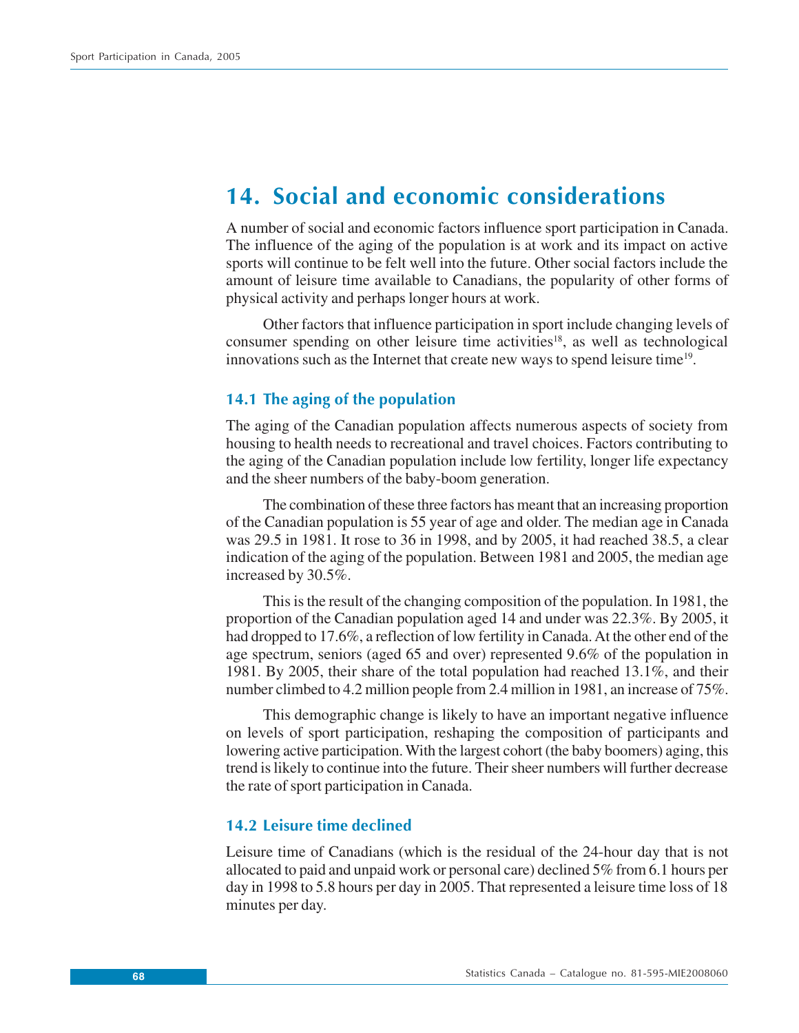# **14. Social and economic considerations**

A number of social and economic factors influence sport participation in Canada. The influence of the aging of the population is at work and its impact on active sports will continue to be felt well into the future. Other social factors include the amount of leisure time available to Canadians, the popularity of other forms of physical activity and perhaps longer hours at work.

Other factors that influence participation in sport include changing levels of consumer spending on other leisure time activities<sup>18</sup>, as well as technological innovations such as the Internet that create new ways to spend leisure time<sup>19</sup>.

## **14.1 The aging of the population**

The aging of the Canadian population affects numerous aspects of society from housing to health needs to recreational and travel choices. Factors contributing to the aging of the Canadian population include low fertility, longer life expectancy and the sheer numbers of the baby-boom generation.

The combination of these three factors has meant that an increasing proportion of the Canadian population is 55 year of age and older. The median age in Canada was 29.5 in 1981. It rose to 36 in 1998, and by 2005, it had reached 38.5, a clear indication of the aging of the population. Between 1981 and 2005, the median age increased by 30.5%.

This is the result of the changing composition of the population. In 1981, the proportion of the Canadian population aged 14 and under was 22.3%. By 2005, it had dropped to 17.6%, a reflection of low fertility in Canada. At the other end of the age spectrum, seniors (aged 65 and over) represented 9.6% of the population in 1981. By 2005, their share of the total population had reached 13.1%, and their number climbed to 4.2 million people from 2.4 million in 1981, an increase of 75%.

This demographic change is likely to have an important negative influence on levels of sport participation, reshaping the composition of participants and lowering active participation. With the largest cohort (the baby boomers) aging, this trend is likely to continue into the future. Their sheer numbers will further decrease the rate of sport participation in Canada.

## **14.2 Leisure time declined**

Leisure time of Canadians (which is the residual of the 24-hour day that is not allocated to paid and unpaid work or personal care) declined 5% from 6.1 hours per day in 1998 to 5.8 hours per day in 2005. That represented a leisure time loss of 18 minutes per day.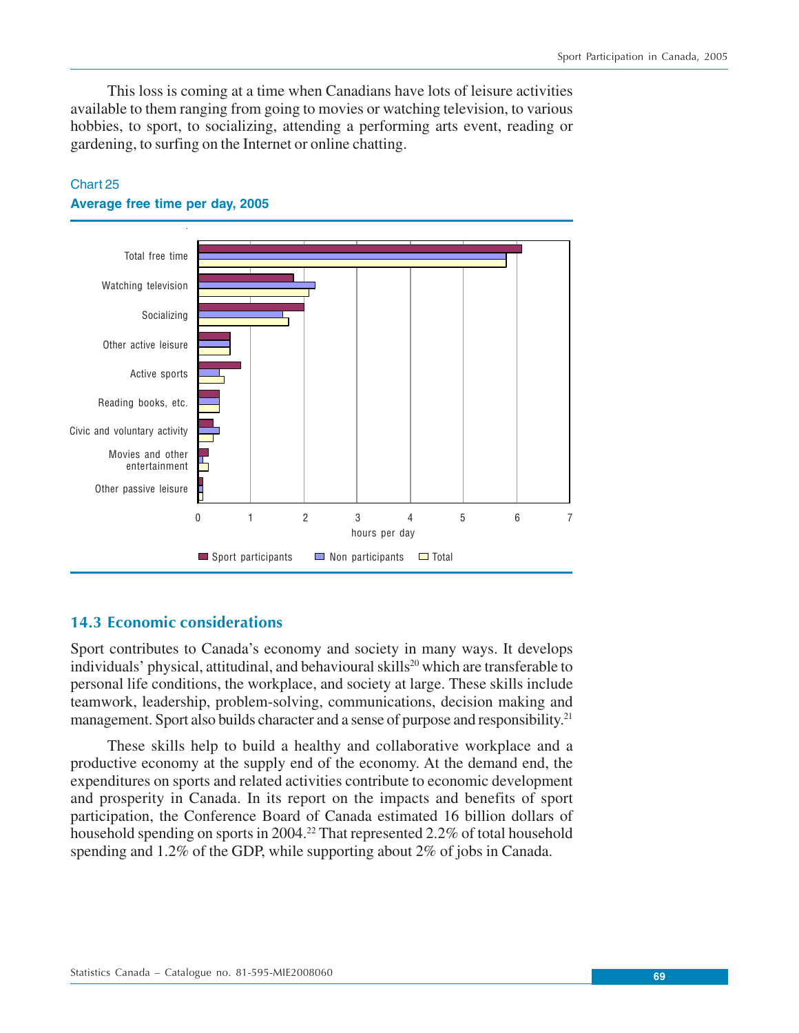This loss is coming at a time when Canadians have lots of leisure activities available to them ranging from going to movies or watching television, to various hobbies, to sport, to socializing, attending a performing arts event, reading or gardening, to surfing on the Internet or online chatting.



# Chart 25 **Average free time per day, 2005**

# **14.3 Economic considerations**

Sport contributes to Canada's economy and society in many ways. It develops individuals' physical, attitudinal, and behavioural skills<sup>20</sup> which are transferable to personal life conditions, the workplace, and society at large. These skills include teamwork, leadership, problem-solving, communications, decision making and management. Sport also builds character and a sense of purpose and responsibility.<sup>21</sup>

These skills help to build a healthy and collaborative workplace and a productive economy at the supply end of the economy. At the demand end, the expenditures on sports and related activities contribute to economic development and prosperity in Canada. In its report on the impacts and benefits of sport participation, the Conference Board of Canada estimated 16 billion dollars of household spending on sports in 2004.<sup>22</sup> That represented 2.2% of total household spending and 1.2% of the GDP, while supporting about 2% of jobs in Canada.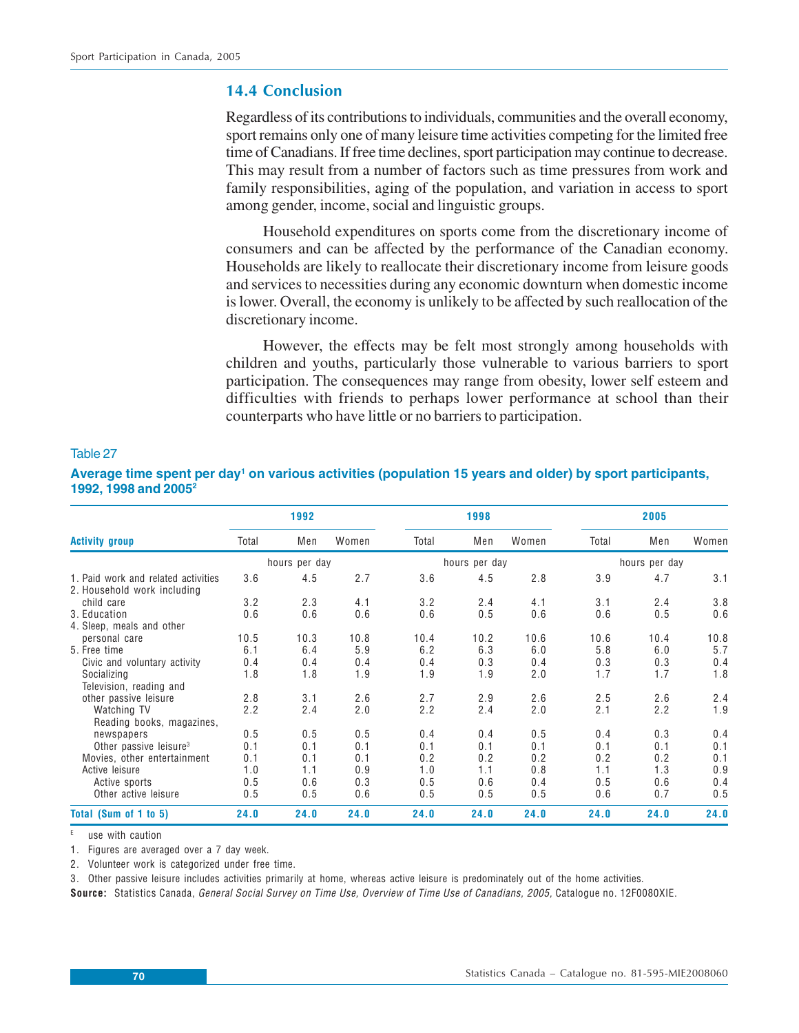# **14.4 Conclusion**

Regardless of its contributions to individuals, communities and the overall economy, sport remains only one of many leisure time activities competing for the limited free time of Canadians. If free time declines, sport participation may continue to decrease. This may result from a number of factors such as time pressures from work and family responsibilities, aging of the population, and variation in access to sport among gender, income, social and linguistic groups.

Household expenditures on sports come from the discretionary income of consumers and can be affected by the performance of the Canadian economy. Households are likely to reallocate their discretionary income from leisure goods and services to necessities during any economic downturn when domestic income is lower. Overall, the economy is unlikely to be affected by such reallocation of the discretionary income.

However, the effects may be felt most strongly among households with children and youths, particularly those vulnerable to various barriers to sport participation. The consequences may range from obesity, lower self esteem and difficulties with friends to perhaps lower performance at school than their counterparts who have little or no barriers to participation.

| <b>Activity group</b>                                              | 1992          |      |       | 1998          |      |       | 2005          |      |       |
|--------------------------------------------------------------------|---------------|------|-------|---------------|------|-------|---------------|------|-------|
|                                                                    | Total         | Men  | Women | Total         | Men  | Women | Total         | Men  | Women |
|                                                                    | hours per day |      |       | hours per day |      |       | hours per day |      |       |
| 1. Paid work and related activities<br>2. Household work including | 3.6           | 4.5  | 2.7   | 3.6           | 4.5  | 2.8   | 3.9           | 4.7  | 3.1   |
| child care                                                         | 3.2           | 2.3  | 4.1   | 3.2           | 2.4  | 4.1   | 3.1           | 2.4  | 3.8   |
| 3. Education                                                       | 0.6           | 0.6  | 0.6   | 0.6           | 0.5  | 0.6   | 0.6           | 0.5  | 0.6   |
| 4. Sleep, meals and other                                          |               |      |       |               |      |       |               |      |       |
| personal care                                                      | 10.5          | 10.3 | 10.8  | 10.4          | 10.2 | 10.6  | 10.6          | 10.4 | 10.8  |
| 5. Free time                                                       | 6.1           | 6.4  | 5.9   | 6.2           | 6.3  | 6.0   | 5.8           | 6.0  | 5.7   |
| Civic and voluntary activity                                       | 0.4           | 0.4  | 0.4   | 0.4           | 0.3  | 0.4   | 0.3           | 0.3  | 0.4   |
| Socializing<br>Television, reading and                             | 1.8           | 1.8  | 1.9   | 1.9           | 1.9  | 2.0   | 1.7           | 1.7  | 1.8   |
| other passive leisure                                              | 2.8           | 3.1  | 2.6   | 2.7           | 2.9  | 2.6   | 2.5           | 2.6  | 2.4   |
| Watching TV<br>Reading books, magazines,                           | 2.2           | 2.4  | 2.0   | 2.2           | 2.4  | 2.0   | 2.1           | 2.2  | 1.9   |
| newspapers                                                         | 0.5           | 0.5  | 0.5   | 0.4           | 0.4  | 0.5   | 0.4           | 0.3  | 0.4   |
| Other passive leisure <sup>3</sup>                                 | 0.1           | 0.1  | 0.1   | 0.1           | 0.1  | 0.1   | 0.1           | 0.1  | 0.1   |
| Movies, other entertainment                                        | 0.1           | 0.1  | 0.1   | 0.2           | 0.2  | 0.2   | 0.2           | 0.2  | 0.1   |
| Active leisure                                                     | 1.0           | 1.1  | 0.9   | 1.0           | 1.1  | 0.8   | 1.1           | 1.3  | 0.9   |
| Active sports                                                      | 0.5           | 0.6  | 0.3   | 0.5           | 0.6  | 0.4   | 0.5           | 0.6  | 0.4   |
| Other active leisure                                               | 0.5           | 0.5  | 0.6   | 0.5           | 0.5  | 0.5   | 0.6           | 0.7  | 0.5   |
| Total (Sum of 1 to 5)                                              | 24.0          | 24.0 | 24.0  | 24.0          | 24.0 | 24.0  | 24.0          | 24.0 | 24.0  |

## Table 27

**Average time spent per day1 on various activities (population 15 years and older) by sport participants, 1992, 1998 and 20052**

use with caution

1. Figures are averaged over a 7 day week.

2. Volunteer work is categorized under free time.

3. Other passive leisure includes activities primarily at home, whereas active leisure is predominately out of the home activities.

**Source:** Statistics Canada, General Social Survey on Time Use, Overview of Time Use of Canadians, 2005, Catalogue no. 12F0080XIE.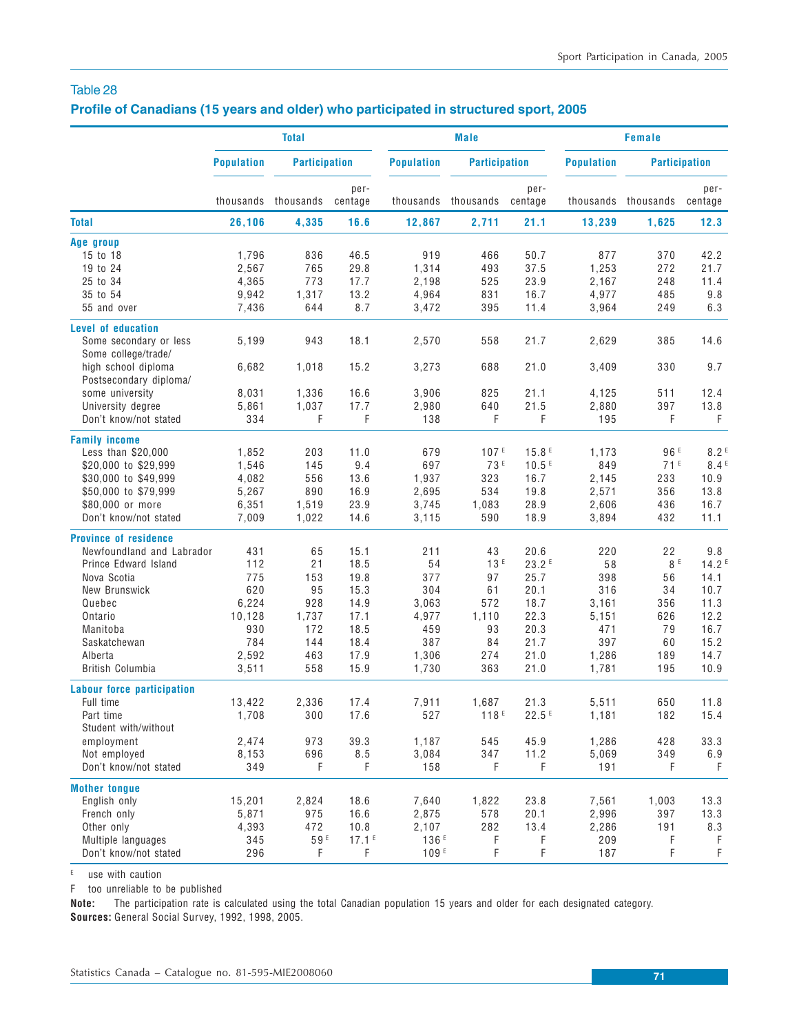## **Profile of Canadians (15 years and older) who participated in structured sport, 2005**

|                                               | <b>Total</b>      |                      |                   |                   | <b>Male</b>          |                 | <b>Female</b>     |                      |                   |  |
|-----------------------------------------------|-------------------|----------------------|-------------------|-------------------|----------------------|-----------------|-------------------|----------------------|-------------------|--|
|                                               | <b>Population</b> | <b>Participation</b> |                   | <b>Population</b> | <b>Participation</b> |                 | <b>Population</b> | <b>Participation</b> |                   |  |
|                                               |                   | thousands thousands  | per-<br>centage   |                   | thousands thousands  | per-<br>centage |                   | thousands thousands  | per-<br>centage   |  |
| <b>Total</b>                                  | 26,106            | 4,335                | 16.6              | 12,867            | 2,711                | 21.1            | 13,239            | 1,625                | 12.3              |  |
| Age group                                     |                   |                      |                   |                   |                      |                 |                   |                      |                   |  |
| 15 to 18                                      | 1,796             | 836                  | 46.5              | 919               | 466                  | 50.7            | 877               | 370                  | 42.2              |  |
| 19 to 24                                      | 2,567             | 765                  | 29.8              | 1,314             | 493                  | 37.5            | 1,253             | 272                  | 21.7              |  |
| 25 to 34                                      | 4,365             | 773                  | 17.7              | 2,198             | 525                  | 23.9            | 2,167             | 248                  | 11.4              |  |
| 35 to 54                                      | 9,942             | 1,317                | 13.2              | 4,964             | 831                  | 16.7            | 4,977             | 485                  | 9.8               |  |
| 55 and over                                   | 7,436             | 644                  | 8.7               | 3,472             | 395                  | 11.4            | 3,964             | 249                  | 6.3               |  |
| Level of education                            |                   |                      |                   |                   |                      |                 |                   |                      |                   |  |
| Some secondary or less                        | 5,199             | 943                  | 18.1              | 2,570             | 558                  | 21.7            | 2,629             | 385                  | 14.6              |  |
| Some college/trade/                           |                   |                      |                   |                   |                      |                 |                   |                      |                   |  |
| high school diploma<br>Postsecondary diploma/ | 6,682             | 1,018                | 15.2              | 3,273             | 688                  | 21.0            | 3,409             | 330                  | 9.7               |  |
| some university                               | 8,031             | 1,336                | 16.6              | 3,906             | 825                  | 21.1            | 4,125             | 511                  | 12.4              |  |
| University degree                             | 5,861             | 1,037                | 17.7              | 2,980             | 640                  | 21.5            | 2,880             | 397                  | 13.8              |  |
| Don't know/not stated                         | 334               | F                    | F                 | 138               | F                    | F               | 195               | F                    | F                 |  |
| <b>Family income</b>                          |                   |                      |                   |                   |                      |                 |                   |                      |                   |  |
| Less than \$20,000                            | 1,852             | 203                  | 11.0              | 679               | 107E                 | 15.8E           | 1,173             | 96 <sup>E</sup>      | 8.2 <sup>E</sup>  |  |
| \$20,000 to \$29,999                          | 1,546             | 145                  | 9.4               | 697               | 73 <sup>E</sup>      | 10.5E           | 849               | 71E                  | 8.4 <sup>E</sup>  |  |
| \$30,000 to \$49,999                          | 4.082             | 556                  | 13.6              | 1,937             | 323                  | 16.7            | 2,145             | 233                  | 10.9              |  |
| \$50,000 to \$79,999                          | 5,267             | 890                  | 16.9              | 2,695             | 534                  | 19.8            | 2,571             | 356                  | 13.8              |  |
| \$80,000 or more                              | 6,351             | 1,519                | 23.9              | 3,745             | 1,083                | 28.9            | 2,606             | 436                  | 16.7              |  |
| Don't know/not stated                         | 7,009             | 1,022                | 14.6              | 3,115             | 590                  | 18.9            | 3,894             | 432                  | 11.1              |  |
| <b>Province of residence</b>                  |                   |                      |                   |                   |                      |                 |                   |                      |                   |  |
| Newfoundland and Labrador                     | 431               | 65                   | 15.1              | 211               | 43                   | 20.6            | 220               | 22                   | 9.8               |  |
| Prince Edward Island                          | 112               | 21                   | 18.5              | 54                | 13E                  | 23.2E           | 58                | 8 E                  | 14.2 <sup>E</sup> |  |
| Nova Scotia                                   | 775               | 153                  | 19.8              | 377               | 97                   | 25.7            | 398               | 56                   | 14.1              |  |
| New Brunswick                                 | 620               | 95                   | 15.3              | 304               | 61                   | 20.1            | 316               | 34                   | 10.7              |  |
| Quebec                                        | 6,224             | 928                  | 14.9              | 3,063             | 572                  | 18.7            | 3,161             | 356                  | 11.3              |  |
| Ontario                                       | 10,128            | 1,737                | 17.1              | 4,977             | 1,110                | 22.3            | 5,151             | 626                  | 12.2              |  |
| Manitoba                                      | 930               | 172                  | 18.5              | 459               | 93                   | 20.3            | 471               | 79                   | 16.7              |  |
| Saskatchewan                                  | 784               | 144                  | 18.4              | 387               | 84                   | 21.7            | 397               | 60                   | 15.2              |  |
| Alberta                                       | 2,592             | 463                  | 17.9              | 1,306             | 274                  | 21.0            | 1,286             | 189                  | 14.7              |  |
| British Columbia                              | 3,511             | 558                  | 15.9              | 1,730             | 363                  | 21.0            | 1,781             | 195                  | 10.9              |  |
| Labour force participation                    |                   |                      |                   |                   |                      |                 |                   |                      |                   |  |
| Full time                                     | 13,422            | 2,336                | 17.4              | 7,911             | 1,687                | 21.3            | 5,511             | 650                  | 11.8              |  |
| Part time                                     | 1,708             | 300                  | 17.6              | 527               | 118E                 | 22.5E           | 1,181             | 182                  | 15.4              |  |
| Student with/without                          |                   |                      |                   |                   |                      |                 |                   |                      |                   |  |
| employment                                    | 2,474             | 973                  | 39.3              | 1,187             | 545                  | 45.9            | 1,286             | 428                  | 33.3              |  |
| Not employed                                  | 8,153             | 696                  | 8.5               | 3,084             | 347                  | 11.2            | 5,069             | 349                  | 6.9               |  |
| Don't know/not stated                         | 349               | F                    | F                 | 158               | F                    | F               | 191               | F                    | F                 |  |
| <b>Mother tongue</b>                          |                   |                      |                   |                   |                      |                 |                   |                      |                   |  |
| English only                                  | 15,201            | 2,824                | 18.6              | 7,640             | 1,822                | 23.8            | 7,561             | 1,003                | 13.3              |  |
| French only                                   | 5,871             | 975                  | 16.6              | 2,875             | 578                  | 20.1            | 2,996             | 397                  | 13.3              |  |
| Other only                                    | 4,393             | 472                  | 10.8              | 2,107             | 282                  | 13.4            | 2,286             | 191                  | 8.3               |  |
| Multiple languages                            | 345               | $59E$                | 17.1 <sup>E</sup> | 136 <sup>E</sup>  | F                    | F               | 209               | F                    | F                 |  |
| Don't know/not stated                         | 296               | F                    | F                 | 109F              | F                    | F               | 187               | F                    | $\mathsf F$       |  |

E use with caution

F too unreliable to be published

**Note:** The participation rate is calculated using the total Canadian population 15 years and older for each designated category. **Sources:** General Social Survey, 1992, 1998, 2005.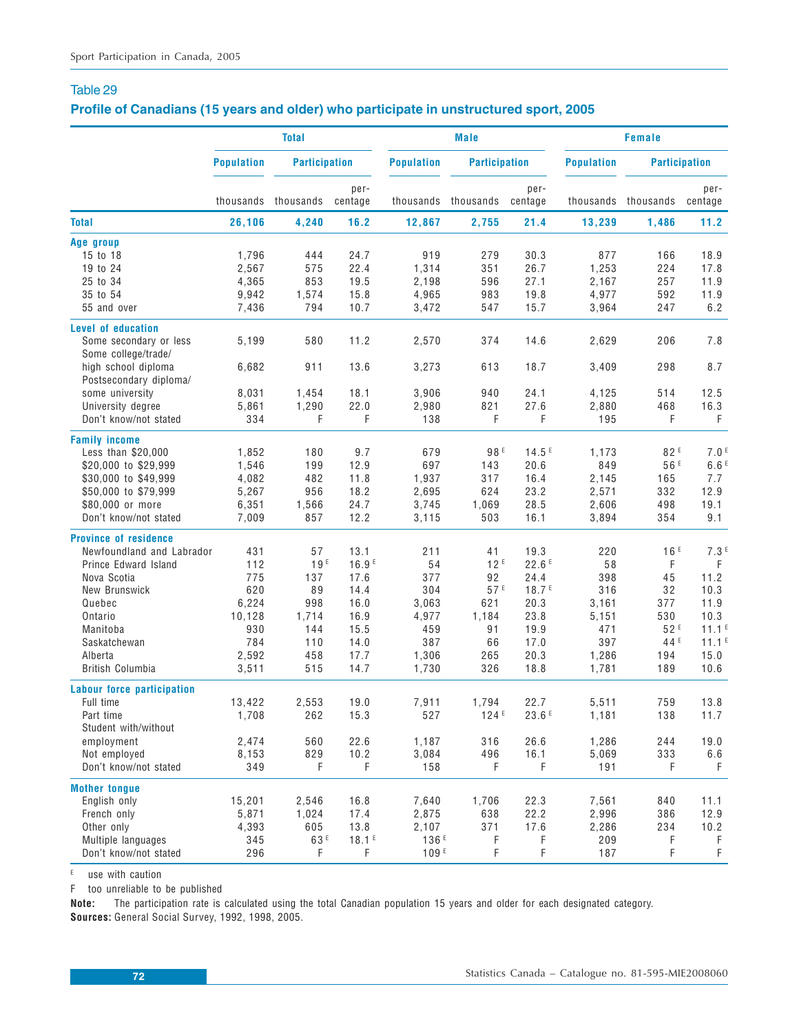## **Profile of Canadians (15 years and older) who participate in unstructured sport, 2005**

|                                            | <b>Total</b>      |                      |                   |                   | <b>Male</b>          |                   | <b>Female</b>     |                      |                   |  |
|--------------------------------------------|-------------------|----------------------|-------------------|-------------------|----------------------|-------------------|-------------------|----------------------|-------------------|--|
|                                            | <b>Population</b> | <b>Participation</b> |                   | <b>Population</b> | <b>Participation</b> |                   | <b>Population</b> | <b>Participation</b> |                   |  |
|                                            |                   | thousands thousands  | per-<br>centage   |                   | thousands thousands  | per-<br>centage   |                   | thousands thousands  | per-<br>centage   |  |
| <b>Total</b>                               | 26,106            | 4,240                | 16.2              | 12,867            | 2,755                | 21.4              | 13,239            | 1,486                | 11.2              |  |
| Age group                                  |                   |                      |                   |                   |                      |                   |                   |                      |                   |  |
| 15 to 18                                   | 1.796             | 444                  | 24.7              | 919               | 279                  | 30.3              | 877               | 166                  | 18.9              |  |
| 19 to 24                                   | 2,567             | 575                  | 22.4              | 1,314             | 351                  | 26.7              | 1,253             | 224                  | 17.8              |  |
| 25 to 34                                   | 4,365             | 853                  | 19.5              | 2,198             | 596                  | 27.1              | 2,167             | 257                  | 11.9              |  |
| 35 to 54                                   | 9,942             | 1,574                | 15.8              | 4,965             | 983                  | 19.8              | 4,977             | 592                  | 11.9              |  |
| 55 and over                                | 7,436             | 794                  | 10.7              | 3,472             | 547                  | 15.7              | 3,964             | 247                  | 6.2               |  |
| <b>Level of education</b>                  |                   |                      |                   |                   |                      |                   |                   |                      |                   |  |
| Some secondary or less                     | 5,199             | 580                  | 11.2              | 2,570             | 374                  | 14.6              | 2,629             | 206                  | 7.8               |  |
| Some college/trade/<br>high school diploma | 6,682             | 911                  | 13.6              | 3,273             | 613                  | 18.7              | 3,409             | 298                  | 8.7               |  |
| Postsecondary diploma/                     |                   |                      |                   |                   |                      |                   |                   |                      |                   |  |
| some university                            | 8,031             | 1,454                | 18.1              | 3,906             | 940                  | 24.1              | 4,125             | 514                  | 12.5              |  |
| University degree                          | 5,861             | 1,290                | 22.0              | 2,980             | 821                  | 27.6              | 2,880             | 468                  | 16.3              |  |
| Don't know/not stated                      | 334               | F                    | F                 | 138               | F                    | F                 | 195               | F                    | F                 |  |
| <b>Family income</b>                       |                   |                      |                   |                   |                      |                   |                   |                      |                   |  |
| Less than \$20,000                         | 1,852             | 180                  | 9.7               | 679               | 98 <sup>E</sup>      | 14.5E             | 1,173             | 82F                  | 7.0 <sup>E</sup>  |  |
| \$20,000 to \$29,999                       | 1,546             | 199                  | 12.9              | 697               | 143                  | 20.6              | 849               | 56 <sup>E</sup>      | 6.6E              |  |
| \$30,000 to \$49,999                       | 4,082             | 482                  | 11.8              | 1,937             | 317                  | 16.4              | 2,145             | 165                  | 7.7               |  |
| \$50,000 to \$79,999                       | 5,267             | 956                  | 18.2              | 2,695             | 624                  | 23.2              | 2,571             | 332                  | 12.9              |  |
| \$80,000 or more                           | 6,351             | 1,566                | 24.7              | 3,745             | 1,069                | 28.5              | 2,606             | 498                  | 19.1              |  |
| Don't know/not stated                      | 7,009             | 857                  | 12.2              | 3,115             | 503                  | 16.1              | 3,894             | 354                  | 9.1               |  |
| <b>Province of residence</b>               |                   |                      |                   |                   |                      |                   |                   |                      |                   |  |
| Newfoundland and Labrador                  | 431               | 57                   | 13.1              | 211               | 41                   | 19.3              | 220               | 16E                  | 7.3 <sup>E</sup>  |  |
| Prince Edward Island                       | 112               | 19E                  | 16.9E             | 54                | 12 <sup>E</sup>      | 22.6E             | 58                | F                    | F                 |  |
| Nova Scotia                                | 775               | 137                  | 17.6              | 377               | 92                   | 24.4              | 398               | 45                   | 11.2              |  |
| New Brunswick                              | 620               | 89                   | 14.4              | 304               | 57E                  | 18.7 <sup>E</sup> | 316               | 32                   | 10.3              |  |
| Quebec                                     | 6,224             | 998                  | 16.0              | 3,063             | 621                  | 20.3              | 3,161             | 377                  | 11.9              |  |
| Ontario                                    | 10,128            | 1,714                | 16.9              | 4,977             | 1,184                | 23.8              | 5,151             | 530                  | 10.3              |  |
| Manitoba                                   | 930               | 144                  | 15.5              | 459               | 91                   | 19.9              | 471               | 52F                  | 11.1 <sup>E</sup> |  |
| Saskatchewan                               | 784               | 110                  | 14.0              | 387               | 66                   | 17.0              | 397               | 44 <sup>E</sup>      | 11.1 <sup>E</sup> |  |
| Alberta                                    | 2,592             | 458                  | 17.7              | 1,306             | 265                  | 20.3              | 1,286             | 194                  | 15.0              |  |
| British Columbia                           | 3,511             | 515                  | 14.7              | 1,730             | 326                  | 18.8              | 1,781             | 189                  | 10.6              |  |
| Labour force participation                 |                   |                      |                   |                   |                      |                   |                   |                      |                   |  |
| Full time                                  | 13,422            | 2,553                | 19.0              | 7,911             | 1,794                | 22.7              | 5.511             | 759                  | 13.8              |  |
| Part time                                  | 1,708             | 262                  | 15.3              | 527               | 124E                 | 23.6E             | 1,181             | 138                  | 11.7              |  |
| Student with/without                       |                   |                      |                   |                   |                      |                   |                   |                      |                   |  |
| employment                                 | 2,474             | 560                  | 22.6              | 1,187             | 316                  | 26.6              | 1,286             | 244                  | 19.0              |  |
| Not employed                               | 8,153             | 829                  | 10.2              | 3,084             | 496                  | 16.1              | 5,069             | 333                  | 6.6               |  |
| Don't know/not stated                      | 349               | F                    | F                 | 158               | F                    | F                 | 191               | F                    | F.                |  |
| <b>Mother tongue</b>                       |                   |                      |                   |                   |                      |                   |                   |                      |                   |  |
| English only                               | 15,201            | 2,546                | 16.8              | 7,640             | 1,706                | 22.3              | 7,561             | 840                  | 11.1              |  |
| French only                                | 5,871             | 1,024                | 17.4              | 2,875             | 638                  | 22.2              | 2,996             | 386                  | 12.9              |  |
| Other only                                 | 4,393             | 605                  | 13.8              | 2,107             | 371                  | 17.6              | 2,286             | 234                  | 10.2              |  |
| Multiple languages                         | 345               | 63 <sup>E</sup>      | 18.1 <sup>E</sup> | 136 <sup>E</sup>  | F                    | F                 | 209               | F                    | F                 |  |
| Don't know/not stated                      | 296               | F                    | F                 | 109F              | F                    | F                 | 187               | F                    | $\mathsf F$       |  |
|                                            |                   |                      |                   |                   |                      |                   |                   |                      |                   |  |

E use with caution

F too unreliable to be published

**Note:** The participation rate is calculated using the total Canadian population 15 years and older for each designated category. **Sources:** General Social Survey, 1992, 1998, 2005.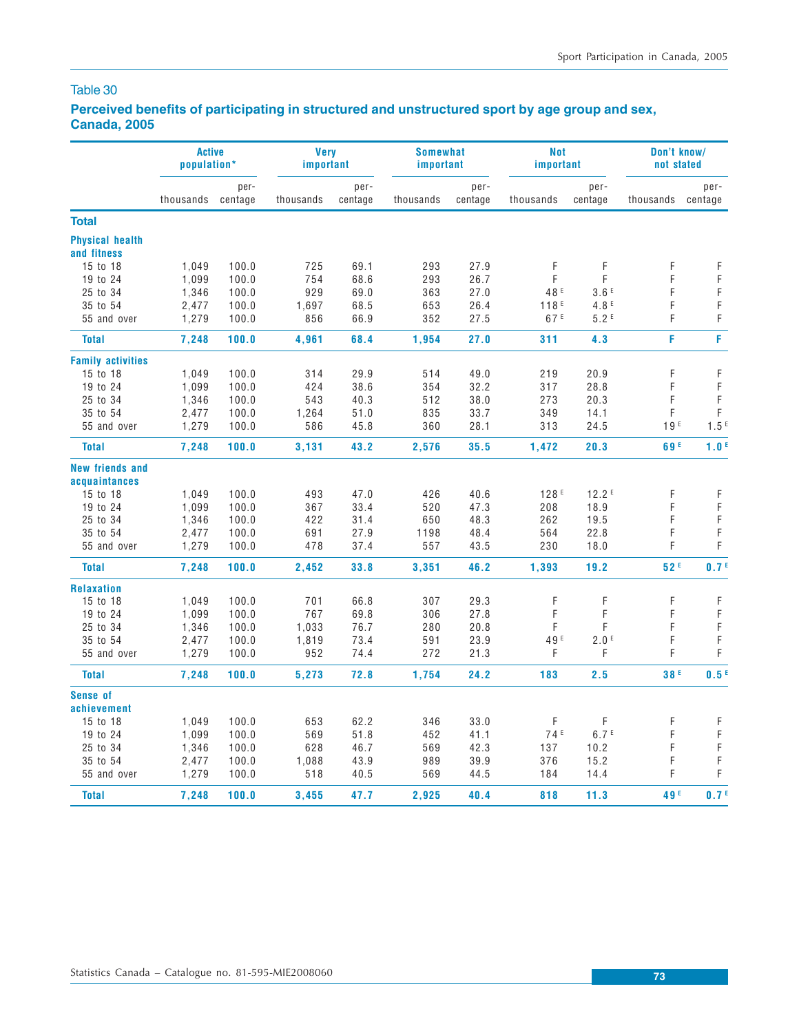## Table 30

## **Perceived benefits of participating in structured and unstructured sport by age group and sex, Canada, 2005**

|                                       | <b>Active</b><br>population* |                 | <b>Very</b><br>important |                 | <b>Somewhat</b><br>important |                 | <b>Not</b><br>important |                   | Don't know/<br>not stated |                  |
|---------------------------------------|------------------------------|-----------------|--------------------------|-----------------|------------------------------|-----------------|-------------------------|-------------------|---------------------------|------------------|
|                                       | thousands                    | per-<br>centage | thousands                | per-<br>centage | thousands                    | per-<br>centage | thousands               | per-<br>centage   | thousands                 | per-<br>centage  |
| <b>Total</b>                          |                              |                 |                          |                 |                              |                 |                         |                   |                           |                  |
| <b>Physical health</b><br>and fitness |                              |                 |                          |                 |                              |                 |                         |                   |                           |                  |
| 15 to 18                              | 1,049                        | 100.0           | 725                      | 69.1            | 293                          | 27.9            | F                       | F                 | F                         | F                |
| 19 to 24                              | 1,099                        | 100.0           | 754                      | 68.6            | 293                          | 26.7            | F                       | F                 | F                         | $\mathsf F$      |
| 25 to 34                              | 1,346                        | 100.0           | 929                      | 69.0            | 363                          | 27.0            | 48 <sup>E</sup>         | 3.6E              | F                         | F                |
| 35 to 54                              | 2,477                        | 100.0           | 1,697                    | 68.5            | 653                          | 26.4            | 118 <sup>E</sup>        | 4.8 <sup>E</sup>  | F                         | $\mathsf F$      |
| 55 and over                           | 1,279                        | 100.0           | 856                      | 66.9            | 352                          | 27.5            | 67 <sup>E</sup>         | 5.2 F             | F                         | F                |
|                                       |                              |                 |                          |                 |                              |                 |                         |                   |                           |                  |
| <b>Total</b>                          | 7,248                        | 100.0           | 4,961                    | 68.4            | 1,954                        | 27.0            | 311                     | 4.3               | F                         | F                |
| <b>Family activities</b>              |                              |                 |                          |                 |                              |                 |                         |                   |                           |                  |
| 15 to 18                              | 1,049                        | 100.0           | 314                      | 29.9            | 514                          | 49.0            | 219                     | 20.9              | F                         | F                |
| 19 to 24                              | 1,099                        | 100.0           | 424                      | 38.6            | 354                          | 32.2            | 317                     | 28.8              | F                         | $\mathsf F$      |
| 25 to 34                              | 1,346                        | 100.0           | 543                      | 40.3            | 512                          | 38.0            | 273                     | 20.3              | F                         | F                |
| 35 to 54                              | 2,477                        | 100.0           | 1,264                    | 51.0            | 835                          | 33.7            | 349                     | 14.1              | F                         | $\mathsf F$      |
| 55 and over                           | 1,279                        | 100.0           | 586                      | 45.8            | 360                          | 28.1            | 313                     | 24.5              | 19 <sup>E</sup>           | 1.5E             |
| <b>Total</b>                          | 7,248                        | 100.0           | 3,131                    | 43.2            | 2,576                        | 35.5            | 1,472                   | 20.3              | 69 <sup>E</sup>           | 1.0 <sup>E</sup> |
| <b>New friends and</b>                |                              |                 |                          |                 |                              |                 |                         |                   |                           |                  |
| acquaintances                         |                              |                 |                          |                 |                              |                 |                         |                   |                           |                  |
| 15 to 18                              | 1,049                        | 100.0           | 493                      | 47.0            | 426                          | 40.6            | 128 <sup>E</sup>        | 12.2 <sup>E</sup> | F                         | F                |
| 19 to 24                              | 1,099                        | 100.0           | 367                      | 33.4            | 520                          | 47.3            | 208                     | 18.9              | F                         | F                |
| 25 to 34                              | 1,346                        | 100.0           | 422                      | 31.4            | 650                          | 48.3            | 262                     | 19.5              | F                         | F                |
| 35 to 54                              | 2,477                        | 100.0           | 691                      | 27.9            | 1198                         | 48.4            | 564                     | 22.8              | F                         | F                |
| 55 and over                           | 1,279                        | 100.0           | 478                      | 37.4            | 557                          | 43.5            | 230                     | 18.0              | F                         | F                |
| <b>Total</b>                          | 7,248                        | 100.0           | 2,452                    | 33.8            | 3,351                        | 46.2            | 1,393                   | 19.2              | 52F                       | 0.7 <sup>E</sup> |
| <b>Relaxation</b>                     |                              |                 |                          |                 |                              |                 |                         |                   |                           |                  |
| 15 to 18                              | 1,049                        | 100.0           | 701                      | 66.8            | 307                          | 29.3            | F                       | F                 | F                         | $\mathsf F$      |
| 19 to 24                              | 1,099                        | 100.0           | 767                      | 69.8            | 306                          | 27.8            | F                       | F                 | F                         | $\mathsf F$      |
| 25 to 34                              | 1,346                        | 100.0           | 1,033                    | 76.7            | 280                          | 20.8            | F                       | F                 | F                         | $\mathsf F$      |
| 35 to 54                              | 2,477                        | 100.0           | 1,819                    | 73.4            | 591                          | 23.9            | 49 <sup>E</sup>         | 2.0 <sup>E</sup>  | F                         | F                |
| 55 and over                           | 1,279                        | 100.0           | 952                      | 74.4            | 272                          | 21.3            | F                       | F                 | F                         | F                |
| <b>Total</b>                          | 7,248                        | 100.0           | 5,273                    | 72.8            | 1,754                        | 24.2            | 183                     | 2.5               | 38 <sup>E</sup>           | 0.5 <sup>E</sup> |
| <b>Sense of</b>                       |                              |                 |                          |                 |                              |                 |                         |                   |                           |                  |
| achievement                           |                              |                 |                          |                 |                              |                 |                         |                   |                           |                  |
| 15 to 18                              | 1,049                        | 100.0           | 653                      | 62.2            | 346                          | 33.0            | F                       | F                 | F                         | F                |
| 19 to 24                              | 1,099                        | 100.0           | 569                      | 51.8            | 452                          | 41.1            | 74 <sup>E</sup>         | 6.7 <sup>E</sup>  | F                         | F                |
| 25 to 34                              | 1,346                        | 100.0           | 628                      | 46.7            | 569                          | 42.3            | 137                     | 10.2              | F                         | F                |
| 35 to 54                              | 2,477                        | 100.0           | 1,088                    | 43.9            | 989                          | 39.9            | 376                     | 15.2              | F                         | F                |
| 55 and over                           | 1,279                        | 100.0           | 518                      | 40.5            | 569                          | 44.5            | 184                     | 14.4              | F                         | F                |
| <b>Total</b>                          | 7,248                        | 100.0           | 3,455                    | 47.7            | 2,925                        | 40.4            | 818                     | 11.3              | 49 <sup>E</sup>           | 0.7 <sup>E</sup> |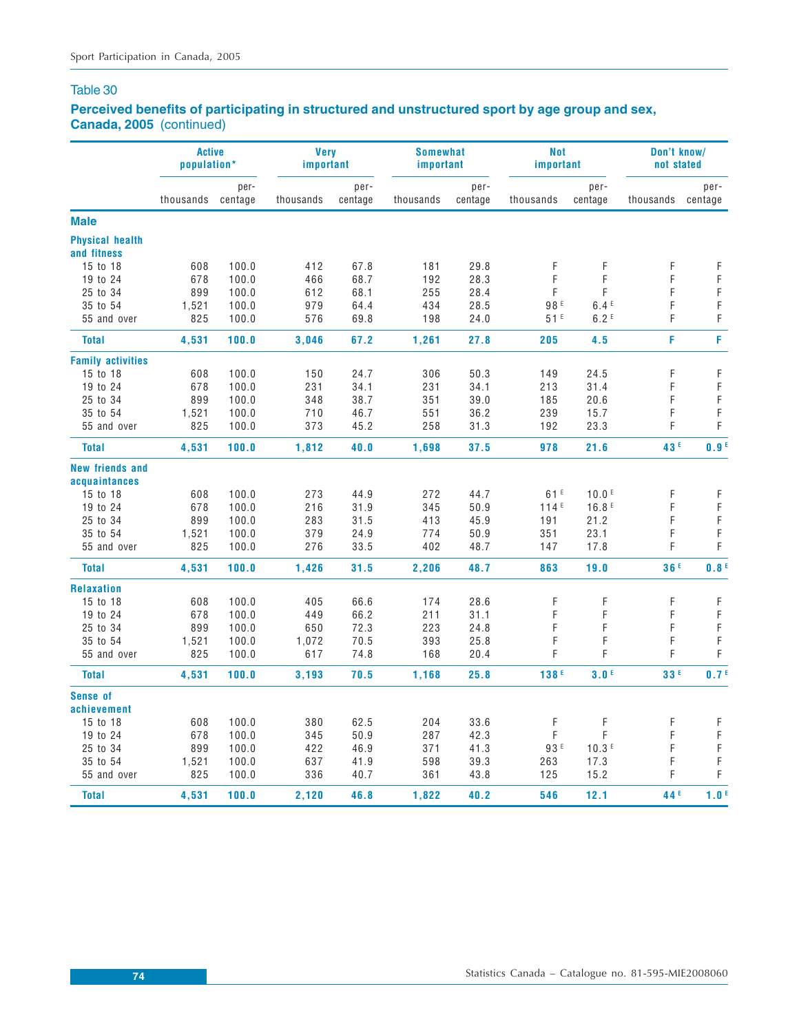## Table 30

## **Perceived benefits of participating in structured and unstructured sport by age group and sex, Canada, 2005** (continued)

|                                       | <b>Active</b><br>population* |                 | <b>Verv</b><br>important |                 | <b>Somewhat</b><br>important |                 | <b>Not</b><br>important |                   | Don't know/<br>not stated |                  |
|---------------------------------------|------------------------------|-----------------|--------------------------|-----------------|------------------------------|-----------------|-------------------------|-------------------|---------------------------|------------------|
|                                       | thousands                    | per-<br>centage | thousands                | per-<br>centage | thousands                    | per-<br>centage | thousands               | per-<br>centage   | thousands                 | per-<br>centage  |
| <b>Male</b>                           |                              |                 |                          |                 |                              |                 |                         |                   |                           |                  |
| <b>Physical health</b><br>and fitness |                              |                 |                          |                 |                              |                 |                         |                   |                           |                  |
| 15 to 18                              | 608                          | 100.0           | 412                      | 67.8            | 181                          | 29.8            | F                       | F                 | F                         | F                |
| 19 to 24                              | 678                          | 100.0           | 466                      | 68.7            | 192                          | 28.3            | F                       | F                 | F                         | $\mathsf F$      |
| 25 to 34                              | 899                          | 100.0           | 612                      | 68.1            | 255                          | 28.4            | F                       | F                 | F                         | F                |
| 35 to 54                              | 1,521                        | 100.0           | 979                      | 64.4            | 434                          | 28.5            | 98E                     | 6.4E              | F                         | F                |
| 55 and over                           | 825                          | 100.0           | 576                      | 69.8            | 198                          | 24.0            | 51E                     | 6.2E              | F                         | F                |
| <b>Total</b>                          | 4,531                        | 100.0           | 3,046                    | 67.2            | 1,261                        | 27.8            | 205                     | 4.5               | F                         | F                |
| <b>Family activities</b>              |                              |                 |                          |                 |                              |                 |                         |                   |                           |                  |
| 15 to 18                              | 608                          | 100.0           | 150                      | 24.7            | 306                          | 50.3            | 149                     | 24.5              | F                         | F                |
| 19 to 24                              | 678                          | 100.0           | 231                      | 34.1            | 231                          | 34.1            | 213                     | 31.4              | F                         | F                |
| 25 to 34                              | 899                          | 100.0           | 348                      | 38.7            | 351                          | 39.0            | 185                     | 20.6              | F                         | F                |
| 35 to 54                              | 1,521                        | 100.0           | 710                      | 46.7            | 551                          | 36.2            | 239                     | 15.7              | F                         | F                |
| 55 and over                           | 825                          | 100.0           | 373                      | 45.2            | 258                          | 31.3            | 192                     | 23.3              | F                         | F                |
| <b>Total</b>                          | 4,531                        | 100.0           | 1,812                    | 40.0            | 1,698                        | 37.5            | 978                     | 21.6              | 43 <sup>E</sup>           | 0.9 <sup>E</sup> |
| <b>New friends and</b>                |                              |                 |                          |                 |                              |                 |                         |                   |                           |                  |
| acquaintances                         |                              |                 |                          |                 |                              |                 |                         |                   |                           |                  |
| 15 to 18                              | 608                          | 100.0           | 273                      | 44.9            | 272                          | 44.7            | 61E                     | 10.0 <sup>E</sup> | F                         | F                |
| 19 to 24                              | 678                          | 100.0           | 216                      | 31.9            | 345                          | 50.9            | 114E                    | 16.8E             | F                         | F                |
| 25 to 34                              | 899                          | 100.0           | 283                      | 31.5            | 413                          | 45.9            | 191                     | 21.2              | F                         | $\mathsf F$      |
| 35 to 54                              | 1,521                        | 100.0           | 379                      | 24.9            | 774                          | 50.9            | 351                     | 23.1              | F                         | F                |
| 55 and over                           | 825                          | 100.0           | 276                      | 33.5            | 402                          | 48.7            | 147                     | 17.8              | F                         | F                |
| <b>Total</b>                          | 4,531                        | 100.0           | 1,426                    | 31.5            | 2,206                        | 48.7            | 863                     | 19.0              | 36F                       | 0.8 <sup>E</sup> |
| <b>Relaxation</b>                     |                              |                 |                          |                 |                              |                 |                         |                   |                           |                  |
| 15 to 18                              | 608                          | 100.0           | 405                      | 66.6            | 174                          | 28.6            | F                       | F                 | F                         | F                |
| 19 to 24                              | 678                          | 100.0           | 449                      | 66.2            | 211                          | 31.1            | F                       | F                 | F                         | $\mathsf F$      |
| 25 to 34                              | 899                          | 100.0           | 650                      | 72.3            | 223                          | 24.8            | F                       | F                 | F                         | $\mathsf F$      |
| 35 to 54                              | 1,521                        | 100.0           | 1,072                    | 70.5            | 393                          | 25.8            | F                       | F                 | F                         | F                |
| 55 and over                           | 825                          | 100.0           | 617                      | 74.8            | 168                          | 20.4            | F                       | F                 | F                         | F                |
| <b>Total</b>                          | 4,531                        | 100.0           | 3,193                    | 70.5            | 1,168                        | 25.8            | 138F                    | 3.0 <sup>E</sup>  | 33F                       | 0.7 <sup>E</sup> |
| <b>Sense of</b>                       |                              |                 |                          |                 |                              |                 |                         |                   |                           |                  |
| achievement                           |                              |                 |                          |                 |                              |                 |                         |                   |                           |                  |
| 15 to 18                              | 608                          | 100.0           | 380                      | 62.5            | 204                          | 33.6            | F                       | F                 | F                         | $\mathsf F$      |
| 19 to 24                              | 678                          | 100.0           | 345                      | 50.9            | 287                          | 42.3            | F                       | F                 | F                         | $\mathsf F$      |
| 25 to 34                              | 899                          | 100.0           | 422                      | 46.9            | 371                          | 41.3            | 93 <sup>E</sup>         | 10.3E             | F                         | F                |
| 35 to 54                              | 1,521                        | 100.0           | 637                      | 41.9            | 598                          | 39.3            | 263                     | 17.3              | F                         | F                |
| 55 and over                           | 825                          | 100.0           | 336                      | 40.7            | 361                          | 43.8            | 125                     | 15.2              | F                         | F                |
| <b>Total</b>                          | 4,531                        | 100.0           | 2.120                    | 46.8            | 1,822                        | 40.2            | 546                     | 12.1              | 44 <sup>E</sup>           | 1.0 <sup>E</sup> |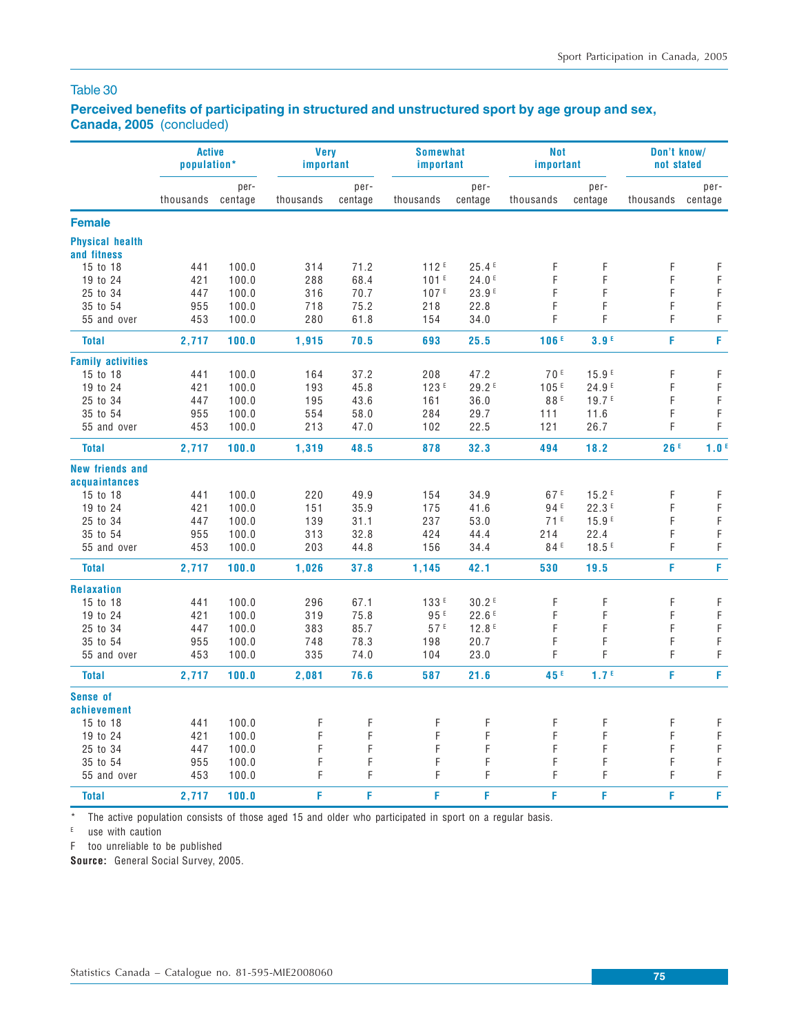### Table 30

## **Perceived benefits of participating in structured and unstructured sport by age group and sex, Canada, 2005** (concluded)

|                                       | <b>Active</b><br>population* |                 | <b>Verv</b><br>important |                 | <b>Somewhat</b><br>important |                   | <b>Not</b><br>important |                   | Don't know/<br>not stated |                            |
|---------------------------------------|------------------------------|-----------------|--------------------------|-----------------|------------------------------|-------------------|-------------------------|-------------------|---------------------------|----------------------------|
|                                       | thousands                    | per-<br>centage | thousands                | per-<br>centage | thousands                    | per-<br>centage   | thousands               | per-<br>centage   | thousands                 | per-<br>centage            |
| <b>Female</b>                         |                              |                 |                          |                 |                              |                   |                         |                   |                           |                            |
| <b>Physical health</b><br>and fitness |                              |                 |                          |                 |                              |                   |                         |                   |                           |                            |
| 15 to 18                              | 441                          | 100.0           | 314                      | 71.2            | 112 <sup>E</sup>             | 25.4E             | F                       | F                 | F                         | F                          |
| 19 to 24                              | 421                          | 100.0           | 288                      | 68.4            | 101 <sup>E</sup>             | 24.0E             | F                       | F                 | F                         | $\mathsf F$                |
| 25 to 34                              | 447                          | 100.0           | 316                      | 70.7            | 107 <sup>E</sup>             | 23.9E             | F                       | F                 | F                         | F                          |
| 35 to 54                              | 955                          | 100.0           | 718                      | 75.2            | 218                          | 22.8              | F                       | F                 | F                         | $\mathsf F$                |
| 55 and over                           | 453                          | 100.0           | 280                      | 61.8            | 154                          | 34.0              | F                       | F                 | F                         | F                          |
| <b>Total</b>                          | 2,717                        | 100.0           | 1,915                    | 70.5            | 693                          | 25.5              | 106E                    | 3.9 <sup>E</sup>  | F                         | F                          |
| <b>Family activities</b>              |                              |                 |                          |                 |                              |                   |                         |                   |                           |                            |
| 15 to 18                              | 441                          | 100.0           | 164                      | 37.2            | 208                          | 47.2              | 70F                     | 15.9E             | F                         | F                          |
| 19 to 24                              |                              |                 | 193                      | 45.8            | 123 <sup>E</sup>             | 29.2 <sup>E</sup> | 105E                    | 24.9E             | F                         | $\mathsf F$                |
|                                       | 421                          | 100.0           |                          |                 |                              |                   |                         | 19.7 <sup>E</sup> |                           |                            |
| 25 to 34                              | 447                          | 100.0           | 195                      | 43.6            | 161                          | 36.0              | 88 <sup>E</sup>         |                   | F                         | $\mathsf F$<br>$\mathsf F$ |
| 35 to 54<br>55 and over               | 955<br>453                   | 100.0           | 554<br>213               | 58.0            | 284<br>102                   | 29.7              | 111                     | 11.6<br>26.7      | F<br>F                    | F                          |
|                                       |                              | 100.0           |                          | 47.0            |                              | 22.5              | 121                     |                   |                           |                            |
| <b>Total</b>                          | 2,717                        | 100.0           | 1,319                    | 48.5            | 878                          | 32.3              | 494                     | 18.2              | 26F                       | 1.0 <sup>E</sup>           |
| <b>New friends and</b>                |                              |                 |                          |                 |                              |                   |                         |                   |                           |                            |
| acquaintances                         |                              |                 |                          |                 |                              |                   |                         |                   |                           |                            |
| 15 to 18                              | 441                          | 100.0           | 220                      | 49.9            | 154                          | 34.9              | 67 E                    | 15.2E             | F                         | $\mathsf F$                |
| 19 to 24                              | 421                          | 100.0           | 151                      | 35.9            | 175                          | 41.6              | 94 <sup>E</sup>         | 22.3E             | F                         | $\mathsf F$                |
| 25 to 34                              | 447                          | 100.0           | 139                      | 31.1            | 237                          | 53.0              | 71 <sup>E</sup>         | 15.9E             | F                         | $\mathsf F$                |
| 35 to 54                              | 955                          | 100.0           | 313                      | 32.8            | 424                          | 44.4              | 214                     | 22.4              | F                         | $\mathsf F$                |
| 55 and over                           | 453                          | 100.0           | 203                      | 44.8            | 156                          | 34.4              | 84 ⊧                    | 18.5E             | F                         | F                          |
| <b>Total</b>                          | 2,717                        | 100.0           | 1,026                    | 37.8            | 1,145                        | 42.1              | 530                     | 19.5              | F                         | F                          |
| <b>Relaxation</b>                     |                              |                 |                          |                 |                              |                   |                         |                   |                           |                            |
| 15 to 18                              | 441                          | 100.0           | 296                      | 67.1            | 133E                         | 30.2E             | F                       | F                 | F                         | $\mathsf F$                |
| 19 to 24                              | 421                          | 100.0           | 319                      | 75.8            | 95 <sup>E</sup>              | 22.6E             | F                       | F                 | F                         | $\mathsf F$                |
| 25 to 34                              | 447                          | 100.0           | 383                      | 85.7            | 57E                          | 12.8E             | F                       | F                 | F                         | $\mathsf F$                |
| 35 to 54                              | 955                          | 100.0           | 748                      | 78.3            | 198                          | 20.7              | F                       | F                 | F                         | $\mathsf F$                |
| 55 and over                           | 453                          | 100.0           | 335                      | 74.0            | 104                          | 23.0              | F                       | F                 | F                         | F                          |
| <b>Total</b>                          | 2,717                        | 100.0           | 2,081                    | 76.6            | 587                          | 21.6              | 45 <sup>E</sup>         | 1.7 <sup>E</sup>  | F                         | F                          |
| <b>Sense of</b>                       |                              |                 |                          |                 |                              |                   |                         |                   |                           |                            |
| achievement                           |                              |                 |                          |                 |                              |                   |                         |                   |                           |                            |
| 15 to 18                              | 441                          | 100.0           | F                        | F               | F                            | F                 | F                       | F                 | F                         | F                          |
| 19 to 24                              | 421                          | 100.0           | F                        | F               | F                            | F                 | F                       | F                 | F                         | $\mathsf F$                |
| 25 to 34                              | 447                          | 100.0           | F                        | F               | F                            | F                 | F                       | F                 | F                         | $\mathsf F$                |
| 35 to 54                              | 955                          | 100.0           | F                        | F               | F                            | F                 | F                       | F                 | F                         | $\mathsf F$                |
| 55 and over                           | 453                          | 100.0           | F                        | F               | F                            | F                 | F                       | F                 | F                         | F                          |
| <b>Total</b>                          | 2,717                        | 100.0           | F                        | F               | F                            | F                 | F                       | F                 | F                         | F                          |

\* The active population consists of those aged 15 and older who participated in sport on a regular basis.

 $E$  use with caution

F too unreliable to be published

**Source:** General Social Survey, 2005.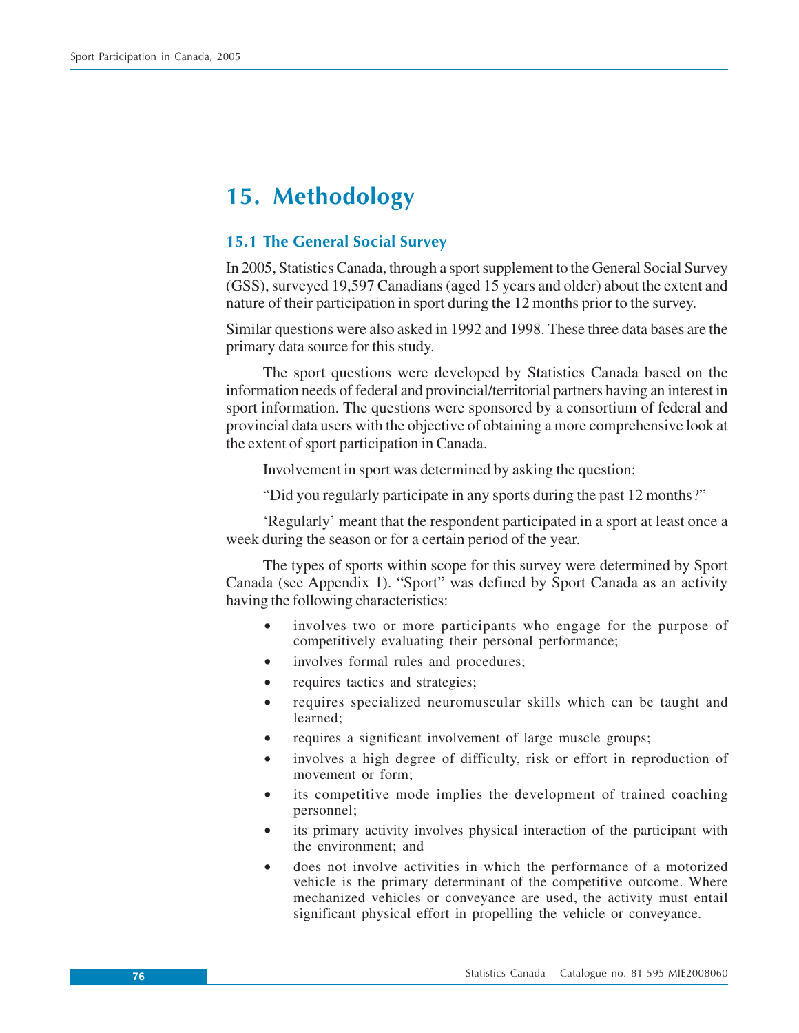# **15. Methodology**

## **15.1 The General Social Survey**

In 2005, Statistics Canada, through a sport supplement to the General Social Survey (GSS), surveyed 19,597 Canadians (aged 15 years and older) about the extent and nature of their participation in sport during the 12 months prior to the survey.

Similar questions were also asked in 1992 and 1998. These three data bases are the primary data source for this study.

The sport questions were developed by Statistics Canada based on the information needs of federal and provincial/territorial partners having an interest in sport information. The questions were sponsored by a consortium of federal and provincial data users with the objective of obtaining a more comprehensive look at the extent of sport participation in Canada.

Involvement in sport was determined by asking the question:

"Did you regularly participate in any sports during the past 12 months?"

'Regularly' meant that the respondent participated in a sport at least once a week during the season or for a certain period of the year.

The types of sports within scope for this survey were determined by Sport Canada (see Appendix 1). "Sport" was defined by Sport Canada as an activity having the following characteristics:

- involves two or more participants who engage for the purpose of competitively evaluating their personal performance;
- involves formal rules and procedures;
- requires tactics and strategies;
- requires specialized neuromuscular skills which can be taught and learned;
- requires a significant involvement of large muscle groups;
- involves a high degree of difficulty, risk or effort in reproduction of movement or form;
- its competitive mode implies the development of trained coaching personnel;
- its primary activity involves physical interaction of the participant with the environment; and
- does not involve activities in which the performance of a motorized vehicle is the primary determinant of the competitive outcome. Where mechanized vehicles or conveyance are used, the activity must entail significant physical effort in propelling the vehicle or conveyance.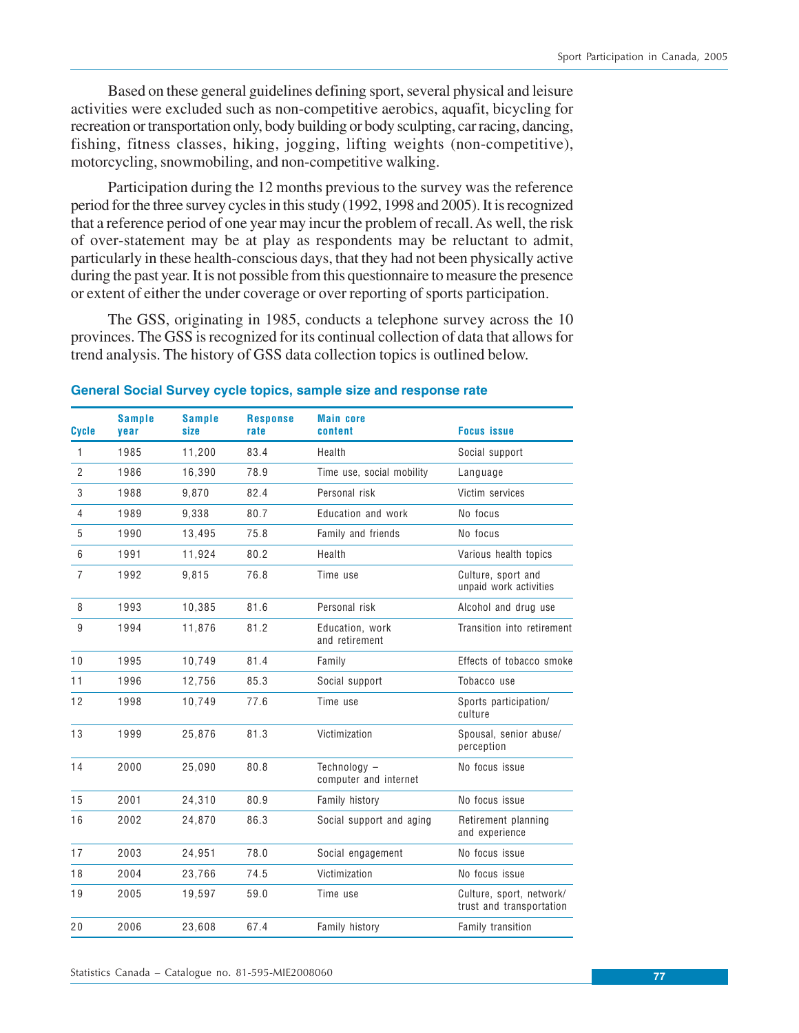Based on these general guidelines defining sport, several physical and leisure activities were excluded such as non-competitive aerobics, aquafit, bicycling for recreation or transportation only, body building or body sculpting, car racing, dancing, fishing, fitness classes, hiking, jogging, lifting weights (non-competitive), motorcycling, snowmobiling, and non-competitive walking.

Participation during the 12 months previous to the survey was the reference period for the three survey cycles in this study (1992, 1998 and 2005). It is recognized that a reference period of one year may incur the problem of recall. As well, the risk of over-statement may be at play as respondents may be reluctant to admit, particularly in these health-conscious days, that they had not been physically active during the past year. It is not possible from this questionnaire to measure the presence or extent of either the under coverage or over reporting of sports participation.

The GSS, originating in 1985, conducts a telephone survey across the 10 provinces. The GSS is recognized for its continual collection of data that allows for trend analysis. The history of GSS data collection topics is outlined below.

| <b>Cycle</b>   | <b>Sample</b><br>vear | <b>Sample</b><br>size | <b>Response</b><br>rate | <b>Main core</b><br>content           | <b>Focus issue</b>                                   |
|----------------|-----------------------|-----------------------|-------------------------|---------------------------------------|------------------------------------------------------|
| $\mathbf{1}$   | 1985                  | 11,200                | 83.4                    | Health                                | Social support                                       |
| $\overline{2}$ | 1986                  | 16,390                | 78.9                    | Time use, social mobility             | Language                                             |
| 3              | 1988                  | 9,870                 | 82.4                    | Personal risk                         | Victim services                                      |
| $\overline{4}$ | 1989                  | 9,338                 | 80.7                    | Education and work                    | No focus                                             |
| 5              | 1990                  | 13,495                | 75.8                    | Family and friends                    | No focus                                             |
| 6              | 1991                  | 11,924                | 80.2                    | Health                                | Various health topics                                |
| $\overline{7}$ | 1992                  | 9,815                 | 76.8                    | Time use                              | Culture, sport and<br>unpaid work activities         |
| 8              | 1993                  | 10,385                | 81.6                    | Personal risk                         | Alcohol and drug use                                 |
| 9              | 1994                  | 11,876                | 81.2                    | Education, work<br>and retirement     | Transition into retirement                           |
| 10             | 1995                  | 10,749                | 81.4                    | Family                                | Effects of tobacco smoke                             |
| 11             | 1996                  | 12,756                | 85.3                    | Social support                        | Tobacco use                                          |
| 12             | 1998                  | 10,749                | 77.6                    | Time use                              | Sports participation/<br>culture                     |
| 13             | 1999                  | 25,876                | 81.3                    | Victimization                         | Spousal, senior abuse/<br>perception                 |
| 14             | 2000                  | 25,090                | 80.8                    | Technology -<br>computer and internet | No focus issue                                       |
| 15             | 2001                  | 24,310                | 80.9                    | Family history                        | No focus issue                                       |
| 16             | 2002                  | 24,870                | 86.3                    | Social support and aging              | Retirement planning<br>and experience                |
| 17             | 2003                  | 24,951                | 78.0                    | Social engagement                     | No focus issue                                       |
| 18             | 2004                  | 23,766                | 74.5                    | Victimization                         | No focus issue                                       |
| 19             | 2005                  | 19,597                | 59.0                    | Time use                              | Culture, sport, network/<br>trust and transportation |
| 20             | 2006                  | 23,608                | 67.4                    | Family history                        | Family transition                                    |

#### **General Social Survey cycle topics, sample size and response rate**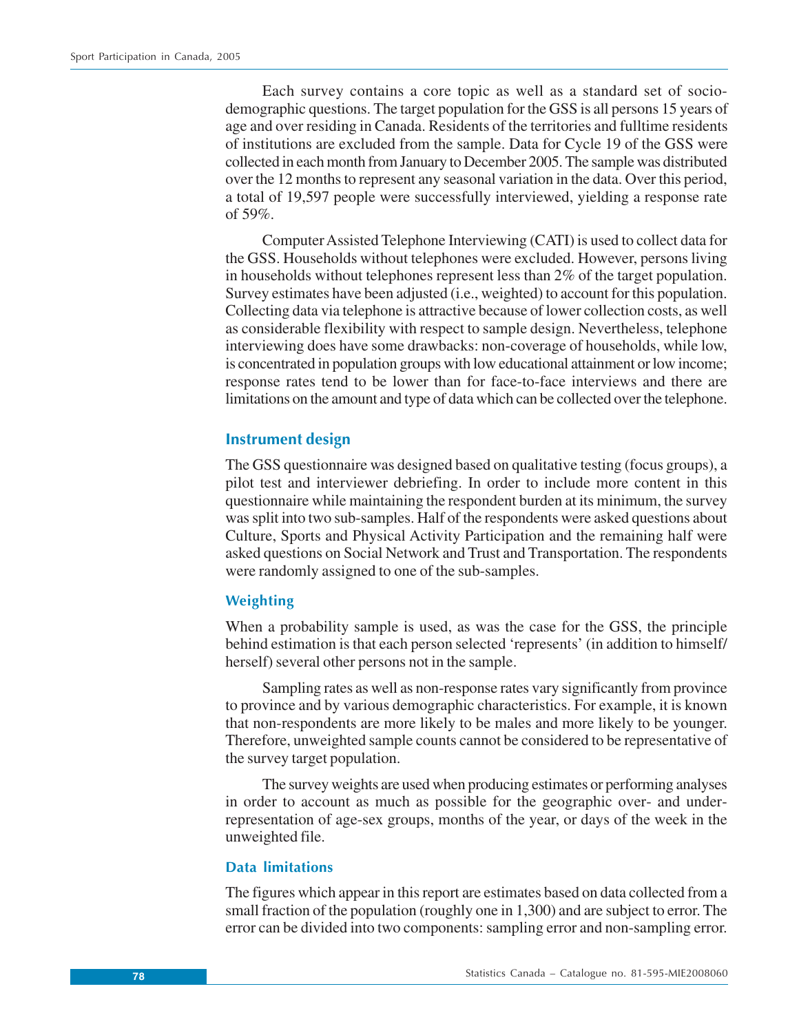Each survey contains a core topic as well as a standard set of sociodemographic questions. The target population for the GSS is all persons 15 years of age and over residing in Canada. Residents of the territories and fulltime residents of institutions are excluded from the sample. Data for Cycle 19 of the GSS were collected in each month from January to December 2005. The sample was distributed over the 12 months to represent any seasonal variation in the data. Over this period, a total of 19,597 people were successfully interviewed, yielding a response rate of 59%.

Computer Assisted Telephone Interviewing (CATI) is used to collect data for the GSS. Households without telephones were excluded. However, persons living in households without telephones represent less than 2% of the target population. Survey estimates have been adjusted (i.e., weighted) to account for this population. Collecting data via telephone is attractive because of lower collection costs, as well as considerable flexibility with respect to sample design. Nevertheless, telephone interviewing does have some drawbacks: non-coverage of households, while low, is concentrated in population groups with low educational attainment or low income; response rates tend to be lower than for face-to-face interviews and there are limitations on the amount and type of data which can be collected over the telephone.

## **Instrument design**

The GSS questionnaire was designed based on qualitative testing (focus groups), a pilot test and interviewer debriefing. In order to include more content in this questionnaire while maintaining the respondent burden at its minimum, the survey was split into two sub-samples. Half of the respondents were asked questions about Culture, Sports and Physical Activity Participation and the remaining half were asked questions on Social Network and Trust and Transportation. The respondents were randomly assigned to one of the sub-samples.

## **Weighting**

When a probability sample is used, as was the case for the GSS, the principle behind estimation is that each person selected 'represents' (in addition to himself/ herself) several other persons not in the sample.

Sampling rates as well as non-response rates vary significantly from province to province and by various demographic characteristics. For example, it is known that non-respondents are more likely to be males and more likely to be younger. Therefore, unweighted sample counts cannot be considered to be representative of the survey target population.

The survey weights are used when producing estimates or performing analyses in order to account as much as possible for the geographic over- and underrepresentation of age-sex groups, months of the year, or days of the week in the unweighted file.

## **Data limitations**

The figures which appear in this report are estimates based on data collected from a small fraction of the population (roughly one in 1,300) and are subject to error. The error can be divided into two components: sampling error and non-sampling error.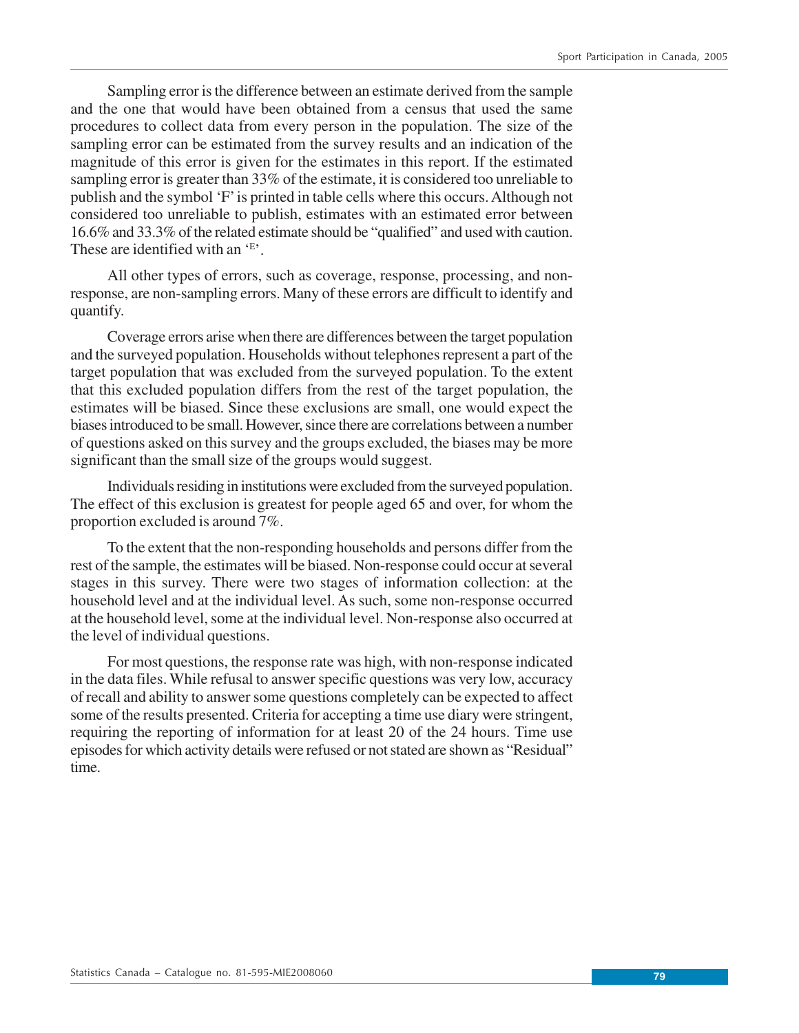Sampling error is the difference between an estimate derived from the sample and the one that would have been obtained from a census that used the same procedures to collect data from every person in the population. The size of the sampling error can be estimated from the survey results and an indication of the magnitude of this error is given for the estimates in this report. If the estimated sampling error is greater than 33% of the estimate, it is considered too unreliable to publish and the symbol 'F' is printed in table cells where this occurs. Although not considered too unreliable to publish, estimates with an estimated error between 16.6% and 33.3% of the related estimate should be "qualified" and used with caution. These are identified with an 'E'.

All other types of errors, such as coverage, response, processing, and nonresponse, are non-sampling errors. Many of these errors are difficult to identify and quantify.

Coverage errors arise when there are differences between the target population and the surveyed population. Households without telephones represent a part of the target population that was excluded from the surveyed population. To the extent that this excluded population differs from the rest of the target population, the estimates will be biased. Since these exclusions are small, one would expect the biases introduced to be small. However, since there are correlations between a number of questions asked on this survey and the groups excluded, the biases may be more significant than the small size of the groups would suggest.

Individuals residing in institutions were excluded from the surveyed population. The effect of this exclusion is greatest for people aged 65 and over, for whom the proportion excluded is around 7%.

To the extent that the non-responding households and persons differ from the rest of the sample, the estimates will be biased. Non-response could occur at several stages in this survey. There were two stages of information collection: at the household level and at the individual level. As such, some non-response occurred at the household level, some at the individual level. Non-response also occurred at the level of individual questions.

For most questions, the response rate was high, with non-response indicated in the data files. While refusal to answer specific questions was very low, accuracy of recall and ability to answer some questions completely can be expected to affect some of the results presented. Criteria for accepting a time use diary were stringent, requiring the reporting of information for at least 20 of the 24 hours. Time use episodes for which activity details were refused or not stated are shown as "Residual" time.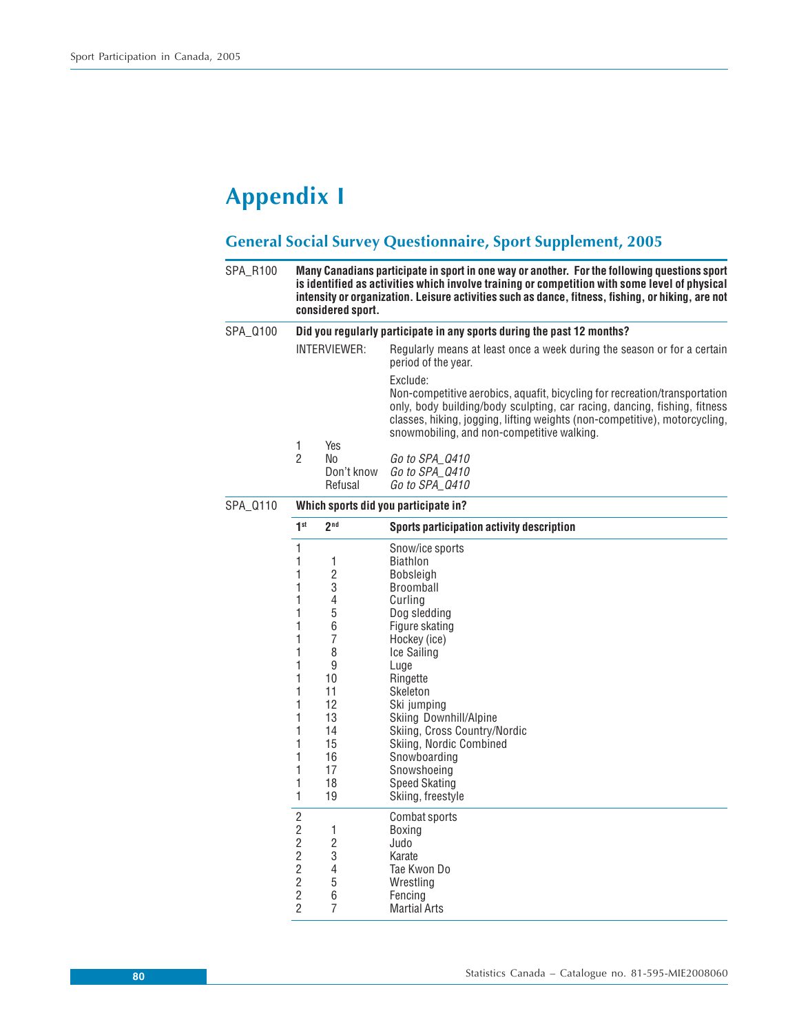# **Appendix I**

## **General Social Survey Questionnaire, Sport Supplement, 2005**

| SPA_R100 |                                                                                                                                              | considered sport.                                                                                                                            | Many Canadians participate in sport in one way or another. For the following questions sport<br>is identified as activities which involve training or competition with some level of physical<br>intensity or organization. Leisure activities such as dance, fitness, fishing, or hiking, are not                                                       |  |  |  |  |  |  |  |
|----------|----------------------------------------------------------------------------------------------------------------------------------------------|----------------------------------------------------------------------------------------------------------------------------------------------|----------------------------------------------------------------------------------------------------------------------------------------------------------------------------------------------------------------------------------------------------------------------------------------------------------------------------------------------------------|--|--|--|--|--|--|--|
| SPA_0100 |                                                                                                                                              | Did you regularly participate in any sports during the past 12 months?                                                                       |                                                                                                                                                                                                                                                                                                                                                          |  |  |  |  |  |  |  |
|          | INTERVIEWER:                                                                                                                                 |                                                                                                                                              | Regularly means at least once a week during the season or for a certain<br>period of the year.                                                                                                                                                                                                                                                           |  |  |  |  |  |  |  |
|          |                                                                                                                                              |                                                                                                                                              | Exclude:<br>Non-competitive aerobics, aquafit, bicycling for recreation/transportation<br>only, body building/body sculpting, car racing, dancing, fishing, fitness<br>classes, hiking, jogging, lifting weights (non-competitive), motorcycling,<br>snowmobiling, and non-competitive walking.                                                          |  |  |  |  |  |  |  |
|          | $\mathbf{1}$<br>$\overline{2}$                                                                                                               | Yes<br>No<br>Don't know<br>Refusal                                                                                                           | Go to SPA_Q410<br>Go to SPA Q410<br>Go to SPA_Q410                                                                                                                                                                                                                                                                                                       |  |  |  |  |  |  |  |
| SPA_0110 |                                                                                                                                              |                                                                                                                                              | Which sports did you participate in?                                                                                                                                                                                                                                                                                                                     |  |  |  |  |  |  |  |
|          | 1 <sup>st</sup>                                                                                                                              | 2 <sub>nd</sub>                                                                                                                              | Sports participation activity description                                                                                                                                                                                                                                                                                                                |  |  |  |  |  |  |  |
|          | $\mathbf{1}$<br>1<br>1<br>1<br>1<br>1<br>1<br>1<br>1<br>1<br>1<br>1<br>1<br>1<br>1<br>1<br>1<br>1<br>1<br>1                                  | 1<br>$\overline{2}$<br>3<br>$\overline{4}$<br>5<br>6<br>$\overline{7}$<br>8<br>9<br>10<br>11<br>12<br>13<br>14<br>15<br>16<br>17<br>18<br>19 | Snow/ice sports<br><b>Biathlon</b><br>Bobsleigh<br>Broomball<br>Curlina<br>Dog sledding<br>Figure skating<br>Hockey (ice)<br>Ice Sailing<br>Luge<br>Ringette<br>Skeleton<br>Ski jumping<br>Skiing Downhill/Alpine<br>Skiing, Cross Country/Nordic<br>Skiing, Nordic Combined<br>Snowboarding<br>Snowshoeing<br><b>Speed Skating</b><br>Skiing, freestyle |  |  |  |  |  |  |  |
|          | $\overline{2}$<br>$\overline{2}$<br>$\overline{2}$<br>$\overline{2}$<br>$\overline{2}$<br>$\overline{c}$<br>$\overline{c}$<br>$\overline{2}$ | $\mathbf{1}$<br>$\overline{c}$<br>3<br>$\overline{\mathcal{L}}$<br>5<br>6<br>7                                                               | Combat sports<br>Boxing<br>Judo<br>Karate<br>Tae Kwon Do<br>Wrestling<br>Fencing<br><b>Martial Arts</b>                                                                                                                                                                                                                                                  |  |  |  |  |  |  |  |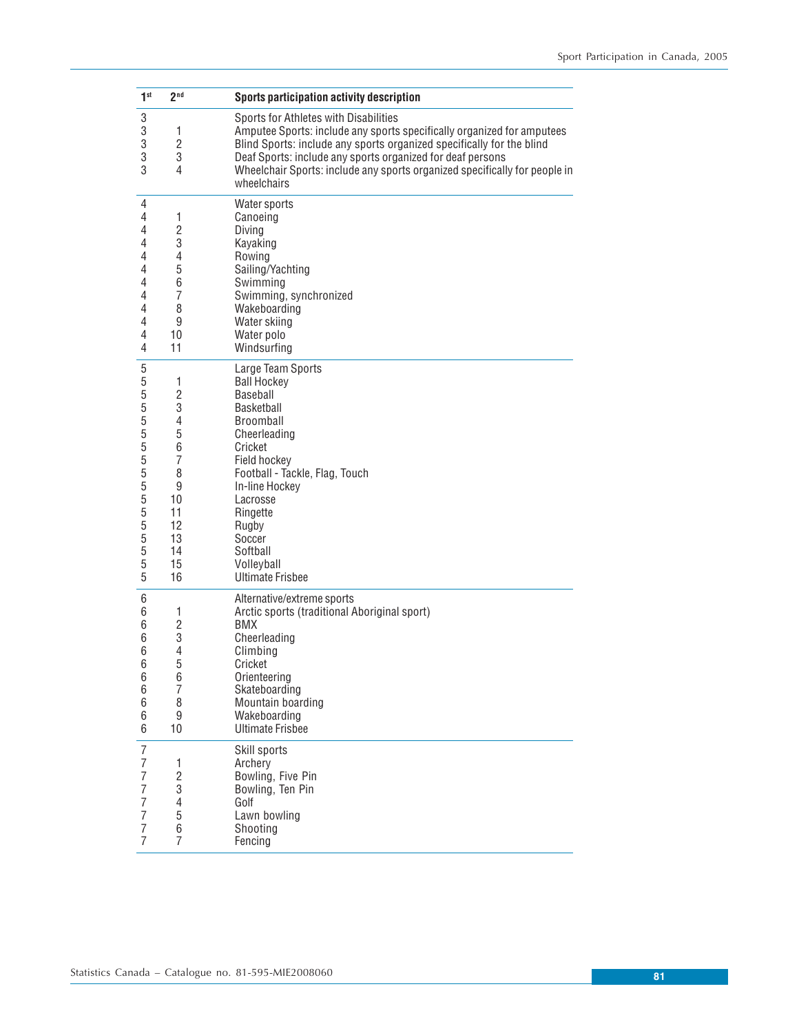| 1 <sup>st</sup>                                                                                       | 2 <sub>nd</sub>                                                                                  | Sports participation activity description                                                                                                                                                                                                                                                                                                           |
|-------------------------------------------------------------------------------------------------------|--------------------------------------------------------------------------------------------------|-----------------------------------------------------------------------------------------------------------------------------------------------------------------------------------------------------------------------------------------------------------------------------------------------------------------------------------------------------|
| 3<br>3<br>3<br>3<br>3                                                                                 | 1<br>$\overline{c}$<br>3<br>4                                                                    | Sports for Athletes with Disabilities<br>Amputee Sports: include any sports specifically organized for amputees<br>Blind Sports: include any sports organized specifically for the blind<br>Deaf Sports: include any sports organized for deaf persons<br>Wheelchair Sports: include any sports organized specifically for people in<br>wheelchairs |
| 4<br>4<br>4<br>4<br>4<br>4<br>4<br>4<br>4<br>4<br>4<br>4                                              | 1<br>$\overline{2}$<br>3<br>4<br>5<br>6<br>7<br>8<br>9<br>10<br>11                               | Water sports<br>Canoeing<br>Diving<br>Kayaking<br>Rowing<br>Sailing/Yachting<br>Swimming<br>Swimming, synchronized<br>Wakeboarding<br>Water skiing<br>Water polo<br>Windsurfing                                                                                                                                                                     |
| 5<br>5<br>5<br>5<br>5<br>5<br>5<br>5<br>5<br>5<br>5<br>5<br>5<br>5<br>5<br>5<br>5                     | 1<br>$\overline{2}$<br>3<br>4<br>5<br>6<br>7<br>8<br>9<br>10<br>11<br>12<br>13<br>14<br>15<br>16 | Large Team Sports<br><b>Ball Hockey</b><br>Baseball<br>Basketball<br><b>Broomball</b><br>Cheerleading<br>Cricket<br>Field hockey<br>Football - Tackle, Flag, Touch<br>In-line Hockey<br>Lacrosse<br>Ringette<br>Rugby<br>Soccer<br>Softball<br>Volleyball<br><b>Ultimate Frisbee</b>                                                                |
| 6<br>6<br>6<br>6<br>6<br>6<br>6<br>6<br>6<br>6<br>6                                                   | 1<br>$\overline{c}$<br>3<br>4<br>5<br>6<br>7<br>8<br>9<br>10                                     | Alternative/extreme sports<br>Arctic sports (traditional Aboriginal sport)<br><b>BMX</b><br>Cheerleading<br>Climbing<br>Cricket<br>Orienteering<br>Skateboarding<br>Mountain boarding<br>Wakeboarding<br><b>Ultimate Frisbee</b>                                                                                                                    |
| $\overline{I}$<br>$\overline{7}$<br>7<br>7<br>$\overline{7}$<br>$\overline{7}$<br>7<br>$\overline{7}$ | 1<br>$\overline{2}$<br>3<br>4<br>5<br>6<br>$\overline{7}$                                        | Skill sports<br>Archery<br>Bowling, Five Pin<br>Bowling, Ten Pin<br>Golf<br>Lawn bowling<br>Shooting<br>Fencing                                                                                                                                                                                                                                     |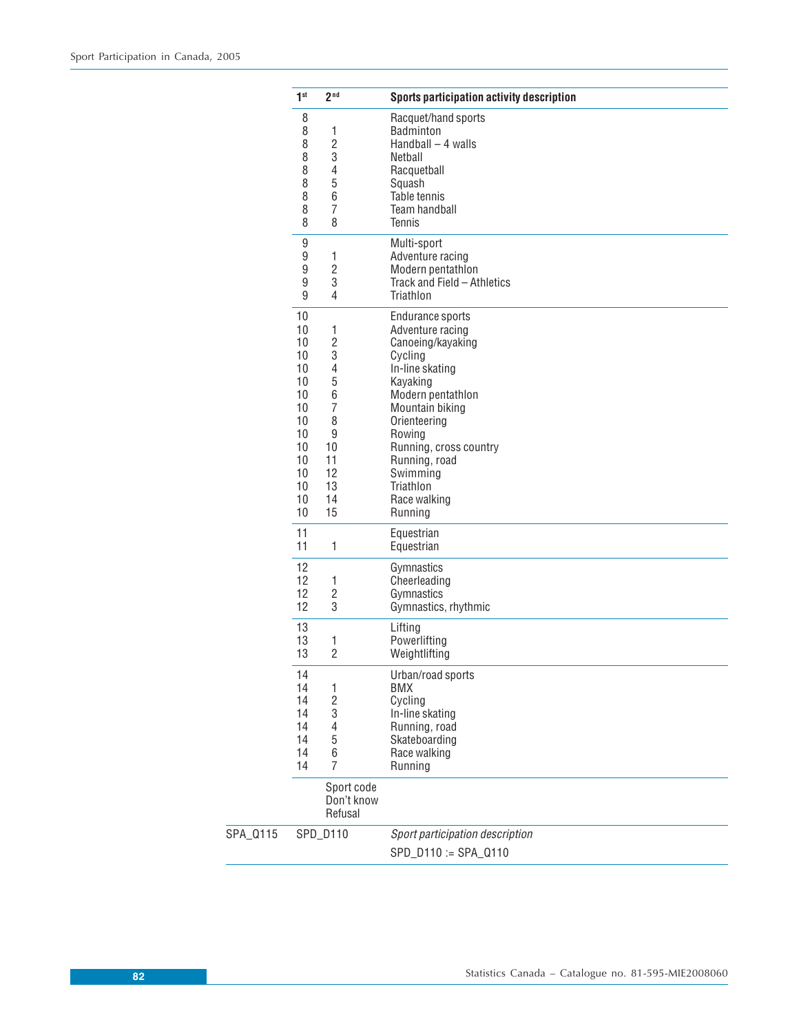|          | 1 <sup>st</sup>                                                                                                                     | 2 <sup>nd</sup>                                                                            | Sports participation activity description                                                                                                                                                                                                                            |
|----------|-------------------------------------------------------------------------------------------------------------------------------------|--------------------------------------------------------------------------------------------|----------------------------------------------------------------------------------------------------------------------------------------------------------------------------------------------------------------------------------------------------------------------|
|          | 8<br>8<br>8<br>8<br>8<br>8<br>8<br>8<br>8                                                                                           | 1<br>$\overline{2}$<br>3<br>4<br>5<br>6<br>$\overline{7}$<br>8                             | Racquet/hand sports<br><b>Badminton</b><br>$Handball - 4 walls$<br><b>Netball</b><br>Racquetball<br>Squash<br>Table tennis<br>Team handball<br><b>Tennis</b>                                                                                                         |
|          | 9<br>9<br>9<br>9<br>9                                                                                                               | $\mathbf{1}$<br>$\overline{2}$<br>3<br>4                                                   | Multi-sport<br>Adventure racing<br>Modern pentathlon<br>Track and Field - Athletics<br>Triathlon                                                                                                                                                                     |
|          | 10<br>10<br>10<br>10<br>10<br>10 <sup>°</sup><br>10<br>10<br>10 <sup>°</sup><br>10<br>10<br>10 <sup>°</sup><br>10<br>10<br>10<br>10 | 1<br>$\overline{2}$<br>3<br>4<br>5<br>6<br>7<br>8<br>9<br>10<br>11<br>12<br>13<br>14<br>15 | Endurance sports<br>Adventure racing<br>Canoeing/kayaking<br>Cycling<br>In-line skating<br>Kayaking<br>Modern pentathlon<br>Mountain biking<br>Orienteering<br>Rowing<br>Running, cross country<br>Running, road<br>Swimming<br>Triathlon<br>Race walking<br>Running |
|          | 11<br>11                                                                                                                            | $\mathbf{1}$                                                                               | Equestrian<br>Equestrian                                                                                                                                                                                                                                             |
|          | 12<br>12<br>12 <sup>°</sup><br>12                                                                                                   | 1<br>$\overline{c}$<br>3                                                                   | Gymnastics<br>Cheerleading<br>Gymnastics<br>Gymnastics, rhythmic                                                                                                                                                                                                     |
|          | 13<br>13<br>13                                                                                                                      | $\mathbf{1}$<br>$\overline{2}$                                                             | Lifting<br>Powerlifting<br>Weightlifting                                                                                                                                                                                                                             |
|          | 14<br>14<br>14<br>14<br>14<br>14<br>14<br>14                                                                                        | $\mathbf{1}$<br>$\overline{\mathbf{c}}$<br>3<br>4<br>5<br>6<br>7<br>Sport code             | Urban/road sports<br><b>BMX</b><br>Cycling<br>In-line skating<br>Running, road<br>Skateboarding<br>Race walking<br>Running                                                                                                                                           |
|          |                                                                                                                                     | Don't know<br>Refusal                                                                      |                                                                                                                                                                                                                                                                      |
| SPA_0115 |                                                                                                                                     | SPD_D110                                                                                   | Sport participation description<br>SPD_D110 := SPA_Q110                                                                                                                                                                                                              |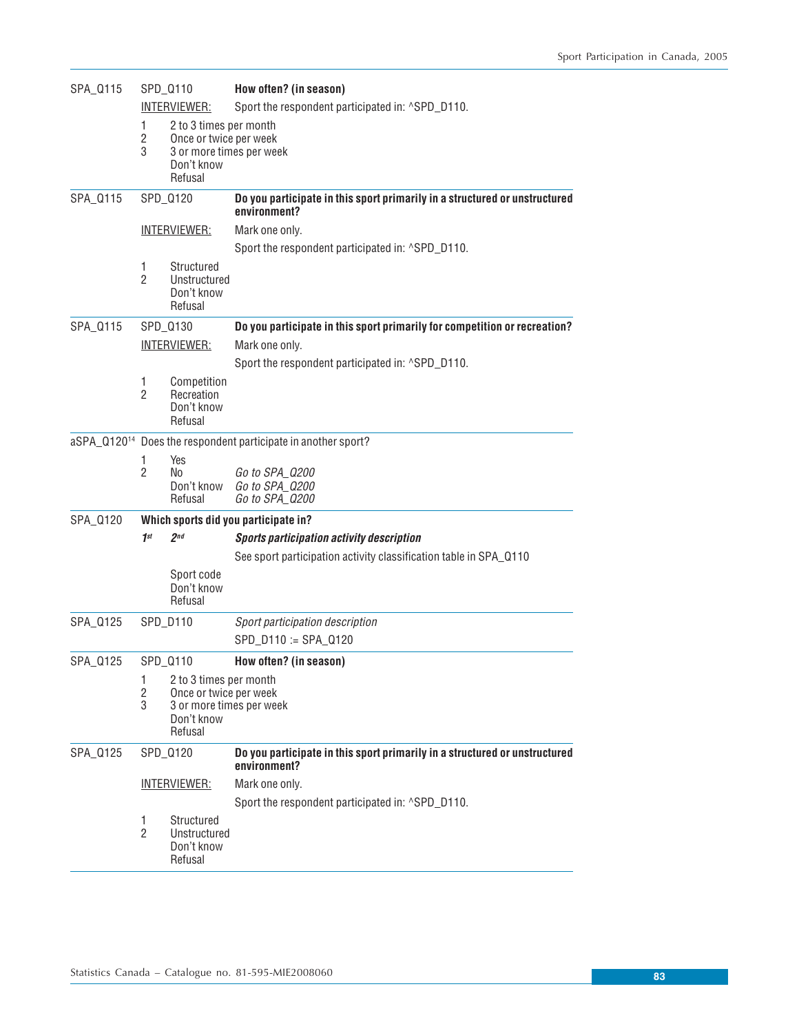| SPA_Q115 | SPD_Q110<br>INTERVIEWER:<br>1<br>2 to 3 times per month<br>$\mathbf{2}$<br>Once or twice per week<br>3<br>3 or more times per week<br>Don't know<br>Refusal |                                                     | How often? (in season)                                                                     |  |  |  |  |
|----------|-------------------------------------------------------------------------------------------------------------------------------------------------------------|-----------------------------------------------------|--------------------------------------------------------------------------------------------|--|--|--|--|
|          |                                                                                                                                                             |                                                     | Sport the respondent participated in: ^SPD_D110.                                           |  |  |  |  |
|          |                                                                                                                                                             |                                                     |                                                                                            |  |  |  |  |
| SPA_Q115 | SPD_Q120                                                                                                                                                    |                                                     | Do you participate in this sport primarily in a structured or unstructured<br>environment? |  |  |  |  |
|          |                                                                                                                                                             | <u>INTERVIEWER:</u>                                 | Mark one only.                                                                             |  |  |  |  |
|          |                                                                                                                                                             |                                                     | Sport the respondent participated in: ^SPD_D110.                                           |  |  |  |  |
|          | 1<br>$\mathcal{P}$                                                                                                                                          | Structured<br>Unstructured<br>Don't know<br>Refusal |                                                                                            |  |  |  |  |
| SPA_Q115 |                                                                                                                                                             | SPD_Q130                                            | Do you participate in this sport primarily for competition or recreation?                  |  |  |  |  |
|          | <u>INTERVIEWER:</u>                                                                                                                                         |                                                     | Mark one only.                                                                             |  |  |  |  |
|          |                                                                                                                                                             |                                                     | Sport the respondent participated in: ^SPD_D110.                                           |  |  |  |  |
|          | 1<br>$\overline{2}$                                                                                                                                         | Competition<br>Recreation<br>Don't know<br>Refusal  |                                                                                            |  |  |  |  |
|          |                                                                                                                                                             |                                                     | aSPA_Q120 <sup>14</sup> Does the respondent participate in another sport?                  |  |  |  |  |
|          | 1<br>$\overline{2}$                                                                                                                                         | Yes<br>No.<br>Don't know<br>Refusal                 | Go to SPA_0200<br>Go to SPA_Q200<br>Go to SPA_Q200                                         |  |  |  |  |
| SPA_Q120 |                                                                                                                                                             |                                                     | Which sports did you participate in?                                                       |  |  |  |  |
|          | 1 <sup>st</sup>                                                                                                                                             | 2 <sub>nd</sub>                                     | <b>Sports participation activity description</b>                                           |  |  |  |  |
|          |                                                                                                                                                             |                                                     | See sport participation activity classification table in SPA_0110                          |  |  |  |  |
|          |                                                                                                                                                             | Sport code<br>Don't know<br>Refusal                 |                                                                                            |  |  |  |  |
| SPA_Q125 |                                                                                                                                                             | SPD_D110                                            | Sport participation description                                                            |  |  |  |  |
|          |                                                                                                                                                             |                                                     | SPD_D110 := SPA_Q120                                                                       |  |  |  |  |
| SPA_0125 |                                                                                                                                                             | SPD 0110                                            | How often? (in season)                                                                     |  |  |  |  |
|          | 1.<br>2 to 3 times per month<br>$\mathbf{2}$<br>Once or twice per week<br>3<br>3 or more times per week<br>Don't know<br>Refusal                            |                                                     |                                                                                            |  |  |  |  |
| SPA_Q125 |                                                                                                                                                             | SPD_Q120                                            | Do you participate in this sport primarily in a structured or unstructured<br>environment? |  |  |  |  |
|          |                                                                                                                                                             | <u>INTERVIEWER:</u>                                 | Mark one only.                                                                             |  |  |  |  |
|          |                                                                                                                                                             |                                                     | Sport the respondent participated in: ^SPD_D110.                                           |  |  |  |  |
|          | 1.<br>$\overline{2}$                                                                                                                                        | Structured<br>Unstructured<br>Don't know<br>Refusal |                                                                                            |  |  |  |  |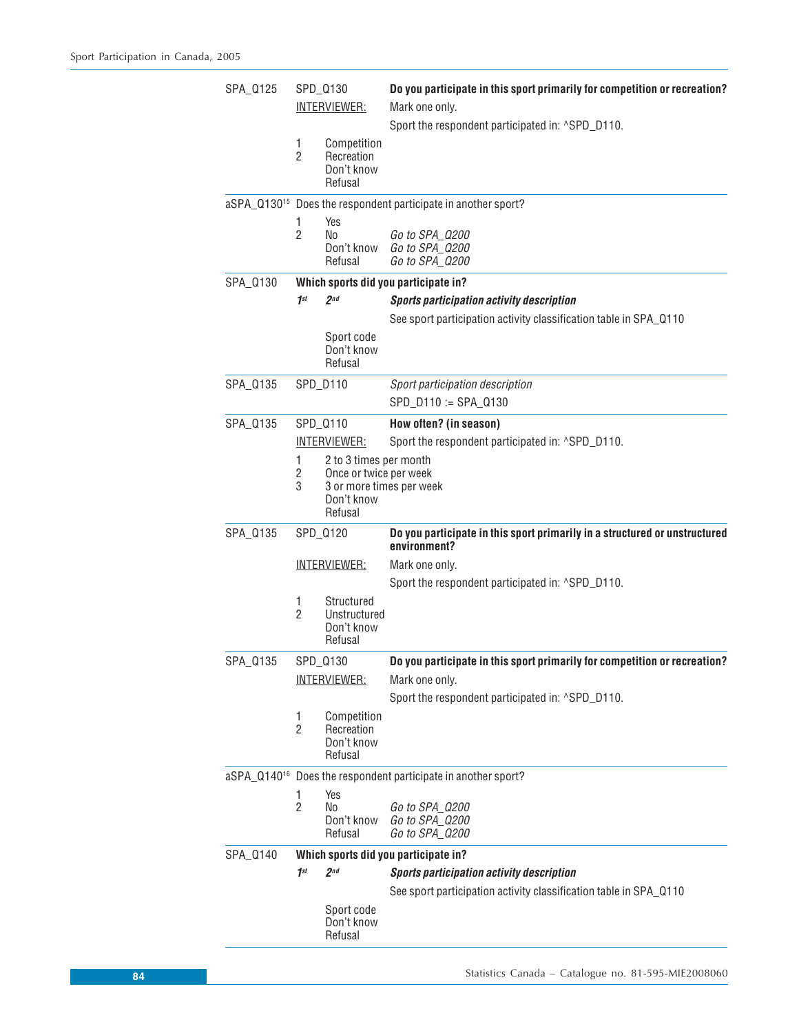| SPA_0125 | SPD_Q130<br><u>INTERVIEWER:</u> |                                                                                                       | Do you participate in this sport primarily for competition or recreation?<br>Mark one only.<br>Sport the respondent participated in: ^SPD_D110. |
|----------|---------------------------------|-------------------------------------------------------------------------------------------------------|-------------------------------------------------------------------------------------------------------------------------------------------------|
|          | 1<br>$\overline{c}$             | Competition<br>Recreation<br>Don't know<br>Refusal                                                    |                                                                                                                                                 |
|          |                                 |                                                                                                       | aSPA_Q130 <sup>15</sup> Does the respondent participate in another sport?                                                                       |
|          | 1<br>$\overline{2}$             | Yes<br>No<br>Don't know<br>Refusal                                                                    | Go to SPA_0200<br>Go to SPA_Q200<br>Go to SPA_Q200                                                                                              |
| SPA_0130 |                                 |                                                                                                       | Which sports did you participate in?                                                                                                            |
|          | 1 <sup>st</sup>                 | 2 <sub>nd</sub>                                                                                       | <b>Sports participation activity description</b>                                                                                                |
|          |                                 |                                                                                                       | See sport participation activity classification table in SPA_Q110                                                                               |
|          |                                 | Sport code<br>Don't know<br>Refusal                                                                   |                                                                                                                                                 |
| SPA_0135 |                                 | SPD_D110                                                                                              | Sport participation description<br>SPD_D110 := SPA_Q130                                                                                         |
| SPA_0135 |                                 | SPD_Q110                                                                                              | How often? (in season)                                                                                                                          |
|          |                                 | <b>INTERVIEWER:</b>                                                                                   | Sport the respondent participated in: ^SPD_D110.                                                                                                |
|          | 1<br>2<br>3                     | 2 to 3 times per month<br>Once or twice per week<br>3 or more times per week<br>Don't know<br>Refusal |                                                                                                                                                 |
| SPA_0135 |                                 | SPD_0120                                                                                              | Do you participate in this sport primarily in a structured or unstructured<br>environment?                                                      |
|          |                                 | <b>INTERVIEWER:</b>                                                                                   | Mark one only.                                                                                                                                  |
|          |                                 |                                                                                                       | Sport the respondent participated in: ^SPD_D110.                                                                                                |
|          | 1<br>$\overline{2}$             | Structured<br>Unstructured<br>Don't know<br>Refusal                                                   |                                                                                                                                                 |
| SPA_0135 |                                 | SPD_Q130                                                                                              | Do you participate in this sport primarily for competition or recreation?                                                                       |
|          | <b>INTERVIEWER:</b>             |                                                                                                       | Mark one only.                                                                                                                                  |
|          |                                 |                                                                                                       | Sport the respondent participated in: ^SPD_D110.                                                                                                |
|          | 1<br>$\overline{2}$             | Competition<br>Recreation<br>Don't know<br>Refusal                                                    |                                                                                                                                                 |
|          |                                 |                                                                                                       | aSPA_Q140 <sup>16</sup> Does the respondent participate in another sport?                                                                       |
|          | 1<br>$\overline{c}$             | Yes<br>No<br>Don't know<br>Refusal                                                                    | Go to SPA_Q200<br>Go to SPA Q200<br>Go to SPA_Q200                                                                                              |
| SPA_0140 |                                 |                                                                                                       | Which sports did you participate in?                                                                                                            |
|          | 1 <sup>st</sup>                 | 2 <sub>nd</sub>                                                                                       | <b>Sports participation activity description</b>                                                                                                |
|          |                                 | Sport code<br>Don't know<br>Refusal                                                                   | See sport participation activity classification table in SPA_Q110                                                                               |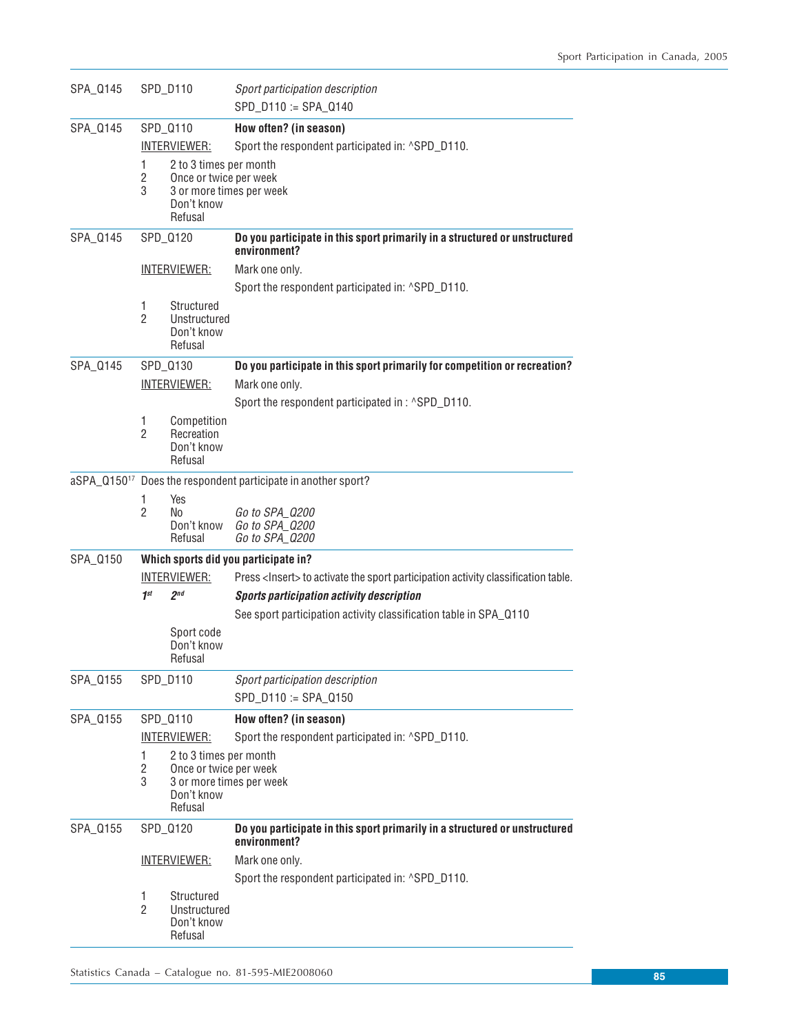| SPA_Q145 |                          | SPD_D110                                                                                              | Sport participation description                                                            |
|----------|--------------------------|-------------------------------------------------------------------------------------------------------|--------------------------------------------------------------------------------------------|
|          |                          |                                                                                                       | SPD_D110 := SPA_Q140                                                                       |
| SPA_Q145 |                          | SPD_Q110                                                                                              | How often? (in season)                                                                     |
|          |                          | <u>INTERVIEWER:</u>                                                                                   | Sport the respondent participated in: ^SPD_D110.                                           |
|          | 1<br>$\overline{c}$<br>3 | 2 to 3 times per month<br>Once or twice per week<br>3 or more times per week<br>Don't know<br>Refusal |                                                                                            |
| SPA_Q145 |                          | SPD_Q120                                                                                              | Do you participate in this sport primarily in a structured or unstructured<br>environment? |
|          |                          | <u>INTERVIEWER:</u>                                                                                   | Mark one only.                                                                             |
|          |                          |                                                                                                       | Sport the respondent participated in: ^SPD_D110.                                           |
|          | 1<br>$\overline{2}$      | Structured<br>Unstructured<br>Don't know<br>Refusal                                                   |                                                                                            |
| SPA_Q145 |                          | SPD_Q130                                                                                              | Do you participate in this sport primarily for competition or recreation?                  |
|          |                          | <u>INTERVIEWER:</u>                                                                                   | Mark one only.                                                                             |
|          |                          |                                                                                                       | Sport the respondent participated in : ^SPD_D110.                                          |
|          | 1<br>$\overline{2}$      | Competition<br>Recreation<br>Don't know<br>Refusal                                                    |                                                                                            |
|          |                          |                                                                                                       | aSPA_Q150 <sup>17</sup> Does the respondent participate in another sport?                  |
|          | 1<br>$\overline{2}$      | Yes<br>No<br>Don't know<br>Refusal                                                                    | Go to SPA_Q200<br>Go to SPA_0200<br>Go to SPA_0200                                         |
| SPA_0150 |                          |                                                                                                       | Which sports did you participate in?                                                       |
|          |                          | <b>INTERVIEWER:</b>                                                                                   | Press <lnsert> to activate the sport participation activity classification table.</lnsert> |
|          | 1 <sup>st</sup>          | 2 <sub>nd</sub>                                                                                       | <b>Sports participation activity description</b>                                           |
|          |                          |                                                                                                       | See sport participation activity classification table in SPA_0110                          |
|          |                          | Sport code<br>Don't know<br>Refusal                                                                   |                                                                                            |
| SPA_Q155 |                          | SPD_D110                                                                                              | Sport participation description                                                            |
|          |                          |                                                                                                       | SPD_D110 := SPA_Q150                                                                       |
| SPA_Q155 |                          | SPD_Q110                                                                                              | How often? (in season)                                                                     |
|          |                          | <b>INTERVIEWER:</b>                                                                                   | Sport the respondent participated in: ^SPD_D110.                                           |
|          | 1<br>$\mathbf{2}$<br>3   | 2 to 3 times per month<br>Once or twice per week<br>3 or more times per week<br>Don't know<br>Refusal |                                                                                            |
| SPA_Q155 |                          | SPD_Q120                                                                                              | Do you participate in this sport primarily in a structured or unstructured<br>environment? |
|          |                          | <u>INTERVIEWER:</u>                                                                                   | Mark one only.                                                                             |
|          |                          |                                                                                                       | Sport the respondent participated in: ^SPD_D110.                                           |
|          | 1<br>$\overline{2}$      | Structured<br>Unstructured<br>Don't know<br>Refusal                                                   |                                                                                            |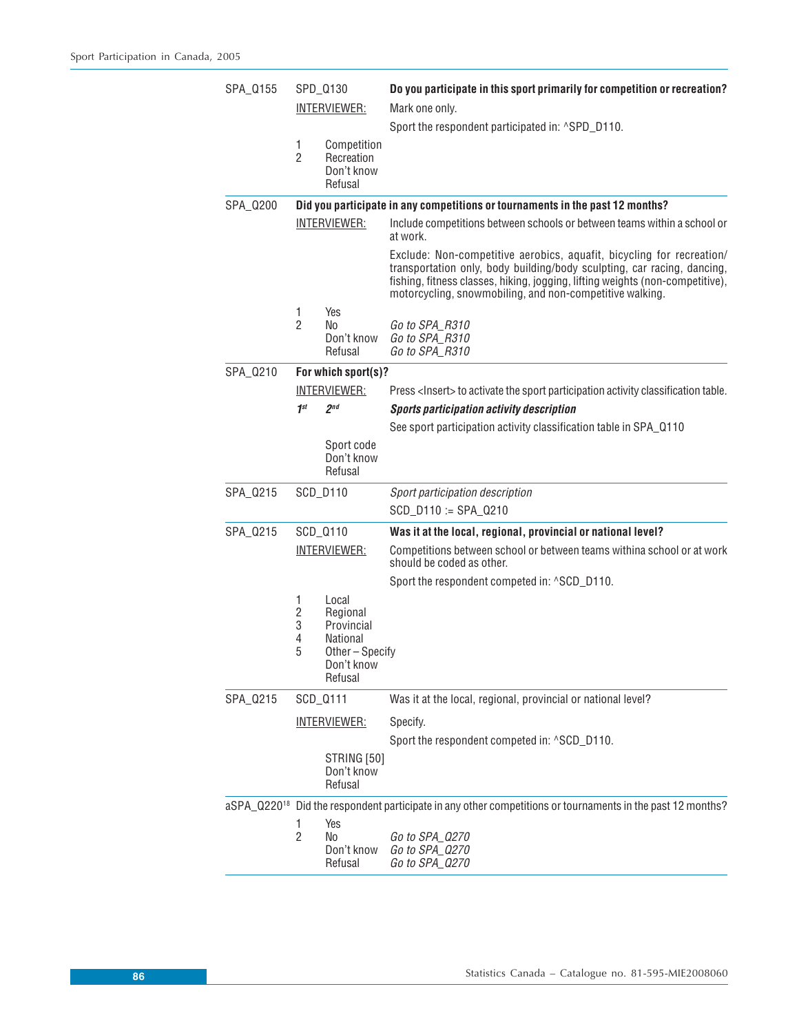| SPA_0155 |                                | SPD_Q130                                                                              | Do you participate in this sport primarily for competition or recreation?                                                                                                                                                                                                                     |
|----------|--------------------------------|---------------------------------------------------------------------------------------|-----------------------------------------------------------------------------------------------------------------------------------------------------------------------------------------------------------------------------------------------------------------------------------------------|
|          |                                | <b>INTERVIEWER:</b>                                                                   | Mark one only.                                                                                                                                                                                                                                                                                |
|          |                                |                                                                                       | Sport the respondent participated in: ^SPD_D110.                                                                                                                                                                                                                                              |
|          | 1<br>$\overline{2}$            | Competition<br>Recreation<br>Don't know<br>Refusal                                    |                                                                                                                                                                                                                                                                                               |
| SPA_0200 |                                |                                                                                       | Did you participate in any competitions or tournaments in the past 12 months?                                                                                                                                                                                                                 |
|          |                                | <b>INTERVIEWER:</b>                                                                   | Include competitions between schools or between teams within a school or<br>at work.                                                                                                                                                                                                          |
|          |                                |                                                                                       | Exclude: Non-competitive aerobics, aquafit, bicycling for recreation/<br>transportation only, body building/body sculpting, car racing, dancing,<br>fishing, fitness classes, hiking, jogging, lifting weights (non-competitive),<br>motorcycling, snowmobiling, and non-competitive walking. |
|          | 1<br>$\overline{2}$            | Yes<br>No<br>Don't know<br>Refusal                                                    | Go to SPA_R310<br>Go to SPA_R310<br>Go to SPA_R310                                                                                                                                                                                                                                            |
| SPA_0210 |                                | For which sport(s)?                                                                   |                                                                                                                                                                                                                                                                                               |
|          |                                | INTERVIEWER:                                                                          | Press <lnsert> to activate the sport participation activity classification table.</lnsert>                                                                                                                                                                                                    |
|          | 1 <sup>st</sup>                | 2 <sub>nd</sub>                                                                       | <b>Sports participation activity description</b>                                                                                                                                                                                                                                              |
|          |                                |                                                                                       | See sport participation activity classification table in SPA_0110                                                                                                                                                                                                                             |
|          |                                | Sport code<br>Don't know<br>Refusal                                                   |                                                                                                                                                                                                                                                                                               |
| SPA_0215 |                                | SCD_D110                                                                              | Sport participation description                                                                                                                                                                                                                                                               |
|          |                                |                                                                                       | SCD_D110 := SPA_Q210                                                                                                                                                                                                                                                                          |
| SPA_0215 |                                | SCD_Q110                                                                              | Was it at the local, regional, provincial or national level?                                                                                                                                                                                                                                  |
|          |                                | <b>INTERVIEWER:</b>                                                                   | Competitions between school or between teams withina school or at work<br>should be coded as other.                                                                                                                                                                                           |
|          |                                |                                                                                       | Sport the respondent competed in: ^SCD_D110.                                                                                                                                                                                                                                                  |
|          | 1<br>$\sqrt{2}$<br>3<br>4<br>5 | Local<br>Regional<br>Provincial<br>National<br>Other-Specify<br>Don't know<br>Refusal |                                                                                                                                                                                                                                                                                               |
| SPA_0215 |                                | SCD_Q111                                                                              | Was it at the local, regional, provincial or national level?                                                                                                                                                                                                                                  |
|          |                                | <u>INTERVIEWER:</u>                                                                   | Specify.<br>Sport the respondent competed in: ^SCD_D110.                                                                                                                                                                                                                                      |
|          |                                | STRING [50]<br>Don't know<br>Refusal                                                  |                                                                                                                                                                                                                                                                                               |
|          |                                |                                                                                       | aSPA_Q220 <sup>18</sup> Did the respondent participate in any other competitions or tournaments in the past 12 months?                                                                                                                                                                        |
|          | 1<br>$\overline{2}$            | Yes<br>No<br>Don't know<br>Refusal                                                    | Go to SPA_Q270<br>Go to SPA_Q270<br>Go to SPA_Q270                                                                                                                                                                                                                                            |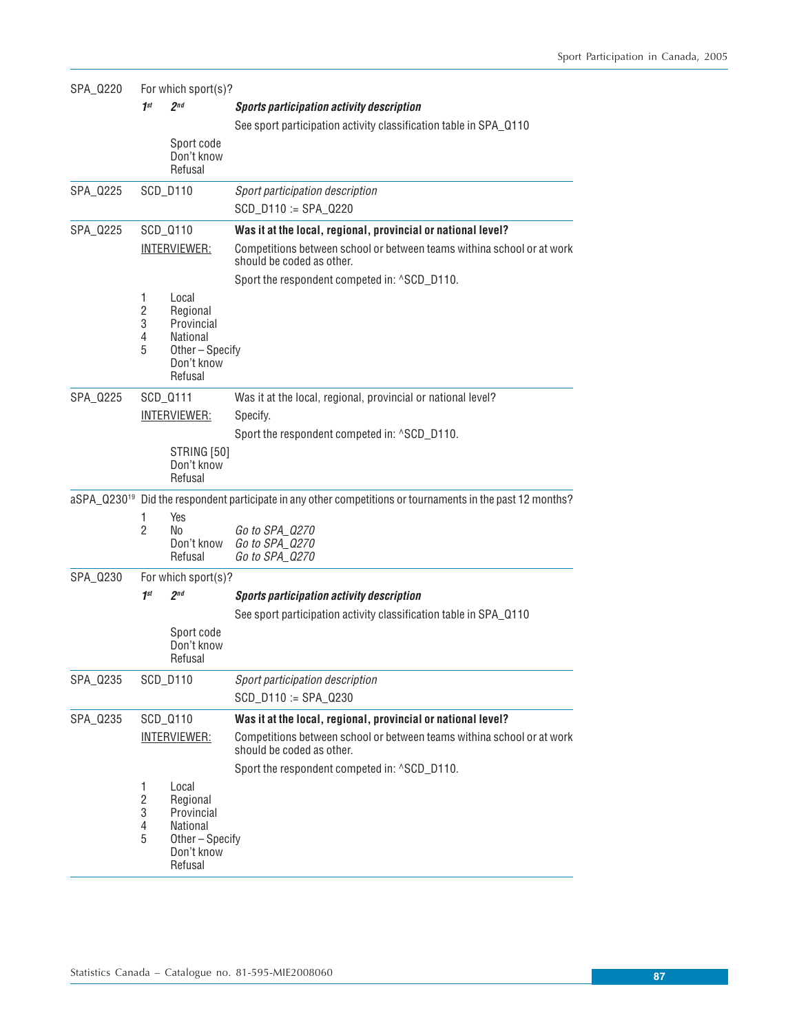| SPA_Q220                | For which sport(s)?                |                                                                                       |                                                                                                     |  |  |  |  |
|-------------------------|------------------------------------|---------------------------------------------------------------------------------------|-----------------------------------------------------------------------------------------------------|--|--|--|--|
|                         | 1 <sup>st</sup>                    | 2 <sub>nd</sub>                                                                       | <b>Sports participation activity description</b>                                                    |  |  |  |  |
|                         |                                    |                                                                                       | See sport participation activity classification table in SPA_Q110                                   |  |  |  |  |
|                         |                                    | Sport code<br>Don't know<br>Refusal                                                   |                                                                                                     |  |  |  |  |
| SPA_Q225                |                                    | SCD_D110                                                                              | Sport participation description                                                                     |  |  |  |  |
|                         |                                    |                                                                                       | $SCD_D110 := SPA_Q220$                                                                              |  |  |  |  |
| SPA_Q225                | SCD_Q110                           |                                                                                       | Was it at the local, regional, provincial or national level?                                        |  |  |  |  |
|                         |                                    | <u>INTERVIEWER:</u>                                                                   | Competitions between school or between teams withina school or at work<br>should be coded as other. |  |  |  |  |
|                         |                                    |                                                                                       | Sport the respondent competed in: ^SCD_D110.                                                        |  |  |  |  |
|                         | 1<br>2<br>3<br>4<br>5              | Local<br>Regional<br>Provincial<br>National<br>Other-Specify<br>Don't know<br>Refusal |                                                                                                     |  |  |  |  |
| SPA_Q225                |                                    | SCD_Q111                                                                              | Was it at the local, regional, provincial or national level?                                        |  |  |  |  |
|                         | <u>INTERVIEWER:</u>                |                                                                                       | Specify.                                                                                            |  |  |  |  |
|                         |                                    |                                                                                       | Sport the respondent competed in: ^SCD_D110.                                                        |  |  |  |  |
|                         |                                    | STRING [50]<br>Don't know<br>Refusal                                                  |                                                                                                     |  |  |  |  |
| aSPA Q230 <sup>19</sup> |                                    |                                                                                       | Did the respondent participate in any other competitions or tournaments in the past 12 months?      |  |  |  |  |
|                         | 1<br>$\overline{2}$                | Yes<br>No<br>Don't know<br>Refusal                                                    | Go to SPA_Q270<br>Go to SPA_Q270<br>Go to SPA_Q270                                                  |  |  |  |  |
| SPA_Q230                |                                    | For which sport(s)?                                                                   |                                                                                                     |  |  |  |  |
|                         | 1 <sup>st</sup>                    | 2 <sub>nd</sub>                                                                       | <b>Sports participation activity description</b>                                                    |  |  |  |  |
|                         |                                    |                                                                                       | See sport participation activity classification table in SPA_Q110                                   |  |  |  |  |
|                         |                                    | Sport code<br>Don't know<br>Refusal                                                   |                                                                                                     |  |  |  |  |
| SPA_Q235                |                                    | SCD_D110                                                                              | Sport participation description                                                                     |  |  |  |  |
|                         |                                    |                                                                                       | SCD_D110 := SPA_Q230                                                                                |  |  |  |  |
| SPA_Q235                |                                    | SCD_Q110                                                                              | Was it at the local, regional, provincial or national level?                                        |  |  |  |  |
|                         | <u>INTERVIEWER:</u>                |                                                                                       | Competitions between school or between teams withina school or at work<br>should be coded as other. |  |  |  |  |
|                         |                                    |                                                                                       | Sport the respondent competed in: ^SCD_D110.                                                        |  |  |  |  |
|                         | 1<br>$\overline{c}$<br>3<br>4<br>5 | Local<br>Regional<br>Provincial<br>National<br>Other-Specify<br>Don't know<br>Refusal |                                                                                                     |  |  |  |  |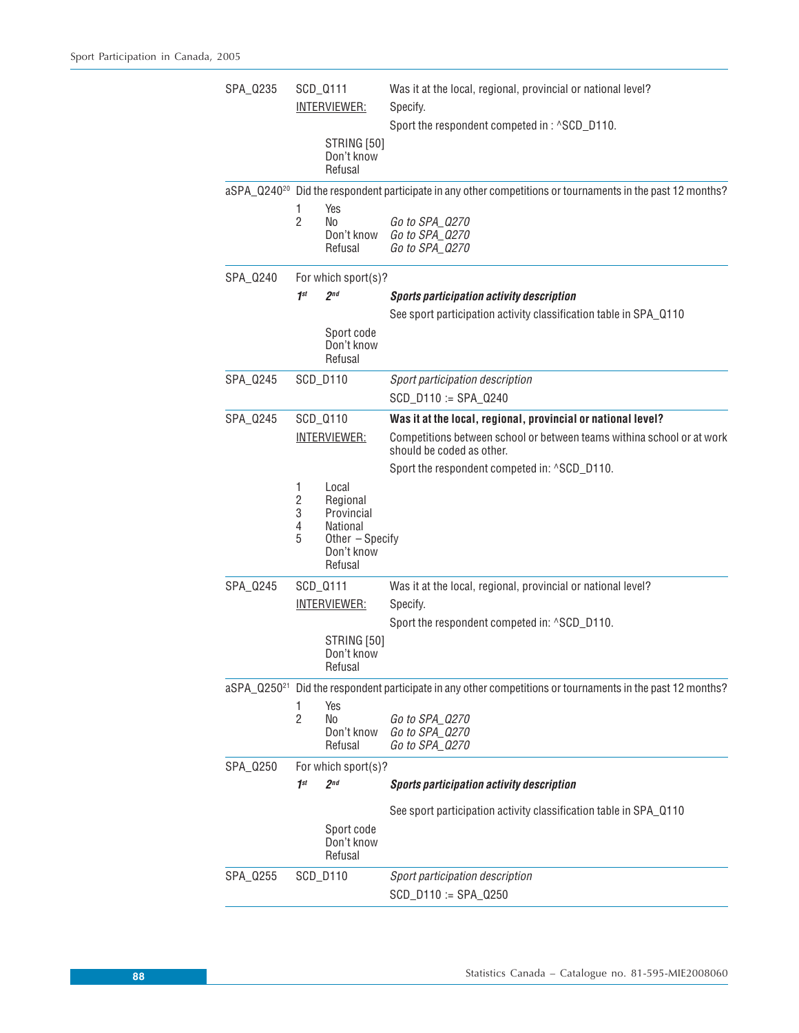| SPA_0235 | SCD_0111<br><u>INTERVIEWER:</u>    |                                                                                         | Was it at the local, regional, provincial or national level?<br>Specify.<br>Sport the respondent competed in: ^SCD_D110. |
|----------|------------------------------------|-----------------------------------------------------------------------------------------|--------------------------------------------------------------------------------------------------------------------------|
|          |                                    | STRING [50]<br>Don't know<br>Refusal                                                    |                                                                                                                          |
|          |                                    |                                                                                         | aSPA_Q240 <sup>20</sup> Did the respondent participate in any other competitions or tournaments in the past 12 months?   |
|          | 1<br>$\mathfrak{p}$                | Yes<br>No<br>Don't know<br>Refusal                                                      | Go to SPA_Q270<br>Go to SPA_Q270<br>Go to SPA_Q270                                                                       |
| SPA_0240 |                                    | For which sport(s)?                                                                     |                                                                                                                          |
|          | 1 <sup>st</sup>                    | 2 <sup>nd</sup>                                                                         | <b>Sports participation activity description</b>                                                                         |
|          |                                    | Sport code<br>Don't know<br>Refusal                                                     | See sport participation activity classification table in SPA_Q110                                                        |
| SPA_0245 |                                    | SCD_D110                                                                                | Sport participation description<br>$SCD_D110 := SPA_Q240$                                                                |
| SPA_0245 |                                    | SCD_Q110                                                                                | Was it at the local, regional, provincial or national level?                                                             |
|          | <u>INTERVIEWER:</u>                |                                                                                         | Competitions between school or between teams withina school or at work<br>should be coded as other.                      |
|          |                                    |                                                                                         | Sport the respondent competed in: ^SCD_D110.                                                                             |
|          | 1<br>$\overline{2}$<br>3<br>4<br>5 | Local<br>Regional<br>Provincial<br>National<br>Other - Specify<br>Don't know<br>Refusal |                                                                                                                          |
| SPA_0245 |                                    | SCD_0111                                                                                | Was it at the local, regional, provincial or national level?                                                             |
|          |                                    | INTERVIEWER:                                                                            | Specify.                                                                                                                 |
|          |                                    | <b>STRING [50]</b><br>Don't know<br>Refusal                                             | Sport the respondent competed in: ^SCD_D110.                                                                             |
|          |                                    |                                                                                         | aSPA_Q250 <sup>21</sup> Did the respondent participate in any other competitions or tournaments in the past 12 months?   |
|          | 1<br>$\overline{2}$                | Yes<br><b>No</b><br>Don't know<br>Refusal                                               | Go to SPA_Q270<br>Go to SPA_Q270<br>Go to SPA_Q270                                                                       |
| SPA_Q250 |                                    | For which sport(s)?                                                                     |                                                                                                                          |
|          | 1 <sup>st</sup>                    | 2 <sub>nd</sub>                                                                         | <b>Sports participation activity description</b>                                                                         |
|          |                                    | Sport code<br>Don't know<br>Refusal                                                     | See sport participation activity classification table in SPA_Q110                                                        |
| SPA_0255 |                                    | SCD_D110                                                                                | Sport participation description                                                                                          |
|          |                                    |                                                                                         | $SCD_D110 := SPA_Q250$                                                                                                   |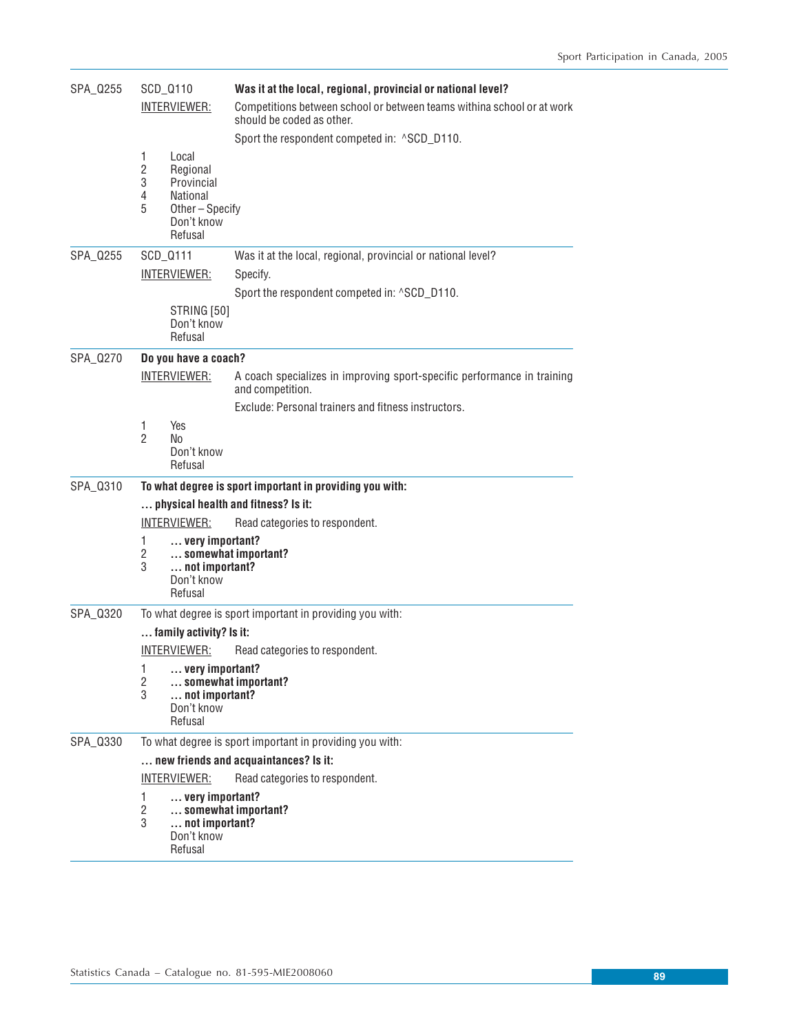| SPA_Q255 | SCD_Q110                                 |                                                                                              | Was it at the local, regional, provincial or national level?                                        |  |  |
|----------|------------------------------------------|----------------------------------------------------------------------------------------------|-----------------------------------------------------------------------------------------------------|--|--|
|          | INTERVIEWER:                             |                                                                                              | Competitions between school or between teams withina school or at work<br>should be coded as other. |  |  |
|          |                                          |                                                                                              | Sport the respondent competed in: ^SCD_D110.                                                        |  |  |
|          | 1<br>$\mathbf{2}$<br>3<br>4<br>5         | Local<br>Regional<br>Provincial<br><b>National</b><br>Other-Specify<br>Don't know<br>Refusal |                                                                                                     |  |  |
| SPA_Q255 | SCD_Q111                                 |                                                                                              | Was it at the local, regional, provincial or national level?                                        |  |  |
|          |                                          | <u>INTERVIEWER:</u>                                                                          | Specify.                                                                                            |  |  |
|          |                                          |                                                                                              | Sport the respondent competed in: ^SCD_D110.                                                        |  |  |
|          |                                          | STRING [50]<br>Don't know<br>Refusal                                                         |                                                                                                     |  |  |
| SPA_0270 |                                          | Do you have a coach?                                                                         |                                                                                                     |  |  |
|          | <b>INTERVIEWER:</b>                      |                                                                                              | A coach specializes in improving sport-specific performance in training<br>and competition.         |  |  |
|          |                                          |                                                                                              | Exclude: Personal trainers and fitness instructors.                                                 |  |  |
|          | 1<br>$\mathfrak{p}$                      | Yes<br>No<br>Don't know<br>Refusal                                                           |                                                                                                     |  |  |
| SPA_Q310 |                                          |                                                                                              | To what degree is sport important in providing you with:                                            |  |  |
|          | physical health and fitness? Is it:<br>. |                                                                                              |                                                                                                     |  |  |
|          |                                          | INTERVIEWER:                                                                                 | Read categories to respondent.                                                                      |  |  |
|          | 1<br>2<br>3                              | very important?<br>somewhat important?<br>not important?<br>Don't know<br>Refusal            |                                                                                                     |  |  |
| SPA_0320 |                                          |                                                                                              | To what degree is sport important in providing you with:                                            |  |  |
|          |                                          | family activity? Is it:                                                                      |                                                                                                     |  |  |
|          |                                          | INTERVIEWER:                                                                                 | Read categories to respondent.                                                                      |  |  |
|          | 1<br>2<br>3                              | very important?<br>somewhat important?<br>not important?<br>Don't know<br>Refusal            |                                                                                                     |  |  |
| SPA_0330 |                                          |                                                                                              | To what degree is sport important in providing you with:                                            |  |  |
|          | new friends and acquaintances? Is it:    |                                                                                              |                                                                                                     |  |  |
|          |                                          | <u>INTERVIEWER:</u>                                                                          | Read categories to respondent.                                                                      |  |  |
|          | 1<br>$\overline{c}$<br>3                 | very important?<br>somewhat important?<br>not important?<br>Don't know<br>Refusal            |                                                                                                     |  |  |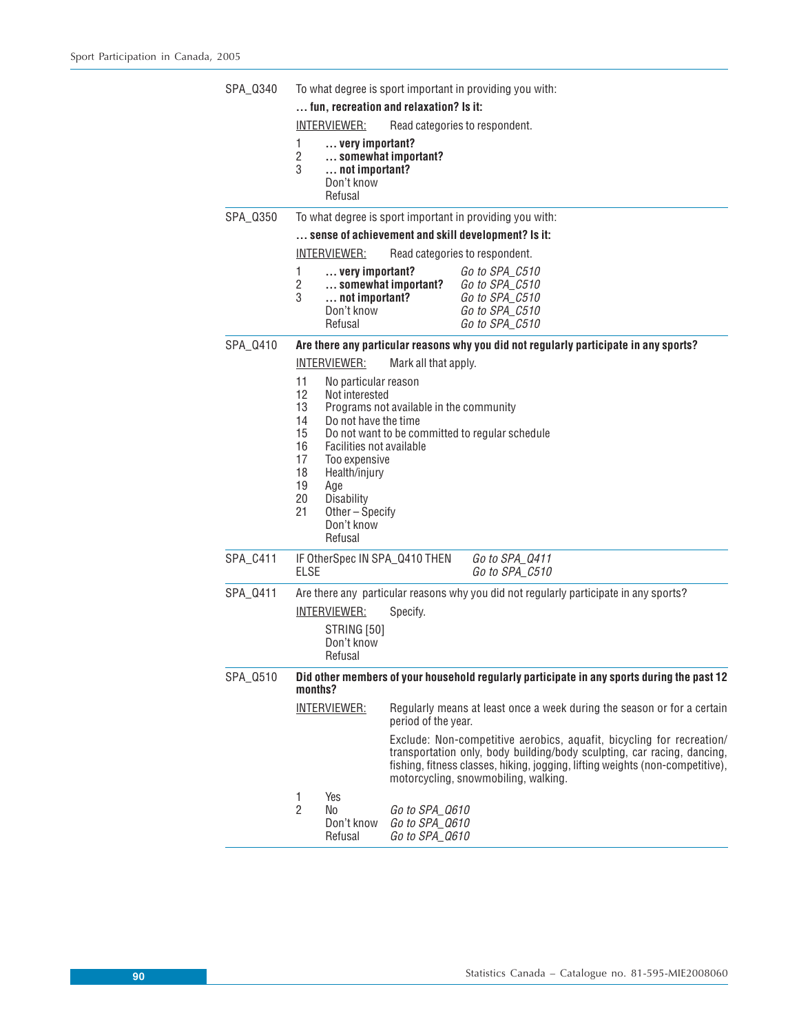| SPA_0340                                                                                                          | To what degree is sport important in providing you with:       |                                                                                                                                                                                               |                                                    |                                                                                                                                                                                                                                                                           |  |
|-------------------------------------------------------------------------------------------------------------------|----------------------------------------------------------------|-----------------------------------------------------------------------------------------------------------------------------------------------------------------------------------------------|----------------------------------------------------|---------------------------------------------------------------------------------------------------------------------------------------------------------------------------------------------------------------------------------------------------------------------------|--|
|                                                                                                                   | fun, recreation and relaxation? Is it:                         |                                                                                                                                                                                               |                                                    |                                                                                                                                                                                                                                                                           |  |
|                                                                                                                   |                                                                | <b>INTERVIEWER:</b>                                                                                                                                                                           |                                                    | Read categories to respondent.                                                                                                                                                                                                                                            |  |
|                                                                                                                   | 1<br>$\overline{2}$<br>3                                       | very important?<br>not important?<br>Don't know<br>Refusal                                                                                                                                    | somewhat important?                                |                                                                                                                                                                                                                                                                           |  |
| SPA_0350                                                                                                          |                                                                |                                                                                                                                                                                               |                                                    | To what degree is sport important in providing you with:                                                                                                                                                                                                                  |  |
|                                                                                                                   |                                                                |                                                                                                                                                                                               |                                                    | sense of achievement and skill development? Is it:                                                                                                                                                                                                                        |  |
|                                                                                                                   |                                                                | <u>INTERVIEWER:</u>                                                                                                                                                                           |                                                    | Read categories to respondent.                                                                                                                                                                                                                                            |  |
|                                                                                                                   | 1<br>2<br>3                                                    | very important?<br>not important?<br>Don't know<br>Refusal                                                                                                                                    | somewhat important?                                | Go to SPA_C510<br>Go to SPA_C510<br>Go to SPA C510<br>Go to SPA_C510<br>Go to SPA_C510                                                                                                                                                                                    |  |
| SPA 0410                                                                                                          |                                                                |                                                                                                                                                                                               |                                                    | Are there any particular reasons why you did not regularly participate in any sports?                                                                                                                                                                                     |  |
|                                                                                                                   |                                                                | <u>INTERVIEWER:</u>                                                                                                                                                                           | Mark all that apply.                               |                                                                                                                                                                                                                                                                           |  |
|                                                                                                                   | 11<br>12<br>13<br>14<br>15<br>16<br>17<br>18<br>19<br>20<br>21 | No particular reason<br>Not interested<br>Do not have the time<br>Facilities not available<br>Too expensive<br>Health/injury<br>Age<br>Disability<br>Other – Specify<br>Don't know<br>Refusal | Programs not available in the community            | Do not want to be committed to regular schedule                                                                                                                                                                                                                           |  |
| SPA_C411                                                                                                          | ELSE                                                           |                                                                                                                                                                                               | IF OtherSpec IN SPA_Q410 THEN                      | Go to SPA_Q411<br>Go to SPA_C510                                                                                                                                                                                                                                          |  |
| SPA_Q411                                                                                                          |                                                                | Are there any particular reasons why you did not regularly participate in any sports?                                                                                                         |                                                    |                                                                                                                                                                                                                                                                           |  |
|                                                                                                                   |                                                                | <b>INTERVIEWER:</b>                                                                                                                                                                           | Specify.                                           |                                                                                                                                                                                                                                                                           |  |
|                                                                                                                   |                                                                | STRING [50]<br>Don't know<br>Refusal                                                                                                                                                          |                                                    |                                                                                                                                                                                                                                                                           |  |
| Did other members of your household regularly participate in any sports during the past 12<br>SPA_Q510<br>months? |                                                                |                                                                                                                                                                                               |                                                    |                                                                                                                                                                                                                                                                           |  |
|                                                                                                                   |                                                                | <b>INTERVIEWER:</b>                                                                                                                                                                           | period of the year.                                | Regularly means at least once a week during the season or for a certain                                                                                                                                                                                                   |  |
|                                                                                                                   |                                                                |                                                                                                                                                                                               |                                                    | Exclude: Non-competitive aerobics, aquafit, bicycling for recreation/<br>transportation only, body building/body sculpting, car racing, dancing,<br>fishing, fitness classes, hiking, jogging, lifting weights (non-competitive),<br>motorcycling, snowmobiling, walking. |  |
|                                                                                                                   | 1<br>$\overline{2}$                                            | Yes<br>No<br>Don't know<br>Refusal                                                                                                                                                            | Go to SPA_Q610<br>Go to SPA_Q610<br>Go to SPA_Q610 |                                                                                                                                                                                                                                                                           |  |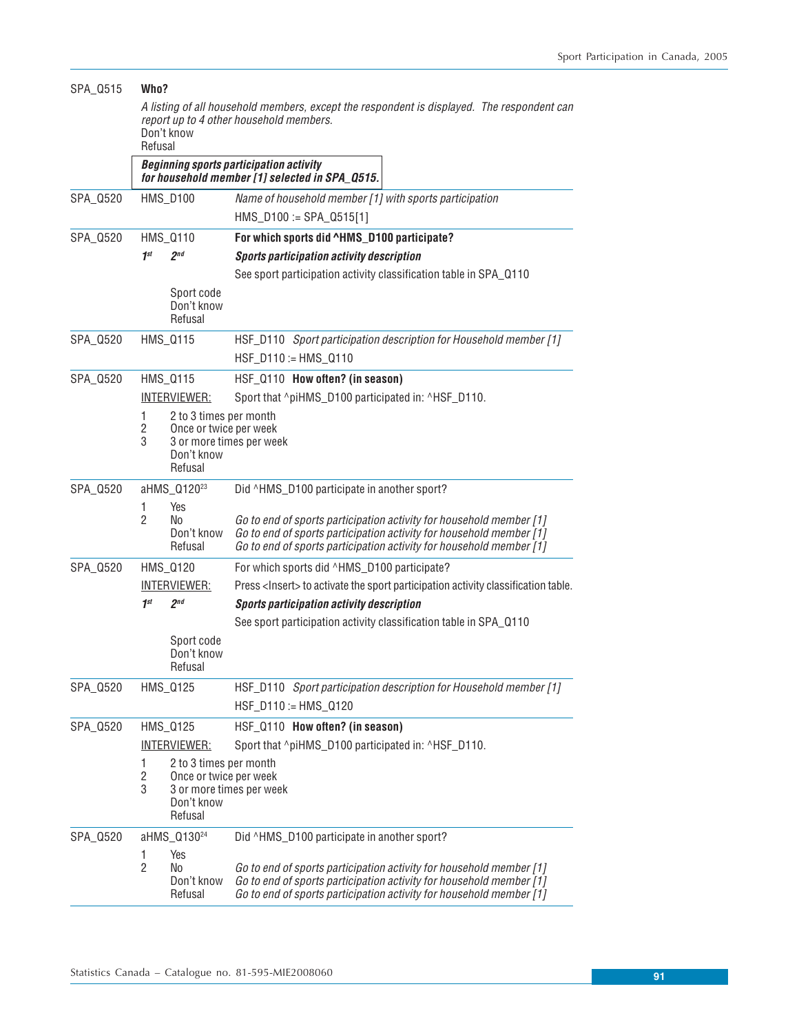| SPA_0515 |                                                                                                                                                                | Who?                                                                      |                                                                                                                                                                                                                   |  |  |  |  |
|----------|----------------------------------------------------------------------------------------------------------------------------------------------------------------|---------------------------------------------------------------------------|-------------------------------------------------------------------------------------------------------------------------------------------------------------------------------------------------------------------|--|--|--|--|
|          | A listing of all household members, except the respondent is displayed. The respondent can<br>report up to 4 other household members.<br>Don't know<br>Refusal |                                                                           |                                                                                                                                                                                                                   |  |  |  |  |
|          | <b>Beginning sports participation activity</b><br>for household member [1] selected in SPA_0515.                                                               |                                                                           |                                                                                                                                                                                                                   |  |  |  |  |
| SPA_0520 |                                                                                                                                                                | <b>HMS_D100</b>                                                           | Name of household member [1] with sports participation                                                                                                                                                            |  |  |  |  |
|          |                                                                                                                                                                |                                                                           | $HMS_D100 := SPA_D515[1]$                                                                                                                                                                                         |  |  |  |  |
| SPA_Q520 |                                                                                                                                                                | HMS_0110                                                                  | For which sports did ^HMS_D100 participate?                                                                                                                                                                       |  |  |  |  |
|          | 1 <sup>st</sup>                                                                                                                                                | 2 <sub>nd</sub>                                                           | <b>Sports participation activity description</b>                                                                                                                                                                  |  |  |  |  |
|          |                                                                                                                                                                | Sport code<br>Don't know<br>Refusal                                       | See sport participation activity classification table in SPA_0110                                                                                                                                                 |  |  |  |  |
| SPA_0520 |                                                                                                                                                                | HMS_0115                                                                  | HSF_D110 Sport participation description for Household member [1]                                                                                                                                                 |  |  |  |  |
|          |                                                                                                                                                                |                                                                           | HSF_D110 := HMS_Q110                                                                                                                                                                                              |  |  |  |  |
| SPA_0520 |                                                                                                                                                                | HMS_0115                                                                  | HSF_Q110 How often? (in season)                                                                                                                                                                                   |  |  |  |  |
|          |                                                                                                                                                                | <b>INTERVIEWER:</b>                                                       | Sport that ^piHMS_D100 participated in: ^HSF_D110.                                                                                                                                                                |  |  |  |  |
|          | 1<br>2<br>3                                                                                                                                                    | 2 to 3 times per month<br>Once or twice per week<br>Don't know<br>Refusal | 3 or more times per week                                                                                                                                                                                          |  |  |  |  |
| SPA_0520 |                                                                                                                                                                | aHMS_Q120 <sup>23</sup>                                                   | Did ^HMS_D100 participate in another sport?                                                                                                                                                                       |  |  |  |  |
|          | 1<br>$\overline{2}$                                                                                                                                            | Yes<br>No<br>Don't know<br>Refusal                                        | Go to end of sports participation activity for household member [1]<br>Go to end of sports participation activity for household member [1]<br>Go to end of sports participation activity for household member [1] |  |  |  |  |
| SPA_0520 |                                                                                                                                                                | HMS_0120                                                                  | For which sports did ^HMS_D100 participate?                                                                                                                                                                       |  |  |  |  |
|          |                                                                                                                                                                | <u>INTERVIEWER:</u>                                                       | Press <lnsert> to activate the sport participation activity classification table.</lnsert>                                                                                                                        |  |  |  |  |
|          | 1 <sup>st</sup>                                                                                                                                                | 2 <sup>nd</sup>                                                           | <b>Sports participation activity description</b>                                                                                                                                                                  |  |  |  |  |
|          |                                                                                                                                                                |                                                                           | See sport participation activity classification table in SPA_Q110                                                                                                                                                 |  |  |  |  |
|          |                                                                                                                                                                | Sport code<br>Don't know<br>Refusal                                       |                                                                                                                                                                                                                   |  |  |  |  |
| SPA_Q520 |                                                                                                                                                                | HMS_0125                                                                  | HSF_D110 Sport participation description for Household member [1]<br>HSF_D110 := HMS_Q120                                                                                                                         |  |  |  |  |
| SPA_0520 |                                                                                                                                                                | HMS_0125                                                                  | HSF_Q110 How often? (in season)                                                                                                                                                                                   |  |  |  |  |
|          |                                                                                                                                                                | <b>INTERVIEWER:</b>                                                       | Sport that ^piHMS_D100 participated in: ^HSF_D110.                                                                                                                                                                |  |  |  |  |
|          | 1<br>$\overline{2}$<br>3                                                                                                                                       | 2 to 3 times per month<br>Once or twice per week<br>Don't know<br>Refusal | 3 or more times per week                                                                                                                                                                                          |  |  |  |  |
| SPA_0520 |                                                                                                                                                                | aHMS_Q130 <sup>24</sup>                                                   | Did ^HMS_D100 participate in another sport?                                                                                                                                                                       |  |  |  |  |
|          | 1<br>$\overline{c}$                                                                                                                                            | Yes<br>No<br>Don't know<br>Refusal                                        | Go to end of sports participation activity for household member [1]<br>Go to end of sports participation activity for household member [1]<br>Go to end of sports participation activity for household member [1] |  |  |  |  |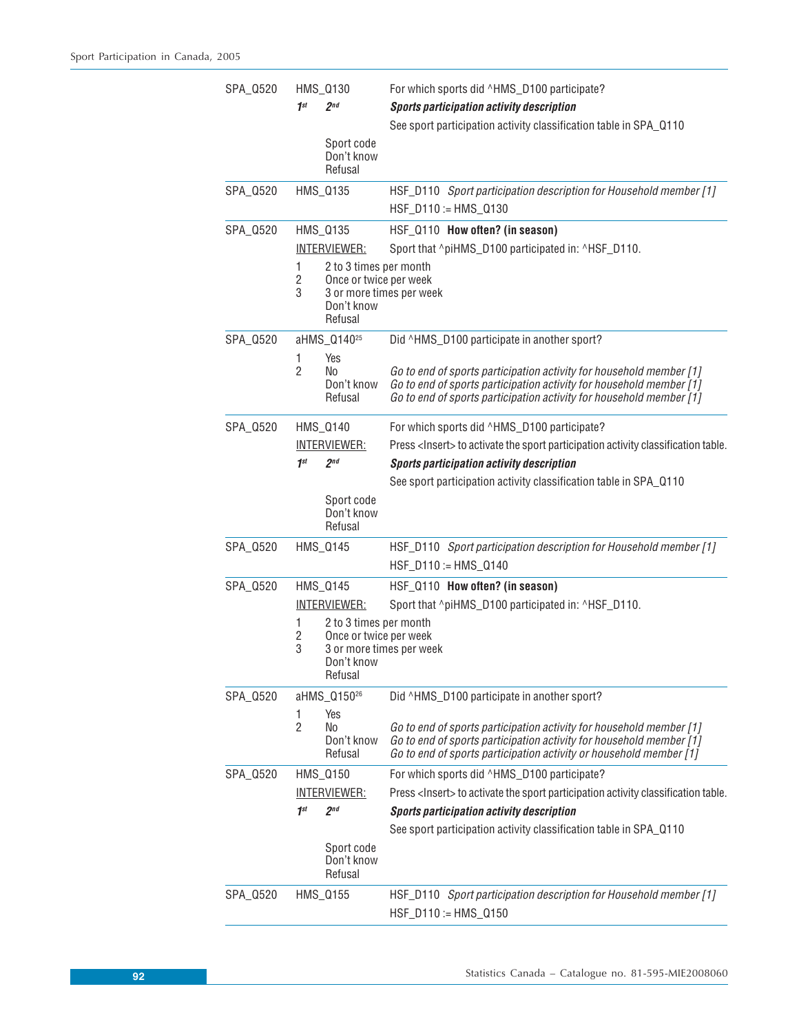| SPA_0520 |                      | HMS_0130                                                                  | For which sports did ^HMS_D100 participate?                                                                                                                                                                       |
|----------|----------------------|---------------------------------------------------------------------------|-------------------------------------------------------------------------------------------------------------------------------------------------------------------------------------------------------------------|
|          | 1 <sup>st</sup>      | 2 <sup>nd</sup>                                                           | <b>Sports participation activity description</b>                                                                                                                                                                  |
|          |                      | Sport code                                                                | See sport participation activity classification table in SPA_Q110                                                                                                                                                 |
|          |                      | Don't know                                                                |                                                                                                                                                                                                                   |
|          |                      | Refusal                                                                   |                                                                                                                                                                                                                   |
| SPA_0520 |                      | HMS_0135                                                                  | HSF_D110 Sport participation description for Household member [1]<br>HSF_D110 := HMS_Q130                                                                                                                         |
| SPA_0520 |                      | HMS_0135                                                                  | HSF_Q110 How often? (in season)                                                                                                                                                                                   |
|          |                      | <u>INTERVIEWER:</u>                                                       | Sport that ^piHMS_D100 participated in: ^HSF_D110.                                                                                                                                                                |
|          | 1<br>$\sqrt{2}$<br>3 | 2 to 3 times per month<br>Once or twice per week<br>Don't know<br>Refusal | 3 or more times per week                                                                                                                                                                                          |
| SPA_0520 |                      | aHMS_Q140 <sup>25</sup>                                                   | Did ^HMS_D100 participate in another sport?                                                                                                                                                                       |
|          | 1                    | Yes                                                                       |                                                                                                                                                                                                                   |
|          | $\overline{2}$       | No<br>Don't know<br>Refusal                                               | Go to end of sports participation activity for household member [1]<br>Go to end of sports participation activity for household member [1]<br>Go to end of sports participation activity for household member [1] |
| SPA_Q520 |                      | HMS_0140                                                                  | For which sports did ^HMS_D100 participate?                                                                                                                                                                       |
|          |                      | <u>INTERVIEWER:</u>                                                       | Press <lnsert> to activate the sport participation activity classification table.</lnsert>                                                                                                                        |
|          | 1 <sup>st</sup>      | 2 <sub>nd</sub>                                                           | Sports participation activity description                                                                                                                                                                         |
|          |                      |                                                                           | See sport participation activity classification table in SPA_Q110                                                                                                                                                 |
|          |                      | Sport code<br>Don't know<br>Refusal                                       |                                                                                                                                                                                                                   |
| SPA_0520 |                      | HMS_0145                                                                  | HSF_D110 Sport participation description for Household member [1]                                                                                                                                                 |
|          |                      |                                                                           | $HSF_D110 := HMS_Q140$                                                                                                                                                                                            |
| SPA_0520 |                      | HMS_0145                                                                  | HSF_Q110 How often? (in season)                                                                                                                                                                                   |
|          |                      | <b>INTERVIEWER:</b>                                                       | Sport that ^piHMS_D100 participated in: ^HSF_D110.                                                                                                                                                                |
|          | 1                    | 2 to 3 times per month                                                    |                                                                                                                                                                                                                   |
|          | 2<br>3               | Once or twice per week                                                    | 3 or more times per week                                                                                                                                                                                          |
|          |                      | Don't know<br>Refusal                                                     |                                                                                                                                                                                                                   |
| SPA_0520 |                      | aHMS_Q150 <sup>26</sup>                                                   | Did ^HMS_D100 participate in another sport?                                                                                                                                                                       |
|          | 1                    | Yes                                                                       |                                                                                                                                                                                                                   |
|          | $\overline{2}$       | No<br>Don't know                                                          | Go to end of sports participation activity for household member [1]<br>Go to end of sports participation activity for household member [1]                                                                        |
|          |                      | Refusal                                                                   | Go to end of sports participation activity or household member [1]                                                                                                                                                |
| SPA_0520 |                      | HMS_0150                                                                  | For which sports did ^HMS_D100 participate?                                                                                                                                                                       |
|          |                      | <u>INTERVIEWER:</u>                                                       | Press <lnsert> to activate the sport participation activity classification table.</lnsert>                                                                                                                        |
|          | 1st                  | 2 <sup>nd</sup>                                                           | <b>Sports participation activity description</b>                                                                                                                                                                  |
|          |                      |                                                                           | See sport participation activity classification table in SPA_0110                                                                                                                                                 |
|          |                      | Sport code<br>Don't know<br>Refusal                                       |                                                                                                                                                                                                                   |
| SPA_0520 |                      | HMS_0155                                                                  | HSF_D110 Sport participation description for Household member [1]                                                                                                                                                 |
|          |                      |                                                                           | HSF_D110 := HMS_Q150                                                                                                                                                                                              |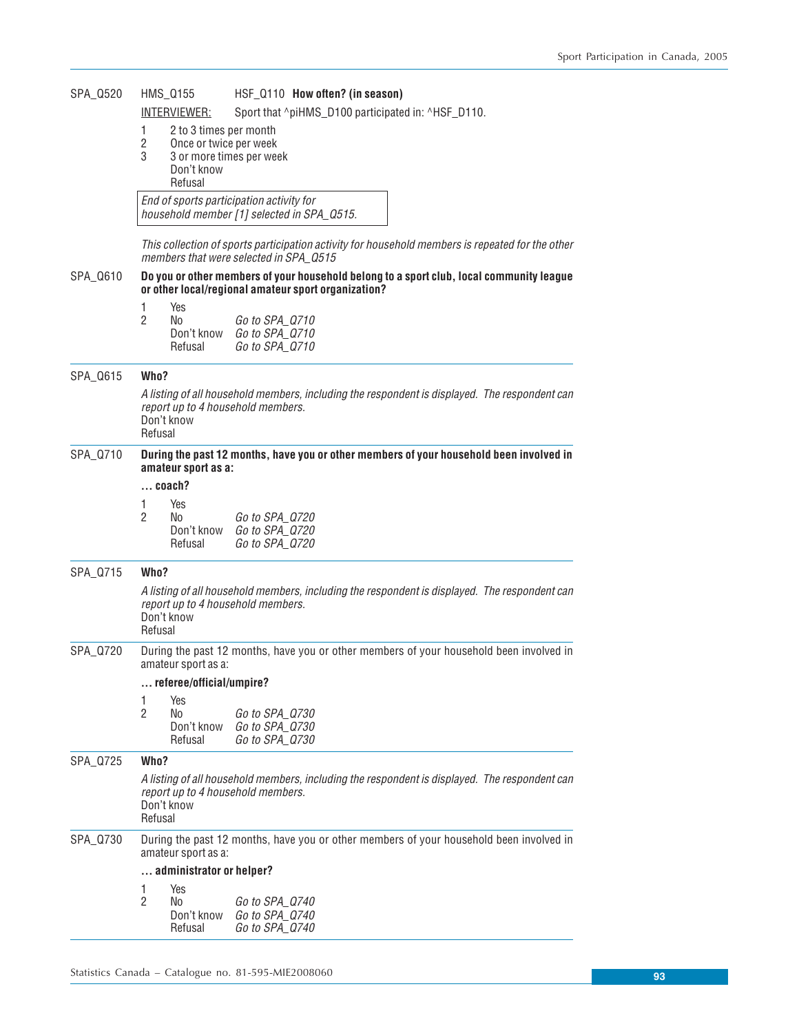| SPA_Q520 | HMS_0155<br>INTERVIEWER:                                                                                                                                    | HSF_Q110 How often? (in season)<br>Sport that ^piHMS_D100 participated in: ^HSF_D110.                                                           |  |  |  |
|----------|-------------------------------------------------------------------------------------------------------------------------------------------------------------|-------------------------------------------------------------------------------------------------------------------------------------------------|--|--|--|
|          | 1<br>2 to 3 times per month<br>$\overline{2}$<br>Once or twice per week<br>3<br>3 or more times per week<br>Don't know<br>Refusal                           |                                                                                                                                                 |  |  |  |
|          |                                                                                                                                                             | End of sports participation activity for<br>household member [1] selected in SPA_0515.                                                          |  |  |  |
|          |                                                                                                                                                             | This collection of sports participation activity for household members is repeated for the other<br>members that were selected in SPA 0515      |  |  |  |
| SPA_Q610 |                                                                                                                                                             | Do you or other members of your household belong to a sport club, local community league<br>or other local/regional amateur sport organization? |  |  |  |
|          | Yes<br>1<br>2<br>No<br>Don't know<br>Refusal                                                                                                                | Go to SPA_Q710<br>Go to SPA_Q710<br>Go to SPA_Q710                                                                                              |  |  |  |
| SPA_Q615 | Who?                                                                                                                                                        |                                                                                                                                                 |  |  |  |
|          | A listing of all household members, including the respondent is displayed. The respondent can<br>report up to 4 household members.<br>Don't know<br>Refusal |                                                                                                                                                 |  |  |  |
| SPA_Q710 | During the past 12 months, have you or other members of your household been involved in<br>amateur sport as a:<br>coach?                                    |                                                                                                                                                 |  |  |  |
|          | 1<br>Yes<br>2<br>No<br>Don't know<br>Refusal                                                                                                                | Go to SPA_Q720<br>Go to SPA_Q720<br>Go to SPA_Q720                                                                                              |  |  |  |
| SPA_Q715 | Who?                                                                                                                                                        |                                                                                                                                                 |  |  |  |
|          | report up to 4 household members.<br>Don't know<br>Refusal                                                                                                  | A listing of all household members, including the respondent is displayed. The respondent can                                                   |  |  |  |
| SPA_Q720 | During the past 12 months, have you or other members of your household been involved in<br>amateur sport as a:                                              |                                                                                                                                                 |  |  |  |
|          | referee/official/umpire?                                                                                                                                    |                                                                                                                                                 |  |  |  |
|          | Yes<br>1<br>2<br>No<br>Don't know<br>Refusal                                                                                                                | Go to SPA_Q730<br>Go to SPA_0730<br>Go to SPA_0730                                                                                              |  |  |  |
| SPA Q725 | Who?                                                                                                                                                        |                                                                                                                                                 |  |  |  |
|          | A listing of all household members, including the respondent is displayed. The respondent can<br>report up to 4 household members.<br>Don't know<br>Refusal |                                                                                                                                                 |  |  |  |
| SPA_0730 | During the past 12 months, have you or other members of your household been involved in<br>amateur sport as a:                                              |                                                                                                                                                 |  |  |  |
|          | administrator or helper?                                                                                                                                    |                                                                                                                                                 |  |  |  |
|          | 1<br>Yes<br>$\overline{2}$<br>No<br>Don't know<br>Refusal                                                                                                   | Go to SPA_Q740<br>Go to SPA_Q740<br>Go to SPA_Q740                                                                                              |  |  |  |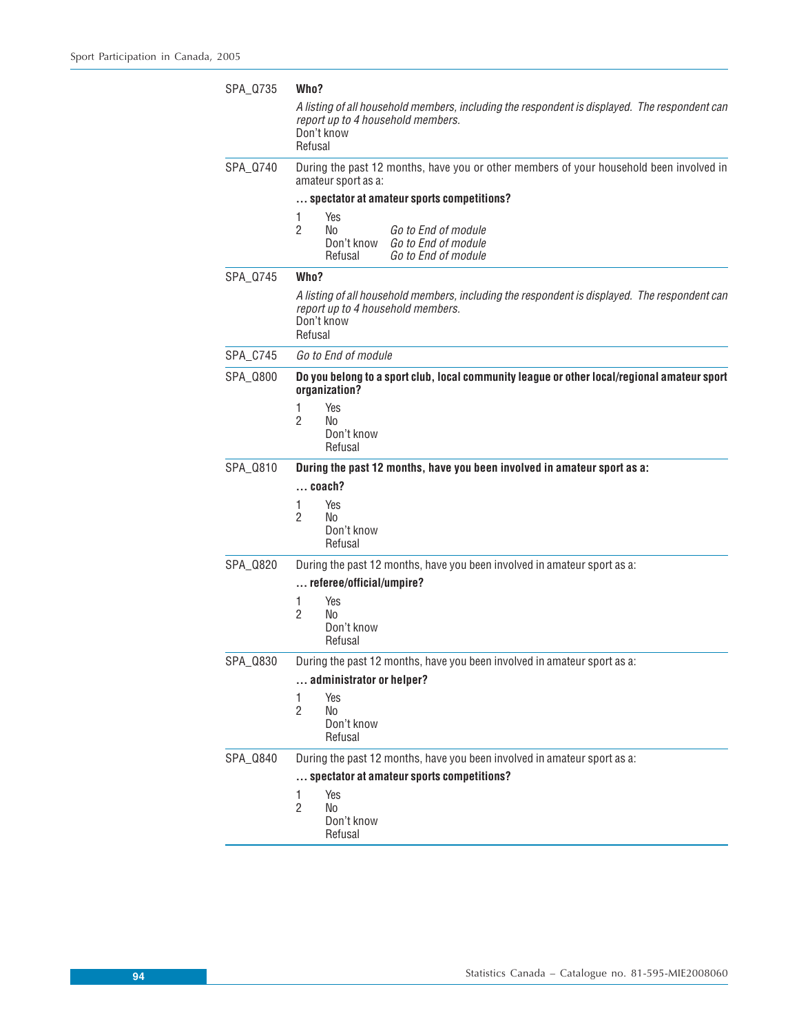| SPA Q735 | Who?                                                                                                                                                        |  |  |  |  |
|----------|-------------------------------------------------------------------------------------------------------------------------------------------------------------|--|--|--|--|
|          | A listing of all household members, including the respondent is displayed. The respondent can<br>report up to 4 household members.<br>Don't know<br>Refusal |  |  |  |  |
| SPA_0740 | During the past 12 months, have you or other members of your household been involved in<br>amateur sport as a:                                              |  |  |  |  |
|          | spectator at amateur sports competitions?                                                                                                                   |  |  |  |  |
|          | Yes<br>1<br>2<br>No<br>Go to End of module<br>Go to End of module<br>Don't know<br>Refusal<br>Go to End of module                                           |  |  |  |  |
| SPA_0745 | Who?                                                                                                                                                        |  |  |  |  |
|          | A listing of all household members, including the respondent is displayed. The respondent can<br>report up to 4 household members.<br>Don't know<br>Refusal |  |  |  |  |
| SPA_C745 | Go to End of module                                                                                                                                         |  |  |  |  |
| SPA_Q800 | Do you belong to a sport club, local community league or other local/regional amateur sport<br>organization?                                                |  |  |  |  |
|          | 1<br>Yes<br>2<br>No<br>Don't know<br>Refusal                                                                                                                |  |  |  |  |
| SPA_Q810 | During the past 12 months, have you been involved in amateur sport as a:                                                                                    |  |  |  |  |
|          | $\ldots$ coach?                                                                                                                                             |  |  |  |  |
|          | 1<br>Yes<br>2<br>No<br>Don't know<br>Refusal                                                                                                                |  |  |  |  |
| SPA_Q820 | During the past 12 months, have you been involved in amateur sport as a:                                                                                    |  |  |  |  |
|          | referee/official/umpire?                                                                                                                                    |  |  |  |  |
|          | Yes<br>1<br>2<br>No<br>Don't know<br>Refusal                                                                                                                |  |  |  |  |
| SPA Q830 | During the past 12 months, have you been involved in amateur sport as a:                                                                                    |  |  |  |  |
|          | administrator or helper?                                                                                                                                    |  |  |  |  |
|          | Yes<br>1<br>$\overline{2}$<br>No<br>Don't know<br>Refusal                                                                                                   |  |  |  |  |
| SPA_Q840 | During the past 12 months, have you been involved in amateur sport as a:                                                                                    |  |  |  |  |
|          | spectator at amateur sports competitions?                                                                                                                   |  |  |  |  |
|          | 1<br>Yes<br>$\overline{2}$<br>No<br>Don't know<br>Refusal                                                                                                   |  |  |  |  |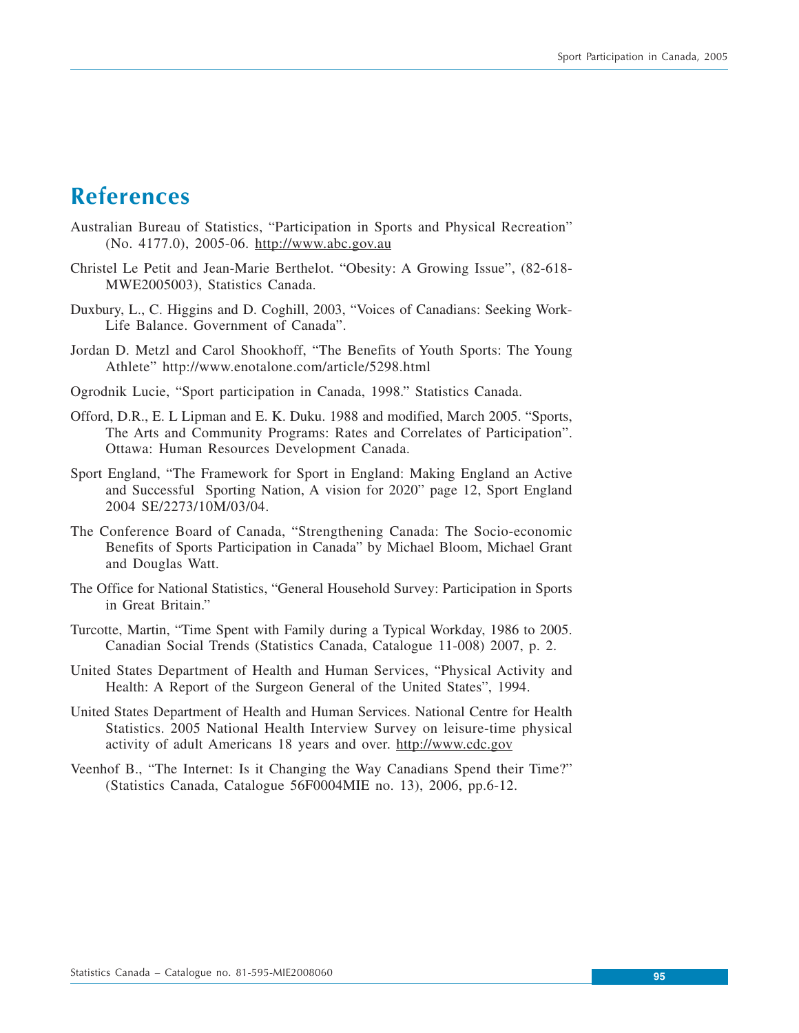# **References**

- Australian Bureau of Statistics, "Participation in Sports and Physical Recreation" (No. 4177.0), 2005-06. http://www.abc.gov.au
- Christel Le Petit and Jean-Marie Berthelot. "Obesity: A Growing Issue", (82-618- MWE2005003), Statistics Canada.
- Duxbury, L., C. Higgins and D. Coghill, 2003, "Voices of Canadians: Seeking Work-Life Balance. Government of Canada".
- Jordan D. Metzl and Carol Shookhoff, "The Benefits of Youth Sports: The Young Athlete" http://www.enotalone.com/article/5298.html
- Ogrodnik Lucie, "Sport participation in Canada, 1998." Statistics Canada.
- Offord, D.R., E. L Lipman and E. K. Duku. 1988 and modified, March 2005. "Sports, The Arts and Community Programs: Rates and Correlates of Participation". Ottawa: Human Resources Development Canada.
- Sport England, "The Framework for Sport in England: Making England an Active and Successful Sporting Nation, A vision for 2020" page 12, Sport England 2004 SE/2273/10M/03/04.
- The Conference Board of Canada, "Strengthening Canada: The Socio-economic Benefits of Sports Participation in Canada" by Michael Bloom, Michael Grant and Douglas Watt.
- The Office for National Statistics, "General Household Survey: Participation in Sports in Great Britain."
- Turcotte, Martin, "Time Spent with Family during a Typical Workday, 1986 to 2005. Canadian Social Trends (Statistics Canada, Catalogue 11-008) 2007, p. 2.
- United States Department of Health and Human Services, "Physical Activity and Health: A Report of the Surgeon General of the United States", 1994.
- United States Department of Health and Human Services. National Centre for Health Statistics. 2005 National Health Interview Survey on leisure-time physical activity of adult Americans 18 years and over. http://www.cdc.gov
- Veenhof B., "The Internet: Is it Changing the Way Canadians Spend their Time?" (Statistics Canada, Catalogue 56F0004MIE no. 13), 2006, pp.6-12.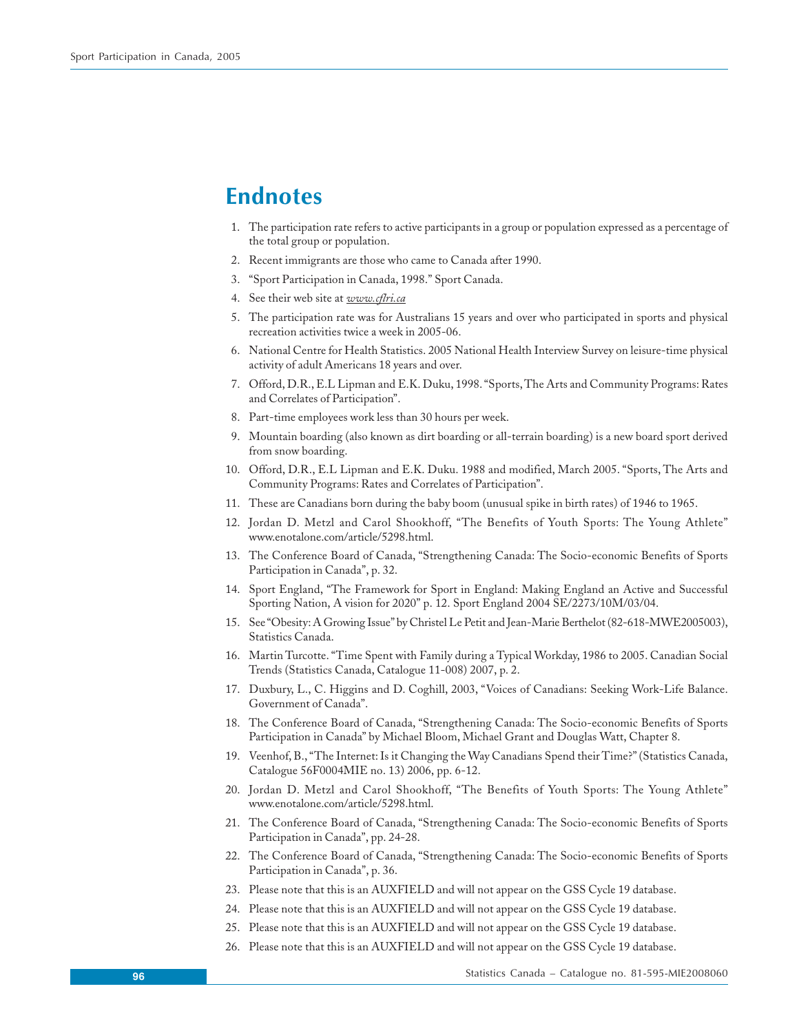# **Endnotes**

- 1. The participation rate refers to active participants in a group or population expressed as a percentage of the total group or population.
- 2. Recent immigrants are those who came to Canada after 1990.
- 3. "Sport Participation in Canada, 1998." Sport Canada.
- 4. See their web site at *www.cflri.ca*
- 5. The participation rate was for Australians 15 years and over who participated in sports and physical recreation activities twice a week in 2005-06.
- 6. National Centre for Health Statistics. 2005 National Health Interview Survey on leisure-time physical activity of adult Americans 18 years and over.
- 7. Offord, D.R., E.L Lipman and E.K. Duku, 1998. "Sports, The Arts and Community Programs: Rates and Correlates of Participation".
- 8. Part-time employees work less than 30 hours per week.
- 9. Mountain boarding (also known as dirt boarding or all-terrain boarding) is a new board sport derived from snow boarding.
- 10. Offord, D.R., E.L Lipman and E.K. Duku. 1988 and modified, March 2005. "Sports, The Arts and Community Programs: Rates and Correlates of Participation".
- 11. These are Canadians born during the baby boom (unusual spike in birth rates) of 1946 to 1965.
- 12. Jordan D. Metzl and Carol Shookhoff, "The Benefits of Youth Sports: The Young Athlete" www.enotalone.com/article/5298.html.
- 13. The Conference Board of Canada, "Strengthening Canada: The Socio-economic Benefits of Sports Participation in Canada", p. 32.
- 14. Sport England, "The Framework for Sport in England: Making England an Active and Successful Sporting Nation, A vision for 2020" p. 12. Sport England 2004 SE/2273/10M/03/04.
- 15. See "Obesity: A Growing Issue" by Christel Le Petit and Jean-Marie Berthelot (82-618-MWE2005003), Statistics Canada.
- 16. Martin Turcotte. "Time Spent with Family during a Typical Workday, 1986 to 2005. Canadian Social Trends (Statistics Canada, Catalogue 11-008) 2007, p. 2.
- 17. Duxbury, L., C. Higgins and D. Coghill, 2003, "Voices of Canadians: Seeking Work-Life Balance. Government of Canada".
- 18. The Conference Board of Canada, "Strengthening Canada: The Socio-economic Benefits of Sports Participation in Canada" by Michael Bloom, Michael Grant and Douglas Watt, Chapter 8.
- 19. Veenhof, B., "The Internet: Is it Changing the Way Canadians Spend their Time?" (Statistics Canada, Catalogue 56F0004MIE no. 13) 2006, pp. 6-12.
- 20. Jordan D. Metzl and Carol Shookhoff, "The Benefits of Youth Sports: The Young Athlete" www.enotalone.com/article/5298.html.
- 21. The Conference Board of Canada, "Strengthening Canada: The Socio-economic Benefits of Sports Participation in Canada", pp. 24-28.
- 22. The Conference Board of Canada, "Strengthening Canada: The Socio-economic Benefits of Sports Participation in Canada", p. 36.
- 23. Please note that this is an AUXFIELD and will not appear on the GSS Cycle 19 database.
- 24. Please note that this is an AUXFIELD and will not appear on the GSS Cycle 19 database.
- 25. Please note that this is an AUXFIELD and will not appear on the GSS Cycle 19 database.
- 26. Please note that this is an AUXFIELD and will not appear on the GSS Cycle 19 database.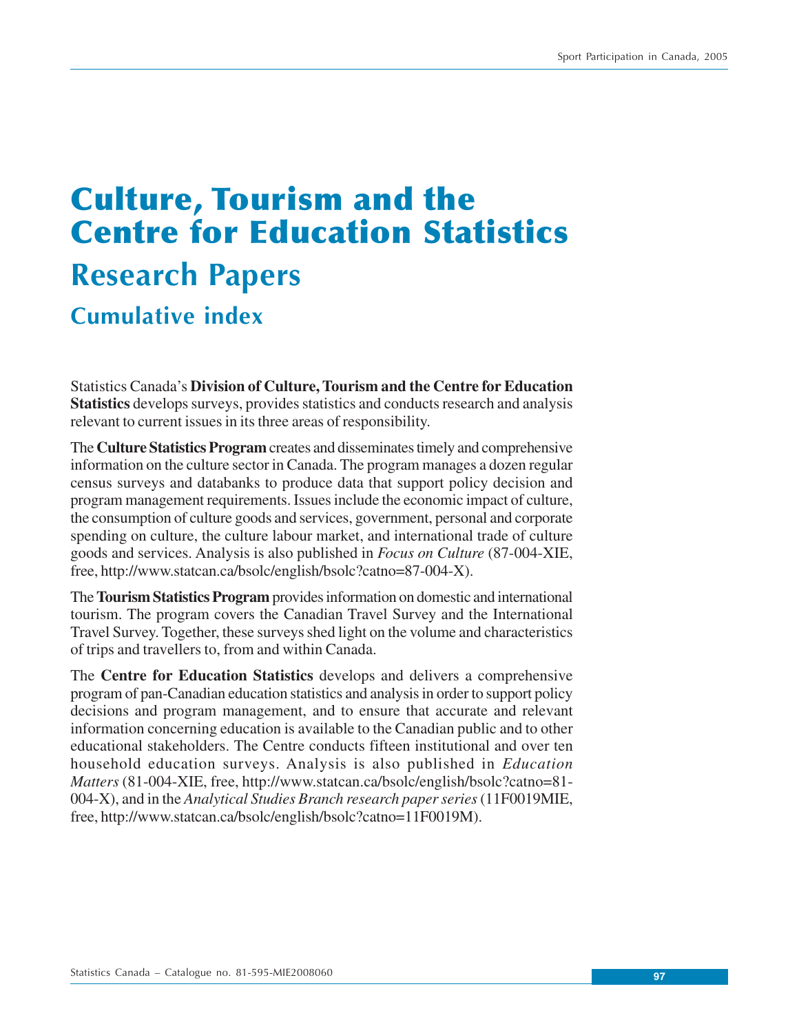# **Culture, Tourism and the Centre for Education Statistics Research Papers Cumulative index**

Statistics Canada's **Division of Culture, Tourism and the Centre for Education Statistics** develops surveys, provides statistics and conducts research and analysis relevant to current issues in its three areas of responsibility.

The **Culture Statistics Program** creates and disseminates timely and comprehensive information on the culture sector in Canada. The program manages a dozen regular census surveys and databanks to produce data that support policy decision and program management requirements. Issues include the economic impact of culture, the consumption of culture goods and services, government, personal and corporate spending on culture, the culture labour market, and international trade of culture goods and services. Analysis is also published in *Focus on Culture* (87-004-XIE, free, http://www.statcan.ca/bsolc/english/bsolc?catno=87-004-X).

The **Tourism Statistics Program** provides information on domestic and international tourism. The program covers the Canadian Travel Survey and the International Travel Survey. Together, these surveys shed light on the volume and characteristics of trips and travellers to, from and within Canada.

The **Centre for Education Statistics** develops and delivers a comprehensive program of pan-Canadian education statistics and analysis in order to support policy decisions and program management, and to ensure that accurate and relevant information concerning education is available to the Canadian public and to other educational stakeholders. The Centre conducts fifteen institutional and over ten household education surveys. Analysis is also published in *Education Matters* (81-004-XIE, free, http://www.statcan.ca/bsolc/english/bsolc?catno=81- 004-X), and in the *Analytical Studies Branch research paper series* (11F0019MIE, free, http://www.statcan.ca/bsolc/english/bsolc?catno=11F0019M).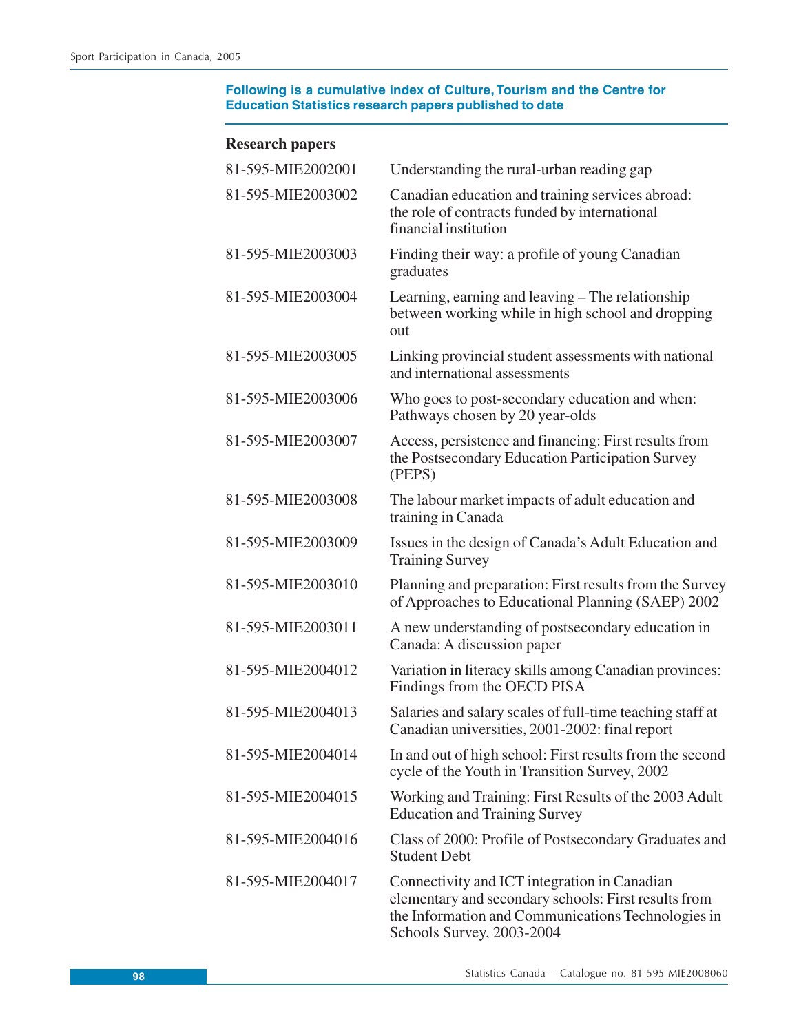| 81-595-MIE2002001 | Understanding the rural-urban reading gap                                                                                                                                               |
|-------------------|-----------------------------------------------------------------------------------------------------------------------------------------------------------------------------------------|
| 81-595-MIE2003002 | Canadian education and training services abroad:<br>the role of contracts funded by international<br>financial institution                                                              |
| 81-595-MIE2003003 | Finding their way: a profile of young Canadian<br>graduates                                                                                                                             |
| 81-595-MIE2003004 | Learning, earning and leaving – The relationship<br>between working while in high school and dropping<br>out                                                                            |
| 81-595-MIE2003005 | Linking provincial student assessments with national<br>and international assessments                                                                                                   |
| 81-595-MIE2003006 | Who goes to post-secondary education and when:<br>Pathways chosen by 20 year-olds                                                                                                       |
| 81-595-MIE2003007 | Access, persistence and financing: First results from<br>the Postsecondary Education Participation Survey<br>(PEPS)                                                                     |
| 81-595-MIE2003008 | The labour market impacts of adult education and<br>training in Canada                                                                                                                  |
| 81-595-MIE2003009 | Issues in the design of Canada's Adult Education and<br><b>Training Survey</b>                                                                                                          |
| 81-595-MIE2003010 | Planning and preparation: First results from the Survey<br>of Approaches to Educational Planning (SAEP) 2002                                                                            |
| 81-595-MIE2003011 | A new understanding of postsecondary education in<br>Canada: A discussion paper                                                                                                         |
| 81-595-MIE2004012 | Variation in literacy skills among Canadian provinces:<br>Findings from the OECD PISA                                                                                                   |
| 81-595-MIE2004013 | Salaries and salary scales of full-time teaching staff at<br>Canadian universities, 2001-2002: final report                                                                             |
| 81-595-MIE2004014 | In and out of high school: First results from the second<br>cycle of the Youth in Transition Survey, 2002                                                                               |
| 81-595-MIE2004015 | Working and Training: First Results of the 2003 Adult<br><b>Education and Training Survey</b>                                                                                           |
| 81-595-MIE2004016 | Class of 2000: Profile of Postsecondary Graduates and<br><b>Student Debt</b>                                                                                                            |
| 81-595-MIE2004017 | Connectivity and ICT integration in Canadian<br>elementary and secondary schools: First results from<br>the Information and Communications Technologies in<br>Schools Survey, 2003-2004 |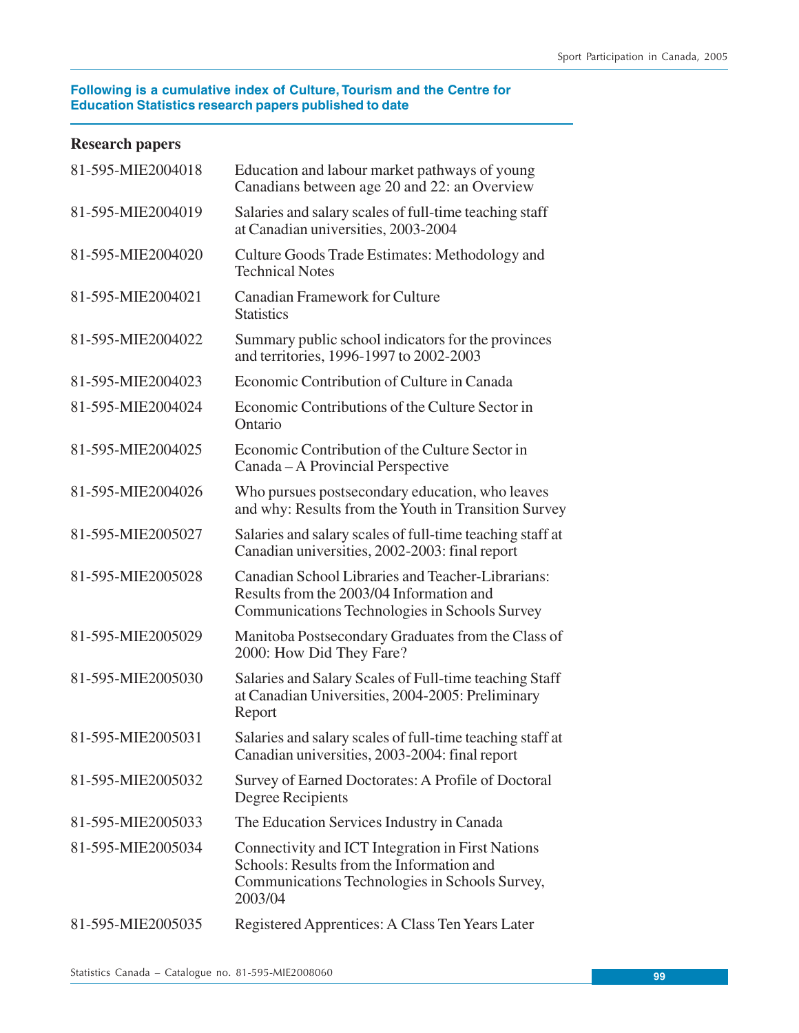| 81-595-MIE2004018 | Education and labour market pathways of young<br>Canadians between age 20 and 22: an Overview                                                               |
|-------------------|-------------------------------------------------------------------------------------------------------------------------------------------------------------|
| 81-595-MIE2004019 | Salaries and salary scales of full-time teaching staff<br>at Canadian universities, 2003-2004                                                               |
| 81-595-MIE2004020 | Culture Goods Trade Estimates: Methodology and<br><b>Technical Notes</b>                                                                                    |
| 81-595-MIE2004021 | <b>Canadian Framework for Culture</b><br><b>Statistics</b>                                                                                                  |
| 81-595-MIE2004022 | Summary public school indicators for the provinces<br>and territories, 1996-1997 to 2002-2003                                                               |
| 81-595-MIE2004023 | Economic Contribution of Culture in Canada                                                                                                                  |
| 81-595-MIE2004024 | Economic Contributions of the Culture Sector in<br>Ontario                                                                                                  |
| 81-595-MIE2004025 | Economic Contribution of the Culture Sector in<br>Canada – A Provincial Perspective                                                                         |
| 81-595-MIE2004026 | Who pursues postsecondary education, who leaves<br>and why: Results from the Youth in Transition Survey                                                     |
| 81-595-MIE2005027 | Salaries and salary scales of full-time teaching staff at<br>Canadian universities, 2002-2003: final report                                                 |
| 81-595-MIE2005028 | Canadian School Libraries and Teacher-Librarians:<br>Results from the 2003/04 Information and<br>Communications Technologies in Schools Survey              |
| 81-595-MIE2005029 | Manitoba Postsecondary Graduates from the Class of<br>2000: How Did They Fare?                                                                              |
| 81-595-MIE2005030 | Salaries and Salary Scales of Full-time teaching Staff<br>at Canadian Universities, 2004-2005: Preliminary<br>Report                                        |
| 81-595-MIE2005031 | Salaries and salary scales of full-time teaching staff at<br>Canadian universities, 2003-2004: final report                                                 |
| 81-595-MIE2005032 | Survey of Earned Doctorates: A Profile of Doctoral<br>Degree Recipients                                                                                     |
| 81-595-MIE2005033 | The Education Services Industry in Canada                                                                                                                   |
| 81-595-MIE2005034 | Connectivity and ICT Integration in First Nations<br>Schools: Results from the Information and<br>Communications Technologies in Schools Survey,<br>2003/04 |
| 81-595-MIE2005035 | Registered Apprentices: A Class Ten Years Later                                                                                                             |
|                   |                                                                                                                                                             |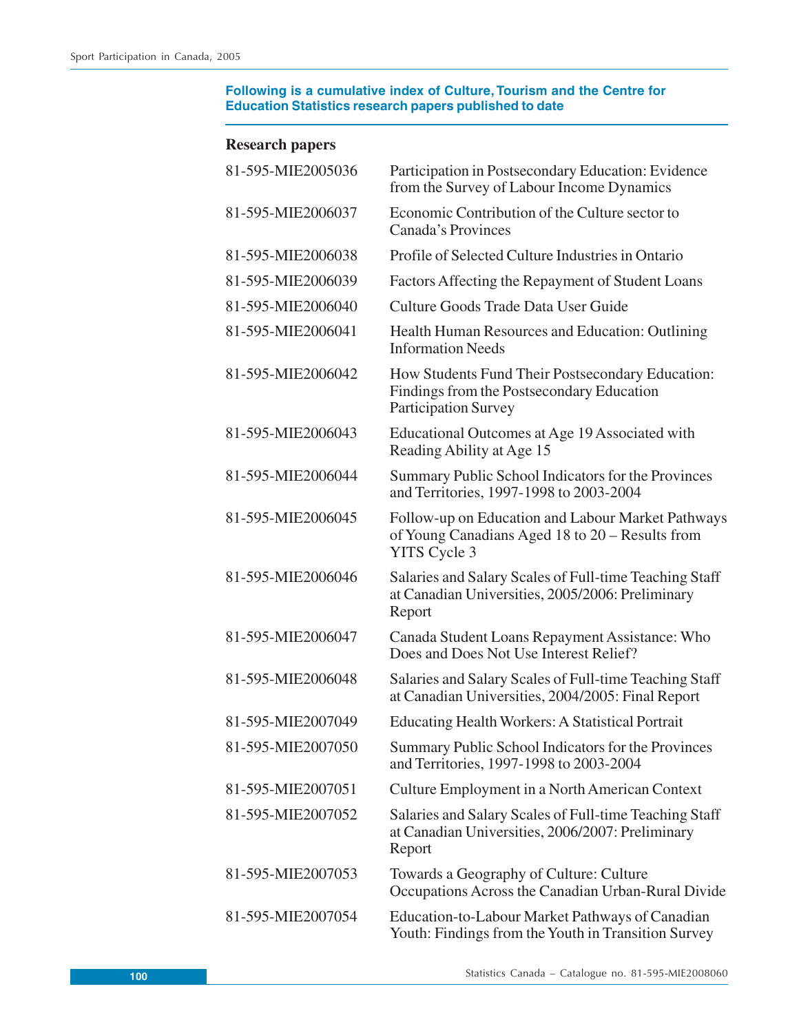| 81-595-MIE2005036 | Participation in Postsecondary Education: Evidence<br>from the Survey of Labour Income Dynamics                              |
|-------------------|------------------------------------------------------------------------------------------------------------------------------|
| 81-595-MIE2006037 | Economic Contribution of the Culture sector to<br>Canada's Provinces                                                         |
| 81-595-MIE2006038 | Profile of Selected Culture Industries in Ontario                                                                            |
| 81-595-MIE2006039 | Factors Affecting the Repayment of Student Loans                                                                             |
| 81-595-MIE2006040 | Culture Goods Trade Data User Guide                                                                                          |
| 81-595-MIE2006041 | Health Human Resources and Education: Outlining<br><b>Information Needs</b>                                                  |
| 81-595-MIE2006042 | How Students Fund Their Postsecondary Education:<br>Findings from the Postsecondary Education<br><b>Participation Survey</b> |
| 81-595-MIE2006043 | Educational Outcomes at Age 19 Associated with<br>Reading Ability at Age 15                                                  |
| 81-595-MIE2006044 | Summary Public School Indicators for the Provinces<br>and Territories, 1997-1998 to 2003-2004                                |
| 81-595-MIE2006045 | Follow-up on Education and Labour Market Pathways<br>of Young Canadians Aged 18 to 20 – Results from<br><b>YITS</b> Cycle 3  |
| 81-595-MIE2006046 | Salaries and Salary Scales of Full-time Teaching Staff<br>at Canadian Universities, 2005/2006: Preliminary<br>Report         |
| 81-595-MIE2006047 | Canada Student Loans Repayment Assistance: Who<br>Does and Does Not Use Interest Relief?                                     |
| 81-595-MIE2006048 | Salaries and Salary Scales of Full-time Teaching Staff<br>at Canadian Universities, 2004/2005: Final Report                  |
| 81-595-MIE2007049 | <b>Educating Health Workers: A Statistical Portrait</b>                                                                      |
| 81-595-MIE2007050 | Summary Public School Indicators for the Provinces<br>and Territories, 1997-1998 to 2003-2004                                |
| 81-595-MIE2007051 | Culture Employment in a North American Context                                                                               |
| 81-595-MIE2007052 | Salaries and Salary Scales of Full-time Teaching Staff<br>at Canadian Universities, 2006/2007: Preliminary<br>Report         |
| 81-595-MIE2007053 | Towards a Geography of Culture: Culture<br>Occupations Across the Canadian Urban-Rural Divide                                |
| 81-595-MIE2007054 | Education-to-Labour Market Pathways of Canadian<br>Youth: Findings from the Youth in Transition Survey                       |